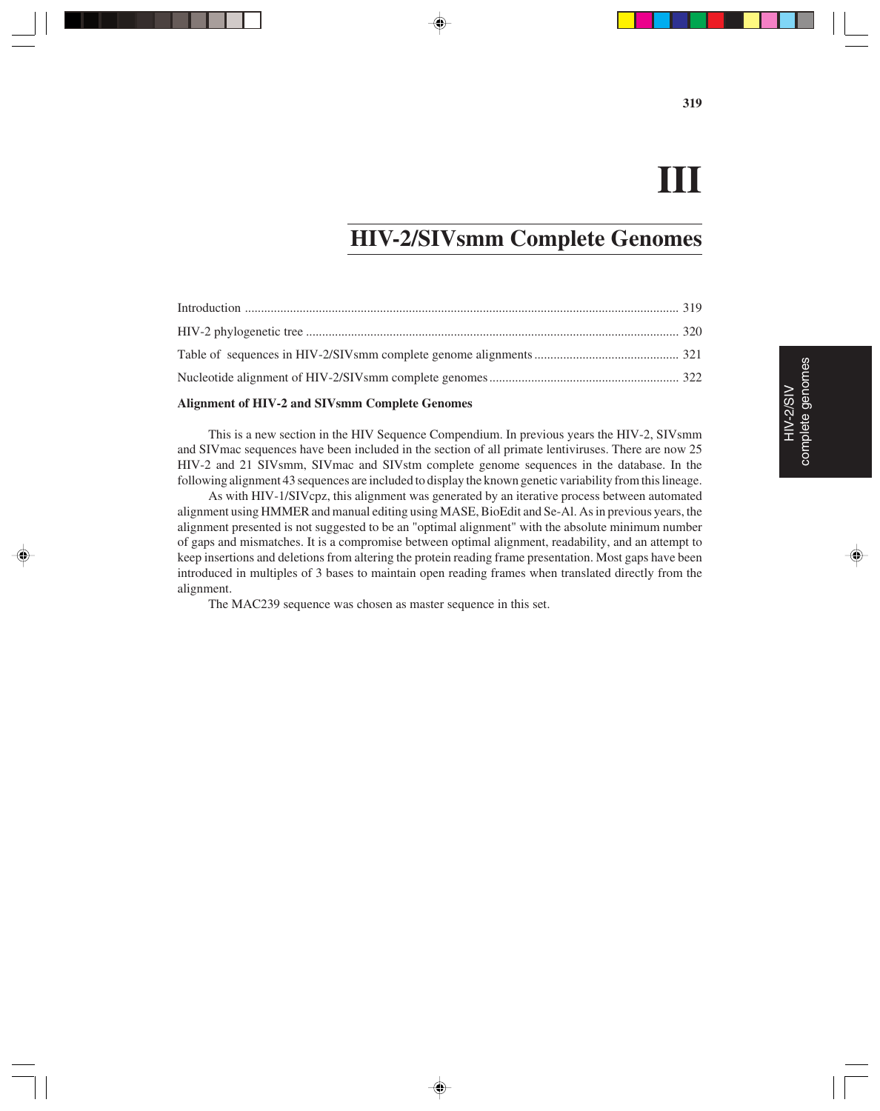#### **III**

#### **HIV-2/SIVsmm Complete Genomes**

#### **Alignment of HIV-2 and SIVsmm Complete Genomes**

This is a new section in the HIV Sequence Compendium. In previous years the HIV-2, SIVsmm and SIVmac sequences have been included in the section of all primate lentiviruses. There are now 25 HIV-2 and 21 SIVsmm, SIVmac and SIVstm complete genome sequences in the database. In the following alignment 43 sequences are included to display the known genetic variability from this lineage.

As with HIV-1/SIVcpz, this alignment was generated by an iterative process between automated alignment using HMMER and manual editing using MASE, BioEdit and Se-Al. As in previous years, the alignment presented is not suggested to be an "optimal alignment" with the absolute minimum number of gaps and mismatches. It is a compromise between optimal alignment, readability, and an attempt to keep insertions and deletions from altering the protein reading frame presentation. Most gaps have been introduced in multiples of 3 bases to maintain open reading frames when translated directly from the alignment.

◈

The MAC239 sequence was chosen as master sequence in this set.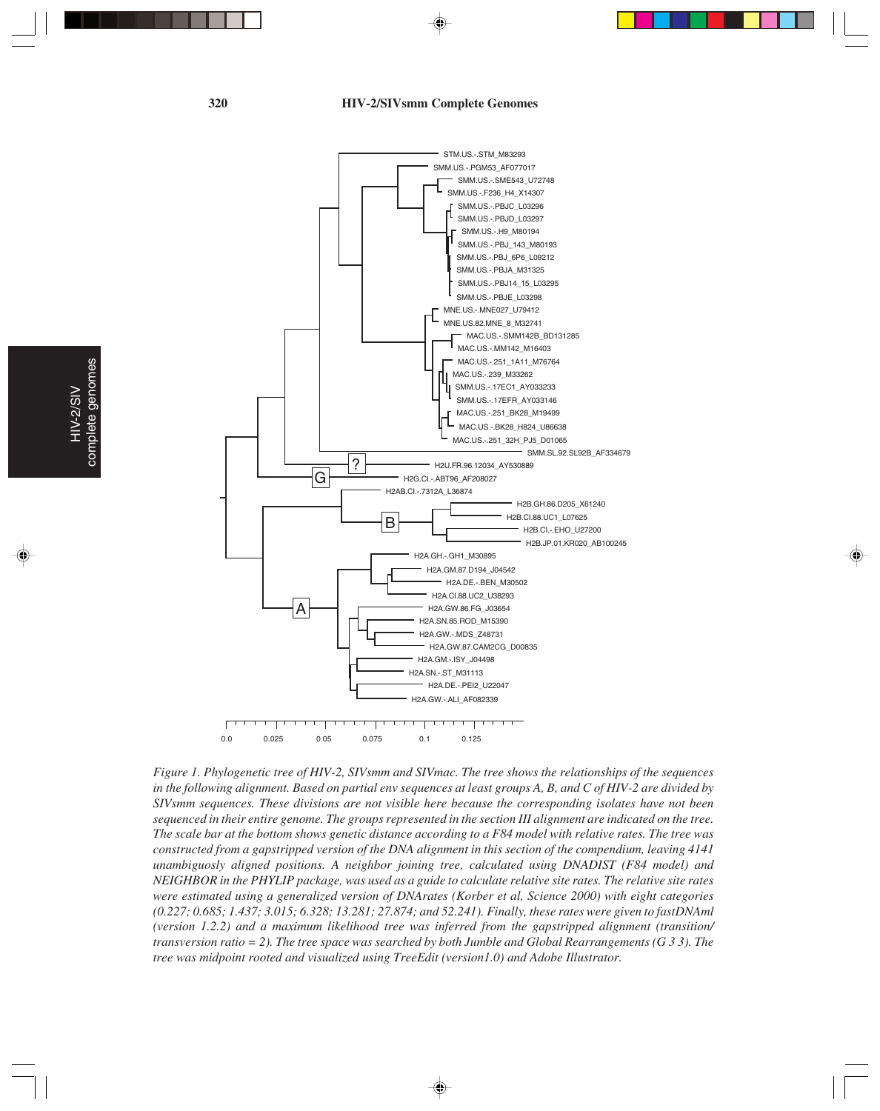**320 HIV-2/SIVsmm Complete Genomes**



*Figure 1. Phylogenetic tree of HIV-2, SIVsmm and SIVmac. The tree shows the relationships of the sequences in the following alignment. Based on partial env sequences at least groups A, B, and C of HIV-2 are divided by SIVsmm sequences. These divisions are not visible here because the corresponding isolates have not been sequenced in their entire genome. The groups represented in the section III alignment are indicated on the tree. The scale bar at the bottom shows genetic distance according to a F84 model with relative rates. The tree was constructed from a gapstripped version of the DNA alignment in this section of the compendium, leaving 4141 unambiguosly aligned positions. A neighbor joining tree, calculated using DNADIST (F84 model) and NEIGHBOR in the PHYLIP package, was used as a guide to calculate relative site rates. The relative site rates were estimated using a generalized version of DNArates (Korber et al, Science 2000) with eight categories (0.227; 0.685; 1.437; 3.015; 6.328; 13.281; 27.874; and 52.241). Finally, these rates were given to fastDNAml (version 1.2.2) and a maximum likelihood tree was inferred from the gapstripped alignment (transition/ transversion ratio = 2). The tree space was searched by both Jumble and Global Rearrangements (G 3 3). The tree was midpoint rooted and visualized using TreeEdit (version1.0) and Adobe Illustrator.*

HIV-2/SIV complete genomes

complete genomes HIV-2/SIV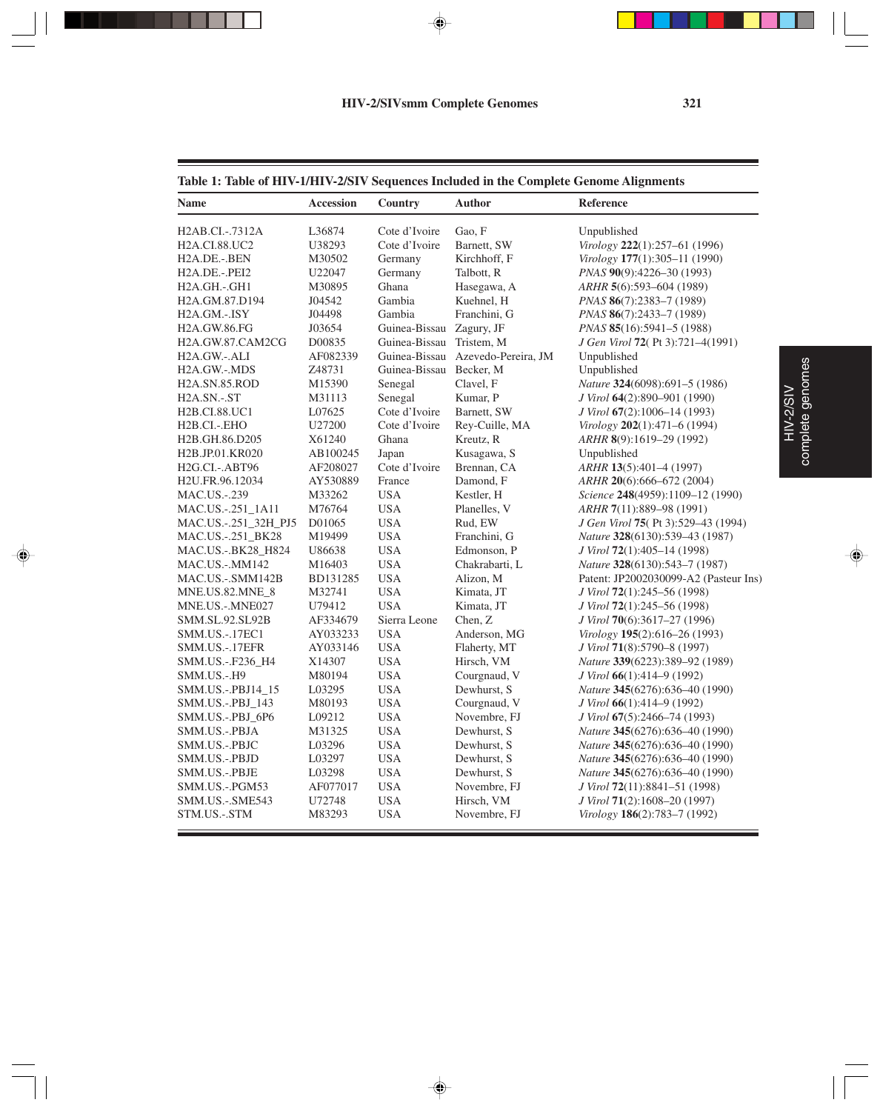♦

. . . .

◈

HIV-2/SIV complete genomes

HIV-2/SIV<br>complete genomes

◈

E.

#### **Table 1: Table of HIV-1/HIV-2/SIV Sequences Included in the Complete Genome Alignments**

| Name                                   | <b>Accession</b> | Country                 | <b>Author</b>       | Reference                                         |
|----------------------------------------|------------------|-------------------------|---------------------|---------------------------------------------------|
| H2AB.CI.-.7312A                        | L36874           | Cote d'Ivoire           | Gao, F              | Unpublished                                       |
| <b>H2A.CI.88.UC2</b>                   | U38293           | Cote d'Ivoire           | Barnett, SW         | Virology 222(1):257-61 (1996)                     |
| H2A.DE.-.BEN                           | M30502           | Germany                 | Kirchhoff, F        | Virology 177(1):305-11 (1990)                     |
| H <sub>2</sub> A.DE.-.PEI <sub>2</sub> | U22047           | Germany                 | Talbott, R          | PNAS 90(9):4226-30 (1993)                         |
| H2A.GH.-.GH1                           | M30895           | Ghana                   | Hasegawa, A         | $ARHR$ 5(6):593-604 (1989)                        |
| H2A.GM.87.D194                         | J04542           | Gambia                  | Kuehnel, H          | PNAS 86(7):2383-7 (1989)                          |
| H2A.GM.-.ISY                           | J04498           | Gambia                  | Franchini, G        | $PNAS$ 86(7):2433-7 (1989)                        |
| <b>H2A.GW.86.FG</b>                    | J03654           | Guinea-Bissau           | Zagury, JF          | PNAS 85(16):5941-5 (1988)                         |
| H2A.GW.87.CAM2CG                       | D00835           | Guinea-Bissau           | Tristem, M          | J Gen Virol 72(Pt 3):721-4(1991)                  |
| H2A.GW.-.ALI                           | AF082339         | Guinea-Bissau           | Azevedo-Pereira, JM | Unpublished                                       |
| H2A.GW.-.MDS                           | Z48731           | Guinea-Bissau Becker, M |                     | Unpublished                                       |
| H2A.SN.85.ROD                          | M15390           | Senegal                 | Clavel, F           | Nature 324(6098):691-5 (1986)                     |
| H2A.SN.-.ST                            | M31113           | Senegal                 | Kumar, P            | J Virol 64(2):890-901 (1990)                      |
| H <sub>2</sub> B.CI.88.UC1             | L07625           | Cote d'Ivoire           | Barnett, SW         | J Virol 67(2):1006-14 (1993)                      |
| H <sub>2</sub> B.CI.-.EHO              | U27200           | Cote d'Ivoire           | Rey-Cuille, MA      | Virology $202(1):471-6(1994)$                     |
| H2B.GH.86.D205                         | X61240           | Ghana                   | Kreutz, R           | $ARHR$ 8(9):1619–29 (1992)                        |
| H <sub>2</sub> B.JP.01.KR020           | AB100245         | Japan                   | Kusagawa, S         | Unpublished                                       |
| H2G.CI.-.ABT96                         | AF208027         | Cote d'Ivoire           | Brennan, CA         | ARHR 13(5):401-4 (1997)                           |
| H2U.FR.96.12034                        | AY530889         | France                  | Damond, F           | ARHR 20(6):666-672 (2004)                         |
| MAC.US.-.239                           | M33262           | <b>USA</b>              | Kestler, H          | Science 248(4959):1109-12 (1990)                  |
| MAC.US.-.251_1A11                      | M76764           | <b>USA</b>              | Planelles, V        | ARHR 7(11):889-98 (1991)                          |
| MAC.US.-.251_32H_PJ5                   | D01065           | <b>USA</b>              | Rud, EW             | <i>J Gen Virol</i> <b>75</b> (Pt 3):529–43 (1994) |
| MAC.US.-.251_BK28                      | M19499           | <b>USA</b>              | Franchini, G        | <i>Nature</i> 328(6130):539–43 (1987)             |
| MAC.US.-.BK28_H824                     | U86638           | <b>USA</b>              | Edmonson, P         | J Virol 72(1):405-14 (1998)                       |
| MAC.US.-.MM142                         | M16403           | <b>USA</b>              | Chakrabarti, L      | Nature 328(6130):543-7 (1987)                     |
| MAC.US.-.SMM142B                       | BD131285         | <b>USA</b>              | Alizon, M           | Patent: JP2002030099-A2 (Pasteur Ins)             |
| MNE.US.82.MNE_8                        | M32741           | <b>USA</b>              | Kimata, JT          | J Virol 72(1):245–56 (1998)                       |
| MNE.US.-.MNE027                        | U79412           | <b>USA</b>              | Kimata, JT          | J Virol 72(1):245-56 (1998)                       |
| <b>SMM.SL.92.SL92B</b>                 | AF334679         | Sierra Leone            | Chen, Z             | J Virol <b>70</b> (6):3617–27 (1996)              |
| <b>SMM.US.-.17EC1</b>                  | AY033233         | <b>USA</b>              | Anderson, MG        | Virology $195(2):616-26(1993)$                    |
| SMM.US.-.17EFR                         | AY033146         | <b>USA</b>              | Flaherty, MT        | J Virol 71(8):5790–8 (1997)                       |
| SMM.US.-.F236_H4                       | X14307           | <b>USA</b>              | Hirsch, VM          | Nature 339(6223):389-92 (1989)                    |
| SMM.US.-.H9                            | M80194           | <b>USA</b>              | Courgnaud, V        | J Virol 66(1):414–9 (1992)                        |
| SMM.US.-.PBJ14_15                      | L03295           | <b>USA</b>              | Dewhurst, S         | Nature 345(6276):636-40 (1990)                    |
| SMM.US.-.PBJ_143                       | M80193           | <b>USA</b>              | Courgnaud, V        | J Virol <b>66</b> (1):414–9 (1992)                |
| SMM.US.-.PBJ_6P6                       | L09212           | <b>USA</b>              | Novembre, FJ        | J Virol 67(5):2466–74 (1993)                      |
| SMM.US.-.PBJA                          | M31325           | <b>USA</b>              | Dewhurst, S         | <i>Nature</i> 345(6276):636–40 (1990)             |
| SMM.US.-.PBJC                          | L03296           | <b>USA</b>              | Dewhurst, S         | Nature 345(6276):636-40 (1990)                    |
| SMM.US.-.PBJD                          | L03297           | <b>USA</b>              | Dewhurst, S         | Nature 345(6276):636-40 (1990)                    |
| SMM.US.-.PBJE                          | L03298           | <b>USA</b>              | Dewhurst, S         | Nature 345(6276):636-40 (1990)                    |
| SMM.US.-.PGM53                         | AF077017         | <b>USA</b>              | Novembre, FJ        | J Virol <b>72</b> (11):8841–51 (1998)             |
| SMM.US.-.SME543                        | U72748           | <b>USA</b>              | Hirsch, VM          | J Virol 71(2):1608-20 (1997)                      |
| STM.US.-.STM                           | M83293           | <b>USA</b>              | Novembre, FJ        | Virology 186(2):783-7 (1992)                      |

 $\Rightarrow$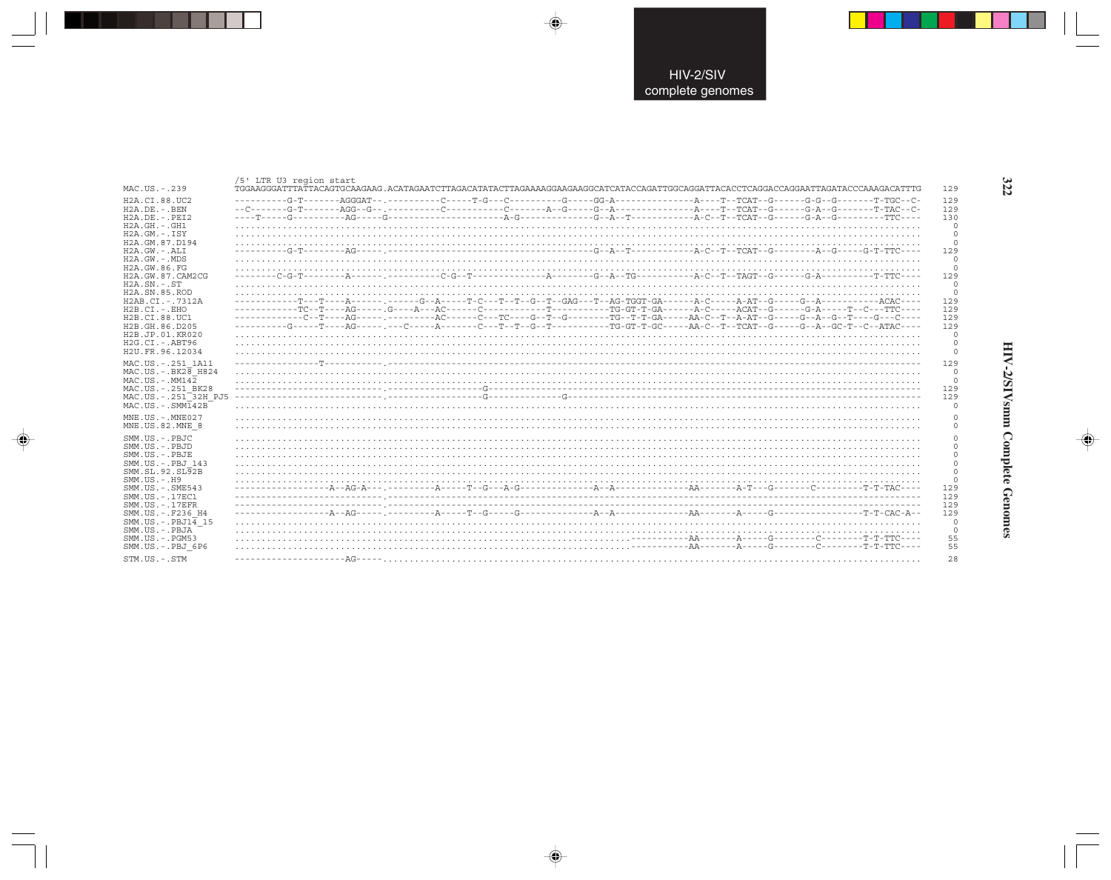|                                                   |  |  | TGGAAGGGATTTATTACAGTGCAAGAAG.ACATAGAATCTTAGACATATACTTAGAAAAAGGAAGGAACGATCATACCAGATTGGCAGGATTACACCTCAGGACCAGGAATTAGATACCCAAAGACATTTG |  |  |  |
|---------------------------------------------------|--|--|-------------------------------------------------------------------------------------------------------------------------------------|--|--|--|
| H2A.CI.88.UC2                                     |  |  |                                                                                                                                     |  |  |  |
| $H2A$ . DE. - . BEN                               |  |  |                                                                                                                                     |  |  |  |
| $H2A.DE. - .PEI2$                                 |  |  |                                                                                                                                     |  |  |  |
| $H2A.GH.-.GH1$                                    |  |  |                                                                                                                                     |  |  |  |
| $H2A.GM.-.ISY$                                    |  |  |                                                                                                                                     |  |  |  |
| H2A.GM.87.D194<br>H2A.GW.-.ALI                    |  |  |                                                                                                                                     |  |  |  |
| $H2A.GW. - MDS$<br>H2A.GW.86.FG                   |  |  |                                                                                                                                     |  |  |  |
| H2A. GW. 87. CAM2CG                               |  |  |                                                                                                                                     |  |  |  |
| $H2A.SN.-.ST$                                     |  |  |                                                                                                                                     |  |  |  |
| H <sub>2</sub> A.SN.85.ROD<br>H2AB.CI.-.7312A     |  |  |                                                                                                                                     |  |  |  |
| $H2B.CI. - . EHO$                                 |  |  |                                                                                                                                     |  |  |  |
| H2B.CI.88.UC1                                     |  |  |                                                                                                                                     |  |  |  |
| H2B.GH.86.D205                                    |  |  |                                                                                                                                     |  |  |  |
| H2B.JP.01.KR020                                   |  |  |                                                                                                                                     |  |  |  |
| $H2G.CI. - ABT96$                                 |  |  |                                                                                                                                     |  |  |  |
| H <sub>2U</sub> . FR. 96. 12034                   |  |  |                                                                                                                                     |  |  |  |
| MAC.US. - . 251 1A11                              |  |  |                                                                                                                                     |  |  |  |
| MAC.US. - . BK28 H824                             |  |  |                                                                                                                                     |  |  |  |
| $MAC. US. - . MM142$                              |  |  |                                                                                                                                     |  |  |  |
| MAC.US. - . 251 BK28                              |  |  |                                                                                                                                     |  |  |  |
| MAC.US.-.251 <sup>-32H</sup> PJ5                  |  |  |                                                                                                                                     |  |  |  |
| MAC.US.-.SMMT42B                                  |  |  |                                                                                                                                     |  |  |  |
| $MNE$ . US. - $MNE$ 027                           |  |  |                                                                                                                                     |  |  |  |
| MNE.US.82.MNE 8                                   |  |  |                                                                                                                                     |  |  |  |
| $SMM. US. - PB. TC$                               |  |  |                                                                                                                                     |  |  |  |
| SMM.US.-.PBJD                                     |  |  |                                                                                                                                     |  |  |  |
| SMM.US.-.PBJE                                     |  |  |                                                                                                                                     |  |  |  |
| SMM.US.-.PBJ 143                                  |  |  |                                                                                                                                     |  |  |  |
| SMM. SL. 92. SL92B                                |  |  |                                                                                                                                     |  |  |  |
| $SMM. US. - . H9$                                 |  |  |                                                                                                                                     |  |  |  |
| $SMM.US. - .SME543$                               |  |  |                                                                                                                                     |  |  |  |
| SMM. US. - . 17EC1                                |  |  |                                                                                                                                     |  |  |  |
| $SMM. US. - .17EFR$                               |  |  |                                                                                                                                     |  |  |  |
| SMM.US. -. F236 H4                                |  |  |                                                                                                                                     |  |  |  |
| SMM.US. -. $PBJ1\overline{4}$ 15<br>SMM.US.-.PBJA |  |  |                                                                                                                                     |  |  |  |
| $SMM. US. - . PGM53$                              |  |  |                                                                                                                                     |  |  |  |
| SMM.US.-.PBJ 6P6                                  |  |  |                                                                                                                                     |  |  |  |
|                                                   |  |  |                                                                                                                                     |  |  |  |

 $\begin{picture}(20,5) \put(0,0){\vector(0,1){10}} \put(15,0){\vector(0,1){10}} \put(15,0){\vector(0,1){10}} \put(15,0){\vector(0,1){10}} \put(15,0){\vector(0,1){10}} \put(15,0){\vector(0,1){10}} \put(15,0){\vector(0,1){10}} \put(15,0){\vector(0,1){10}} \put(15,0){\vector(0,1){10}} \put(15,0){\vector(0,1){10}} \put(15,0){\vector(0,1){10}} \put(15,0){\vector(0,$ 

 $\begin{picture}(20,5) \put(0,0){\vector(0,1){10}} \put(15,0){\vector(0,1){10}} \put(15,0){\vector(0,1){10}} \put(15,0){\vector(0,1){10}} \put(15,0){\vector(0,1){10}} \put(15,0){\vector(0,1){10}} \put(15,0){\vector(0,1){10}} \put(15,0){\vector(0,1){10}} \put(15,0){\vector(0,1){10}} \put(15,0){\vector(0,1){10}} \put(15,0){\vector(0,1){10}} \put(15,0){\vector(0,$ 

---

 $\overline{\blacklozenge}$ 

### HIV-2/SIVsmm Complete Genomes

 $\begin{picture}(20,5) \put(0,0){\line(1,0){10}} \put(15,0){\line(1,0){10}} \put(15,0){\line(1,0){10}} \put(15,0){\line(1,0){10}} \put(15,0){\line(1,0){10}} \put(15,0){\line(1,0){10}} \put(15,0){\line(1,0){10}} \put(15,0){\line(1,0){10}} \put(15,0){\line(1,0){10}} \put(15,0){\line(1,0){10}} \put(15,0){\line(1,0){10}} \put(15,0){\line(1,$ 

322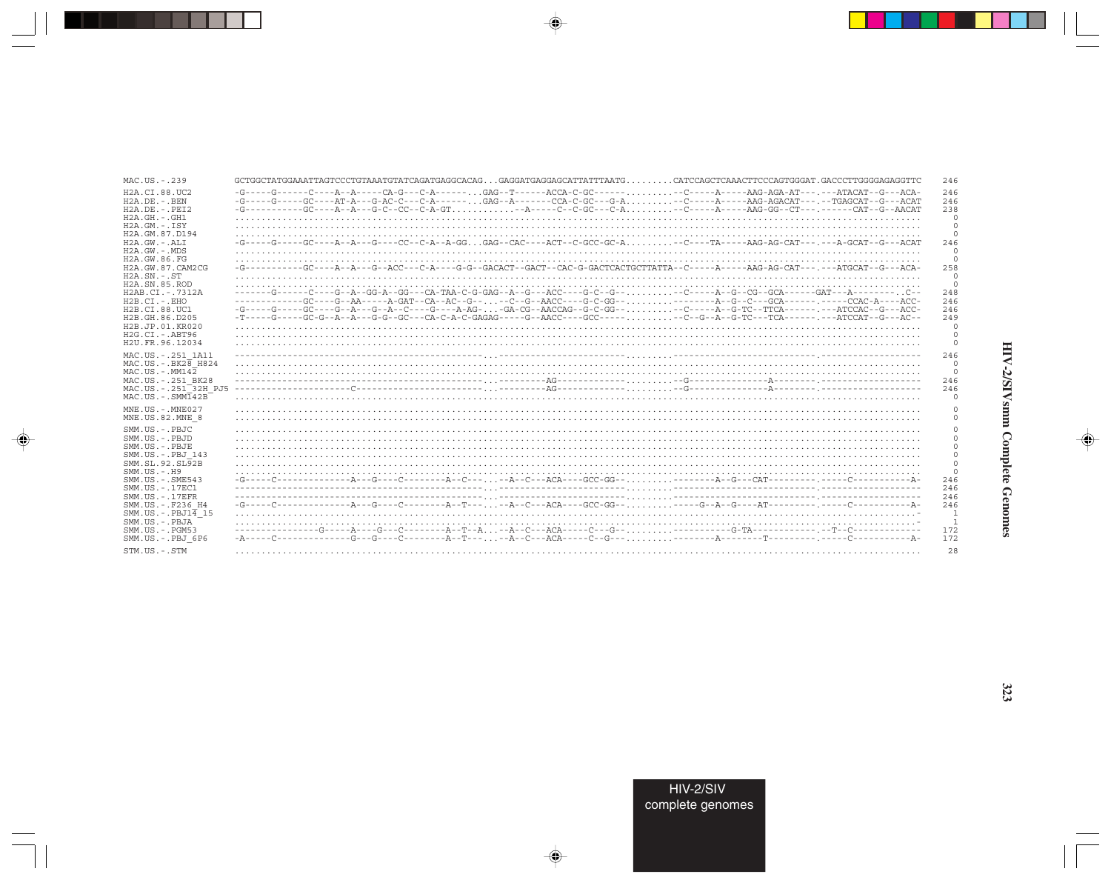| MAC.US.-.239                                                  | GCTGGCTATGGAAATTAGTCCCTGTAAATGTATCAGATGAGGCACAGGAGGATGAGGAGCATTATTTAATGCATCCAGCTCAAACTTCCCAGTGGGAT.GACCCTTGGGGAGAGGTTC                                                                                                                                                                                                                                                                                                                                                                              | 246                        |
|---------------------------------------------------------------|-----------------------------------------------------------------------------------------------------------------------------------------------------------------------------------------------------------------------------------------------------------------------------------------------------------------------------------------------------------------------------------------------------------------------------------------------------------------------------------------------------|----------------------------|
|                                                               |                                                                                                                                                                                                                                                                                                                                                                                                                                                                                                     |                            |
| H2A.CI.88.UC2<br>$H2A.DE. -.BEN$                              | -G-----G-----C----A--A----CA-G---C-A------GAG--T------ACCA-C-GC-------C------AAG-AGA-AT---.---ATACAT--G---ACA-<br>-G-----G-----GC----AT-A---G-AC-C---C-A------GAG--A-------CCA-C-GC---G-A-C-------AAG-AGACAT---.--TGAGCAT--G---ACAT                                                                                                                                                                                                                                                                 | 246<br>246                 |
| $H2A.DE. - PRT2$                                              | -G----------GC----A--A---G-CC--CC--C-A-GT--A----C--C-GC---C-A-C-----A-----AAG-GG--CT---,-------CAT--G--AACAT                                                                                                                                                                                                                                                                                                                                                                                        | 238                        |
| $H2A.GH.-.GH1$                                                |                                                                                                                                                                                                                                                                                                                                                                                                                                                                                                     | $\Omega$                   |
| $H2A.GM.-.ISY$                                                |                                                                                                                                                                                                                                                                                                                                                                                                                                                                                                     | $\circ$                    |
| H2A.GM.87.D194                                                |                                                                                                                                                                                                                                                                                                                                                                                                                                                                                                     | $\circ$                    |
| H2A.GW.-.ALI                                                  | -G-----G-----GC----A--A---GC---CC--C-A--A-GGGAG--CAC----ACT--C-GCC-GC-A-C----TA-----AAG-AG-CAT---,---A-GCAT--G---ACAT                                                                                                                                                                                                                                                                                                                                                                               | 246                        |
| $H2A.GW. - MDS$<br>H2A.GW.86.FG                               |                                                                                                                                                                                                                                                                                                                                                                                                                                                                                                     | $\overline{0}$<br>$\Omega$ |
| H2A. GW. 87. CAM2CG                                           | -G----------GC----A--A---G--ACC---C-A---G-G-GACACT--GACC--CAC-G-GACTCACTGCTTATTA--C-----A-----AAG-AG-CAT---.---ATGCAT--G---ACA-                                                                                                                                                                                                                                                                                                                                                                     | 258                        |
| $H2A$ . $SN. - . ST$                                          |                                                                                                                                                                                                                                                                                                                                                                                                                                                                                                     | $^{\circ}$                 |
| H <sub>2</sub> A.SN.85.ROD                                    |                                                                                                                                                                                                                                                                                                                                                                                                                                                                                                     | $\overline{0}$             |
| $H2AB.CI. - .7312A$                                           | ------G-----C----G--A--GG-A--GG---CA-TAA-C-G-GAG--A--G---ACC----G-C--G---C-----A--G--CG--GCA------GAT---A-------C-                                                                                                                                                                                                                                                                                                                                                                                  | 248                        |
| $H2B.CI.-.EHO$                                                |                                                                                                                                                                                                                                                                                                                                                                                                                                                                                                     | 246                        |
| H2B.CI.88.UC1                                                 |                                                                                                                                                                                                                                                                                                                                                                                                                                                                                                     | 246                        |
| H <sub>2</sub> B. GH, 86, D <sub>205</sub><br>H2B.JP.01.KR020 |                                                                                                                                                                                                                                                                                                                                                                                                                                                                                                     | 249<br>$\Omega$            |
| $H2G.CI. - ABT96$                                             |                                                                                                                                                                                                                                                                                                                                                                                                                                                                                                     | $\mathbf 0$                |
| H2U. FR. 96.12034                                             |                                                                                                                                                                                                                                                                                                                                                                                                                                                                                                     | $\Omega$                   |
| MAC.US. - . 251 1A11                                          |                                                                                                                                                                                                                                                                                                                                                                                                                                                                                                     | 246                        |
| $MAC.US.-.BK2\overline{8}$ H824                               |                                                                                                                                                                                                                                                                                                                                                                                                                                                                                                     | $\Omega$                   |
| $MAC$ . U.S. - $MM142$                                        |                                                                                                                                                                                                                                                                                                                                                                                                                                                                                                     | $\circ$                    |
| MAC.US. - . 251 BK28                                          |                                                                                                                                                                                                                                                                                                                                                                                                                                                                                                     | 246                        |
| MAC.US.-.251 <sup>-32H</sup> PJ5                              |                                                                                                                                                                                                                                                                                                                                                                                                                                                                                                     | 246                        |
| $MAC . IJS . - . SIMT42B$                                     |                                                                                                                                                                                                                                                                                                                                                                                                                                                                                                     | $\Omega$                   |
| $MNE$ . US. - $MNE$ 027                                       |                                                                                                                                                                                                                                                                                                                                                                                                                                                                                                     |                            |
| MNE.US.82.MNE 8                                               |                                                                                                                                                                                                                                                                                                                                                                                                                                                                                                     |                            |
| SMM.US.-.PBJC                                                 |                                                                                                                                                                                                                                                                                                                                                                                                                                                                                                     |                            |
| SMM.US.-.PBJD                                                 |                                                                                                                                                                                                                                                                                                                                                                                                                                                                                                     | $\Omega$                   |
| SMM.US.-.PBJE                                                 |                                                                                                                                                                                                                                                                                                                                                                                                                                                                                                     |                            |
| SMM.US.-.PBJ 143                                              |                                                                                                                                                                                                                                                                                                                                                                                                                                                                                                     | $^{\circ}$                 |
| SMM.SL.92.SL <sub>92B</sub><br>SMM.US.-.H9                    |                                                                                                                                                                                                                                                                                                                                                                                                                                                                                                     | $\Omega$<br>$\Omega$       |
| $SMM.US. - .SME543$                                           |                                                                                                                                                                                                                                                                                                                                                                                                                                                                                                     | 246                        |
| SMM. US. - . 17EC1                                            |                                                                                                                                                                                                                                                                                                                                                                                                                                                                                                     | 246                        |
| $SMM. US. - .17EFR$                                           |                                                                                                                                                                                                                                                                                                                                                                                                                                                                                                     | 246                        |
| SMM.US. -. F236 H4                                            | $- G \texttt{-----C}\texttt{-----C}\texttt{-----C}\texttt{-----C}\texttt{-----A}\texttt{---} - A \texttt{---C} \texttt{---A} - C \texttt{---A} C A \texttt{---G} C C - G G \texttt{---} \ldots \ldots \ldots \texttt{-----C}\texttt{---} A \texttt{---} C \texttt{---} - A \texttt{---C}\texttt{---} - A \texttt{---C}\texttt{---} - A \texttt{---C}\texttt{---} - A \texttt{---C}\texttt{---} - A \texttt{---C}\texttt{---} - A \texttt{---C}\texttt{---} - A \texttt{---C}\texttt{---} - A \text$ | 246                        |
| $SMM.US.-.PBJ1\overline{4}15$                                 |                                                                                                                                                                                                                                                                                                                                                                                                                                                                                                     | 1                          |
| SMM.US.-.PBJA<br>$SMM$ . U.S. $-$ . PGM53                     |                                                                                                                                                                                                                                                                                                                                                                                                                                                                                                     | <sup>1</sup><br>172        |
| SMM.US.-.PBJ 6P6                                              |                                                                                                                                                                                                                                                                                                                                                                                                                                                                                                     | 172                        |
|                                                               |                                                                                                                                                                                                                                                                                                                                                                                                                                                                                                     |                            |
| STM.US.-.STM                                                  |                                                                                                                                                                                                                                                                                                                                                                                                                                                                                                     | 28                         |

 $\begin{picture}(20,5) \put(0,0){\vector(0,1){10}} \put(15,0){\vector(0,1){10}} \put(15,0){\vector(0,1){10}} \put(15,0){\vector(0,1){10}} \put(15,0){\vector(0,1){10}} \put(15,0){\vector(0,1){10}} \put(15,0){\vector(0,1){10}} \put(15,0){\vector(0,1){10}} \put(15,0){\vector(0,1){10}} \put(15,0){\vector(0,1){10}} \put(15,0){\vector(0,1){10}} \put(15,0){\vector(0,$ 

\_\_

 $\overrightarrow{\phantom{a}}$ 

 $\equiv$ 

# HIV-2/SIVsmm Complete Genomes

 $\begin{picture}(20,5) \put(0,0){\line(1,0){10}} \put(15,0){\line(1,0){10}} \put(15,0){\line(1,0){10}} \put(15,0){\line(1,0){10}} \put(15,0){\line(1,0){10}} \put(15,0){\line(1,0){10}} \put(15,0){\line(1,0){10}} \put(15,0){\line(1,0){10}} \put(15,0){\line(1,0){10}} \put(15,0){\line(1,0){10}} \put(15,0){\line(1,0){10}} \put(15,0){\line(1,$ 

 $\begin{pmatrix} 1 \\ -1 \end{pmatrix}$ 

 $\Box$ 

ا ال

323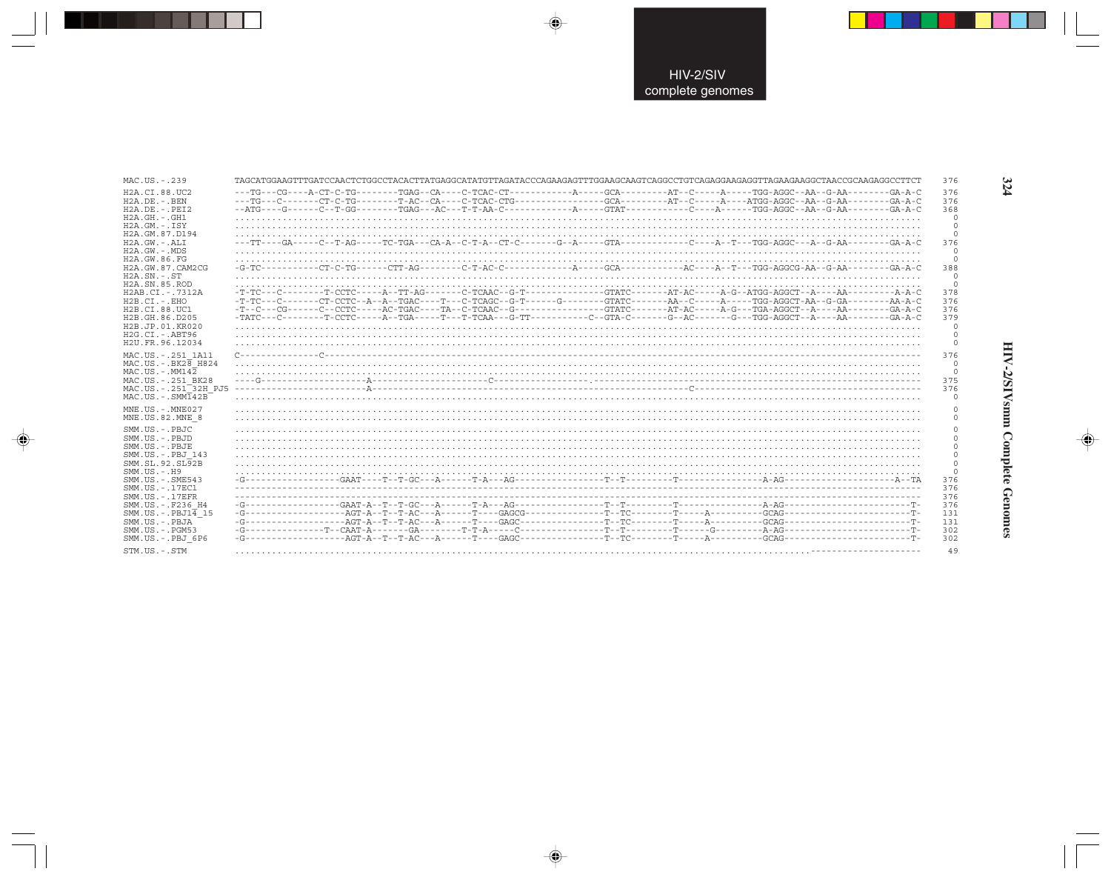| MAC.US.-.239                                                                                                                                                                                                                                                 | TAGCATGGAAGTTTGATCCAACTCTGGCCTACACTTATGAGGCATATGTTAGATACCCAGAAGAGTTTGGAAGCAAGTCAGGCCTGTCAGAGGAAGAGGTTAGAAGGAGCCTAACCGCAAGAGGCCTTCT | 376                       |
|--------------------------------------------------------------------------------------------------------------------------------------------------------------------------------------------------------------------------------------------------------------|------------------------------------------------------------------------------------------------------------------------------------|---------------------------|
| H2A.CI.88.UC2                                                                                                                                                                                                                                                |                                                                                                                                    | 376                       |
| $H2A$ . DE. - . BEN                                                                                                                                                                                                                                          |                                                                                                                                    | 376                       |
| $H2A.DE. - .PEI2$                                                                                                                                                                                                                                            |                                                                                                                                    | 368                       |
| $H2A.GH. - GH1$                                                                                                                                                                                                                                              |                                                                                                                                    | $\Omega$                  |
| $H2A.GM.-.ISY$                                                                                                                                                                                                                                               |                                                                                                                                    | $\circ$                   |
| H2A. GM. 87. D194                                                                                                                                                                                                                                            |                                                                                                                                    | $\Omega$                  |
| $H2A.GW.-.ALI$                                                                                                                                                                                                                                               | ---TT----GA-----C--T-AG-----TC-TGA---CA-A--C-T-A--CT-C-------G--A-----GTA---------C----A--T---TGG-AGGC---A--G-AA---------GA-A-C    | 376                       |
| $H2A.GW. - MDS$                                                                                                                                                                                                                                              |                                                                                                                                    | $\Omega$                  |
| H2A.GW.86.FG                                                                                                                                                                                                                                                 |                                                                                                                                    | $\Omega$                  |
| H2A. GW. 87. CAM2CG                                                                                                                                                                                                                                          |                                                                                                                                    | 388                       |
| $H2A$ . $SN. - . ST$                                                                                                                                                                                                                                         |                                                                                                                                    | $\circ$                   |
| H <sub>2</sub> A.SN.85.ROD                                                                                                                                                                                                                                   |                                                                                                                                    | $\Omega$                  |
| H2AB.CI.-.7312A                                                                                                                                                                                                                                              |                                                                                                                                    | 378                       |
| $H2B.CI.-.EHO$                                                                                                                                                                                                                                               | -T-TC---C-------CT-CCTC--A--A--TGAC----T---C-TCAGC--G-T------G-------GTATC-------AA--C-----A----TGG-AGGCT-AA--G-GA---------AA-A-C  | 376                       |
| H2B.CI.88.UC1                                                                                                                                                                                                                                                |                                                                                                                                    | 376                       |
| H2B.GH.86.D205                                                                                                                                                                                                                                               |                                                                                                                                    | 379                       |
| H2B.JP.01.KR020                                                                                                                                                                                                                                              |                                                                                                                                    | $\Omega$                  |
| $H2G.CI. - ABT96$                                                                                                                                                                                                                                            |                                                                                                                                    | $\Omega$                  |
| H2U.FR.96.12034                                                                                                                                                                                                                                              |                                                                                                                                    | $\Omega$                  |
| MAC.US. - . 251 1A11                                                                                                                                                                                                                                         |                                                                                                                                    | 376                       |
| $MAC.US.-.BK2B$ H824                                                                                                                                                                                                                                         |                                                                                                                                    | $\circ$                   |
| $MAC. US. - . MM142$                                                                                                                                                                                                                                         |                                                                                                                                    | $\circ$                   |
| MAC.US. - . 251 BK28                                                                                                                                                                                                                                         |                                                                                                                                    | 375                       |
| MAC.US.-.251 32H PJ5                                                                                                                                                                                                                                         |                                                                                                                                    | 376                       |
| $MAC . IJS . - . SIMT42B$                                                                                                                                                                                                                                    |                                                                                                                                    | n                         |
| MNE US. - MNE027<br>MNE.US.82.MNE 8<br>$SMM$ . US. $-$ . PBJC.                                                                                                                                                                                               |                                                                                                                                    |                           |
| $SMM$ . US. $-$ . PBJD<br>$SMM$ . $US - PBJE$<br>SMM.US. - . PBJ 143<br>SMM.SL.92.SL92B<br>$SMM. US. - . H9$<br>SMM. US. - . SME543<br>SMM.US. - . 17EC1<br>$SMM$ . US. $-$ . 17EFR<br>SMM.US. - . F236 H4<br>$SMM.US.-.PBJ1\overline{4}15$<br>SMM.US.-.PBJA |                                                                                                                                    |                           |
|                                                                                                                                                                                                                                                              |                                                                                                                                    | $\cap$<br>$\Omega$<br>376 |
|                                                                                                                                                                                                                                                              |                                                                                                                                    | 376<br>376<br>376         |
|                                                                                                                                                                                                                                                              |                                                                                                                                    | 131<br>131                |
| $SMM$ . U.S. $-$ . PGM53                                                                                                                                                                                                                                     |                                                                                                                                    | 302                       |
| SMM.US.-.PBJ 6P6                                                                                                                                                                                                                                             |                                                                                                                                    | 302                       |
| STM.US.-.STM                                                                                                                                                                                                                                                 |                                                                                                                                    | 49                        |
|                                                                                                                                                                                                                                                              |                                                                                                                                    |                           |

 $\Rightarrow$ 

 $\Rightarrow$ 

. . .

 $\Rightarrow$ 

324

HIV-2/SIVsmm Complete Genomes

 $\Rightarrow$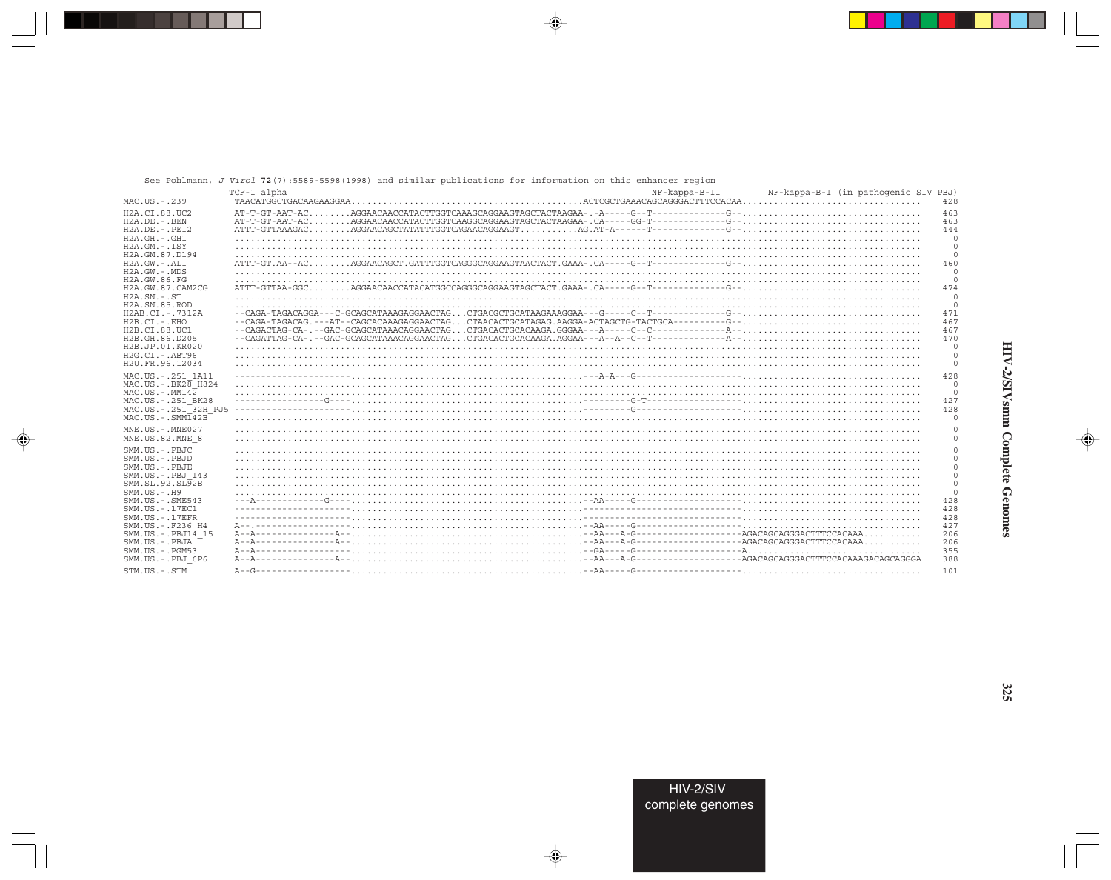|                                                                                                                              | See Pohlmann, J Virol 72(7):5589-5598(1998) and similar publications for information on this enhancer region |               |                                             |
|------------------------------------------------------------------------------------------------------------------------------|--------------------------------------------------------------------------------------------------------------|---------------|---------------------------------------------|
| MAC.US.-.239                                                                                                                 | TCF-1 alpha                                                                                                  | NF-kappa-B-II | NF-kappa-B-I (in pathogenic SIV PBJ)<br>428 |
| H <sub>2</sub> A.CT.88.UC <sub>2</sub>                                                                                       |                                                                                                              |               | 463                                         |
| $H2A.DE. -.BEN$                                                                                                              |                                                                                                              |               | 463                                         |
| $H2A.DE. - .PEI2$                                                                                                            |                                                                                                              |               | 444                                         |
| $H2A.GH. - .GH1$                                                                                                             |                                                                                                              |               | $\Omega$                                    |
| $H2A.GM.-.ISY$                                                                                                               |                                                                                                              |               | $\Omega$                                    |
| H2A.GM.87.D194                                                                                                               |                                                                                                              |               | $\Omega$                                    |
| $H2A.GW. - . ALI$                                                                                                            |                                                                                                              |               | 460                                         |
| $H2A.GW. - .MDS$                                                                                                             |                                                                                                              |               | $\Omega$                                    |
| H2A. GW. 86. FG                                                                                                              |                                                                                                              |               | $\Omega$                                    |
| H2A.GW.87.CAM2CG                                                                                                             |                                                                                                              |               | 474                                         |
| $H2A$ . $SN. - . ST$                                                                                                         |                                                                                                              |               | $\Omega$                                    |
| H <sub>2</sub> A.SN.85.ROD                                                                                                   |                                                                                                              |               | $\Omega$                                    |
| $H2AB.CI. - .7312A$                                                                                                          |                                                                                                              |               | 471                                         |
| $H2B.CI.-EHO$                                                                                                                |                                                                                                              |               | 467                                         |
| H2B.CI.88.UC1                                                                                                                |                                                                                                              |               | 467                                         |
| H2B.GH.86.D205                                                                                                               |                                                                                                              |               | 470                                         |
| H2B.JP.01.KR020<br>$H2G.CI.-ABT96$<br>H2U. FR. 96.12034                                                                      |                                                                                                              |               | $\circ$                                     |
| MAC.US. - . 251 1A11<br>MAC.US. - . BK28 H824<br>$MAC . US . - . MM142$<br>MAC.US. - . 251 BK28<br>$MAC . IJS . - . SIM142B$ |                                                                                                              |               | 428<br>$\Omega$<br>$\Omega$<br>427<br>428   |
| MNE.US.-.MNE027<br>MNE.US.82.MNE 8                                                                                           |                                                                                                              |               |                                             |
| SMM.US.-.PBJC<br>SMM.US.-.PBJD<br>SMM.US.-.PBJE<br>SMM.US. - . PBJ 143<br>SMM.SL.92.SL <sub>92B</sub><br>$SMM. US. - . H9$   |                                                                                                              |               | $\Omega$                                    |
| SMM.US. - . SME543                                                                                                           |                                                                                                              |               | 428                                         |
| SMM. US. - . 17EC1                                                                                                           |                                                                                                              |               | 428                                         |
| $SMM. US. - .17EFR$                                                                                                          |                                                                                                              |               | 428                                         |
| SMM. US. - . F236 H4                                                                                                         |                                                                                                              |               | 427                                         |
| $SMM.US.-.PBJ1\overline{4}15$                                                                                                |                                                                                                              |               | 206                                         |
| SMM.US.-.PBJA                                                                                                                |                                                                                                              |               | 206                                         |
| $SMM. US. - . PGM53$                                                                                                         |                                                                                                              |               | 355                                         |
| SMM.US.-.PBJ 6P6                                                                                                             |                                                                                                              |               | 388                                         |
| STM.US.-.STM                                                                                                                 |                                                                                                              |               | 101                                         |

◈

 $\bigoplus$ 

♦

325

◈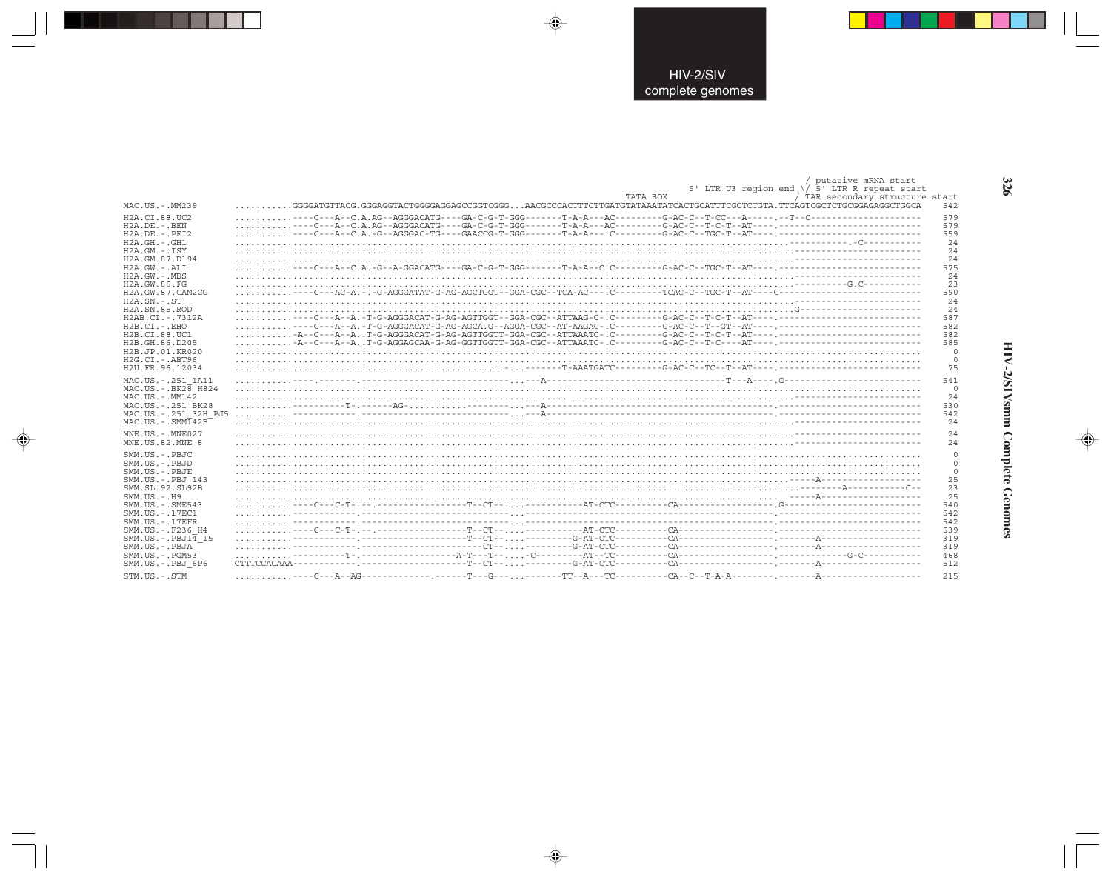| MAC.US.-.MM239                  | GGGATGTTACG.GGGAGGTACTGGGAGGAGCCGGTCGGGAACGCCCACTTTCTTGATGTATAAATATCACTGCATTTCGCTCTGTA.TTCAGTCGCTCTCTGCGGAGAGGCTGCA | putative mRNA start<br>5' LTR U3 region end \/ $\bar{5}$ ' LTR R repeat start<br>TATA BOX<br>/ TAR secondary structure start<br>542 |
|---------------------------------|---------------------------------------------------------------------------------------------------------------------|-------------------------------------------------------------------------------------------------------------------------------------|
| H2A.CI.88.UC2                   |                                                                                                                     | 579                                                                                                                                 |
| $H2A.DE. -.BEN$                 |                                                                                                                     | 579                                                                                                                                 |
| $H2A.DE. - PRT2$                |                                                                                                                     | 559                                                                                                                                 |
| $H2A.GH.-.GH1$                  |                                                                                                                     | 24                                                                                                                                  |
| $H2A.GM.-.ISY$                  |                                                                                                                     | 24                                                                                                                                  |
| H2A.GM.87.D194                  |                                                                                                                     | 24                                                                                                                                  |
| $H2A.GW. - . AI.T$              |                                                                                                                     | 575                                                                                                                                 |
| $H2A.GW. - .MDS$                |                                                                                                                     | 24                                                                                                                                  |
| H2A.GW.86.FG                    |                                                                                                                     | 23                                                                                                                                  |
| H2A.GW.87.CAM2CG                |                                                                                                                     | 590                                                                                                                                 |
| $H2A.SN.-.ST$                   |                                                                                                                     | 24                                                                                                                                  |
| H <sub>2</sub> A.SN.85.ROD      |                                                                                                                     | 24                                                                                                                                  |
| H2AB.CI.-.7312A                 |                                                                                                                     | 587                                                                                                                                 |
| $H2B.CI.-EHO$                   |                                                                                                                     | 582                                                                                                                                 |
| H2B.CI.88.UC1                   |                                                                                                                     | 582                                                                                                                                 |
| H2B.GH.86.D205                  |                                                                                                                     | 585                                                                                                                                 |
| H2B.JP.01.KR020                 |                                                                                                                     | $\circ$                                                                                                                             |
| $H2G.CI.-ABT96$                 |                                                                                                                     | $\circ$                                                                                                                             |
| H2U.FR.96.12034                 |                                                                                                                     | 75                                                                                                                                  |
| MAC.US. - . 251 1A11            |                                                                                                                     | 541                                                                                                                                 |
| $MAC.US.-.BK2\overline{8}$ H824 |                                                                                                                     | $\overline{0}$                                                                                                                      |
| $MAC. US.-. MM142$              |                                                                                                                     | 24                                                                                                                                  |
| MAC.US. - . 251 BK28            |                                                                                                                     | 530                                                                                                                                 |
| MAC.US. - . 251 32H PJ5         |                                                                                                                     | 542                                                                                                                                 |
| $MAC . US . - . SIMT42B$        |                                                                                                                     | 2.4                                                                                                                                 |
| MNE.US. - MNE027                |                                                                                                                     | 24                                                                                                                                  |
| MNE.US.82.MNE 8                 |                                                                                                                     | 2.4                                                                                                                                 |
| SMM.US.-.PBJC                   |                                                                                                                     | $\Omega$                                                                                                                            |
| SMM.US.-.PBJD                   |                                                                                                                     | $\mathbf 0$                                                                                                                         |
| SMM.US.-.PBJE                   |                                                                                                                     | $\mathsf{O}\xspace$                                                                                                                 |
| SMM.US. - . PBJ 143             |                                                                                                                     | 25                                                                                                                                  |
| SMM.SL.92.SL92B                 |                                                                                                                     | 23                                                                                                                                  |
| $SMM$ . US. $-$ . $H9$          |                                                                                                                     | 25                                                                                                                                  |
| $SMM. US. - . SME543$           |                                                                                                                     | 540                                                                                                                                 |
| SMM.US. - . 17EC1               |                                                                                                                     | 542                                                                                                                                 |
| $SMM. US. - .17EFR$             |                                                                                                                     | 542                                                                                                                                 |
| SMM.US. -. F236 H4              |                                                                                                                     | 539                                                                                                                                 |
| $SMM.US.-.PBJ1\overline{4}15$   |                                                                                                                     | 319                                                                                                                                 |
| SMM.US.-.PBJA                   |                                                                                                                     | 319                                                                                                                                 |
| $SMM.US. - . PGM53$             |                                                                                                                     | 468                                                                                                                                 |
| SMM.US.-.PBJ 6P6                | CTTTCCACAAA                                                                                                         | 512                                                                                                                                 |
| STM.US.-.STM                    |                                                                                                                     | 215                                                                                                                                 |

 $\color{red} \blacklozenge$ 

 $\bigoplus$ 

 $\color{red}\bigoplus$ 

HIV-2/SIVsmm Complete Genomes

 $\color{red} \bigoplus$ 

326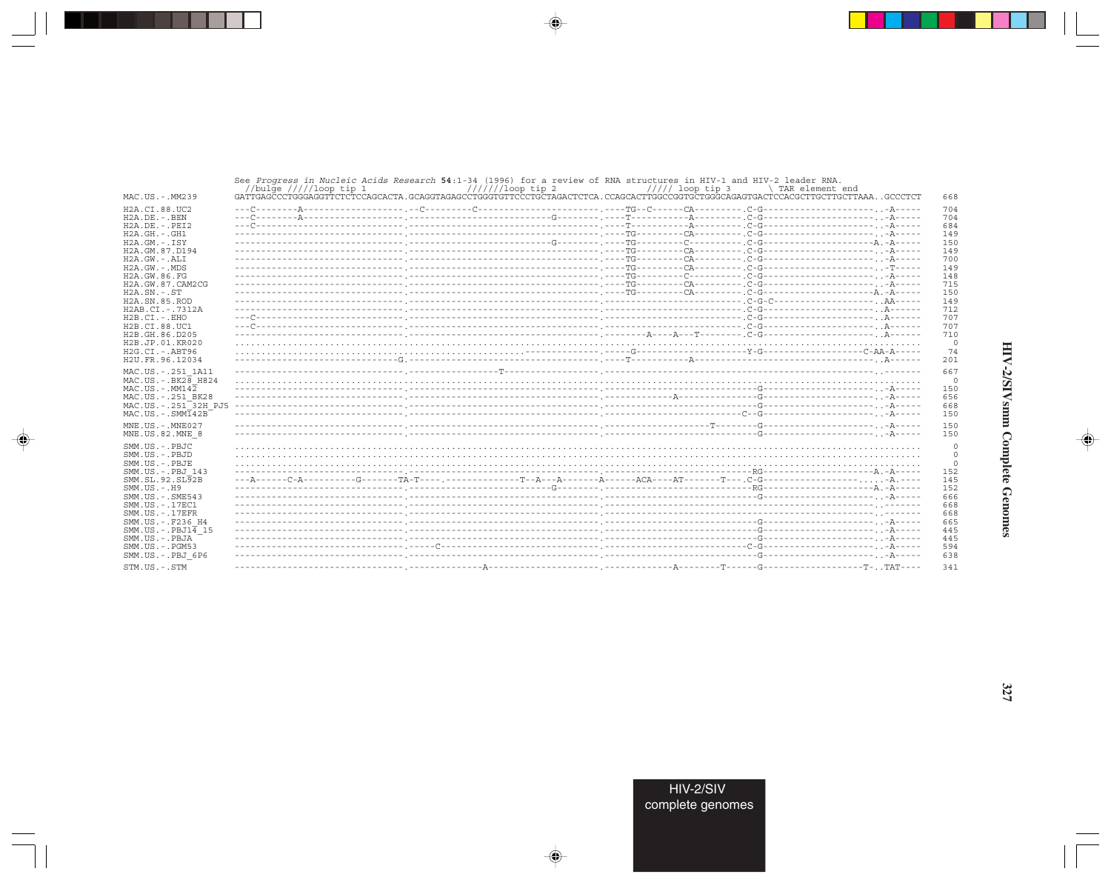|                                                       | See Progress in Nucleic Acids Research 54:1-34 (1996) for a review of RNA structures in HIV-1 and HIV-2 leader RNA.<br>$//////1$ oop tip 2<br>//bulge $////loop$ tip 1 | $////$ loop tip 3 | \ TAR element end  |
|-------------------------------------------------------|------------------------------------------------------------------------------------------------------------------------------------------------------------------------|-------------------|--------------------|
| MAC.US.-.MM239                                        |                                                                                                                                                                        |                   | 668                |
| H <sub>2</sub> A.CT.88.UC <sub>2</sub>                |                                                                                                                                                                        |                   | 704                |
| $H2A.DE. - .BEN$                                      |                                                                                                                                                                        |                   | 704                |
| $H2A.DE. - .PEI2$                                     |                                                                                                                                                                        |                   | 684                |
| $H2A.GH. - .GH1$                                      |                                                                                                                                                                        |                   | 149                |
| $H2A.GM.-.ISY$                                        |                                                                                                                                                                        |                   | 150                |
| H2A.GM.87.D194                                        |                                                                                                                                                                        |                   | 149                |
| $H2A.GW.-.ALI$                                        |                                                                                                                                                                        |                   | 700                |
| $H2A.GW. - .MDS$                                      |                                                                                                                                                                        |                   | 149                |
| H2A.GW.86.FG                                          |                                                                                                                                                                        |                   | 148                |
| H2A.GW.87.CAM2CG                                      |                                                                                                                                                                        |                   | 715                |
| $H2A.SN.-.ST$                                         |                                                                                                                                                                        |                   | 150                |
| H2A.SN.85.ROD                                         |                                                                                                                                                                        |                   | 149                |
| H2AB.CI.-.7312A                                       |                                                                                                                                                                        |                   | 712                |
| $H2B.CI.-.EHO$                                        |                                                                                                                                                                        |                   | 707                |
| H2B.CI.88.UC1                                         |                                                                                                                                                                        |                   | 707                |
| H <sub>2</sub> B.GH.86.D <sub>205</sub>               |                                                                                                                                                                        |                   | 710                |
| H2B.JP.01.KR020                                       |                                                                                                                                                                        |                   | 0                  |
| $H2G.CI.-.ABT96$                                      |                                                                                                                                                                        |                   | 74                 |
| H2U.FR.96.12034                                       |                                                                                                                                                                        |                   | 201                |
|                                                       |                                                                                                                                                                        |                   |                    |
| MAC.US. - . 251 1A11<br>MAC.US. - . BK28 H824         |                                                                                                                                                                        |                   | 667                |
| $MAC. US. - . MM142$                                  |                                                                                                                                                                        |                   | $\circ$            |
|                                                       |                                                                                                                                                                        |                   | 150                |
| MAC.US.-.251 BK28<br>MAC.US.-.251 <sup>-32H</sup> PJ5 |                                                                                                                                                                        |                   | 656                |
|                                                       |                                                                                                                                                                        |                   | 668                |
| $MAC. US. - . SIM142B$                                |                                                                                                                                                                        |                   | 150                |
| $MNE. US.-. MNE027$                                   |                                                                                                                                                                        |                   | 150                |
| MNE.US.82.MNE 8                                       |                                                                                                                                                                        |                   | 150                |
| SMM.US.-.PBJC                                         |                                                                                                                                                                        |                   |                    |
| SMM.US. - PRJD                                        |                                                                                                                                                                        |                   | $\circ$<br>$\circ$ |
| SMM.US.-.PBJE                                         |                                                                                                                                                                        |                   |                    |
| SMM.US. -. PBJ 143                                    |                                                                                                                                                                        |                   | 152                |
| SMM.SL.92.SL92B                                       |                                                                                                                                                                        |                   | 145                |
| $SMM.US. - . H9$                                      |                                                                                                                                                                        |                   | 152                |
| $SMM.US. - .SME543$                                   |                                                                                                                                                                        |                   | 666                |
| SMM. US. - . 17EC1                                    |                                                                                                                                                                        |                   | 668                |
| $SMM. US. - .17EFR$                                   |                                                                                                                                                                        |                   |                    |
| SMM.US. - . F236 H4                                   |                                                                                                                                                                        |                   | 668                |
| SMM.US.-.PBJ14 15                                     |                                                                                                                                                                        |                   | 665                |
| SMM.US.-.PBJA                                         |                                                                                                                                                                        |                   | 445<br>445         |
|                                                       |                                                                                                                                                                        |                   |                    |
| $SMM.US. - . PGM53$                                   |                                                                                                                                                                        |                   | 594                |
| SMM.US.-.PBJ 6P6                                      |                                                                                                                                                                        |                   | 638                |
| STM.US.-.STM                                          |                                                                                                                                                                        |                   | 341                |

 $\begin{picture}(20,5) \put(0,0){\vector(0,1){10}} \put(15,0){\vector(0,1){10}} \put(15,0){\vector(0,1){10}} \put(15,0){\vector(0,1){10}} \put(15,0){\vector(0,1){10}} \put(15,0){\vector(0,1){10}} \put(15,0){\vector(0,1){10}} \put(15,0){\vector(0,1){10}} \put(15,0){\vector(0,1){10}} \put(15,0){\vector(0,1){10}} \put(15,0){\vector(0,1){10}} \put(15,0){\vector(0,$ 

a shekara 1960

 $\overrightarrow{\phantom{a}}$ 

 $\equiv$ 

HIV-2/SIVsmm Complete Genomes

 $\begin{picture}(20,5) \put(0,0){\line(1,0){10}} \put(15,0){\line(1,0){10}} \put(15,0){\line(1,0){10}} \put(15,0){\line(1,0){10}} \put(15,0){\line(1,0){10}} \put(15,0){\line(1,0){10}} \put(15,0){\line(1,0){10}} \put(15,0){\line(1,0){10}} \put(15,0){\line(1,0){10}} \put(15,0){\line(1,0){10}} \put(15,0){\line(1,0){10}} \put(15,0){\line(1,$ 

 $\equiv$ 

 $\Box$ 

. . .

٠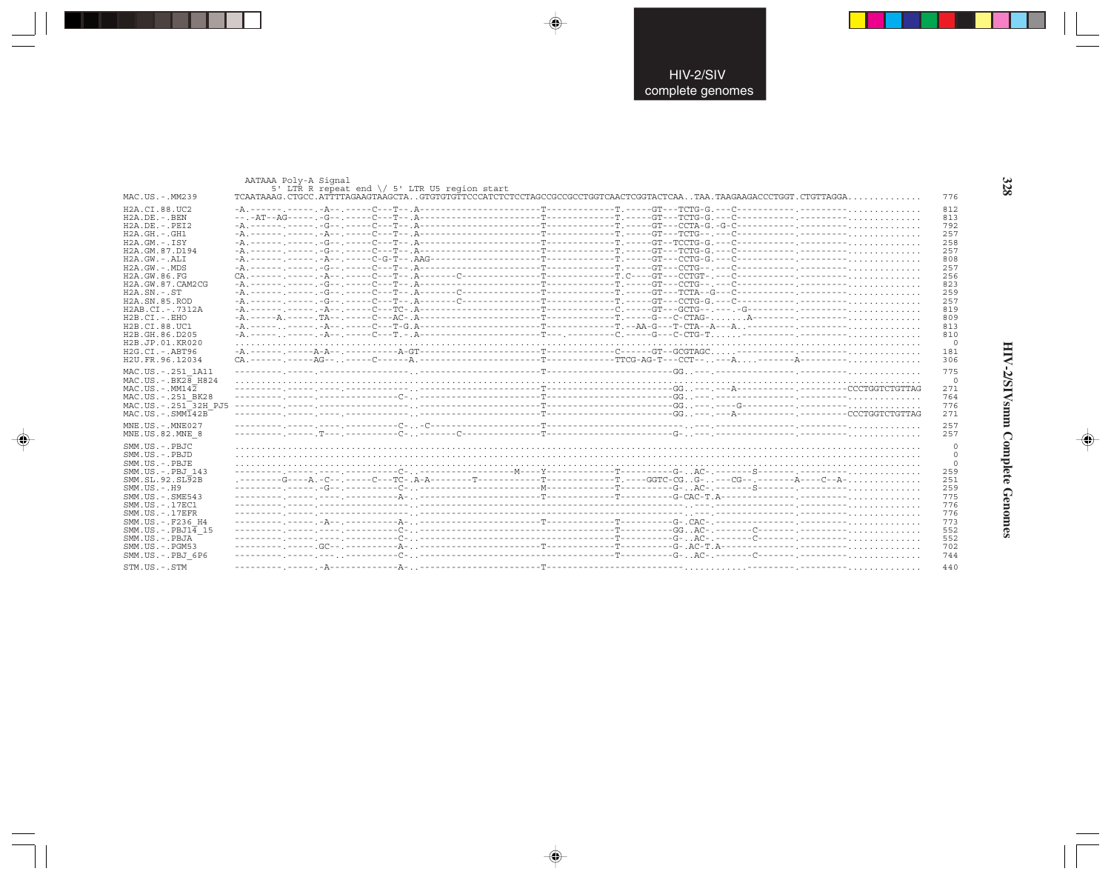|                                        | AATAAA Poly-A Signal | 5' LTR R repeat end \/ 5' LTR U5 region start |  |                |
|----------------------------------------|----------------------|-----------------------------------------------|--|----------------|
| MAC.US.-.MM239                         |                      |                                               |  | 776            |
| H <sub>2</sub> A.CI.88.UC <sub>2</sub> |                      |                                               |  | 812            |
| $H2A.DE. - .BEN$                       |                      |                                               |  | 813            |
| $H2A.DE. - .PEI2$                      |                      |                                               |  | 792            |
| $H2A.GH. - .GH1$                       |                      |                                               |  | 257            |
| $H2A.GM.-.ISY$                         |                      |                                               |  | 258            |
| H2A.GM.87.D194                         |                      |                                               |  | 257            |
| $H2A.GW. - .ALI$                       |                      |                                               |  | 808            |
| $H2A.GW. - .MDS$                       |                      |                                               |  | 257            |
| H2A.GW.86.FG                           |                      |                                               |  | 256            |
| H2A.GW.87.CAM2CG                       |                      |                                               |  | 823            |
| $H2A.SN.-.ST$                          |                      |                                               |  | 259            |
| H <sub>2</sub> A.SN.85.ROD             |                      |                                               |  | 257            |
| H2AB.CI.-.7312A                        |                      |                                               |  | 819            |
|                                        |                      |                                               |  | 809            |
| $H2B.CI.-EHO$                          |                      |                                               |  |                |
| H2B.CI.88.UC1                          |                      |                                               |  | 813            |
| H2B.GH.86.D205                         |                      |                                               |  | 810            |
| H2B.JP.01.KR020                        |                      |                                               |  | $\overline{0}$ |
| $H2G.CI.-.ABT96$                       |                      |                                               |  | 181            |
| H2U.FR.96.12034                        |                      |                                               |  | 306            |
|                                        |                      |                                               |  | 775            |
| MAC.US. - . 251 1A11                   |                      |                                               |  |                |
| $MAC. US. - . BK2B$ H824               |                      |                                               |  | $\overline{0}$ |
| $MAC . US . - . MM142$                 |                      |                                               |  | 271            |
| MAC.US. - . 251 BK28                   |                      |                                               |  | 764            |
| MAC.US. - . 251 <sup>-32H</sup> PJ5    |                      |                                               |  | 776            |
| $MAC$ . U.S. - . $SMM\overline{1}42B$  |                      |                                               |  | 271            |
| $MNE$ . US. - $MNE$ 027                |                      |                                               |  | 257            |
|                                        |                      |                                               |  |                |
| MNE.US.82.MNE 8                        |                      |                                               |  | 257            |
| SMM.US.-.PBJC                          |                      |                                               |  | $\Omega$       |
| SMM.US.-.PBJD                          |                      |                                               |  | $\circ$        |
| SMM.US.-.PBJE                          |                      |                                               |  | $\overline{0}$ |
| SMM.US. - . PBJ 143                    |                      |                                               |  | 259            |
| SMM.SL.92.SL92B                        |                      |                                               |  | 251            |
| $SMM. US. - . H9$                      |                      |                                               |  | 259            |
|                                        |                      |                                               |  |                |
| SMM. US. - . SME543                    |                      |                                               |  | 775            |
| SMM. US. - . 17EC1                     |                      |                                               |  | 776            |
| $SMM$ . US. $-$ . 17 $EFR$             |                      |                                               |  | 776            |
| SMM.US. -. F236 H4                     |                      |                                               |  | 773            |
| $SMM.US.-.PBJ14$ 15                    |                      |                                               |  | 552            |
| SMM.US.-.PBJA                          |                      |                                               |  | 552            |
| $SMM. US. - . PGM53$                   |                      |                                               |  | 702            |
| SMM.US.-.PBJ 6P6                       |                      |                                               |  | 744            |
|                                        |                      |                                               |  |                |
| STM.US.-.STM                           |                      |                                               |  | 440            |

 $\begin{picture}(20,5) \put(0,0){\vector(0,1){10}} \put(15,0){\vector(0,1){10}} \put(15,0){\vector(0,1){10}} \put(15,0){\vector(0,1){10}} \put(15,0){\vector(0,1){10}} \put(15,0){\vector(0,1){10}} \put(15,0){\vector(0,1){10}} \put(15,0){\vector(0,1){10}} \put(15,0){\vector(0,1){10}} \put(15,0){\vector(0,1){10}} \put(15,0){\vector(0,1){10}} \put(15,0){\vector(0,$ 

 $\begin{picture}(20,5) \put(0,0){\vector(0,1){10}} \put(15,0){\vector(0,1){10}} \put(15,0){\vector(0,1){10}} \put(15,0){\vector(0,1){10}} \put(15,0){\vector(0,1){10}} \put(15,0){\vector(0,1){10}} \put(15,0){\vector(0,1){10}} \put(15,0){\vector(0,1){10}} \put(15,0){\vector(0,1){10}} \put(15,0){\vector(0,1){10}} \put(15,0){\vector(0,1){10}} \put(15,0){\vector(0,$ 

---

 $\begin{picture}(20,5) \put(0,0){\line(1,0){10}} \put(15,0){\line(1,0){10}} \put(15,0){\line(1,0){10}} \put(15,0){\line(1,0){10}} \put(15,0){\line(1,0){10}} \put(15,0){\line(1,0){10}} \put(15,0){\line(1,0){10}} \put(15,0){\line(1,0){10}} \put(15,0){\line(1,0){10}} \put(15,0){\line(1,0){10}} \put(15,0){\line(1,0){10}} \put(15,0){\line(1,$ 

 $\frac{1}{\sqrt{2}}$ 

HIV-2/SIVsmm Complete Genomes

 $\begin{picture}(20,5) \put(0,0){\line(1,0){10}} \put(15,0){\line(1,0){10}} \put(15,0){\line(1,0){10}} \put(15,0){\line(1,0){10}} \put(15,0){\line(1,0){10}} \put(15,0){\line(1,0){10}} \put(15,0){\line(1,0){10}} \put(15,0){\line(1,0){10}} \put(15,0){\line(1,0){10}} \put(15,0){\line(1,0){10}} \put(15,0){\line(1,0){10}} \put(15,0){\line(1,$ 

 $\frac{1}{\sqrt{2\pi}}$ 

328

.

J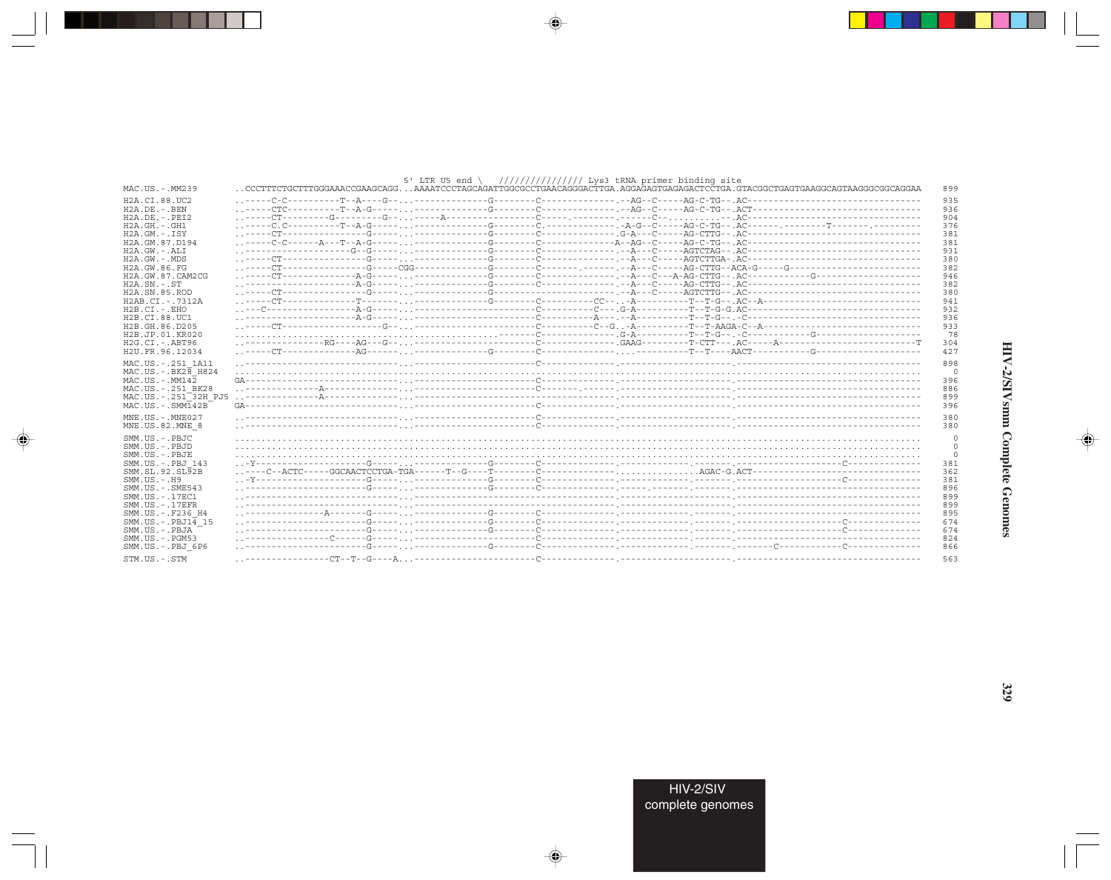|                                                              | 5' LTR U5 end \ $//////////$ /////// Lys3 tRNA primer binding site                                                                  |                       |
|--------------------------------------------------------------|-------------------------------------------------------------------------------------------------------------------------------------|-----------------------|
| MAC.US.-.MM239                                               | CCCTTTCTGCTTTGGGAAACCGAAGCAGGAAAATCCCTAGCAGATTGGCGCCTGAACAGGGACTTGA.AGGAGAGTGAGAGACTCCTGA.GTACGGCTGAGGAGGCAGTAAGGGCGGCAGGAA         | 899                   |
| H2A.CI.88.UC2                                                |                                                                                                                                     | 935                   |
| $H2A.DE. - .BEN$                                             |                                                                                                                                     | 936                   |
| $H2A.DE. - .PEI2$                                            |                                                                                                                                     | 904                   |
| $H2A.GH. - .GH1$                                             |                                                                                                                                     | 376                   |
| $H2A.GM.-.ISY$<br>H <sub>2</sub> A. GM. 87. D <sub>194</sub> | -----CT---------------G-----. <sub></sub> .-----------G-------C------------G-A--C-----AG-CTTG--.AC--------------------------------- | 381<br>381            |
| $H2A.GW. - .ALI$                                             |                                                                                                                                     | 931                   |
| $H2A.GW. - .MDS$                                             |                                                                                                                                     | 380                   |
| H2A.GW.86.FG                                                 |                                                                                                                                     | 382                   |
| H2A.GW.87.CAM2CG                                             |                                                                                                                                     | 946                   |
| $H2A.SN.-.ST$                                                |                                                                                                                                     | 382                   |
| H <sub>2</sub> A.SN.85.ROD                                   |                                                                                                                                     | 380                   |
| H2AB.CI.-.7312A                                              |                                                                                                                                     | 941                   |
| $H2B.CI.-.EHO$                                               |                                                                                                                                     | 932                   |
| H2B.CI.88.UC1                                                |                                                                                                                                     | 936                   |
| H2B.GH.86.D205<br>H2B.JP.01.KR020                            |                                                                                                                                     | 933<br>78             |
| $H2G.CI.-.ABT96$                                             |                                                                                                                                     | 304                   |
| H2U.FR.96.12034                                              |                                                                                                                                     | 427                   |
|                                                              |                                                                                                                                     |                       |
| MAC.US.-.251 1A11<br>$MAC.US.-.BK2\overline{8}$ H824         |                                                                                                                                     | 898<br>$\overline{0}$ |
| $MAC. US.-. MM142$                                           |                                                                                                                                     | 396                   |
| MAC.US. - . 251 BK28                                         |                                                                                                                                     | 886                   |
| MAC.US.-.251 <sup>-32H</sup> PJ5                             |                                                                                                                                     | 899                   |
| $MAC. US - . SMM142B$                                        |                                                                                                                                     | 396                   |
| MNE.US.-.MNE027                                              |                                                                                                                                     | 380                   |
| MNE.US.82.MNE 8                                              |                                                                                                                                     | 380                   |
|                                                              |                                                                                                                                     |                       |
| SMM.US.-.PBJC<br>SMM.US.-.PBJD                               |                                                                                                                                     | O<br>$\Omega$         |
| SMM.US.-.PBJE                                                |                                                                                                                                     | 0                     |
| SMM.US.-.PBJ 143                                             |                                                                                                                                     | 381                   |
| SMM.SL.92.SL92B                                              |                                                                                                                                     | 362                   |
| $SMM. US. - . H9$                                            |                                                                                                                                     | 381                   |
| $SMM.US. - .SME543$                                          |                                                                                                                                     | 896                   |
| SMM.US. - . 17EC1                                            |                                                                                                                                     | 899                   |
| $SMM. US. - .17EFR$                                          |                                                                                                                                     | 899                   |
| SMM.US. - . F236 H4                                          |                                                                                                                                     | 895                   |
| $SMM.US.-.PBJ14$ 15                                          |                                                                                                                                     | 674                   |
| SMM.US.-.PBJA                                                |                                                                                                                                     | 674                   |
| $SMM. US. - . PGM53$                                         |                                                                                                                                     | 824                   |
| SMM.US.-.PBJ 6P6                                             |                                                                                                                                     | 866                   |
| STM.US.-.STM                                                 |                                                                                                                                     | 563                   |

 $\begin{picture}(20,5) \put(0,0){\vector(0,1){10}} \put(15,0){\vector(0,1){10}} \put(15,0){\vector(0,1){10}} \put(15,0){\vector(0,1){10}} \put(15,0){\vector(0,1){10}} \put(15,0){\vector(0,1){10}} \put(15,0){\vector(0,1){10}} \put(15,0){\vector(0,1){10}} \put(15,0){\vector(0,1){10}} \put(15,0){\vector(0,1){10}} \put(15,0){\vector(0,1){10}} \put(15,0){\vector(0,$ 

an an Tar

 $\overline{\blacklozenge}$ 

# HIV-2/SIVsmm Complete Genomes

 $\begin{picture}(20,5) \put(0,0){\line(1,0){10}} \put(15,0){\line(1,0){10}} \put(15,0){\line(1,0){10}} \put(15,0){\line(1,0){10}} \put(15,0){\line(1,0){10}} \put(15,0){\line(1,0){10}} \put(15,0){\line(1,0){10}} \put(15,0){\line(1,0){10}} \put(15,0){\line(1,0){10}} \put(15,0){\line(1,0){10}} \put(15,0){\line(1,0){10}} \put(15,0){\line(1,$ 

 $\Box$ 

 $\Box$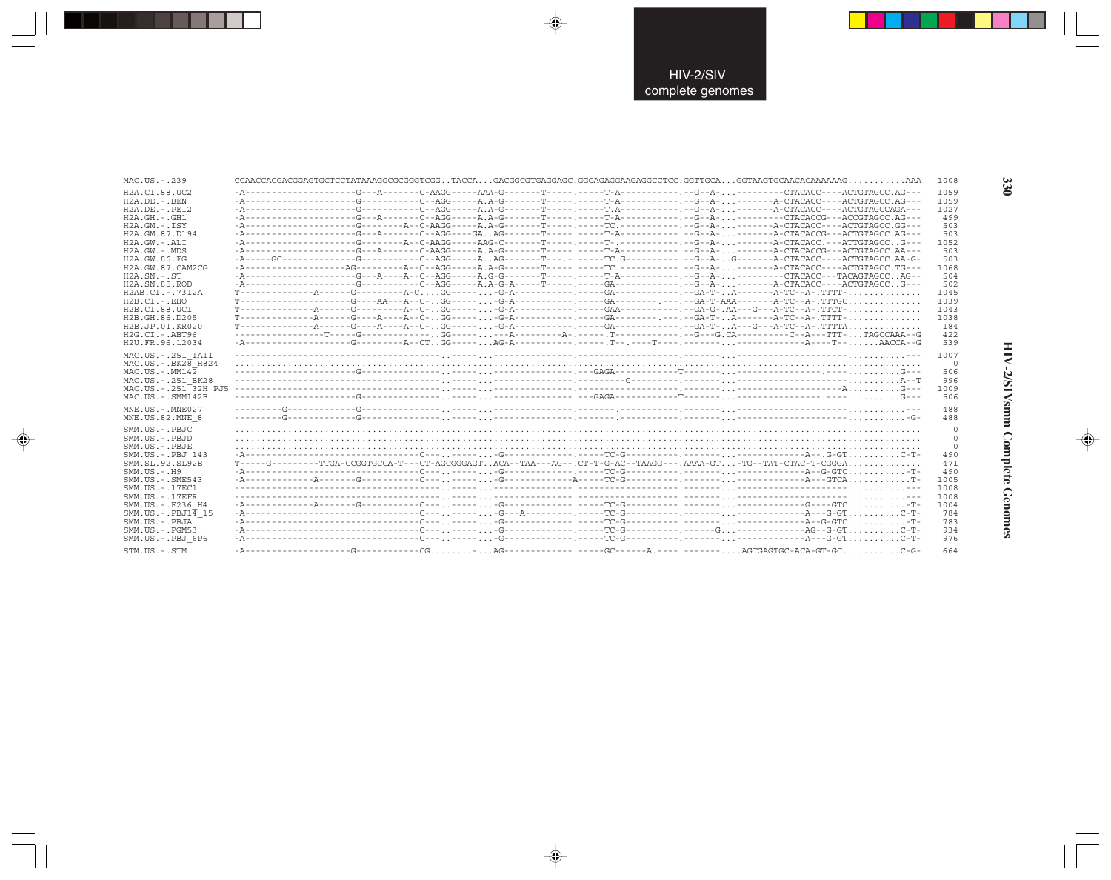| MAC.US.-.239                               |  |  |  |                                                                                                                        | 1008 |
|--------------------------------------------|--|--|--|------------------------------------------------------------------------------------------------------------------------|------|
| H2A.CI.88.UC2                              |  |  |  |                                                                                                                        | 1059 |
| $H2A.DE. - .BEN$                           |  |  |  |                                                                                                                        | 1059 |
| $H2A.DE. - .PEI2$                          |  |  |  |                                                                                                                        | 1027 |
| $H2A.GH. - .GH1$                           |  |  |  |                                                                                                                        | 499  |
| $H2A.GM.-.ISY$                             |  |  |  |                                                                                                                        | 503  |
| H <sub>2</sub> A. GM. 87. D <sub>194</sub> |  |  |  |                                                                                                                        | 503  |
| $H2A.GW. - .ALI$                           |  |  |  |                                                                                                                        | 1052 |
| $H2A.GW. - .MDS$                           |  |  |  |                                                                                                                        | 503  |
| H2A GW 86 FG                               |  |  |  | -A-----GC-------------G---------C--AGG-----AAG-------T---.-----TC.G-----------C--A-G------A-CTACACC----ACTGTAGCC.AA-G- | 503  |
| H2A.GW.87.CAM2CG                           |  |  |  |                                                                                                                        | 1068 |
| $H2A.SN.-.ST$                              |  |  |  |                                                                                                                        | 504  |
| H <sub>2</sub> A.SN.85.ROD                 |  |  |  | -A-----------------C--AGG-----A.A-G-A-----T-----. ----GA-----------------------A-CTACACC----ACTGTAGCCG---              | 502  |
| H2AB.CI.-.7312A                            |  |  |  |                                                                                                                        | 1045 |
| $H2B.CI.-EHO$                              |  |  |  |                                                                                                                        | 1039 |
| H2B.CI.88.UC1                              |  |  |  |                                                                                                                        | 1043 |
| H2B.GH.86.D205                             |  |  |  |                                                                                                                        | 1038 |
| H2B.JP.01.KR020                            |  |  |  |                                                                                                                        | 184  |
| $H2G.CI.-.ABT96$                           |  |  |  |                                                                                                                        | 422  |
| H2U.FR.96.12034                            |  |  |  |                                                                                                                        | 539  |
| MAC.US. - . 251 1A11                       |  |  |  |                                                                                                                        | 1007 |
| $MAC.US.-.BK2B$ H824                       |  |  |  |                                                                                                                        | - 0  |
| MAC.US.-.MM142                             |  |  |  |                                                                                                                        | 506  |
| MAC.US. - . 251 BK28                       |  |  |  |                                                                                                                        | 996  |
| MAC.US. - . 251 32H PJ5                    |  |  |  |                                                                                                                        | 1009 |
| $MAC . US . - . SIM142B$                   |  |  |  |                                                                                                                        | 506  |
|                                            |  |  |  |                                                                                                                        |      |
| $MNE. US.-. MNE027$                        |  |  |  |                                                                                                                        | 488  |
| MNE.US.82.MNE 8                            |  |  |  |                                                                                                                        | 488  |
| SMM.US.-.PBJC                              |  |  |  |                                                                                                                        | - 0  |
| SMM.US.-.PBJD                              |  |  |  |                                                                                                                        | - 0  |
| SMM.US.-.PBJE                              |  |  |  |                                                                                                                        | - 0  |
| SMM.US.-.PBJ 143                           |  |  |  |                                                                                                                        | 490  |
| SMM.SL.92.SL92B                            |  |  |  | T-----G---------TTGA-CCGGTGCCA-T---CT-AGCGGGAGTACA--TAA---AG--.CT-T-G-AC--TAAGG---.AAAA-GT-TG--TAT-CTAC-T-CGGGA        | 471  |
| $SMM. US. - . H9$                          |  |  |  |                                                                                                                        | 490  |
| $SMM.US. - .SME543$                        |  |  |  |                                                                                                                        | 1005 |
| SMM.US.-.17EC1                             |  |  |  |                                                                                                                        | 1008 |
| $SMM. US. - .17EFR$                        |  |  |  |                                                                                                                        | 1008 |
| SMM.US.-.F236 H4                           |  |  |  |                                                                                                                        | 1004 |
| $SMM.US.-.PBJ1\overline{4}15$              |  |  |  |                                                                                                                        | 784  |
|                                            |  |  |  |                                                                                                                        |      |
| SMM.US.-.PBJA                              |  |  |  |                                                                                                                        | 783  |
| $SMM.US. - . PGM53$                        |  |  |  |                                                                                                                        | 934  |
| SMM.US.-.PBJ 6P6                           |  |  |  |                                                                                                                        | 976  |
| STM.US.-.STM                               |  |  |  |                                                                                                                        | 664  |

 $\begin{picture}(20,5) \put(0,0){\vector(0,1){10}} \put(15,0){\vector(0,1){10}} \put(15,0){\vector(0,1){10}} \put(15,0){\vector(0,1){10}} \put(15,0){\vector(0,1){10}} \put(15,0){\vector(0,1){10}} \put(15,0){\vector(0,1){10}} \put(15,0){\vector(0,1){10}} \put(15,0){\vector(0,1){10}} \put(15,0){\vector(0,1){10}} \put(15,0){\vector(0,1){10}} \put(15,0){\vector(0,$ 

 $\begin{picture}(20,5) \put(0,0){\vector(0,1){10}} \put(15,0){\vector(0,1){10}} \put(15,0){\vector(0,1){10}} \put(15,0){\vector(0,1){10}} \put(15,0){\vector(0,1){10}} \put(15,0){\vector(0,1){10}} \put(15,0){\vector(0,1){10}} \put(15,0){\vector(0,1){10}} \put(15,0){\vector(0,1){10}} \put(15,0){\vector(0,1){10}} \put(15,0){\vector(0,1){10}} \put(15,0){\vector(0,$ 

---

 $\begin{picture}(20,5) \put(0,0){\line(1,0){10}} \put(15,0){\line(1,0){10}} \put(15,0){\line(1,0){10}} \put(15,0){\line(1,0){10}} \put(15,0){\line(1,0){10}} \put(15,0){\line(1,0){10}} \put(15,0){\line(1,0){10}} \put(15,0){\line(1,0){10}} \put(15,0){\line(1,0){10}} \put(15,0){\line(1,0){10}} \put(15,0){\line(1,0){10}} \put(15,0){\line(1,$ 

 $\frac{1}{\sqrt{2}}$ 

330

J

.

HIV-2/SIVsmm Complete Genomes

 $\begin{picture}(20,5) \put(0,0){\line(1,0){10}} \put(15,0){\line(1,0){10}} \put(15,0){\line(1,0){10}} \put(15,0){\line(1,0){10}} \put(15,0){\line(1,0){10}} \put(15,0){\line(1,0){10}} \put(15,0){\line(1,0){10}} \put(15,0){\line(1,0){10}} \put(15,0){\line(1,0){10}} \put(15,0){\line(1,0){10}} \put(15,0){\line(1,0){10}} \put(15,0){\line(1,$ 

 $\overline{\phantom{0}}$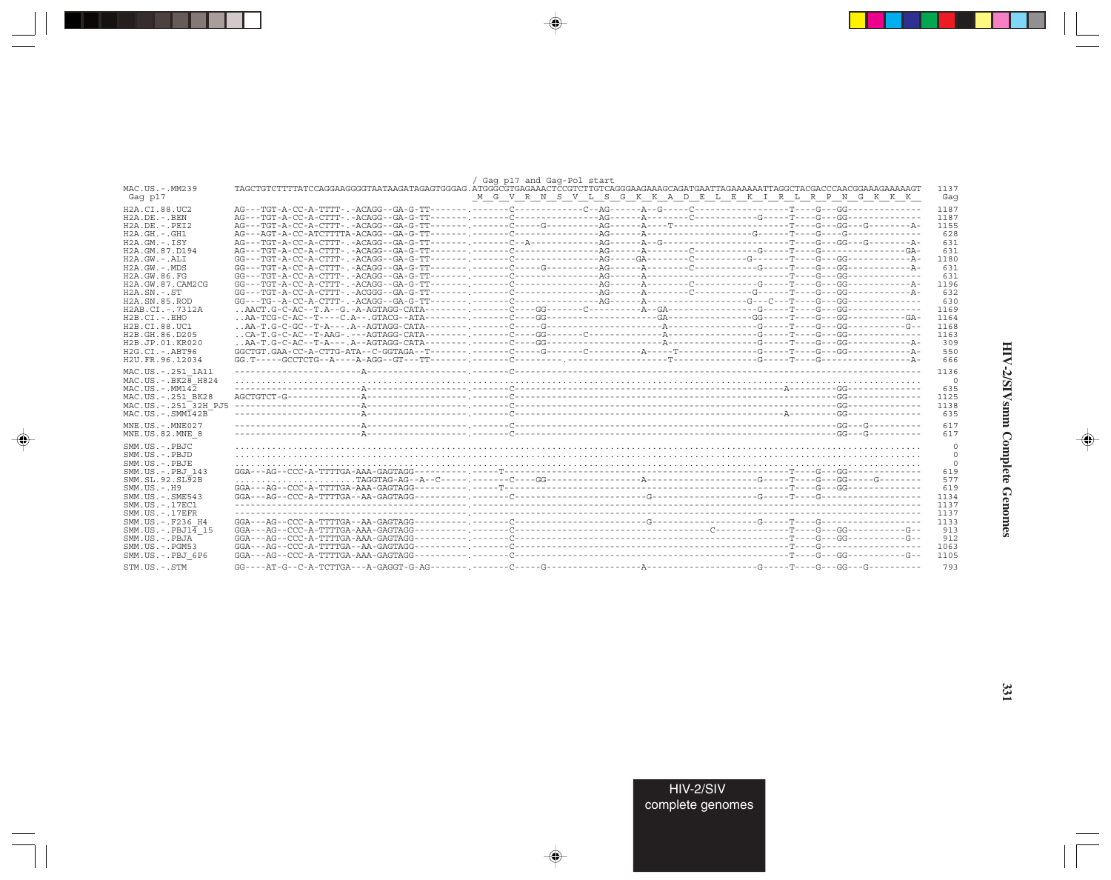|                                 |  | / Gaq p17 and Gaq-Pol start |                                                         |             |
|---------------------------------|--|-----------------------------|---------------------------------------------------------|-------------|
| MAC.US.-.MM239<br>Gag p17       |  |                             | M G V R N S V L S G K K A D E L E K I R L R P N G K K K | 1137<br>Gag |
| H2A.CI.88.UC2                   |  |                             |                                                         | 1187        |
| $H2A.DE. - .BEN$                |  |                             |                                                         | 1187        |
| $H2A.DE. - .PEI2$               |  |                             |                                                         | 1155        |
| $H2A.GH. - .GH1$                |  |                             |                                                         | 628         |
| $H2A.GM.-.ISY$                  |  |                             |                                                         | 631         |
| H2A.GM.87.D194                  |  |                             |                                                         | 631         |
| $H2A.GW. - .ALI$                |  |                             |                                                         | 1180        |
| $H2A.GW. - .MDS$                |  |                             |                                                         | 631         |
| H2A.GW.86.FG                    |  |                             |                                                         | 631         |
| H2A.GW.87.CAM2CG                |  |                             |                                                         | 1196        |
| $H2A.SN.-.ST$                   |  |                             |                                                         | 632         |
| H2A.SN.85.ROD                   |  |                             |                                                         | 630         |
| H2AB.CI.-.7312A                 |  |                             |                                                         | 1169        |
| $H2B.CI. - . EHO$               |  |                             |                                                         | 1164        |
| H2B.CI.88.UC1                   |  |                             |                                                         | 1168        |
| H2B.GH.86.D205                  |  |                             |                                                         | 1163        |
| H2B.JP.01.KR020                 |  |                             |                                                         | 309         |
| $H2G.CI.-.ABT96$                |  |                             |                                                         | 550         |
| H2U.FR.96.12034                 |  |                             |                                                         | 666         |
|                                 |  |                             |                                                         |             |
| MAC.US. - . 251 1A11            |  |                             |                                                         | 1136        |
| $MAC.US.-.BK2\overline{8}$ H824 |  |                             |                                                         | 0           |
| MAC.US.-.MM142                  |  |                             |                                                         | 635         |
| MAC.US. - . 251 BK28            |  |                             |                                                         | 1125        |
| MAC.US.-.251 32H PJ5            |  |                             |                                                         | 1138        |
| $MAC. US. - .SMM142B$           |  |                             |                                                         | 635         |
| $MNE. US. - . MNE027$           |  |                             |                                                         | 617         |
| MNE.US.82.MNE 8                 |  |                             |                                                         | 617         |
|                                 |  |                             |                                                         |             |
| SMM.US.-.PBJC                   |  |                             |                                                         | $\circ$     |
| SMM.US.-.PBJD                   |  |                             |                                                         | 0           |
| SMM.US.-.PBJE                   |  |                             |                                                         | $\circ$     |
| SMM.US.-.PBJ 143                |  |                             |                                                         | 619         |
| SMM.SL.92.SL <sub>92B</sub>     |  |                             |                                                         | 577         |
| SMM.US.-.H9                     |  |                             |                                                         | 619         |
| $SMM.US. - .SME543$             |  |                             |                                                         | 1134        |
| SMM.US.-.17EC1                  |  |                             |                                                         | 1137        |
| $SMM.US.-.17EFR$                |  |                             |                                                         | 1137        |
| SMM.US. - .F236 H4              |  |                             |                                                         | 1133        |
| $SMM.US.-PBJ1\overline{4}15$    |  |                             |                                                         | 913         |
| SMM.US.-.PBJA                   |  |                             |                                                         | 912         |
| SMM.US.-.PGM53                  |  |                             |                                                         | 1063        |
| SMM.US.-.PBJ 6P6                |  |                             |                                                         | 1105        |
|                                 |  |                             |                                                         |             |
| STM.US.-.STM                    |  |                             |                                                         | 793         |

 $\begin{picture}(20,5) \put(0,0){\vector(0,1){10}} \put(15,0){\vector(0,1){10}} \put(15,0){\vector(0,1){10}} \put(15,0){\vector(0,1){10}} \put(15,0){\vector(0,1){10}} \put(15,0){\vector(0,1){10}} \put(15,0){\vector(0,1){10}} \put(15,0){\vector(0,1){10}} \put(15,0){\vector(0,1){10}} \put(15,0){\vector(0,1){10}} \put(15,0){\vector(0,1){10}} \put(15,0){\vector(0,$ 

a sa Tanzani

 $\overrightarrow{\phantom{a}}$ 

 $\frac{\partial \mathcal{L}}{\partial \mathbf{r}} = \frac{\partial \mathcal{L}}{\partial \mathbf{r}}$ 

 $\begin{picture}(20,5) \put(0,0){\line(1,0){10}} \put(15,0){\line(1,0){10}} \put(15,0){\line(1,0){10}} \put(15,0){\line(1,0){10}} \put(15,0){\line(1,0){10}} \put(15,0){\line(1,0){10}} \put(15,0){\line(1,0){10}} \put(15,0){\line(1,0){10}} \put(15,0){\line(1,0){10}} \put(15,0){\line(1,0){10}} \put(15,0){\line(1,0){10}} \put(15,0){\line(1,$ 

 $\equiv$ 

 $\Box$ 

. . .

٠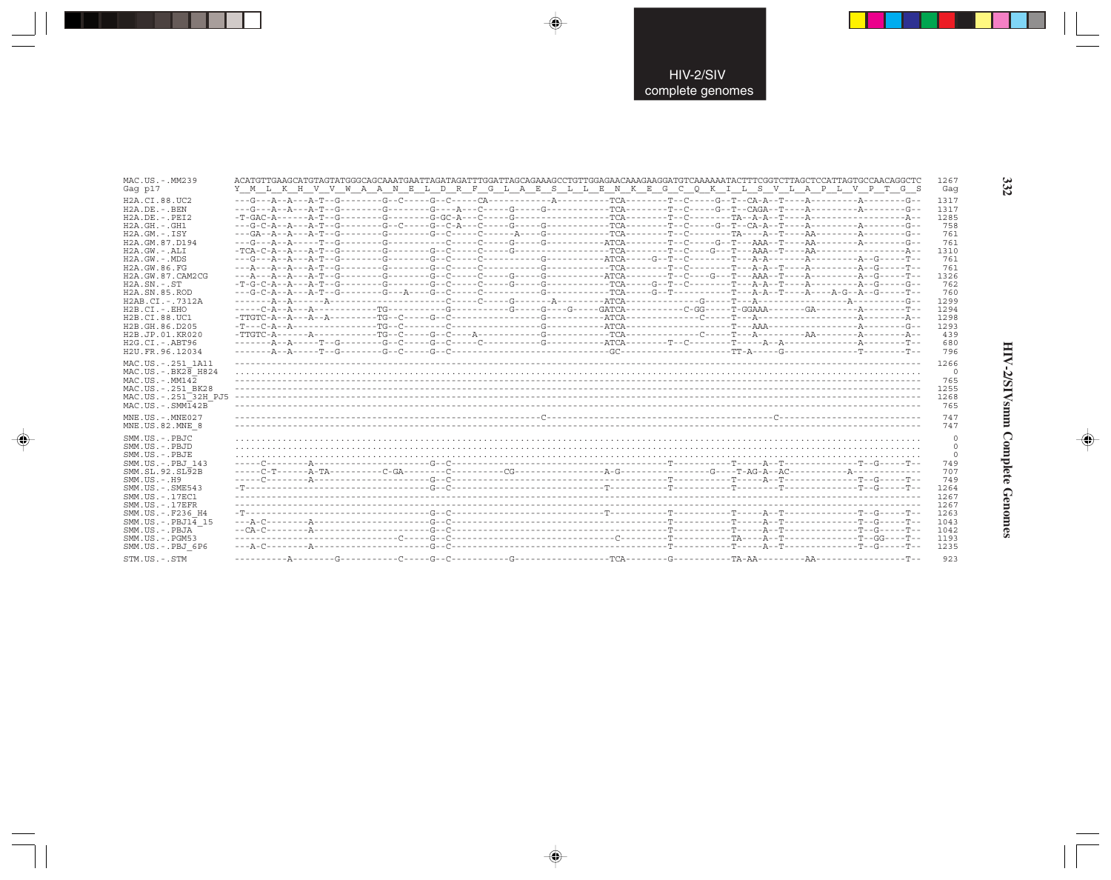| MAC.US.-.MM239                                                                                            |                                                                                                                                                                                                                                                                                                                                                                                                                                                           | 1267                                          |
|-----------------------------------------------------------------------------------------------------------|-----------------------------------------------------------------------------------------------------------------------------------------------------------------------------------------------------------------------------------------------------------------------------------------------------------------------------------------------------------------------------------------------------------------------------------------------------------|-----------------------------------------------|
| Gag p17                                                                                                   | Y M L K H V V W A A N E L D R F G L A E S L L E N K E G C O K I L S V L A P L V P T G S                                                                                                                                                                                                                                                                                                                                                                   | Gaq                                           |
| H2A.CI.88.UC2                                                                                             |                                                                                                                                                                                                                                                                                                                                                                                                                                                           | 1317                                          |
| H2A.DE. - . BEN                                                                                           |                                                                                                                                                                                                                                                                                                                                                                                                                                                           | 1317                                          |
| $H2A.DE. - .PEI2$                                                                                         | $-{\color{red}T}-{\color{red}GAC-A}\hspace{-0.08cm}-\cdots-{\color{red}A-{\color{red}T}-{\color{red}G}\hspace{-0.08cm}-\cdots-{\color{red}G-C}\hspace{-0.08cm}-\cdots-{\color{red}G-C}\hspace{-0.08cm}-{\color{red}A-{\color{red}-C}\hspace{-0.08cm}-\cdots-{\color{red}G}\hspace{-0.08cm}-\cdots-{\color{red}G}\hspace{-0.08cm}-\cdots-{\color{red}G}\hspace{-0.08cm}-\cdots-{\color{red}G}\hspace{-0.08cm}-\cdots-{\color{red}G}\hspace{-0$             | 1285                                          |
| $H2A.GH. - .GH1$                                                                                          |                                                                                                                                                                                                                                                                                                                                                                                                                                                           | 758                                           |
| $H2A.GM.-.ISY$                                                                                            |                                                                                                                                                                                                                                                                                                                                                                                                                                                           | 761                                           |
| H2A.GM.87.D194                                                                                            |                                                                                                                                                                                                                                                                                                                                                                                                                                                           | 761                                           |
| H2A.GW.-.ALI                                                                                              |                                                                                                                                                                                                                                                                                                                                                                                                                                                           | 1310                                          |
| $H2A.GW. - .MDS$                                                                                          |                                                                                                                                                                                                                                                                                                                                                                                                                                                           | 761                                           |
| H2A.GW.86.FG                                                                                              |                                                                                                                                                                                                                                                                                                                                                                                                                                                           | 761                                           |
| H2A.GW.87.CAM2CG                                                                                          |                                                                                                                                                                                                                                                                                                                                                                                                                                                           | 1326                                          |
| $H2A.SN. - .ST$                                                                                           | $-{\bf T}\hbox{-} {\bf G}\hbox{-} {\bf A}\hbox{-} {\bf A}\hbox{-} {\bf A}\hbox{-} {\bf B}\hbox{-} {\bf B}\hbox{-} {\bf C}\hbox{-} {\bf A}\hbox{-} {\bf C}\hbox{-} {\bf C}\hbox{-} {\bf C}\hbox{-} {\bf C}\hbox{-} {\bf C}\hbox{-} {\bf C}\hbox{-} {\bf C}\hbox{-} {\bf C}\hbox{-} {\bf C}\hbox{-} {\bf C}\hbox{-} {\bf C}\hbox{-} {\bf C}\hbox{-} {\bf C}\hbox{-} {\bf C}\hbox{-} {\bf C}\hbox{-} {\bf C}\hbox{-} {\bf C}\hbox{-} {\bf C}\hbox{-} {\bf C$ | 762                                           |
| H2A.SN.85.ROD                                                                                             |                                                                                                                                                                                                                                                                                                                                                                                                                                                           | 760                                           |
| H2AB.CI.-.7312A                                                                                           |                                                                                                                                                                                                                                                                                                                                                                                                                                                           | 1299                                          |
| $H2B.CI.-.EHO$                                                                                            |                                                                                                                                                                                                                                                                                                                                                                                                                                                           | 1294                                          |
| H2B.CI.88.UC1                                                                                             |                                                                                                                                                                                                                                                                                                                                                                                                                                                           | 1298                                          |
| H2B.GH.86.D205                                                                                            | $-{\tt T}\text{-}{\tt -C-A-}{\tt -A}\text{-}{\tt -}{\tt -}{\tt -}{\tt -}{\tt -{\tt -T}\text{-}C}\text{-}{\tt -}{\tt -{\tt -T}\text{-}C}\text{-}{\tt -}{\tt -{\tt -T}\text{-}C}\text{-}{\tt -}{\tt -}{\tt -T}\text{-}{{\tt -T}\text{-}C}\text{-}{\tt -}{\tt -}{\tt -}{\tt -T}\text{-}{{\tt -T}\text{-}C}\text{-}{\tt -}{\tt -}{\tt -T}\text{-}{{\tt -T}\text{-}C}\text{-}{\tt -}{\tt -T}\text{-}{{\tt -T}\text{-}C}\text{-}{\tt -T}\$                      | 1293                                          |
| H2B.JP.01.KR020                                                                                           |                                                                                                                                                                                                                                                                                                                                                                                                                                                           | 439                                           |
| H2G.CI.-.ABT96                                                                                            |                                                                                                                                                                                                                                                                                                                                                                                                                                                           | 680                                           |
| H2U.FR.96.12034                                                                                           |                                                                                                                                                                                                                                                                                                                                                                                                                                                           | 796                                           |
| MAC.US. - . 251 1A11                                                                                      |                                                                                                                                                                                                                                                                                                                                                                                                                                                           | 1266                                          |
| $MAC.US.-.BK2\overline{8}$ H824                                                                           |                                                                                                                                                                                                                                                                                                                                                                                                                                                           | 0                                             |
| $MAC. US.-. MM142$                                                                                        |                                                                                                                                                                                                                                                                                                                                                                                                                                                           | 765                                           |
| MAC.US. - . 251 BK28                                                                                      |                                                                                                                                                                                                                                                                                                                                                                                                                                                           | 1255                                          |
| MAC.US. - . 251 <sup>-32H</sup> PJ5                                                                       |                                                                                                                                                                                                                                                                                                                                                                                                                                                           | 1268                                          |
| $MAC . US . - . SIM142B$                                                                                  |                                                                                                                                                                                                                                                                                                                                                                                                                                                           | 765                                           |
| MNE.US.-.MNE027<br>MNE.US.82.MNE 8<br>SMM.US.-.PBJC<br>SMM.US.-.PBJD<br>SMM.US.-.PBJE<br>SMM.US.-.PBJ 143 |                                                                                                                                                                                                                                                                                                                                                                                                                                                           | 747<br>747<br>0<br>$\circ$<br>$\Omega$<br>749 |
| SMM.SL.92.SL92B                                                                                           |                                                                                                                                                                                                                                                                                                                                                                                                                                                           | 707                                           |
| $SMM. US. - . H9$                                                                                         |                                                                                                                                                                                                                                                                                                                                                                                                                                                           | 749                                           |
| $SMM.US. - .SME543$                                                                                       |                                                                                                                                                                                                                                                                                                                                                                                                                                                           | 1264                                          |
| SMM.US. - . 17EC1                                                                                         |                                                                                                                                                                                                                                                                                                                                                                                                                                                           | 1267                                          |
| $SMM. US. - .17EFR$                                                                                       |                                                                                                                                                                                                                                                                                                                                                                                                                                                           | 1267                                          |
| SMM.US.-.F236 H4                                                                                          |                                                                                                                                                                                                                                                                                                                                                                                                                                                           | 1263                                          |
| $SMM.US.-.PBJ14$ 15                                                                                       |                                                                                                                                                                                                                                                                                                                                                                                                                                                           | 1043                                          |
| SMM.US.-.PBJA                                                                                             |                                                                                                                                                                                                                                                                                                                                                                                                                                                           | 1042                                          |
| $SMM. US. - . PGM53$                                                                                      |                                                                                                                                                                                                                                                                                                                                                                                                                                                           | 1193                                          |
| SMM.US.-.PBJ 6P6                                                                                          |                                                                                                                                                                                                                                                                                                                                                                                                                                                           | 1235                                          |
| STM.US.-.STM                                                                                              |                                                                                                                                                                                                                                                                                                                                                                                                                                                           | 923                                           |

 $\Rightarrow$ 

 $\Rightarrow$ 

 $\color{red} \blacklozenge$ 

### HIV-2/SIVsmm Complete Genomes

 $\Rightarrow$ 

332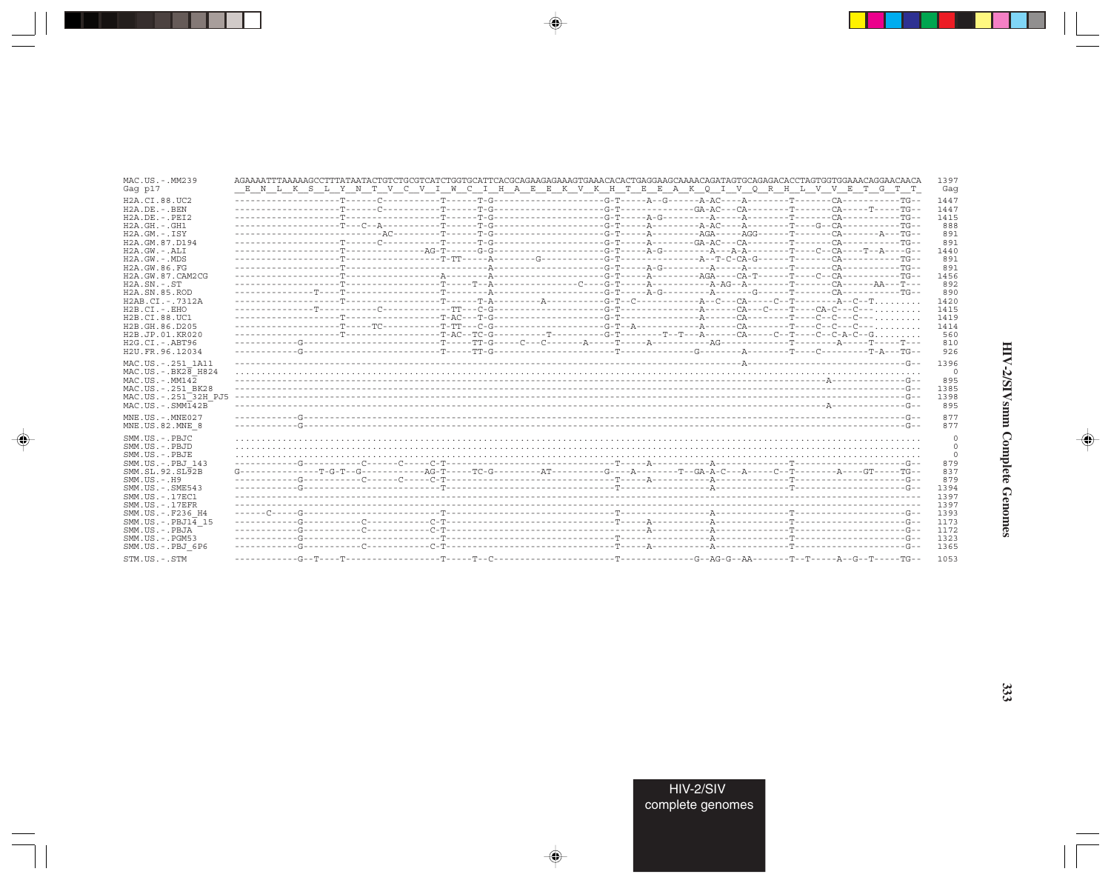| MAC.US.-.MM239<br>Gag p17                                                                                                            |  |  |  | AGAAAATTTAAAAAGCCTTTATAATACTGTCTGCGTCATCTGGTGCATTCACGCAGAAGAGAAAGTGAAACACACTGAGGAAGCAGAAACAGGTGCAGACACCTAGTGGTGGAAACAGGAACACACA<br>E N L K S L Y N T V C V I W C I H A E E K V K H T E E A K Q I V Q R H L V V E T G T T                                                                                                                                                                                                                                                                        | 1397<br>Gaq                                |
|--------------------------------------------------------------------------------------------------------------------------------------|--|--|--|-------------------------------------------------------------------------------------------------------------------------------------------------------------------------------------------------------------------------------------------------------------------------------------------------------------------------------------------------------------------------------------------------------------------------------------------------------------------------------------------------|--------------------------------------------|
| H2A.CI.88.UC2<br>$H2A$ . DE. $-$ . BEN<br>$H2A.DE. - .PEI2$                                                                          |  |  |  |                                                                                                                                                                                                                                                                                                                                                                                                                                                                                                 | 1447<br>1447<br>1415                       |
| H2A.GH.-.GH1<br>$H2A.GM.-.ISY$<br>H2A.GM.87.D194                                                                                     |  |  |  |                                                                                                                                                                                                                                                                                                                                                                                                                                                                                                 | 888<br>891<br>891                          |
| $H2A.GW.-.ALI$<br>H2A.GW.-.MDS<br>H2A.GW.86.FG                                                                                       |  |  |  |                                                                                                                                                                                                                                                                                                                                                                                                                                                                                                 | 1440<br>891                                |
| H2A.GW.87.CAM2CG<br>$H2A$ . $SN. - . ST$                                                                                             |  |  |  |                                                                                                                                                                                                                                                                                                                                                                                                                                                                                                 | 891<br>1456<br>892                         |
| H2A.SN.85.ROD<br>H2AB.CI.-.7312A<br>$H2B.CI.-EHO$                                                                                    |  |  |  |                                                                                                                                                                                                                                                                                                                                                                                                                                                                                                 | 890<br>1420<br>1415                        |
| H2B.CI.88.UC1<br>H2B.GH.86.D205<br>H2B.JP.01.KR020                                                                                   |  |  |  |                                                                                                                                                                                                                                                                                                                                                                                                                                                                                                 | 1419<br>1414<br>560                        |
| $H2G.CI.-ABT96$<br>H2U.FR.96.12034<br>MAC.US.-.251 1A11                                                                              |  |  |  |                                                                                                                                                                                                                                                                                                                                                                                                                                                                                                 | 810<br>926<br>1396                         |
| $MAC. US. - . BK2B$ H824<br>$MAC. US.-. MM142$<br>MAC.US. - . 251 BK28<br>MAC.US.-.251 <sup>-32H</sup> PJ5<br>$MAC. US. - . SIMT42B$ |  |  |  |                                                                                                                                                                                                                                                                                                                                                                                                                                                                                                 | $\mathbf{0}$<br>895<br>1385<br>1398<br>895 |
| MNE.US.-.MNE027<br>MNE.US.82.MNE 8                                                                                                   |  |  |  |                                                                                                                                                                                                                                                                                                                                                                                                                                                                                                 | 877<br>877                                 |
| SMM.US.-.PBJC<br>SMM.US.-.PBJD<br>SMM.US.-.PBJE                                                                                      |  |  |  |                                                                                                                                                                                                                                                                                                                                                                                                                                                                                                 | 0<br>$\circ$<br>0                          |
| SMM.US.-.PBJ 143<br>SMM. SL. 92. SL92B<br>$SMM. US. - . H9$                                                                          |  |  |  | $G \texttt{---} \texttt{---} \texttt{---} \texttt{---} \texttt{---} \texttt{---} \texttt{---} \texttt{---} \texttt{---} \texttt{---} \texttt{---} \texttt{---} \texttt{---} \texttt{---} \texttt{---} \texttt{---} \texttt{---} \texttt{---} \texttt{---} \texttt{---} \texttt{---} \texttt{---} \texttt{---} \texttt{---} \texttt{---} \texttt{---} \texttt{---} \texttt{---} \texttt{---} \texttt{---} \texttt{---} \texttt{---} \texttt{---} \texttt{---} \texttt{---} \texttt{---} \texttt$ | 879<br>837<br>879                          |
| SMM. US. - . SME543<br>SMM. US. - 17EC1<br>$SMM. US. - .17EFR$                                                                       |  |  |  |                                                                                                                                                                                                                                                                                                                                                                                                                                                                                                 | 1394<br>1397<br>1397                       |
| SMM.US.-.F236 H4<br>$SMM.US.-.PBJ14$ 15<br>SMM.US.-.PBJA<br>$SMM.US. - . PGM53$                                                      |  |  |  |                                                                                                                                                                                                                                                                                                                                                                                                                                                                                                 | 1393<br>1173<br>1172<br>1323               |
| SMM.US.-.PBJ 6P6<br>STM.US.-.STM                                                                                                     |  |  |  |                                                                                                                                                                                                                                                                                                                                                                                                                                                                                                 | 1365<br>1053                               |

 $\begin{picture}(20,5) \put(0,0){\vector(0,1){10}} \put(15,0){\vector(0,1){10}} \put(15,0){\vector(0,1){10}} \put(15,0){\vector(0,1){10}} \put(15,0){\vector(0,1){10}} \put(15,0){\vector(0,1){10}} \put(15,0){\vector(0,1){10}} \put(15,0){\vector(0,1){10}} \put(15,0){\vector(0,1){10}} \put(15,0){\vector(0,1){10}} \put(15,0){\vector(0,1){10}} \put(15,0){\vector(0,$ 

a shekara 1960

 $\overrightarrow{\phantom{a}}$ 

 $\frac{\partial \mathcal{L}}{\partial \mathbf{r}} = \frac{\partial \mathcal{L}}{\partial \mathbf{r}}$ 

HIV-2/SIVsmm Complete Genomes

 $\begin{picture}(20,5) \put(0,0){\line(1,0){10}} \put(15,0){\line(1,0){10}} \put(15,0){\line(1,0){10}} \put(15,0){\line(1,0){10}} \put(15,0){\line(1,0){10}} \put(15,0){\line(1,0){10}} \put(15,0){\line(1,0){10}} \put(15,0){\line(1,0){10}} \put(15,0){\line(1,0){10}} \put(15,0){\line(1,0){10}} \put(15,0){\line(1,0){10}} \put(15,0){\line(1,$ 

 $\equiv$ 

 $\Box$ 

. . .

٠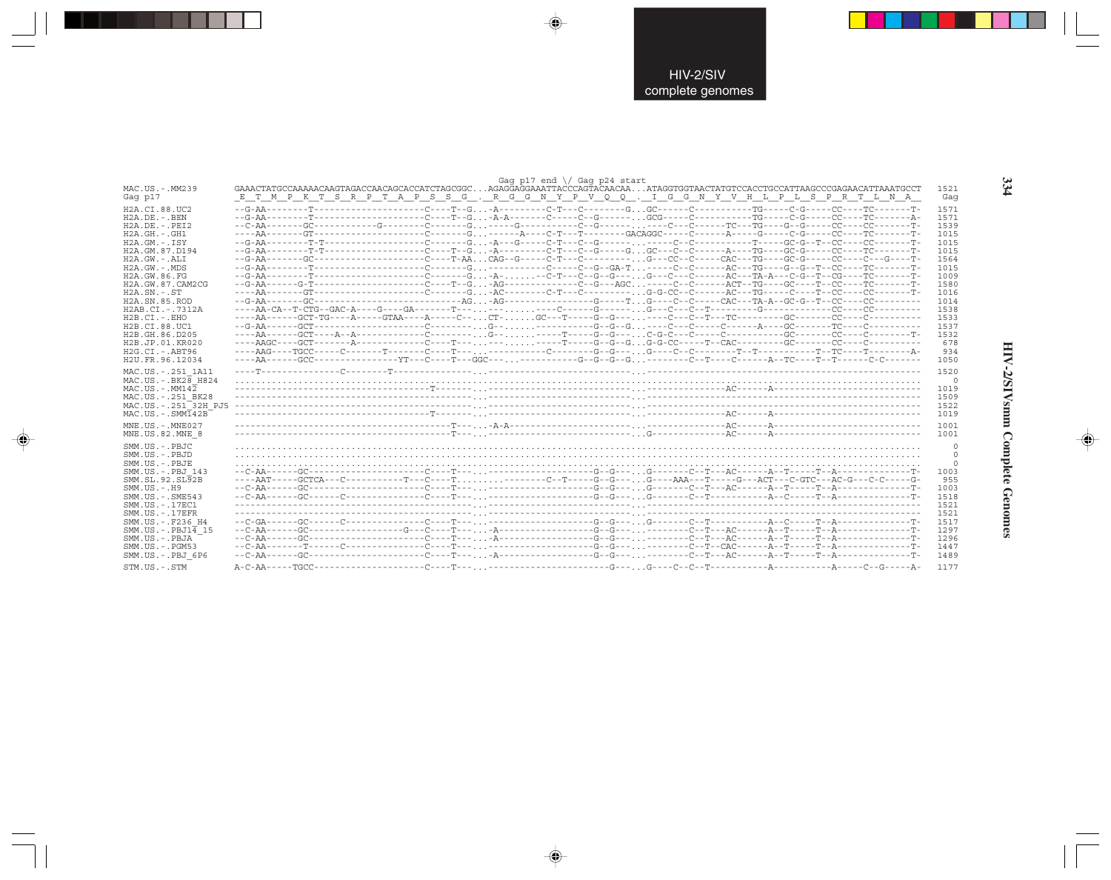|                                     |                                                                                                                                                                                                                       |  |  |  | Gag p17 end $\sqrt{}$ Gag p24 start |  |  |  |  |                |
|-------------------------------------|-----------------------------------------------------------------------------------------------------------------------------------------------------------------------------------------------------------------------|--|--|--|-------------------------------------|--|--|--|--|----------------|
| MAC.US.-.MM239<br>Gag p17           | GAAACTATGCCAAAAACAAGTAGACCAACAGCACCATCTAGCGGCAGAGGAGGAAATTACCCAGTACAACAAATAGGTGGTAACTATGTCCACCTGCCATTAAGCCCGAGAACATTAAATGCCT<br>E T M P K T S R P T A P S S G . R G G N Y P V Q Q . I G G N Y V H L P L S P R T L N A |  |  |  |                                     |  |  |  |  | 1521<br>Gag    |
| H2A.CI.88.UC2                       |                                                                                                                                                                                                                       |  |  |  |                                     |  |  |  |  | 1571           |
| $H2A.DE. - .BEN$                    |                                                                                                                                                                                                                       |  |  |  |                                     |  |  |  |  | 1571           |
| $H2A.DE. - .PEI2$                   |                                                                                                                                                                                                                       |  |  |  |                                     |  |  |  |  | 1539           |
| $H2A.GH. - .GH1$                    |                                                                                                                                                                                                                       |  |  |  |                                     |  |  |  |  | 1015           |
| $H2A.GM.-.ISY$                      |                                                                                                                                                                                                                       |  |  |  |                                     |  |  |  |  | 1015           |
| H2A.GM.87.D194                      | --G-AA---------T-T------------------C----T--G-A---------C-T---C--G-----GGC---C--C------A----TG-----GC-G-----CC------TC--------T-                                                                                      |  |  |  |                                     |  |  |  |  | 1015           |
| $H2A.GW. - .ALI$                    | --G-AA--------GC--------------------C----T-AACAG--G-----C-T---C----------G---CC--C-----CAC---TG----GC-G----CC---C---G----T-                                                                                           |  |  |  |                                     |  |  |  |  | 1564           |
| $H2A.GW. - .MDS$                    |                                                                                                                                                                                                                       |  |  |  |                                     |  |  |  |  | 1015           |
| H2A.GW.86.FG                        | --G-AA---------T-------------------C------G-A---C-T---C--G--G-----G---C-------AC---TA-A---C-G--T--CG----TC--------T-                                                                                                  |  |  |  |                                     |  |  |  |  | 1009           |
| H2A.GW.87.CAM2CG                    |                                                                                                                                                                                                                       |  |  |  |                                     |  |  |  |  | 1580           |
| $H2A$ . $SN. - . ST$                | ----AA-------GT------------------C-------G-AC--------C-T---C-T-------G-G-CC--C------AC---TG----C----T--CC-----CC------T-                                                                                              |  |  |  |                                     |  |  |  |  | 1016           |
| H <sub>2</sub> A.SN.85.ROD          |                                                                                                                                                                                                                       |  |  |  |                                     |  |  |  |  | 1014           |
| H2AB.CI.-.7312A                     |                                                                                                                                                                                                                       |  |  |  |                                     |  |  |  |  | 1538           |
| $H2B.CI.-EHO$                       |                                                                                                                                                                                                                       |  |  |  |                                     |  |  |  |  | 1533           |
| H2B.CI.88.UC1                       |                                                                                                                                                                                                                       |  |  |  |                                     |  |  |  |  | 1537           |
| H2B.GH.86.D205                      |                                                                                                                                                                                                                       |  |  |  |                                     |  |  |  |  | 1532           |
| H2B.JP.01.KR020                     |                                                                                                                                                                                                                       |  |  |  |                                     |  |  |  |  | 678            |
| $H2G.CI.-.ABT96$                    |                                                                                                                                                                                                                       |  |  |  |                                     |  |  |  |  | 934            |
| H2U.FR.96.12034                     |                                                                                                                                                                                                                       |  |  |  |                                     |  |  |  |  | 1050           |
|                                     |                                                                                                                                                                                                                       |  |  |  |                                     |  |  |  |  |                |
| MAC.US. - . 251 1A11                |                                                                                                                                                                                                                       |  |  |  |                                     |  |  |  |  | 1520           |
| MAC.US. - . BK28 H824               |                                                                                                                                                                                                                       |  |  |  |                                     |  |  |  |  | $\overline{0}$ |
| $MAC. US. - . MM142$                |                                                                                                                                                                                                                       |  |  |  |                                     |  |  |  |  | 1019           |
| MAC.US. - . 251 BK28                |                                                                                                                                                                                                                       |  |  |  |                                     |  |  |  |  | 1509           |
| MAC.US. - . 251 <sup>-32H</sup> PJ5 |                                                                                                                                                                                                                       |  |  |  |                                     |  |  |  |  | 1522           |
| $MAC. US.-. SIM142B$                |                                                                                                                                                                                                                       |  |  |  |                                     |  |  |  |  | 1019           |
| MNE.US.-.MNE027                     |                                                                                                                                                                                                                       |  |  |  |                                     |  |  |  |  | 1001           |
| MNE.US.82.MNE 8                     |                                                                                                                                                                                                                       |  |  |  |                                     |  |  |  |  | 1001           |
| SMM.US.-.PBJC                       |                                                                                                                                                                                                                       |  |  |  |                                     |  |  |  |  | $\Omega$       |
| SMM.US.-.PBJD                       |                                                                                                                                                                                                                       |  |  |  |                                     |  |  |  |  | $\circ$        |
| SMM.US.-.PBJE                       |                                                                                                                                                                                                                       |  |  |  |                                     |  |  |  |  | $\Omega$       |
| SMM.US.-.PBJ 143                    |                                                                                                                                                                                                                       |  |  |  |                                     |  |  |  |  | 1003           |
| SMM.SL.92.SL92B                     |                                                                                                                                                                                                                       |  |  |  |                                     |  |  |  |  | 955            |
| $SMM.US.-.H9$                       |                                                                                                                                                                                                                       |  |  |  |                                     |  |  |  |  | 1003           |
| $SMM.US. - .SME543$                 |                                                                                                                                                                                                                       |  |  |  |                                     |  |  |  |  | 1518           |
| SMM. US. - . 17EC1                  |                                                                                                                                                                                                                       |  |  |  |                                     |  |  |  |  | 1521           |
| $SMM. US. - .17EFR$                 |                                                                                                                                                                                                                       |  |  |  |                                     |  |  |  |  | 1521           |
| SMM.US. - . F236 H4                 |                                                                                                                                                                                                                       |  |  |  |                                     |  |  |  |  | 1517           |
| $SMM.US.-.PBJ1\overline{4}15$       |                                                                                                                                                                                                                       |  |  |  |                                     |  |  |  |  | 1297           |
| SMM.US.-.PBJA                       |                                                                                                                                                                                                                       |  |  |  |                                     |  |  |  |  | 1296           |
| $SMM. US. - . PGM53$                |                                                                                                                                                                                                                       |  |  |  |                                     |  |  |  |  | 1447           |
| SMM.US.-.PBJ 6P6                    |                                                                                                                                                                                                                       |  |  |  |                                     |  |  |  |  | 1489           |
|                                     |                                                                                                                                                                                                                       |  |  |  |                                     |  |  |  |  |                |
| STM.US.-.STM                        |                                                                                                                                                                                                                       |  |  |  |                                     |  |  |  |  | 1177           |

 $\begin{picture}(20,5) \put(0,0){\vector(0,1){10}} \put(15,0){\vector(0,1){10}} \put(15,0){\vector(0,1){10}} \put(15,0){\vector(0,1){10}} \put(15,0){\vector(0,1){10}} \put(15,0){\vector(0,1){10}} \put(15,0){\vector(0,1){10}} \put(15,0){\vector(0,1){10}} \put(15,0){\vector(0,1){10}} \put(15,0){\vector(0,1){10}} \put(15,0){\vector(0,1){10}} \put(15,0){\vector(0,$ 

 $\begin{picture}(20,5) \put(0,0){\vector(0,1){10}} \put(15,0){\vector(0,1){10}} \put(15,0){\vector(0,1){10}} \put(15,0){\vector(0,1){10}} \put(15,0){\vector(0,1){10}} \put(15,0){\vector(0,1){10}} \put(15,0){\vector(0,1){10}} \put(15,0){\vector(0,1){10}} \put(15,0){\vector(0,1){10}} \put(15,0){\vector(0,1){10}} \put(15,0){\vector(0,1){10}} \put(15,0){\vector(0,$ 

---

 $\begin{picture}(20,5) \put(0,0){\line(1,0){10}} \put(15,0){\line(1,0){10}} \put(15,0){\line(1,0){10}} \put(15,0){\line(1,0){10}} \put(15,0){\line(1,0){10}} \put(15,0){\line(1,0){10}} \put(15,0){\line(1,0){10}} \put(15,0){\line(1,0){10}} \put(15,0){\line(1,0){10}} \put(15,0){\line(1,0){10}} \put(15,0){\line(1,0){10}} \put(15,0){\line(1,$ 

 $\frac{1}{\sqrt{2}}$ 

334

w

J

HIV-2/SIVsmm Complete Genomes

 $\begin{picture}(20,5) \put(0,0){\line(1,0){10}} \put(15,0){\line(1,0){10}} \put(15,0){\line(1,0){10}} \put(15,0){\line(1,0){10}} \put(15,0){\line(1,0){10}} \put(15,0){\line(1,0){10}} \put(15,0){\line(1,0){10}} \put(15,0){\line(1,0){10}} \put(15,0){\line(1,0){10}} \put(15,0){\line(1,0){10}} \put(15,0){\line(1,0){10}} \put(15,0){\line(1,$ 

 $\overline{\phantom{0}}$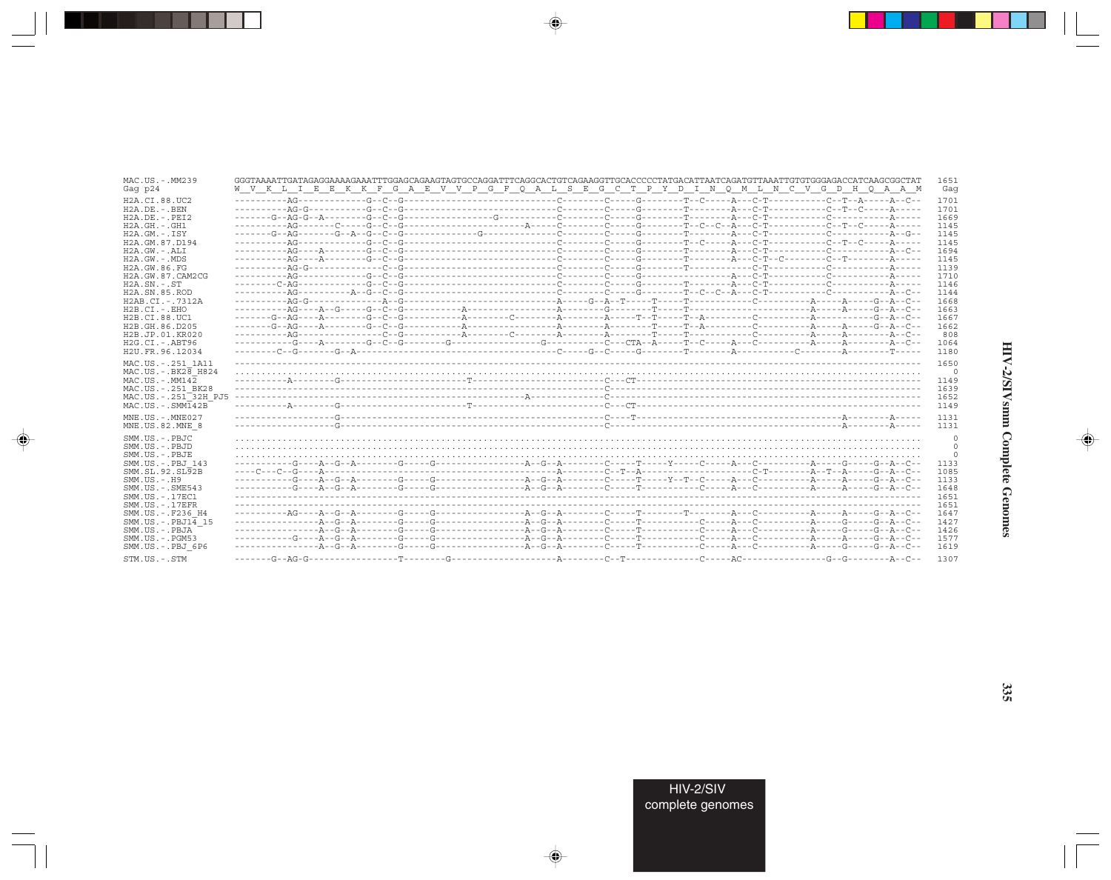| MAC.US.-.MM239<br>Gag p24                                                            | GGGTAAAATTGATAGAGGAAAAGAAATTTGGAGCAGAAGTAGTGCCAGGATTTCAGGCACTGTCAGAAGGTTGCACCCCCTATGACATTAATCAGATGTTAAATTGTGTGGGAGACCATCAAGCGGCTAT<br>W V K L I E E K K F G A E V V P G F Q A L S E G C T P Y D I N Q M L N C V G D H Q A A M |  | 1651<br>Gaq                        |
|--------------------------------------------------------------------------------------|-------------------------------------------------------------------------------------------------------------------------------------------------------------------------------------------------------------------------------|--|------------------------------------|
| H2A.CI.88.UC2<br>$H2A.DE. - . BEN$<br>$H2A.DE. - .PEI2$                              |                                                                                                                                                                                                                               |  | 1701<br>1701<br>1669               |
| $H2A.GH.-.GH1$<br>$H2A.GM.-.ISY$<br>H2A.GM.87.D194                                   |                                                                                                                                                                                                                               |  | 1145<br>1145<br>1145               |
| H2A.GW.-.ALI<br>$H2A.GW. - .MDS$<br>H2A.GW.86.FG                                     |                                                                                                                                                                                                                               |  | 1694<br>1145<br>1139               |
| H2A.GW.87.CAM2CG<br>$H2A$ . $SN. - . ST$<br>H <sub>2</sub> A.SN.85.ROD               |                                                                                                                                                                                                                               |  | 1710<br>1146<br>1144               |
| H2AB.CI.-.7312A<br>$H2B.CI.-.EHO$<br>H2B.CI.88.UC1                                   |                                                                                                                                                                                                                               |  | 1668<br>1663<br>1667               |
| H2B.GH.86.D205<br>H2B.JP.01.KR020<br>$H2G.CI.-.ABT96$<br>H2U.FR.96.12034             |                                                                                                                                                                                                                               |  | 1662<br>808<br>1064<br>1180        |
| MAC.US. - . 251 1A11<br>MAC.US. - . BK28 H824<br>$MAC. US. - . MM142$                |                                                                                                                                                                                                                               |  | 1650<br>0<br>1149                  |
| MAC.US.-.251 BK28<br>MAC.US. - . 251 <sup>-32H</sup> PJ5<br>$MAC . US . - . SIM142B$ |                                                                                                                                                                                                                               |  | 1639<br>1652<br>1149               |
| MNE.US.-.MNE027<br>MNE.US.82.MNE 8                                                   |                                                                                                                                                                                                                               |  | 1131<br>1131                       |
| SMM.US.-.PBJC<br>SMM.US.-.PBJD<br>SMM.US.-.PBJE                                      |                                                                                                                                                                                                                               |  | $\circ$<br>$\circ$<br>$\mathbf{0}$ |
| SMM.US.-.PBJ 143<br>SMM.SL.92.SL92B<br>$SMM.US. - . H9$                              |                                                                                                                                                                                                                               |  | 1133<br>1085<br>1133               |
| $SMM.US. - .SME543$<br>SMM. US. - . 17EC1<br>$SMM. US. - .17EFR$                     |                                                                                                                                                                                                                               |  | 1648<br>1651<br>1651               |
| SMM.US.-.F236 H4<br>$SMM.US.-.PBJ14$ 15<br>SMM.US.-.PBJA<br>$SMM. US. - . PGM53$     |                                                                                                                                                                                                                               |  | 1647<br>1427<br>1426<br>1577       |
| SMM.US.-.PBJ 6P6<br>STM.US.-.STM                                                     |                                                                                                                                                                                                                               |  | 1619<br>1307                       |

 $\begin{picture}(20,5) \put(0,0){\vector(0,1){10}} \put(15,0){\vector(0,1){10}} \put(15,0){\vector(0,1){10}} \put(15,0){\vector(0,1){10}} \put(15,0){\vector(0,1){10}} \put(15,0){\vector(0,1){10}} \put(15,0){\vector(0,1){10}} \put(15,0){\vector(0,1){10}} \put(15,0){\vector(0,1){10}} \put(15,0){\vector(0,1){10}} \put(15,0){\vector(0,1){10}} \put(15,0){\vector(0,$ 

a shekara 1960

 $\overrightarrow{\phantom{a}}$ 

 $\frac{1}{\sqrt{2}}$ 

 $\begin{picture}(20,5) \put(0,0){\line(1,0){10}} \put(15,0){\line(1,0){10}} \put(15,0){\line(1,0){10}} \put(15,0){\line(1,0){10}} \put(15,0){\line(1,0){10}} \put(15,0){\line(1,0){10}} \put(15,0){\line(1,0){10}} \put(15,0){\line(1,0){10}} \put(15,0){\line(1,0){10}} \put(15,0){\line(1,0){10}} \put(15,0){\line(1,0){10}} \put(15,0){\line(1,$ 

 $\overline{\phantom{0}}$ 

 $\Box$ 

. . .

٠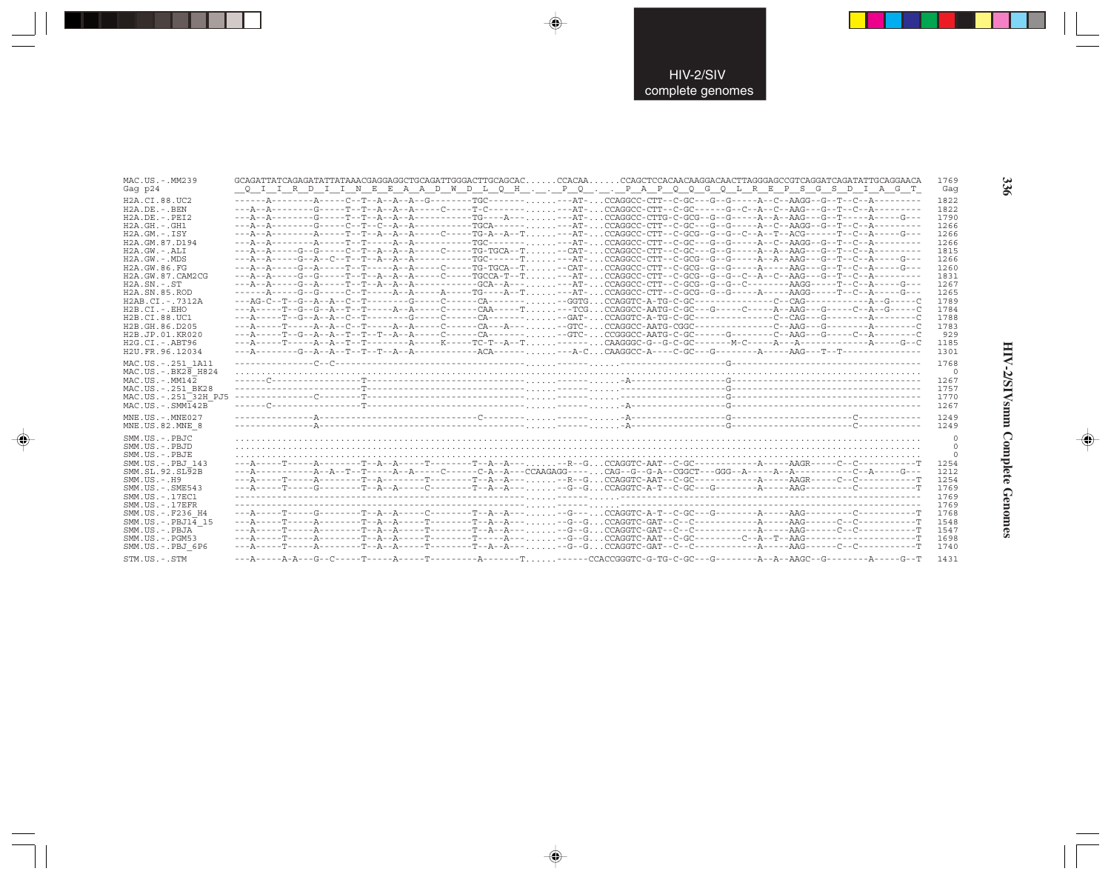| MAC.US.-.MM239                                               |                                                                                                                                 | 1769         |  |
|--------------------------------------------------------------|---------------------------------------------------------------------------------------------------------------------------------|--------------|--|
| Gag p24                                                      | Q I I R D I I N E E A A D W D L Q H P Q P A P Q Q G Q L R E P S G S D I A G T                                                   | Gaq          |  |
| H2A.CI.88.UC2                                                |                                                                                                                                 | 1822         |  |
| $H2A.DE. - .BEN$                                             |                                                                                                                                 | 1822         |  |
| $H2A.DE. - .PEI2$                                            |                                                                                                                                 | 1790         |  |
| $H2A.GH. - .GH1$                                             |                                                                                                                                 | 1266         |  |
| $H2A.GM.-.ISY$                                               | ---A--A---------A-----T--R--A--A--A-----C-----TG-A--A--T---AT-CCAGGCC-CTT--C-GCG--G--G--C--A--T--ACG-------T--C--A-----G---     | 1266         |  |
| H2A.GM.87.D194                                               |                                                                                                                                 | 1266         |  |
| H2A.GW.-.ALI                                                 | ---A--A----G--G-----C--T--A--A-----C-----TG-TGCA--T-CAT-CCAGGCC-CTT--C-GC---G--G-----A--AA--AAG---G--T--C--A--------            | 1815         |  |
| $H2A.GW. - .MDS$                                             |                                                                                                                                 | 1266         |  |
| H2A.GW.86.FG                                                 | ---A--A-----G--A-----T--T-----A--A-----C----TG-TGCA--T-CAT-CCAGGCC-CTT--C-GCG--G--G------AA-----AAG---G--T--C--A-----G---       | 1260         |  |
| H2A.GW.87.CAM2CG                                             |                                                                                                                                 | 1831         |  |
| $H2A$ . $SN. - . ST$                                         |                                                                                                                                 | 1267         |  |
| H <sub>2</sub> A.SN.85.ROD                                   | -------A-----G--G-----C--T-----A--A------A-----TG----A--T---AT-CCAGGCC-CTT--C-GCG--G--G-----A-----A-GG-----T--C--A-----G---     | 1265         |  |
|                                                              |                                                                                                                                 |              |  |
| H2AB.CI.-.7312A                                              |                                                                                                                                 | 1789         |  |
| $H2B.CI.-.EHO$                                               | ---A-----T--G--G--A--T---T-----A--A-----C------CAA-----T---TCGCCAGGCC-AATG-C-GC---G----C-----A--AAG---G----C--A--G-----C        | 1784         |  |
| H2B.CI.88.UC1                                                |                                                                                                                                 | 1788         |  |
| H2B.GH.86.D205                                               |                                                                                                                                 | 1783         |  |
| H2B.JP.01.KR020                                              |                                                                                                                                 | 929          |  |
| $H2G.CI.-.ABT96$                                             |                                                                                                                                 | 1185         |  |
| H2U.FR.96.12034                                              |                                                                                                                                 | 1301         |  |
| MAC.US. - . 251 1A11                                         |                                                                                                                                 | 1768         |  |
| $MAC.US.-.BK2\overline{8}$ H824                              |                                                                                                                                 | $\Omega$     |  |
| $MAC. US. - . MM142$                                         |                                                                                                                                 | 1267         |  |
| MAC.US. - . 251 BK28                                         |                                                                                                                                 | 1757         |  |
|                                                              |                                                                                                                                 |              |  |
| MAC.US.-.251 <sup>-32H</sup> PJ5<br>$MAC . US . - . SIM142B$ |                                                                                                                                 | 1770         |  |
|                                                              |                                                                                                                                 | 1267         |  |
| $MNE$ . U.S. - $MNE$ 027                                     |                                                                                                                                 | 1249         |  |
| MNE.US.82.MNE 8                                              |                                                                                                                                 | 1249         |  |
| SMM.US.-.PBJC                                                |                                                                                                                                 | $\mathbf{0}$ |  |
| SMM.US.-.PBJD                                                |                                                                                                                                 | $\Omega$     |  |
| SMM.US.-.PBJE                                                |                                                                                                                                 |              |  |
| SMM.US. - PBJ 143                                            |                                                                                                                                 | $\circ$      |  |
|                                                              |                                                                                                                                 | 1254         |  |
| SMM.SL.92.SL92B                                              | ---A----------A--A--T--T-----A--A-----C-----C-A--A---CCAAGAGG---- CAG--G--G-A--CGGCT---GGG--A-----A--A---------C--A-----G--G--- | 1212         |  |
| $SMM.US. - .H9$                                              |                                                                                                                                 | 1254         |  |
| SMM.US.-.SME543                                              |                                                                                                                                 | 1769         |  |
| SMM. US. - . 17EC1                                           |                                                                                                                                 | 1769         |  |
| $SMM. US. - .17EFR$                                          |                                                                                                                                 | 1769         |  |
| SMM.US.-.F236 H4                                             |                                                                                                                                 | 1768         |  |
| SMM.US.-.PBJ14 15                                            |                                                                                                                                 | 1548         |  |
| SMM.US.-.PBJA                                                |                                                                                                                                 | 1547         |  |
| SMM.US.-.PGM53                                               |                                                                                                                                 | 1698         |  |
| SMM.US.-.PBJ 6P6                                             |                                                                                                                                 | 1740         |  |
| STM.US.-.STM                                                 |                                                                                                                                 | 1431         |  |

 $\color{red}\blacklozenge$ 

 $\bigoplus$ 

 $\overline{\bigoplus}$ 

336

HIV-2/SIVsmm Complete Genomes

 $\color{red} \bigoplus$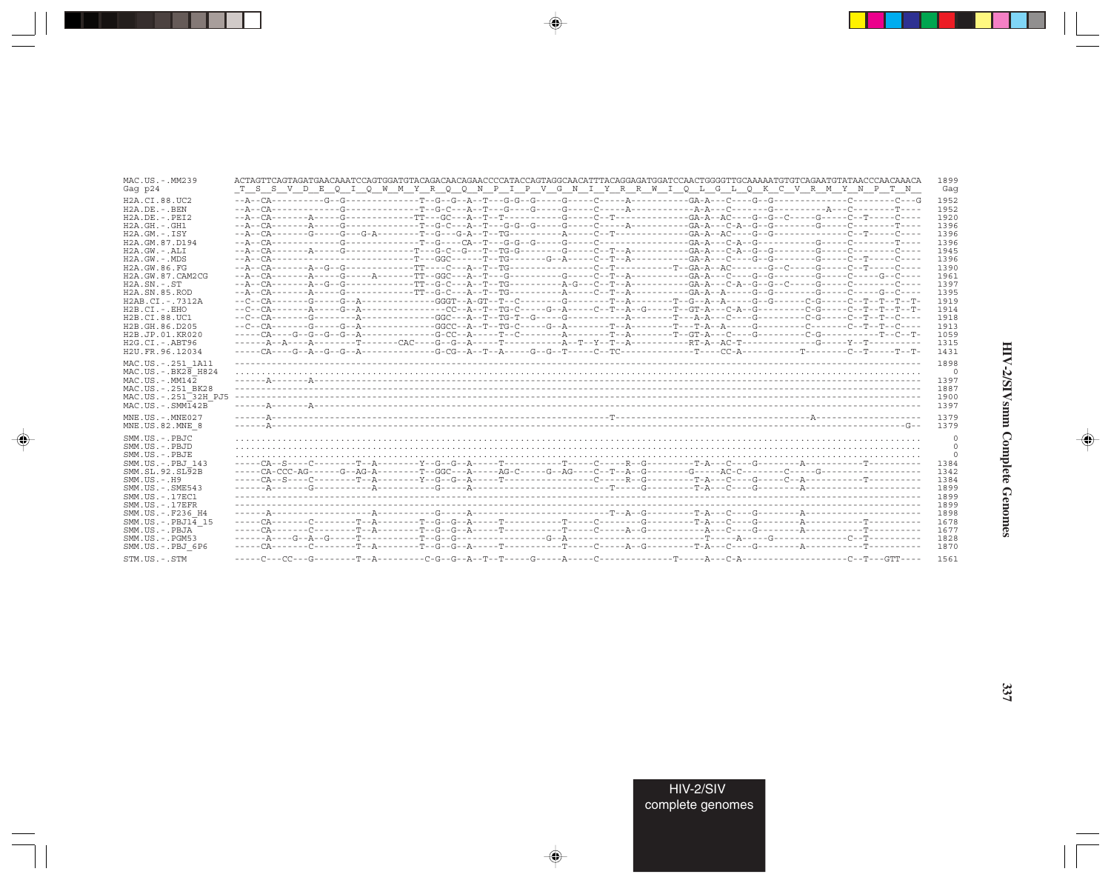| MAC.US.-.MM239                                                                                                                                                                            |                                                                                                                                                                                                                                                                                                                                                                                                                                                                                                                                                      | 1899                                                    |
|-------------------------------------------------------------------------------------------------------------------------------------------------------------------------------------------|------------------------------------------------------------------------------------------------------------------------------------------------------------------------------------------------------------------------------------------------------------------------------------------------------------------------------------------------------------------------------------------------------------------------------------------------------------------------------------------------------------------------------------------------------|---------------------------------------------------------|
| Gag p24                                                                                                                                                                                   | T S S V D E Q I Q W M Y R Q Q N P I P V G N I Y R R W I Q L G L Q K C V R M Y N P T N                                                                                                                                                                                                                                                                                                                                                                                                                                                                | Gaq                                                     |
| H2A.CI.88.UC2                                                                                                                                                                             |                                                                                                                                                                                                                                                                                                                                                                                                                                                                                                                                                      | 1952                                                    |
| $H2A.DE. -.BEN$                                                                                                                                                                           |                                                                                                                                                                                                                                                                                                                                                                                                                                                                                                                                                      | 1952                                                    |
| $H2A.DE. - .PEI2$                                                                                                                                                                         |                                                                                                                                                                                                                                                                                                                                                                                                                                                                                                                                                      | 1920                                                    |
| $H2A.GH. - .GH1$                                                                                                                                                                          | --A--CA--------A-----G---------------T--G-C---A--T---G-G--G-----G-----C-----A---------GA-A---C-A--G--G-------G-----C-------T----                                                                                                                                                                                                                                                                                                                                                                                                                     | 1396                                                    |
| $H2A.GM.-.ISY$                                                                                                                                                                            |                                                                                                                                                                                                                                                                                                                                                                                                                                                                                                                                                      | 1396                                                    |
| H2A.GM.87.D194                                                                                                                                                                            |                                                                                                                                                                                                                                                                                                                                                                                                                                                                                                                                                      | 1396                                                    |
| $H2A.GW. - .ALI$                                                                                                                                                                          |                                                                                                                                                                                                                                                                                                                                                                                                                                                                                                                                                      | 1945                                                    |
| $H2A.GW. - .MDS$                                                                                                                                                                          | --A--CA--------------------------T--GGC------T--TG------G--A-----C--T--A---------GA-A---C----G--G---------G-----C--T-----C----                                                                                                                                                                                                                                                                                                                                                                                                                       | 1396                                                    |
| H2A.GW.86.FG                                                                                                                                                                              |                                                                                                                                                                                                                                                                                                                                                                                                                                                                                                                                                      | 1390                                                    |
| H2A.GW.87.CAM2CG                                                                                                                                                                          |                                                                                                                                                                                                                                                                                                                                                                                                                                                                                                                                                      | 1961                                                    |
| $H2A.SN.-.ST$                                                                                                                                                                             |                                                                                                                                                                                                                                                                                                                                                                                                                                                                                                                                                      | 1397                                                    |
| H <sub>2</sub> A.SN.85.ROD                                                                                                                                                                |                                                                                                                                                                                                                                                                                                                                                                                                                                                                                                                                                      | 1395                                                    |
| H2AB.CI.-.7312A                                                                                                                                                                           | $-c-c-a-\cdots-c-3-\cdots-c-4-\cdots-c-4-\cdots-c-6+2-\cdots-c-6+\cdots-c-1-\cdots-c-1-\cdots-c-1-\cdots-c-4-\cdots-c-4-\cdots-c-6-\cdots-c-6-\cdots-c-1-\cdots-c-1-\cdots-c-1-\cdots-c-1-\cdots-c-1-\cdots-c-1-\cdots-c-1-\cdots-c-1-\cdots-c-1-\cdots-c-1-\cdots-c-1-\cdots-c-1-\cdots-c-1-\cdots-c-1-\cdots-c-1-\cdots-c-1-\cdots-c-1-\cdots-c-1-\cdots-c-1-\cdots-c-1-\cdots-c-1-\cdots-c-1-\cdots-c-1-\cdots-c-$                                                                                                                                | 1919                                                    |
| $H2B.CI.-EHO$                                                                                                                                                                             |                                                                                                                                                                                                                                                                                                                                                                                                                                                                                                                                                      | 1914                                                    |
| H2B.CI.88.UC1                                                                                                                                                                             | --C--CA-------G--------A-------------GGC---A--T--TG-T--G------G---------A-------T---A-A---C----G---------C-G-----C--T--T--C----                                                                                                                                                                                                                                                                                                                                                                                                                      | 1918                                                    |
| H2B.GH.86.D205                                                                                                                                                                            |                                                                                                                                                                                                                                                                                                                                                                                                                                                                                                                                                      | 1913                                                    |
| H2B.JP.01.KR020                                                                                                                                                                           |                                                                                                                                                                                                                                                                                                                                                                                                                                                                                                                                                      | 1059                                                    |
| $H2G.CI.-.ABT96$                                                                                                                                                                          |                                                                                                                                                                                                                                                                                                                                                                                                                                                                                                                                                      | 1315                                                    |
| H2U.FR.96.12034<br>MAC.US. - . 251 1A11<br>$MAC.US.-.BK2\overline{8}$ H824<br>$MAC. US.-. MM142$<br>MAC.US. - . 251 BK28<br>MAC.US.-.251 <sup>-32H</sup> PJ5<br>$MAC . IJS . - . SIMT42B$ | $\begin{minipage}{0.9\textwidth} \begin{minipage}{0.9\textwidth} \centering \begin{minipage}{0.9\textwidth} \centering \end{minipage} \begin{minipage}{0.9\textwidth} \centering \begin{minipage}{0.9\textwidth} \centering \end{minipage} \begin{minipage}{0.9\textwidth} \centering \end{minipage} \begin{minipage}{0.9\textwidth} \centering \begin{minipage}{0.9\textwidth} \centering \end{minipage} \begin{minipage}{0.9\textwidth} \centering \end{minipage} \begin{minipage}{0.9\textwidth} \centering \end{minipage} \begin{minipage}{0.9\$ | 1431<br>1898<br>$\circ$<br>1397<br>1887<br>1900<br>1397 |
| MNE.US.-.MNE027                                                                                                                                                                           |                                                                                                                                                                                                                                                                                                                                                                                                                                                                                                                                                      | 1379                                                    |
| MNE.US.82.MNE 8                                                                                                                                                                           |                                                                                                                                                                                                                                                                                                                                                                                                                                                                                                                                                      | 1379                                                    |
| SMM.US.-.PBJC                                                                                                                                                                             |                                                                                                                                                                                                                                                                                                                                                                                                                                                                                                                                                      | $\circ$                                                 |
| SMM.US.-.PBJD                                                                                                                                                                             |                                                                                                                                                                                                                                                                                                                                                                                                                                                                                                                                                      | 0                                                       |
| SMM.US.-.PBJE                                                                                                                                                                             |                                                                                                                                                                                                                                                                                                                                                                                                                                                                                                                                                      | $\mathbf{0}$                                            |
| SMM.US.-.PBJ 143                                                                                                                                                                          |                                                                                                                                                                                                                                                                                                                                                                                                                                                                                                                                                      | 1384                                                    |
| SMM.SL.92.SL92B                                                                                                                                                                           |                                                                                                                                                                                                                                                                                                                                                                                                                                                                                                                                                      | 1342                                                    |
| $SMM. US. - . H9$                                                                                                                                                                         |                                                                                                                                                                                                                                                                                                                                                                                                                                                                                                                                                      | 1384                                                    |
| $SMM.US. - .SME543$                                                                                                                                                                       |                                                                                                                                                                                                                                                                                                                                                                                                                                                                                                                                                      | 1899                                                    |
| SMM. US. - . 17EC1                                                                                                                                                                        |                                                                                                                                                                                                                                                                                                                                                                                                                                                                                                                                                      | 1899                                                    |
| $SMM$ . US. $-$ . 17EFR                                                                                                                                                                   |                                                                                                                                                                                                                                                                                                                                                                                                                                                                                                                                                      | 1899                                                    |
| SMM.US.-.F236 H4                                                                                                                                                                          |                                                                                                                                                                                                                                                                                                                                                                                                                                                                                                                                                      | 1898                                                    |
| $SMM.US.-.PBJ14$ 15                                                                                                                                                                       |                                                                                                                                                                                                                                                                                                                                                                                                                                                                                                                                                      | 1678                                                    |
| SMM.US.-.PBJA                                                                                                                                                                             |                                                                                                                                                                                                                                                                                                                                                                                                                                                                                                                                                      | 1677                                                    |
| $SMM.US. - . PGM53$                                                                                                                                                                       |                                                                                                                                                                                                                                                                                                                                                                                                                                                                                                                                                      | 1828                                                    |
| SMM.US.-.PBJ 6P6                                                                                                                                                                          |                                                                                                                                                                                                                                                                                                                                                                                                                                                                                                                                                      | 1870                                                    |
| STM.US.-.STM                                                                                                                                                                              |                                                                                                                                                                                                                                                                                                                                                                                                                                                                                                                                                      | 1561                                                    |

 $\begin{picture}(20,5) \put(0,0){\vector(0,1){10}} \put(15,0){\vector(0,1){10}} \put(15,0){\vector(0,1){10}} \put(15,0){\vector(0,1){10}} \put(15,0){\vector(0,1){10}} \put(15,0){\vector(0,1){10}} \put(15,0){\vector(0,1){10}} \put(15,0){\vector(0,1){10}} \put(15,0){\vector(0,1){10}} \put(15,0){\vector(0,1){10}} \put(15,0){\vector(0,1){10}} \put(15,0){\vector(0,$ 

a shekara 1960

 $\overrightarrow{\phantom{a}}$ 

 $\frac{\partial \mathcal{L}}{\partial \mathbf{r}} = \frac{\partial \mathcal{L}}{\partial \mathbf{r}}$ 

# HIV-2/SIVsmm Complete Genomes

 $\begin{picture}(20,5) \put(0,0){\line(1,0){10}} \put(15,0){\line(1,0){10}} \put(15,0){\line(1,0){10}} \put(15,0){\line(1,0){10}} \put(15,0){\line(1,0){10}} \put(15,0){\line(1,0){10}} \put(15,0){\line(1,0){10}} \put(15,0){\line(1,0){10}} \put(15,0){\line(1,0){10}} \put(15,0){\line(1,0){10}} \put(15,0){\line(1,0){10}} \put(15,0){\line(1,$ 

 $\equiv$ 

 $\Box$ 

. . .

٠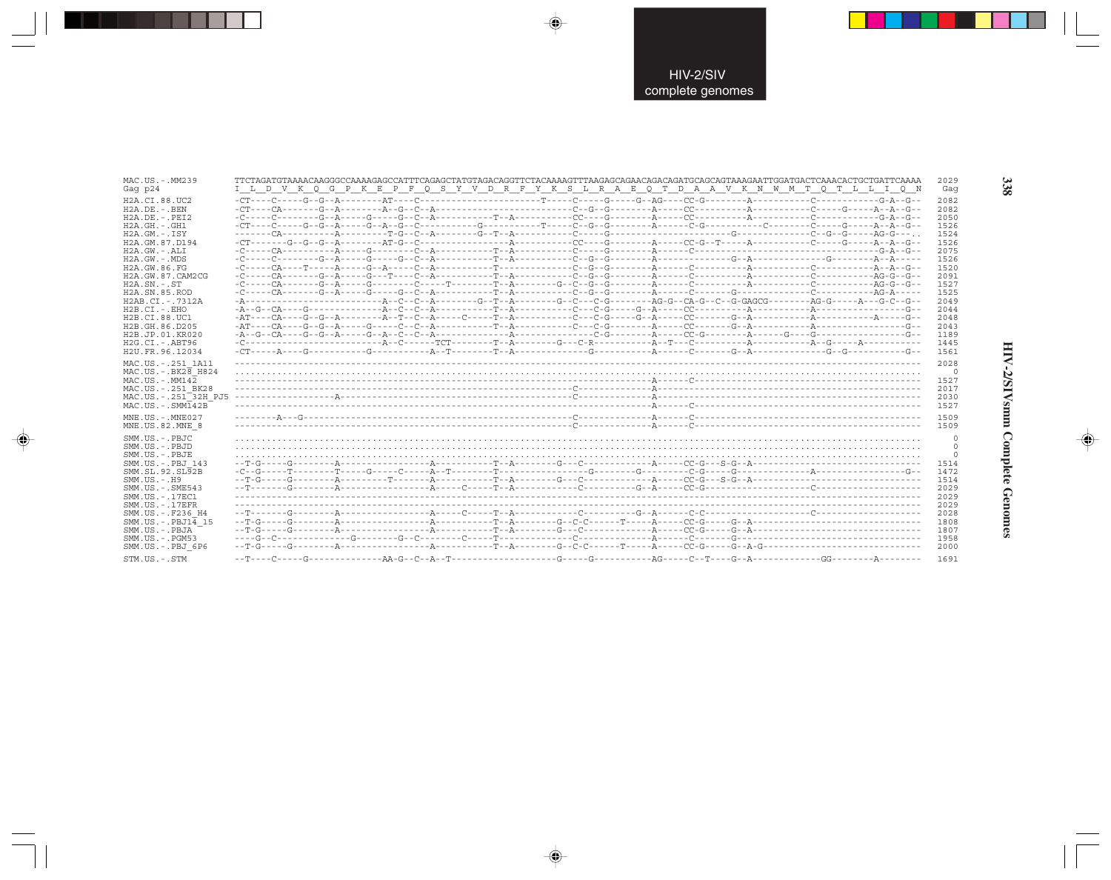| MAC.US.-.MM239<br>Gag p24                                                                                                                       | I L D V K Q G P K E P F Q S Y V D R F Y K S L R A E Q T D A A V K N W M T Q T L L I Q N |  | 2029<br>Gaq                                      |
|-------------------------------------------------------------------------------------------------------------------------------------------------|-----------------------------------------------------------------------------------------|--|--------------------------------------------------|
| H2A.CI.88.UC2<br>$H2A.DE. - . BEN$<br>$H2A.DE. - .PEI2$                                                                                         |                                                                                         |  | 2082<br>2082<br>2050                             |
| $H2A.GH. - .GH1$<br>$H2A.GM.-.ISY$<br>H2A.GM.87.D194<br>H2A.GW.-.ALI                                                                            |                                                                                         |  | 1526<br>1524<br>1526<br>2075                     |
| $H2A.GW. - .MDS$<br>H2A.GW.86.FG<br>H2A.GW.87.CAM2CG<br>$H2A.SN.-.ST$                                                                           |                                                                                         |  | 1526<br>1520<br>2091<br>1527                     |
| H2A.SN.85.ROD<br>H2AB.CI.-.7312A<br>$H2B.CI.-.EHO$                                                                                              |                                                                                         |  | 1525<br>2049<br>2044                             |
| H2B.CI.88.UC1<br>H2B.GH.86.D205<br>H2B.JP.01.KR020<br>H2G.CI.-.ABT96<br>H2U.FR.96.12034                                                         |                                                                                         |  | 2048<br>2043<br>1189<br>1445<br>1561             |
| MAC.US.-.251 1A11<br>MAC.US. - . BK28 H824<br>$MAC. US. - . MM142$<br>MAC.US. - . 251 BK28<br>MAC.US.-.251 32H PJ5<br>$MAC . IJS . - . SIMT42B$ |                                                                                         |  | 2028<br>$\Omega$<br>1527<br>2017<br>2030<br>1527 |
| MNE.US.-.MNE027<br>MNE.US.82.MNE 8                                                                                                              |                                                                                         |  | 1509<br>1509                                     |
| SMM.US.-.PBJC<br>SMM.US.-.PBJD<br>SMM.US.-.PBJE<br>SMM.US.-.PBJ 143<br>SMM.SL.92.SL92B<br>$SMM.US. - .H9$<br>$SMM.US. - .SME543$                |                                                                                         |  | 1514<br>1472<br>1514<br>2029                     |
| SMM.US. - . 17EC1<br>$SMM. US. - .17EFR$<br>SMM.US.-.F236 H4<br>$SMM.US.-.PBJ14$ 15<br>SMM.US.-.PBJA<br>$SMM. US. - . PGM53$                    |                                                                                         |  | 2029<br>2029<br>2028<br>1808<br>1807<br>1958     |
| SMM.US.-.PBJ 6P6<br>STM.US.-.STM                                                                                                                |                                                                                         |  | 2000<br>1691                                     |

 $\Rightarrow$ 

 $\Rightarrow$ 

 $\color{red} \blacklozenge$ 

338

HIV-2/SIVsmm Complete Genomes

 $\Rightarrow$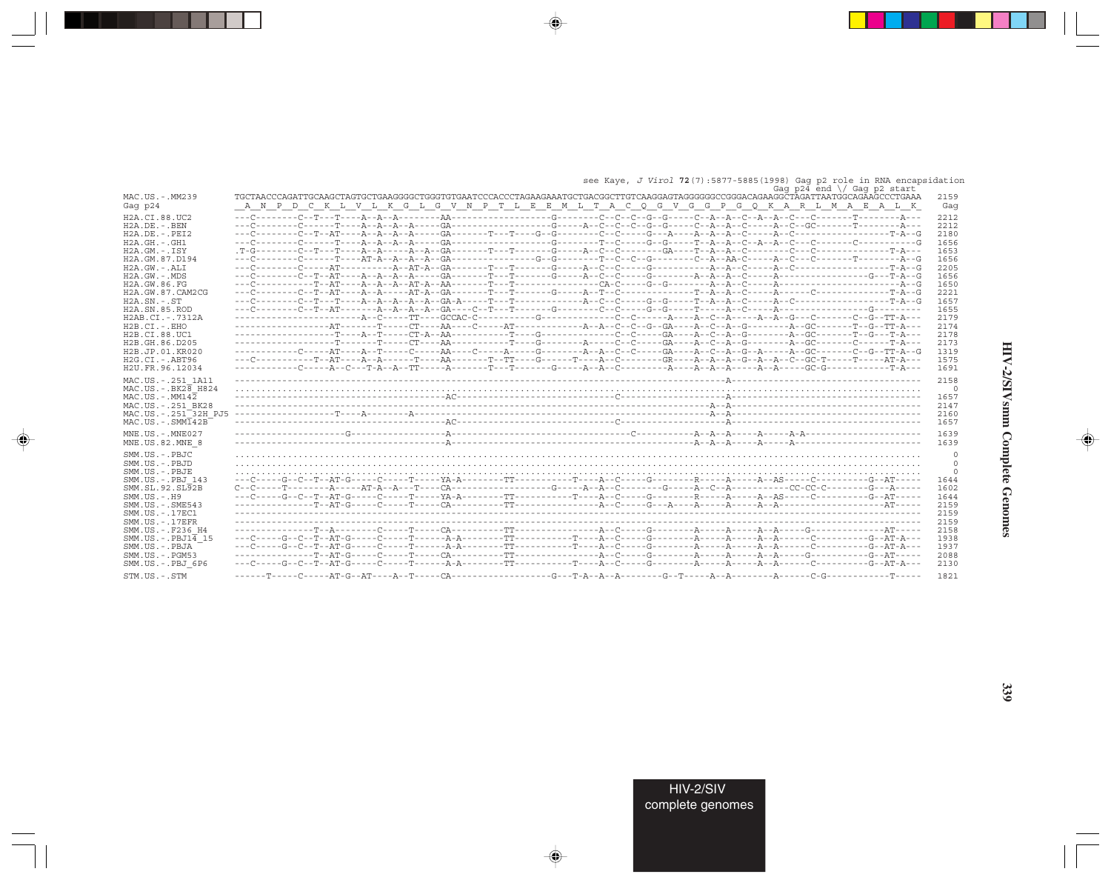|  |  | see Kaye, J Virol 72(7):5877-5885(1998) Gag p2 role in RNA encapsidation |  |  |  |                                                       |
|--|--|--------------------------------------------------------------------------|--|--|--|-------------------------------------------------------|
|  |  |                                                                          |  |  |  | しんしょう こうこうしん かいしん しんしょう こうしん こうしん かんしょう こうしんかい しゅうしょう |

|                                                                 | ---- --- ----- --------------<br>Gag $p24$ end $\sqrt{}$ Gag $p2$ start                                                                                                                                                                                                                                                                                                                       |
|-----------------------------------------------------------------|-----------------------------------------------------------------------------------------------------------------------------------------------------------------------------------------------------------------------------------------------------------------------------------------------------------------------------------------------------------------------------------------------|
| MAC.US.-.MM239                                                  | TGCTAACCCAGATTGCAAGCTAGTGCTGAAGGGGCTGGGTGTGAATCCCACCCTAGAAGAAATGCTGACGGCTTGTCAAGGAGTAGGGGGCCCGGGACAGAAGGCTAGATTAATGGCAGAAGCCCTGAAA<br>2159                                                                                                                                                                                                                                                    |
| Gag p24                                                         | A N P D C K L V L K G L G V N P T L E E M L T A C Q G V G G P G Q K A R L M A E A L K<br>Gaq                                                                                                                                                                                                                                                                                                  |
| H2A.CI.88.UC2                                                   | 2212                                                                                                                                                                                                                                                                                                                                                                                          |
| $H2A.DE. - .BEN$                                                | 2212                                                                                                                                                                                                                                                                                                                                                                                          |
| $H2A.DE. - .PEI2$                                               | 2180                                                                                                                                                                                                                                                                                                                                                                                          |
| $H2A.GH.-.GH1$<br>H2A.GM.-.ISY                                  | 1656<br>1653                                                                                                                                                                                                                                                                                                                                                                                  |
| H <sub>2</sub> A. GM, 87, D <sub>194</sub>                      | 1656                                                                                                                                                                                                                                                                                                                                                                                          |
| $H2A.GW. - .ALI$                                                | 2205                                                                                                                                                                                                                                                                                                                                                                                          |
| $H2A.GW. - .MDS$                                                | 1656                                                                                                                                                                                                                                                                                                                                                                                          |
| H2A.GW.86.FG                                                    | 1650                                                                                                                                                                                                                                                                                                                                                                                          |
| H2A.GW.87.CAM2CG                                                | 2221                                                                                                                                                                                                                                                                                                                                                                                          |
| $H2A.SN.-.ST$                                                   | 1657                                                                                                                                                                                                                                                                                                                                                                                          |
| H <sub>2</sub> A.SN.85.ROD                                      | 1655                                                                                                                                                                                                                                                                                                                                                                                          |
| H2AB.CI.-.7312A                                                 | 2179                                                                                                                                                                                                                                                                                                                                                                                          |
| H2B.CI.-.EHO                                                    | 2174                                                                                                                                                                                                                                                                                                                                                                                          |
| H2B.CI.88.UC1                                                   | 2178                                                                                                                                                                                                                                                                                                                                                                                          |
| H2B.GH.86.D205<br>H2B.JP.01.KR020                               | 2173<br>------------C----AT----A--T-----C-----AA----C-----A-----G---------A--C--C-----GA----A--C--A--G--A---G--G-----C--G--TT-A--G<br>1319                                                                                                                                                                                                                                                    |
| H2G.CI. - . ABT96                                               | 1575                                                                                                                                                                                                                                                                                                                                                                                          |
| H2U.FR.96.12034                                                 | 1691                                                                                                                                                                                                                                                                                                                                                                                          |
|                                                                 |                                                                                                                                                                                                                                                                                                                                                                                               |
| MAC.US. - . 251 1A11<br>$MAC$ . US. - . BK $2\overline{8}$ H824 | 2158                                                                                                                                                                                                                                                                                                                                                                                          |
| $MAC. US.-. MM142$                                              | $\Omega$<br>1657                                                                                                                                                                                                                                                                                                                                                                              |
| MAC.US. - . 251 BK28                                            | 2147                                                                                                                                                                                                                                                                                                                                                                                          |
| MAC.US.-.251 32H PJ5                                            | 2160                                                                                                                                                                                                                                                                                                                                                                                          |
| $MAC . US . - . SIM142B$                                        | 1657                                                                                                                                                                                                                                                                                                                                                                                          |
| MNE.US.-.MNE027                                                 | 1639                                                                                                                                                                                                                                                                                                                                                                                          |
| MNE.US.82.MNE 8                                                 | 1639                                                                                                                                                                                                                                                                                                                                                                                          |
|                                                                 |                                                                                                                                                                                                                                                                                                                                                                                               |
| $SMM. US. - PB. TC$                                             | $\Omega$                                                                                                                                                                                                                                                                                                                                                                                      |
| SMM.US.-.PBJD                                                   | $\mathbf{0}$                                                                                                                                                                                                                                                                                                                                                                                  |
| SMM.US.-.PBJE<br>SMM.US.-.PBJ 143                               | 0<br>1644                                                                                                                                                                                                                                                                                                                                                                                     |
| SMM.SL.92.SL92B                                                 | $C--C--.----T--.----A---A+--.--AT-----CA-------------G---A--A--C---A--C------A--C--A--C--A-----------CC-CC---------G---A---------C--A-----------C--A---------C---------C---------C---------C---------C---------C---------C---------C---------C---------C---------C---------C---------C---------C---------C---------C---------C---------C---------C---------C---------C---------C----$<br>1602 |
| $SMM.US.-.H9$                                                   | 1644                                                                                                                                                                                                                                                                                                                                                                                          |
| $SMM. US. - . SME543$                                           | 2159                                                                                                                                                                                                                                                                                                                                                                                          |
| SMM.US.-.17EC1                                                  | 2159                                                                                                                                                                                                                                                                                                                                                                                          |
| $SMM. US. - .17EFR$                                             | 2159                                                                                                                                                                                                                                                                                                                                                                                          |
| SMM.US. - . F236 H4                                             | 2158                                                                                                                                                                                                                                                                                                                                                                                          |
| SMM.US.-.PBJ14 15                                               | 1938                                                                                                                                                                                                                                                                                                                                                                                          |
| SMM.US.-.PBJA                                                   | 1937                                                                                                                                                                                                                                                                                                                                                                                          |
| $SMM. US. - . PGM53$                                            | 2088                                                                                                                                                                                                                                                                                                                                                                                          |
| SMM.US.-.PBJ 6P6                                                | 2130                                                                                                                                                                                                                                                                                                                                                                                          |
| STM.US.-.STM                                                    | 1821                                                                                                                                                                                                                                                                                                                                                                                          |

 $\overrightarrow{\phantom{a}}$ 

 $\Rightarrow$ 

. . .

 $\Rightarrow$ 

 $\overline{\blacklozenge}$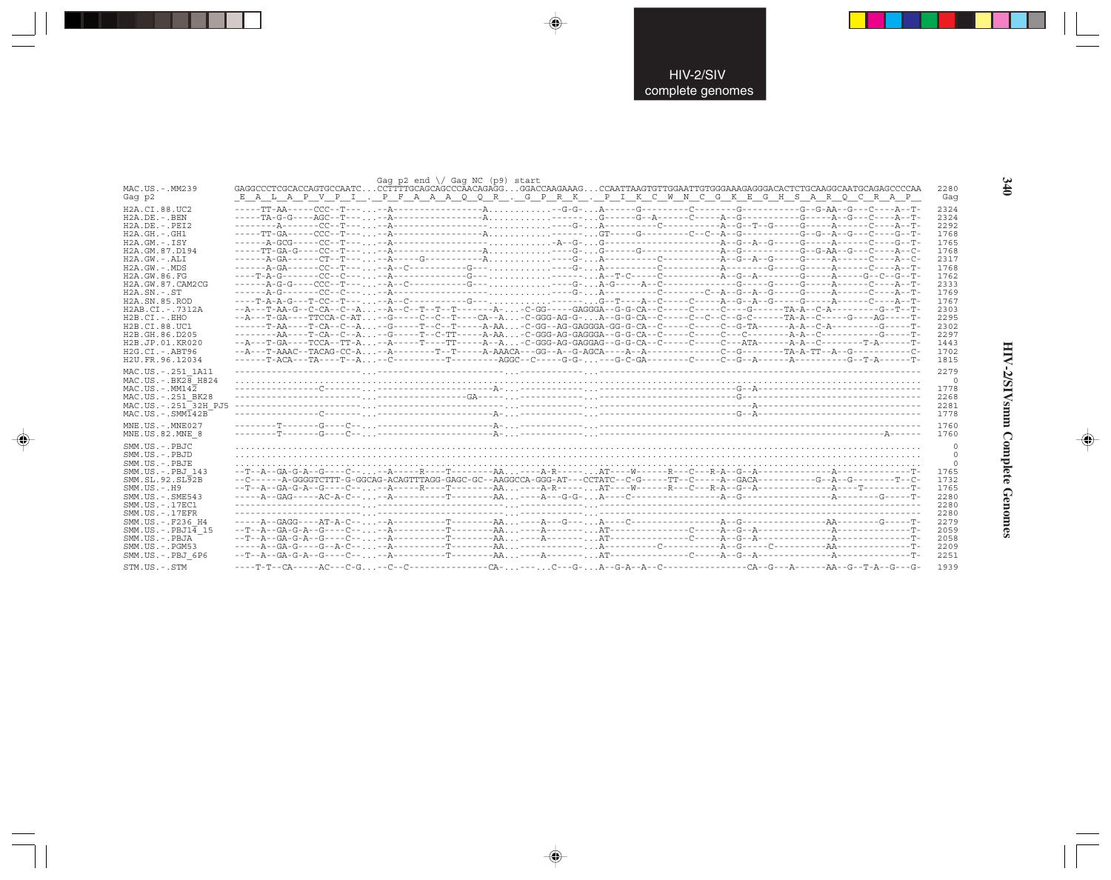| MAC.US.-.MM239                                                                                                                                                                                                                                                                                                                                            | GAGGCCCTCGCACCAGTGCCAATCCCTTTTGCAGCAGCCCAACAGAGGGGACCAAGAAAGCCAATTAAGTGTTGGAATTGTGGGAAAGGGACACTCTGCAAGGCAATGCCAGAGCCCAA                                                                                                                                                                                                                                       | Gag $p2$ end $\}/$ Gag NC ( $p9$ ) start |  |  | 2280                                                                                                                                         |
|-----------------------------------------------------------------------------------------------------------------------------------------------------------------------------------------------------------------------------------------------------------------------------------------------------------------------------------------------------------|---------------------------------------------------------------------------------------------------------------------------------------------------------------------------------------------------------------------------------------------------------------------------------------------------------------------------------------------------------------|------------------------------------------|--|--|----------------------------------------------------------------------------------------------------------------------------------------------|
| Gag p2                                                                                                                                                                                                                                                                                                                                                    | E A L A P V P I . P F A A A Q Q R . G P R K . P I K C W N C G K E G H S A R Q C R A P                                                                                                                                                                                                                                                                         |                                          |  |  | Gaq                                                                                                                                          |
| H2A.CI.88.UC2<br>$H2A.DE. - .BEN$<br>$H2A.DE. - .PEI2$<br>H2A.GH.-.GH1<br>H2A.GM.-.ISY<br>H2A.GM.87.D194<br>$H2A.GW.-.ALI$<br>$H2A.GW. - .MDS$<br>H2A.GW.86.FG<br>H2A.GW.87.CAM2CG<br>$H2A$ . $SN. - . ST$<br>H <sub>2</sub> A.SN.85.ROD<br>$H2AB.CI. - .7312A$<br>$H2B.CI.-.EHO$<br>H2B.CI.88.UC1<br>H2B.GH.86.D205<br>H2B.JP.01.KR020<br>H2G.CI.-.ABT96 | ----T-A-A-G---T-CC--T-----A--C----------G---------G--T----A--C-----C-----A--G--A--G-----A-----C----A--T-<br>--A---T-AA-G--C-CA--C--A--A--C--T--T--T------A--C-GG-----GAGGGA--G-C-CA--C-----C-----C----G--T-A-A--C-A---------G--T--T-<br>--A---T-GA----TTCCA-C-AT--G-----C--C--T----CA--A-C-GGG-AG-G-A--G-G-CA--C-----C--C--G-C-----TA-A--C-----G----AG-----T- |                                          |  |  | 2324<br>2324<br>2292<br>1768<br>1765<br>1768<br>2317<br>1768<br>1762<br>2333<br>1769<br>1767<br>2303<br>2295<br>2302<br>2297<br>1443<br>1702 |
| H2U.FR.96.12034<br>MAC.US. - . 251 1A11<br>MAC.US. - . BK28 H824<br>$MAC . US . - . MM142$<br>MAC.US.-.251 BK28<br>MAC.US.-.251 <sup>-32H</sup> PJ5<br>$MAC. US. - . SIM142B$                                                                                                                                                                             |                                                                                                                                                                                                                                                                                                                                                               |                                          |  |  | 1815<br>2279<br>$\circ$<br>1778<br>2268<br>2281<br>1778<br>1760                                                                              |
| MNE.US.-.MNE027<br>MNE.US.82.MNE 8                                                                                                                                                                                                                                                                                                                        |                                                                                                                                                                                                                                                                                                                                                               |                                          |  |  | 1760                                                                                                                                         |
| SMM.US.-.PBJC<br>SMM.US.-.PBJD<br>SMM.US.-.PBJE<br>SMM.US. -. PBJ 143<br>SMM.SL.92.SL92B<br>$SMM. US. - . H9$<br>SMM. US. - . SME543<br>SMM. US. - . 17EC1<br>$SMM. US. - .17EFR$<br>SMM.US. - . F236 H4<br>$SMM.US.-.PBJ1\overline{4}15$<br>SMM.US.-.PBJA<br>$SMM. US. - . PGM53$                                                                        |                                                                                                                                                                                                                                                                                                                                                               |                                          |  |  | $\circ$<br>$\circ$<br>$\mathbf{0}$<br>1765<br>1732<br>1765<br>2280<br>2280<br>2280<br>2279<br>2059<br>2058<br>2209                           |
| SMM.US.-.PBJ 6P6<br>STM.US.-.STM                                                                                                                                                                                                                                                                                                                          |                                                                                                                                                                                                                                                                                                                                                               |                                          |  |  | 2251<br>1939                                                                                                                                 |

 $\begin{picture}(20,5) \put(0,0){\vector(0,1){10}} \put(15,0){\vector(0,1){10}} \put(15,0){\vector(0,1){10}} \put(15,0){\vector(0,1){10}} \put(15,0){\vector(0,1){10}} \put(15,0){\vector(0,1){10}} \put(15,0){\vector(0,1){10}} \put(15,0){\vector(0,1){10}} \put(15,0){\vector(0,1){10}} \put(15,0){\vector(0,1){10}} \put(15,0){\vector(0,1){10}} \put(15,0){\vector(0,$ 

 $\begin{picture}(20,5) \put(0,0){\vector(0,1){10}} \put(15,0){\vector(0,1){10}} \put(15,0){\vector(0,1){10}} \put(15,0){\vector(0,1){10}} \put(15,0){\vector(0,1){10}} \put(15,0){\vector(0,1){10}} \put(15,0){\vector(0,1){10}} \put(15,0){\vector(0,1){10}} \put(15,0){\vector(0,1){10}} \put(15,0){\vector(0,1){10}} \put(15,0){\vector(0,1){10}} \put(15,0){\vector(0,$ 

. . .

 $\begin{picture}(20,5) \put(0,0){\line(1,0){10}} \put(15,0){\line(1,0){10}} \put(15,0){\line(1,0){10}} \put(15,0){\line(1,0){10}} \put(15,0){\line(1,0){10}} \put(15,0){\line(1,0){10}} \put(15,0){\line(1,0){10}} \put(15,0){\line(1,0){10}} \put(15,0){\line(1,0){10}} \put(15,0){\line(1,0){10}} \put(15,0){\line(1,0){10}} \put(15,0){\line(1,$ 

 $\frac{1}{\sqrt{2}}$ 

340

m

٠

HIV-2/SIVsmm Complete Genomes

 $\begin{picture}(20,5) \put(0,0){\line(1,0){10}} \put(15,0){\line(1,0){10}} \put(15,0){\line(1,0){10}} \put(15,0){\line(1,0){10}} \put(15,0){\line(1,0){10}} \put(15,0){\line(1,0){10}} \put(15,0){\line(1,0){10}} \put(15,0){\line(1,0){10}} \put(15,0){\line(1,0){10}} \put(15,0){\line(1,0){10}} \put(15,0){\line(1,0){10}} \put(15,0){\line(1,$ 

 $\frac{1}{1}$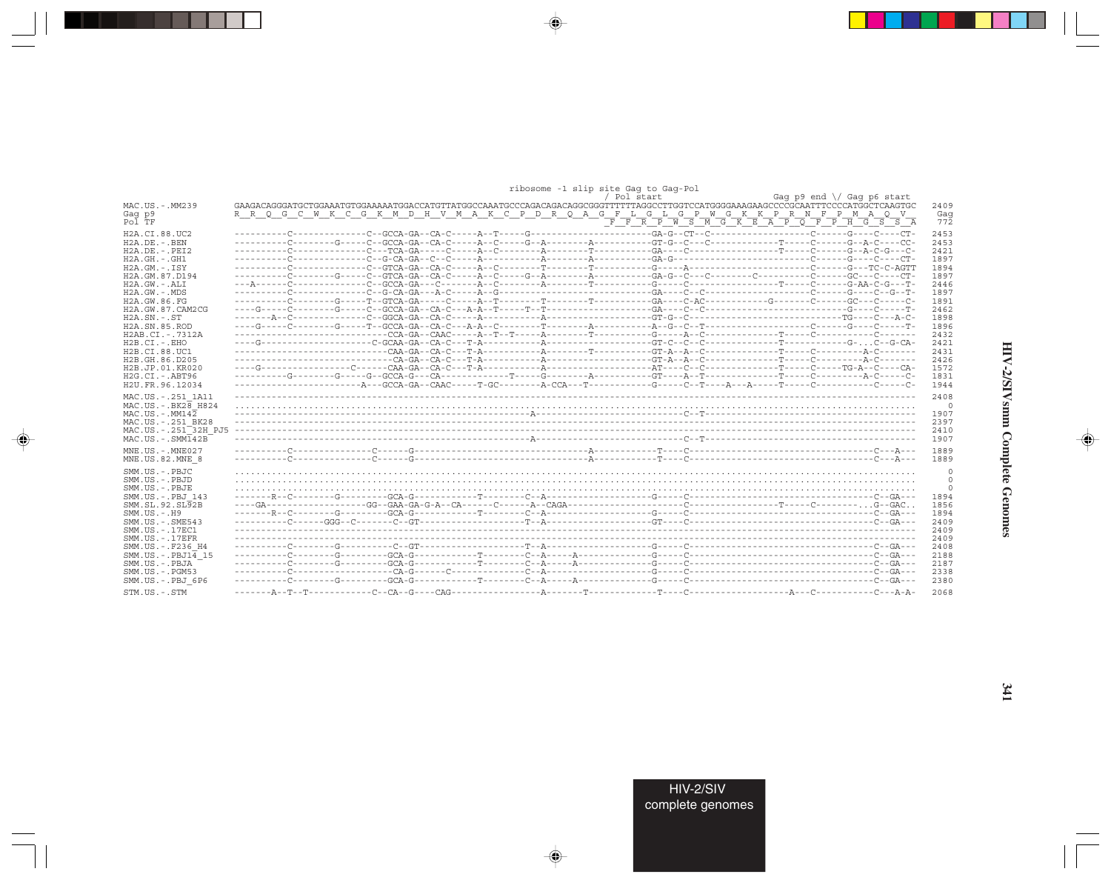|                                        | ribosome -1 slip site Gaq to Gaq-Pol                                                  |                  |
|----------------------------------------|---------------------------------------------------------------------------------------|------------------|
|                                        | Gag p9 end \/ Gag p6 start<br>/ Pol start                                             |                  |
| MAC.US.-.MM239                         |                                                                                       | 2409             |
| Gag p9                                 | R R Q G C W K C G K M D H V M A K C P D R Q A G F L G L G P W G K K P R N F P M A Q V | Gag              |
| Pol TF                                 |                                                                                       | $77\overline{2}$ |
|                                        |                                                                                       |                  |
| H <sub>2</sub> A.CI.88.UC <sub>2</sub> |                                                                                       | 2453             |
| $H2A.DE. - .BEN$                       |                                                                                       | 2453             |
| $H2A.DE. - .PEI2$                      |                                                                                       | 2421             |
| $H2A.GH.-.GH1$                         |                                                                                       | 1897             |
| $H2A.GM. - .ISY$                       |                                                                                       | 1894             |
|                                        |                                                                                       |                  |
| H2A.GM.87.D194                         |                                                                                       | 1897             |
| $H2A.GW. - .ALI$                       |                                                                                       | 2446             |
| $H2A.GW. - .MDS$                       |                                                                                       | 1897             |
| H2A.GW.86.FG                           |                                                                                       | 1891             |
| H2A.GW.87.CAM2CG                       |                                                                                       | 2462             |
| $H2A$ . $SN. - . ST$                   |                                                                                       | 1898             |
| H2A.SN.85.ROD                          |                                                                                       | 1896             |
| H2AB.CI.-.7312A                        |                                                                                       | 2432             |
| $H2B.CI.-EHO$                          |                                                                                       | 2421             |
|                                        |                                                                                       |                  |
| H2B.CI.88.UC1                          |                                                                                       | 2431             |
| H2B.GH.86.D205                         |                                                                                       | 2426             |
| H2B.JP.01.KR020                        |                                                                                       | 1572             |
| $H2G.CI.-ABT96$                        |                                                                                       | 1831             |
| H2U.FR.96.12034                        |                                                                                       | 1944             |
|                                        |                                                                                       |                  |
| MAC.US. - . 251 1A11                   |                                                                                       | 2408             |
| $MAC. US. - . BK28$ $H824$             |                                                                                       | $\overline{0}$   |
| MAC.US.-.MM142                         |                                                                                       | 1907             |
| MAC.US.-.251 BK28                      |                                                                                       | 2397             |
| MAC.US.-.251 <sup>-32H</sup> PJ5       |                                                                                       | 2410             |
| $MAC. US.-. SIM142B$                   |                                                                                       | 1907             |
|                                        |                                                                                       |                  |
| MNE.US.-.MNE027                        |                                                                                       | 1889             |
| MNE.US.82.MNE 8                        |                                                                                       | 1889             |
| SMM.US.-.PBJC                          |                                                                                       | $\circ$          |
|                                        |                                                                                       |                  |
| SMM.US.-.PBJD                          |                                                                                       | $\circ$          |
| SMM.US.-.PBJE                          |                                                                                       | 0                |
| SMM.US.-.PBJ 143                       |                                                                                       | 1894             |
| SMM.SL.92.SL92B                        |                                                                                       | 1856             |
| $SMM. US. - . H9$                      |                                                                                       | 1894             |
| $SMM.US. - .SME543$                    |                                                                                       | 2409             |
| SMM.US.-.17EC1                         |                                                                                       | 2409             |
| $SMM. US. - .17EFR$                    |                                                                                       | 2409             |
| SMM.US. -. F236 H4                     |                                                                                       | 2408             |
|                                        |                                                                                       |                  |
| $SMM.US.-PBJ1\overline{4}15$           |                                                                                       | 2188             |
| SMM.US.-.PBJA                          |                                                                                       | 2187             |
| SMM.US.-.PGM53                         |                                                                                       | 2338             |
| SMM.US.-.PBJ 6P6                       |                                                                                       | 2380             |
| STM.US.-.STM                           |                                                                                       | 2068             |
|                                        |                                                                                       |                  |

 $\begin{picture}(20,5) \put(0,0){\vector(0,1){10}} \put(15,0){\vector(0,1){10}} \put(15,0){\vector(0,1){10}} \put(15,0){\vector(0,1){10}} \put(15,0){\vector(0,1){10}} \put(15,0){\vector(0,1){10}} \put(15,0){\vector(0,1){10}} \put(15,0){\vector(0,1){10}} \put(15,0){\vector(0,1){10}} \put(15,0){\vector(0,1){10}} \put(15,0){\vector(0,1){10}} \put(15,0){\vector(0,$ 

. . . .

 $\overrightarrow{\phantom{a}}$ 

 $\frac{1}{\sqrt{2}}$ 

 $\begin{picture}(20,5) \put(0,0){\line(1,0){10}} \put(15,0){\line(1,0){10}} \put(15,0){\line(1,0){10}} \put(15,0){\line(1,0){10}} \put(15,0){\line(1,0){10}} \put(15,0){\line(1,0){10}} \put(15,0){\line(1,0){10}} \put(15,0){\line(1,0){10}} \put(15,0){\line(1,0){10}} \put(15,0){\line(1,0){10}} \put(15,0){\line(1,0){10}} \put(15,0){\line(1,$ 

 $\equiv$ 

E

 $\blacksquare$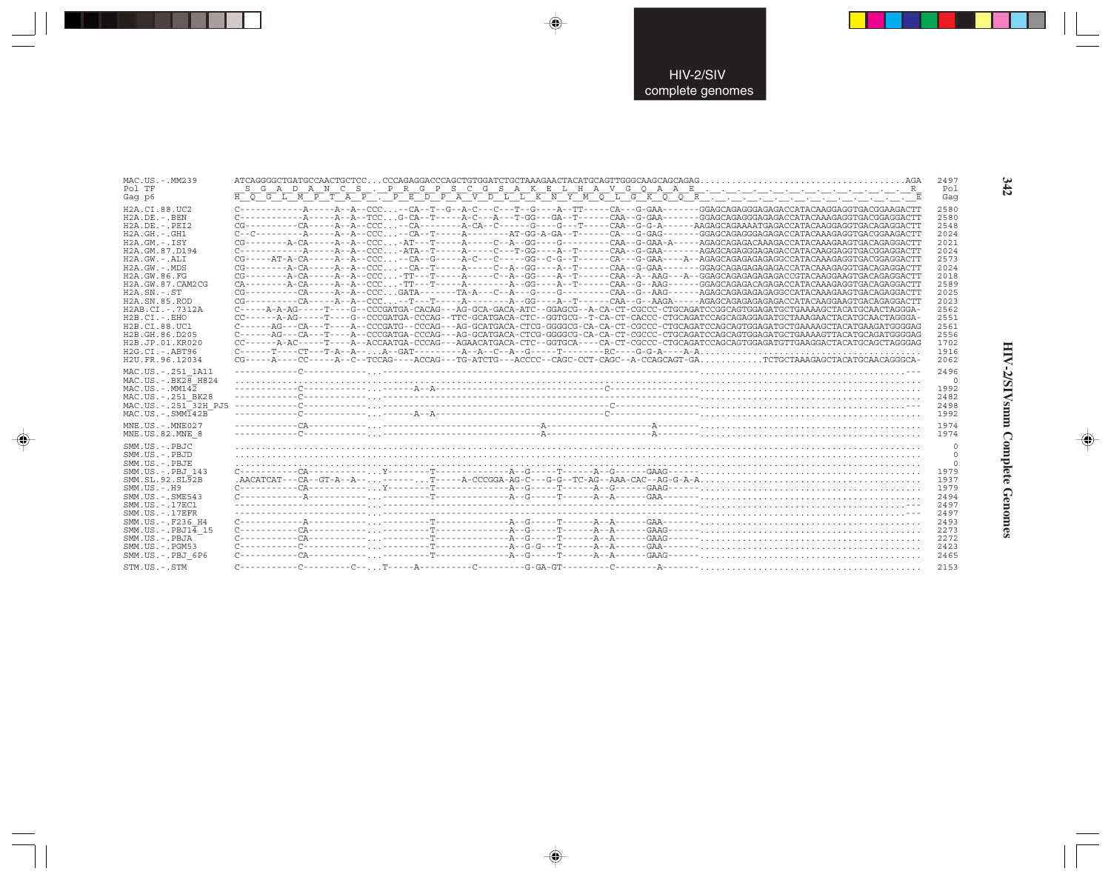| MAC.US.-.MM239<br>Pol TF<br>Gag p6                                                                                                                                                                                                                                                                                                                                                |                                                                                                                                                                                                                                                                                                                                                                                                                                                                                                                                                                                                                                                                                                                                                                                                                                                                                                                                                                                                                                                                                                                                                                                                                                                                                                                                                                                                                                                                                                                                                                                                                                                                                                                                                 | 2497<br>Pol<br>Gaq                                                                                                                           |
|-----------------------------------------------------------------------------------------------------------------------------------------------------------------------------------------------------------------------------------------------------------------------------------------------------------------------------------------------------------------------------------|-------------------------------------------------------------------------------------------------------------------------------------------------------------------------------------------------------------------------------------------------------------------------------------------------------------------------------------------------------------------------------------------------------------------------------------------------------------------------------------------------------------------------------------------------------------------------------------------------------------------------------------------------------------------------------------------------------------------------------------------------------------------------------------------------------------------------------------------------------------------------------------------------------------------------------------------------------------------------------------------------------------------------------------------------------------------------------------------------------------------------------------------------------------------------------------------------------------------------------------------------------------------------------------------------------------------------------------------------------------------------------------------------------------------------------------------------------------------------------------------------------------------------------------------------------------------------------------------------------------------------------------------------------------------------------------------------------------------------------------------------|----------------------------------------------------------------------------------------------------------------------------------------------|
| H2A.CI.88.UC2<br>$H2A.DE. - .BEN$<br>$H2A.DE. - .PEI2$<br>$H2A.GH. - .GH1$<br>$H2A.GM.-.ISY$<br>H2A.GM.87.D194<br>$H2A.GW.-.ALI$<br>$H2A.GW. - MDS$<br>H2A.GW.86.FG<br>H2A.GW.87.CAM2CG<br>$H2A.SN. - .ST$<br>H <sub>2</sub> A.SN.85.ROD<br>H2AB.CI.-.7312A<br>H2B.CI.-.EHO<br>H2B.CI.88.UC1<br>H <sub>2</sub> B. GH, 86, D <sub>205</sub><br>H2B.JP.01.KR020<br>$H2G.CI.-.ABT96$ | $C--C----A---A---A---A--CCC--CA---A---A---A---A+-CG-A-G-A-GA--T----CA---G-GG-AG---G-GG-AGA---GGAGCAGGGGAGAGGCGAGAGACCATACAAGAGGTGACGGAAAGACTT$<br>$CG------A-CA---A---A--ACC-AT---T---A---C--A--GG---G---C---C-A--CAA--G-GAA-A----AGGGCAGAGACAAGACACAAGACCTACAAAGAGTGACAGAGGGACAGAGGACTT$<br>CG-----AT-A-CA-----A--CCC--CA--G-----A-C---C----GG--C-G--T-----CA--G-GAA----A--AGAGCAGAGAGAGAGGCCATACAAAGAGGTGACGGAGGACTT<br>CC - - - - - - - - A - CA - - - - - A - - CCC - TT - - - T - - - - A - - - - C - - A - - CCC - TT - - - - - - A - - CCC - - T - - - A - - - A - - - A - - CG - - - A - - CG - - - A - - T- - - - - - - - - - -<br>CA--------A-CA-----A--CCC-TT---T------A-------A--GG----A--T-----CAA--G--AAG------GGAGCAGAGACAGAGCATACAAAGAGGTGACAGAGGACATT<br>$CG------CA---A---A---A--CCCGATA---TA-A---T-A---C---A---G------CAA--G---AAG---A+AGG-AG---GAGAGGAGAGAGAGAGAGGCCATACAAAGAAGTGGACAGGGCCTA$<br>$CG------CA---A---A---A--CCC---T---A---A---A---GG---A---T---A---CAA--G---AAGA---AGGAGGAGAGAGAGAGAGAGACCATACAAGGAAGTGAGAGGGGGCT$<br>C-----A-A-AG-----T---G--CCCGATGA-CACAG---AG-GCA-GACA-ATC--GGAGCG--A-CA-CT-CGCCC-CTGCAGATCCGGCAGTGGAGATGCTGAAAAGCTACATGCAACTAGGGA-<br>CC------A-AG-----T---G--CCCGATGA-CCCAG--TTC-GCATGACA-CTC--GGTGCG--T-CA-CT-CACCC-CTGCAGATCCAGCAGAGGAGATGCTAAAGAACTACATGCAACTAGGGA-<br>C------AG---CA---T----A--CCCGATG--CCCAG---AG-GCATGACA-CTCG-GGGGCG-CA-CA-CT-CGCCC-CTGCAGATCCAGCAGTGGAGATGCTGAAAAGCTACATGAAGATGGGGAG<br>C------AG---CA---T----A--CCCGATGA-CCCAG---AG-GCATGACA-CTCG-GGGGCG-CA-CA-CT-CGCCC-CTGCAGATCCAGCAGTGGAGATGCTGAAAAATTACATGCAGATGGGGAG<br>CC------A-AC-----T---A--ACCAATGA-CCCAG---AGAACATGACA-CTC--GGTGCA----CA-CT-CGCCC-CTGCAGATCCAGCAGTGGAGATGTTGAAGGACTACATGCAGCTAGGGAG | 2580<br>2580<br>2548<br>2024<br>2021<br>2024<br>2573<br>2024<br>2018<br>2589<br>2025<br>2023<br>2562<br>2551<br>2561<br>2556<br>1702<br>1916 |
| H2U.FR.96.12034                                                                                                                                                                                                                                                                                                                                                                   | CG-----A---CC-----A--C--TCCAG----ACCAG---TG-ATCTG---ACCCC--CAGC-CCT-CAGC--A-CCAGCAGT-GATCTGCTAAAGAGCTACATGCAACAGGGCA-                                                                                                                                                                                                                                                                                                                                                                                                                                                                                                                                                                                                                                                                                                                                                                                                                                                                                                                                                                                                                                                                                                                                                                                                                                                                                                                                                                                                                                                                                                                                                                                                                           | 2062                                                                                                                                         |
| MAC.US. - . 251 1A11<br>$MAC. US.-.BK2B$ H824<br>$MAC. US. - . MM142$<br>MAC.US. - . 251 BK28<br>MAC.US.-.251 <sup>-32H</sup> PJ5<br>$MAC . IJS. - . SIM142B$<br>MNE.US.-.MNE027                                                                                                                                                                                                  | $\frac{1}{2} \frac{1}{2} \frac{1}{2} \left( \frac{1}{2} \frac{1}{2} - \frac{1}{2} - \frac{1}{2} - \frac{1}{2} - \frac{1}{2} - \frac{1}{2} - \frac{1}{2} - \frac{1}{2} - \frac{1}{2} - \frac{1}{2} - \frac{1}{2} - \frac{1}{2} - \frac{1}{2} - \frac{1}{2} - \frac{1}{2} - \frac{1}{2} - \frac{1}{2} - \frac{1}{2} - \frac{1}{2} - \frac{1}{2} - \frac{1}{2} - \frac{1}{2} - \frac{1}{2} - \frac{1}{$                                                                                                                                                                                                                                                                                                                                                                                                                                                                                                                                                                                                                                                                                                                                                                                                                                                                                                                                                                                                                                                                                                                                                                                                                                                                                                                                            | 2496<br>$\circ$<br>1992<br>2482<br>2498<br>1992<br>1974                                                                                      |
| MNE.US.82.MNE 8<br>SMM.US.-.PBJC<br>SMM.US.-.PBJD<br>SMM.US. - PRJE<br>SMM.US.-.PBJ 143<br>SMM.SL.92.SL92B<br>$SMM. US. - . H9$<br>$SMM.US. - .SME543$<br>SMM. US. - . 17EC1<br>$SMM. US. - .17EFR$<br>SMM.US. - . F236 H4<br>$SMM.US.-.PBJ1\overline{4}15$<br>SMM.US.-.PBJA<br>$SMM.US. - . PGM53$<br>SMM.US.-.PBJ 6P6                                                           | $C \rightarrow \text{---} \rightarrow \text{---} \rightarrow \text{---} \rightarrow \text{---} \rightarrow \text{---} \rightarrow \text{---} \rightarrow \text{---} \rightarrow \text{---} \rightarrow \text{---} \rightarrow \text{---} \rightarrow \text{---} \rightarrow \text{---} \rightarrow \text{---} \rightarrow \text{---} \rightarrow \text{---} \rightarrow \text{---} \rightarrow \text{---} \rightarrow \text{---} \rightarrow \text{---} \rightarrow \text{---} \rightarrow \text{---} \rightarrow \text{---} \rightarrow \text{---} \rightarrow \text{---} \rightarrow \text{---} \rightarrow \text{---} \rightarrow \text{---} \rightarrow \text{---} \rightarrow \text{---} \rightarrow \text{---} \rightarrow \text{---} \rightarrow$<br>$C \rightarrow \text{---} \rightarrow \text{---} \rightarrow \text{---} \rightarrow \text{---} \rightarrow \text{---} \rightarrow \text{---} \rightarrow \text{---} \rightarrow \text{---} \rightarrow \text{---} \rightarrow \text{---} \rightarrow \text{---} \rightarrow \text{---} \rightarrow \text{---} \rightarrow \text{---} \rightarrow \text{---} \rightarrow \text{---} \rightarrow \text{---} \rightarrow \text{---} \rightarrow \text{---} \rightarrow \text{---} \rightarrow \text{---} \rightarrow \text{---} \rightarrow \text{---} \rightarrow \text{---} \rightarrow \text{---} \rightarrow \text{---} \rightarrow \text{---} \rightarrow \text{---} \rightarrow \text{---} \rightarrow \text{---} \rightarrow \text{---} \rightarrow$                                                                                                                                                                                                                            | 1974<br>0<br>$^{\circ}$<br>$\Omega$<br>1979<br>1937<br>1979<br>2494<br>2497<br>2497<br>2493<br>2273<br>2272<br>2423<br>2465                  |
| STM.US.-.STM                                                                                                                                                                                                                                                                                                                                                                      |                                                                                                                                                                                                                                                                                                                                                                                                                                                                                                                                                                                                                                                                                                                                                                                                                                                                                                                                                                                                                                                                                                                                                                                                                                                                                                                                                                                                                                                                                                                                                                                                                                                                                                                                                 | 2153                                                                                                                                         |

 $\begin{picture}(20,5) \put(0,0){\vector(0,1){10}} \put(15,0){\vector(0,1){10}} \put(15,0){\vector(0,1){10}} \put(15,0){\vector(0,1){10}} \put(15,0){\vector(0,1){10}} \put(15,0){\vector(0,1){10}} \put(15,0){\vector(0,1){10}} \put(15,0){\vector(0,1){10}} \put(15,0){\vector(0,1){10}} \put(15,0){\vector(0,1){10}} \put(15,0){\vector(0,1){10}} \put(15,0){\vector(0,$ 

 $\begin{picture}(20,5) \put(0,0){\vector(0,1){10}} \put(15,0){\vector(0,1){10}} \put(15,0){\vector(0,1){10}} \put(15,0){\vector(0,1){10}} \put(15,0){\vector(0,1){10}} \put(15,0){\vector(0,1){10}} \put(15,0){\vector(0,1){10}} \put(15,0){\vector(0,1){10}} \put(15,0){\vector(0,1){10}} \put(15,0){\vector(0,1){10}} \put(15,0){\vector(0,1){10}} \put(15,0){\vector(0,$ 

---

 $\begin{picture}(20,5) \put(0,0){\line(1,0){10}} \put(15,0){\line(1,0){10}} \put(15,0){\line(1,0){10}} \put(15,0){\line(1,0){10}} \put(15,0){\line(1,0){10}} \put(15,0){\line(1,0){10}} \put(15,0){\line(1,0){10}} \put(15,0){\line(1,0){10}} \put(15,0){\line(1,0){10}} \put(15,0){\line(1,0){10}} \put(15,0){\line(1,0){10}} \put(15,0){\line(1,$ 

 $\overline{\mathbb{R}}$ 

 $342$ 

.

J

**HIV-2/SIVsmm Complete Genomes 342** HIV-2/SIVsmm Complete Genomes

 $\begin{picture}(20,5) \put(0,0){\line(1,0){10}} \put(15,0){\line(1,0){10}} \put(15,0){\line(1,0){10}} \put(15,0){\line(1,0){10}} \put(15,0){\line(1,0){10}} \put(15,0){\line(1,0){10}} \put(15,0){\line(1,0){10}} \put(15,0){\line(1,0){10}} \put(15,0){\line(1,0){10}} \put(15,0){\line(1,0){10}} \put(15,0){\line(1,0){10}} \put(15,0){\line(1,$ 

 $\overline{\phantom{0}}$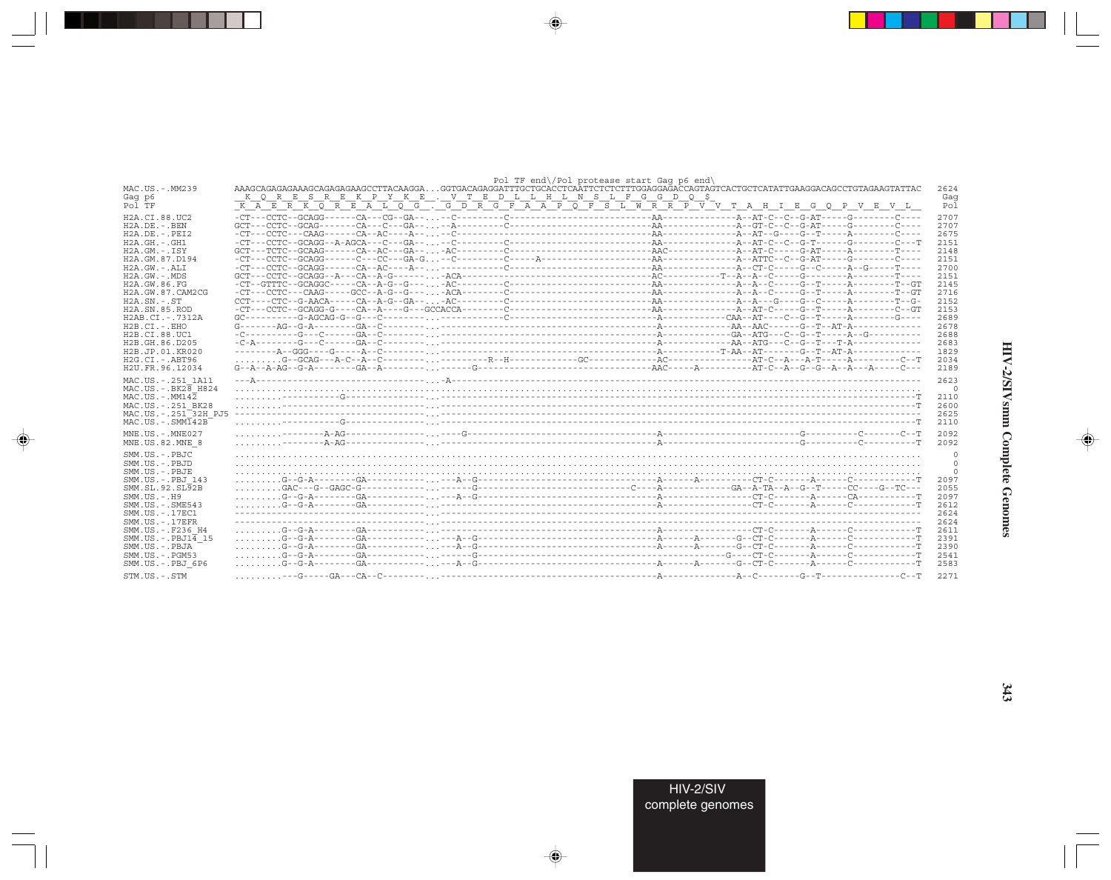|                                            |                                                                                                                              |  | Pol TF end\/Pol protease start Gaq p6 end\ |  |              |
|--------------------------------------------|------------------------------------------------------------------------------------------------------------------------------|--|--------------------------------------------|--|--------------|
| MAC.US.-.MM239                             | AAAGCAGAGAAAGCAGAGAAAGCCTTACAAGGAGGTGACAGAGGATTTGCTGCACCTCAATTCTCTCTTTGGAGGAGACCAGTAGTCACTGCTCATATTGAAGGACAGCCTGTAGAAGTATTAC |  |                                            |  | 2624         |
| Gag p6                                     | K Q R E S R E K P Y K E . V T E D L L H L N S L F G G D Q \$                                                                 |  |                                            |  | Gag          |
| Pol TF                                     | K A E R K O R E A L O G . G D R G F A A P O F S L W R R P V V T A H I E G O P V E V L                                        |  |                                            |  | Pol          |
| H <sub>2</sub> A.CI.88.UC <sub>2</sub>     |                                                                                                                              |  |                                            |  | 2707         |
| $H2A.DE. - .BEN$                           |                                                                                                                              |  |                                            |  | 2707         |
| $H2A.DE. - .PEI2$                          |                                                                                                                              |  |                                            |  | 2675         |
| $H2A.GH. - GH1$                            |                                                                                                                              |  |                                            |  | 2151         |
| $H2A.GM.-.ISY$                             |                                                                                                                              |  |                                            |  | 2148         |
| H <sub>2</sub> A. GM. 87. D <sub>194</sub> |                                                                                                                              |  |                                            |  | 2151         |
| $H2A.GW. - .ALI$                           |                                                                                                                              |  |                                            |  | 2700         |
| $H2A.GW. - .MDS$                           |                                                                                                                              |  |                                            |  | 2151         |
| H2A.GW.86.FG                               |                                                                                                                              |  |                                            |  | 2145         |
| H2A.GW.87.CAM2CG                           |                                                                                                                              |  |                                            |  | 2716         |
| $H2A.SN.-.ST$                              |                                                                                                                              |  |                                            |  | 2152         |
| H <sub>2</sub> A.SN.85.ROD                 |                                                                                                                              |  |                                            |  | 2153         |
| H2AB.CT. - . 7312A                         | $GC - - - - - - - - - - - - - - - - - - - - - - - - -$                                                                       |  |                                            |  | 2689         |
| $H2B.CI.-.EHO$                             |                                                                                                                              |  |                                            |  | 2678         |
| H2B.CI.88.UC1                              |                                                                                                                              |  |                                            |  | 2688         |
| H <sub>2</sub> B. GH. 86. D <sub>205</sub> |                                                                                                                              |  |                                            |  | 2683         |
| H2B.JP.01.KR020                            |                                                                                                                              |  |                                            |  | 1829         |
| H2G.CI.-.ABT96                             |                                                                                                                              |  |                                            |  | 2034         |
| H2U.FR.96.12034                            | $G - A - A - A - G - G - A - - - - - - -$                                                                                    |  |                                            |  | 2189         |
| MAC.US. - . 251 1A11                       |                                                                                                                              |  |                                            |  | 2623         |
| $MAC.US.-.BK2B$ H824                       |                                                                                                                              |  |                                            |  | $\circ$      |
| $MAC$ . US. - $MM142$                      |                                                                                                                              |  |                                            |  | 2110         |
| MAC.US. - . 251 BK28                       |                                                                                                                              |  |                                            |  | 2600         |
| MAC.US. - . 251 32H PJ5                    |                                                                                                                              |  |                                            |  | 2625         |
| $MAC . US . - . SIMI42B$                   |                                                                                                                              |  |                                            |  | 2110         |
| $MNE$ . US. - $MNE$ 027                    |                                                                                                                              |  |                                            |  | 2092         |
| MNE.US.82.MNE 8                            |                                                                                                                              |  |                                            |  | 2092         |
|                                            |                                                                                                                              |  |                                            |  |              |
| SMM.US.-.PBJC                              |                                                                                                                              |  |                                            |  | $\circ$      |
| SMM.US.- PBJD                              |                                                                                                                              |  |                                            |  | $\mathbf{0}$ |
| SMM.US.-.PBJE                              |                                                                                                                              |  |                                            |  | $\Omega$     |
| SMM.US. - . PBJ 143                        |                                                                                                                              |  |                                            |  | 2097<br>2055 |
| SMM.SL.92.SL92B                            |                                                                                                                              |  |                                            |  |              |
| $SMM. US. - . H9$<br>$SMM. US. - . SME543$ |                                                                                                                              |  |                                            |  | 2097<br>2612 |
| SMM. US. - . 17EC1                         |                                                                                                                              |  |                                            |  | 2624         |
| $SMM. US. - .17EFR$                        |                                                                                                                              |  |                                            |  | 2624         |
| SMM.US. -. F236 H4                         |                                                                                                                              |  |                                            |  | 2611         |
| SMM.US. -. $PBJ1\overline{4}$ 15           |                                                                                                                              |  |                                            |  | 2391         |
| SMM.US.-.PBJA                              |                                                                                                                              |  |                                            |  | 2390         |
| $SMM. US. - . PGM53$                       |                                                                                                                              |  |                                            |  | 2541         |
| SMM.US.-.PBJ 6P6                           |                                                                                                                              |  |                                            |  | 2583         |
|                                            |                                                                                                                              |  |                                            |  |              |
| STM.US.-.STM                               |                                                                                                                              |  |                                            |  | 2271         |

 $\begin{picture}(20,5) \put(0,0){\vector(0,1){10}} \put(15,0){\vector(0,1){10}} \put(15,0){\vector(0,1){10}} \put(15,0){\vector(0,1){10}} \put(15,0){\vector(0,1){10}} \put(15,0){\vector(0,1){10}} \put(15,0){\vector(0,1){10}} \put(15,0){\vector(0,1){10}} \put(15,0){\vector(0,1){10}} \put(15,0){\vector(0,1){10}} \put(15,0){\vector(0,1){10}} \put(15,0){\vector(0,$ 

a shekara 1960

 $\overrightarrow{\phantom{a}}$ 

 $\frac{\partial \mathcal{L}}{\partial \mathbf{r}} = \frac{\partial \mathcal{L}}{\partial \mathbf{r}}$ 

 $\begin{picture}(20,5) \put(0,0){\line(1,0){10}} \put(15,0){\line(1,0){10}} \put(15,0){\line(1,0){10}} \put(15,0){\line(1,0){10}} \put(15,0){\line(1,0){10}} \put(15,0){\line(1,0){10}} \put(15,0){\line(1,0){10}} \put(15,0){\line(1,0){10}} \put(15,0){\line(1,0){10}} \put(15,0){\line(1,0){10}} \put(15,0){\line(1,0){10}} \put(15,0){\line(1,$ 

 $\equiv$ 

 $\Box$ 

. . .

٠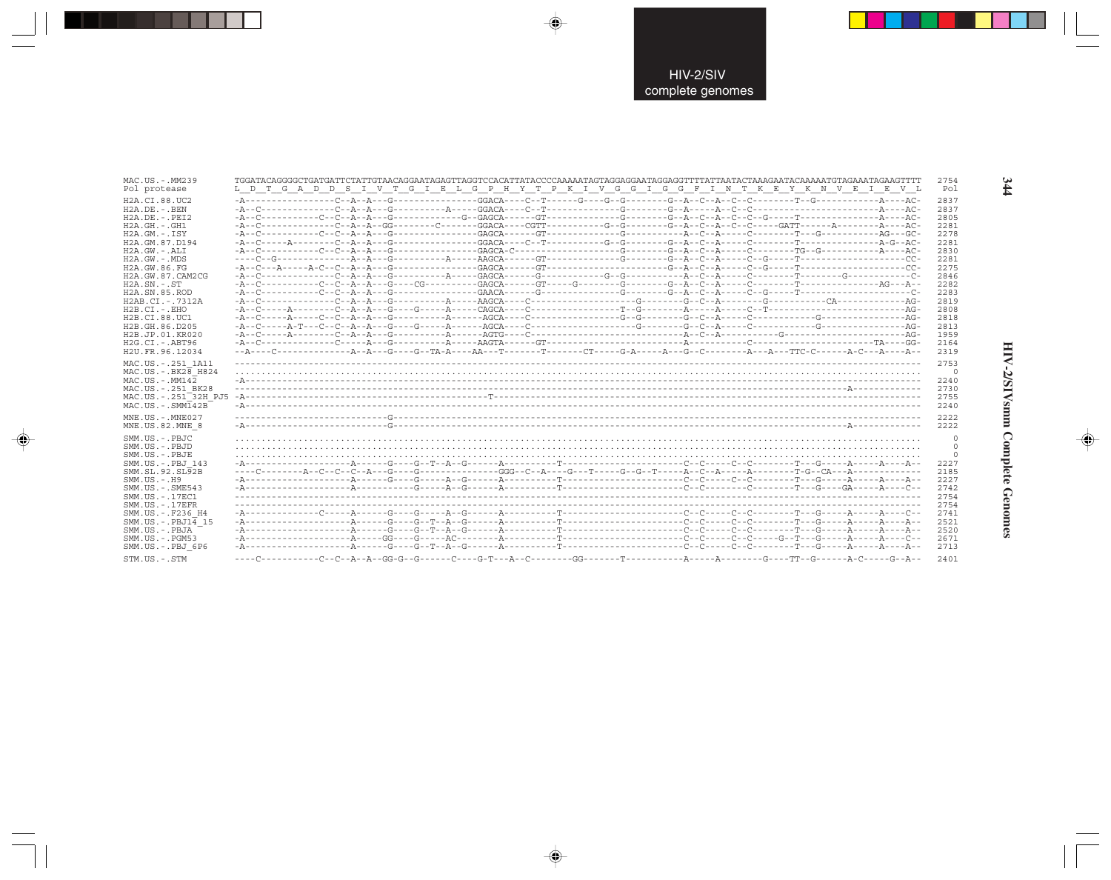| MAC.US.-.MM239                                                                                                                                                                                                                                                                                                     | TGGATACAGGGGCTGATGATTCTATTGTAACAGGAATAGAGTTAGGTCCACATTATACCCCAAAAATAGTAGGAGGAATAGGAGGTTTTATTAATACTAAAGAATACAAAAATGTAGAAATAGAAGTTTT<br>L D T G A D D S I V T G I E L G P H Y T P K I V G G I G G F I N T K E Y K N V E I E V L | 2754<br>Pol                                                                                                                          |
|--------------------------------------------------------------------------------------------------------------------------------------------------------------------------------------------------------------------------------------------------------------------------------------------------------------------|-------------------------------------------------------------------------------------------------------------------------------------------------------------------------------------------------------------------------------|--------------------------------------------------------------------------------------------------------------------------------------|
| Pol protease                                                                                                                                                                                                                                                                                                       |                                                                                                                                                                                                                               |                                                                                                                                      |
| H2A.CI.88.UC2<br>$H2A.DE. -.BEN$<br>$H2A.DE. - .PEI2$<br>$H2A.GH.-.GH1$<br>$H2A.GM.-.ISY$<br>H2A.GM.87.D194<br>H2A.GW.-.ALI<br>$H2A.GW. - .MDS$<br>H2A.GW.86.FG<br>H2A.GW.87.CAM2CG<br>$H2A.SN. - .ST$<br>H2A.SN.85.ROD<br>H2AB.CI.-.7312A<br>$H2B.CI.-.EHO$<br>H2B.CI.88.UC1<br>H2B.GH.86.D205<br>H2B.JP.01.KR020 |                                                                                                                                                                                                                               | 2837<br>2837<br>2805<br>2281<br>2278<br>2281<br>2830<br>2281<br>2275<br>2846<br>2282<br>2283<br>2819<br>2808<br>2818<br>2813<br>1959 |
| H2G.CI.-.ABT96<br>H2U.FR.96.12034                                                                                                                                                                                                                                                                                  |                                                                                                                                                                                                                               | 2164<br>2319                                                                                                                         |
| MAC.US.-.251 1A11<br>MAC.US. - . BK28 H824<br>$MAC. US.-. MM142$<br>MAC.US. - . 251 BK28<br>MAC.US.-.251 32H PJ5<br>$MAC . IJS . - . SIMT42B$                                                                                                                                                                      |                                                                                                                                                                                                                               | 2753<br>$\Omega$<br>2240<br>2730<br>2755<br>2240                                                                                     |
| $MNE. US.-. MNE027$<br>MNE.US.82.MNE 8                                                                                                                                                                                                                                                                             |                                                                                                                                                                                                                               | 2222<br>2222                                                                                                                         |
| SMM.US.-.PBJC<br>SMM.US. - PBJD<br>SMM.US.-.PBJE<br>SMM.US.-.PBJ 143<br>SMM.SL.92.SL92B<br>$SMM. US. - . H9$<br>$SMM.US. - .SME543$<br>SMM.US. - . 17EC1<br>$SMM$ . U.S. $-$ . 17 E.F.R.<br>SMM.US.-.F236 H4<br>$SMM.US.-.PBJ14$ 15                                                                                |                                                                                                                                                                                                                               | 2227<br>2185<br>2227<br>2742<br>2754<br>2754<br>2741<br>2521                                                                         |
| SMM.US.-.PBJA                                                                                                                                                                                                                                                                                                      |                                                                                                                                                                                                                               | 2520                                                                                                                                 |
| $SMM. US. - . PGM53$                                                                                                                                                                                                                                                                                               |                                                                                                                                                                                                                               | 2671                                                                                                                                 |
| SMM.US.-.PBJ 6P6                                                                                                                                                                                                                                                                                                   |                                                                                                                                                                                                                               | 2713                                                                                                                                 |
| STM.US.-.STM                                                                                                                                                                                                                                                                                                       |                                                                                                                                                                                                                               | 2401                                                                                                                                 |

 $\Rightarrow$ 

 $\bigoplus$ 

 $\color{red} \bigoplus$ 

 $344$ 

HIV-2/SIVsmm Complete Genomes

 $\Rightarrow$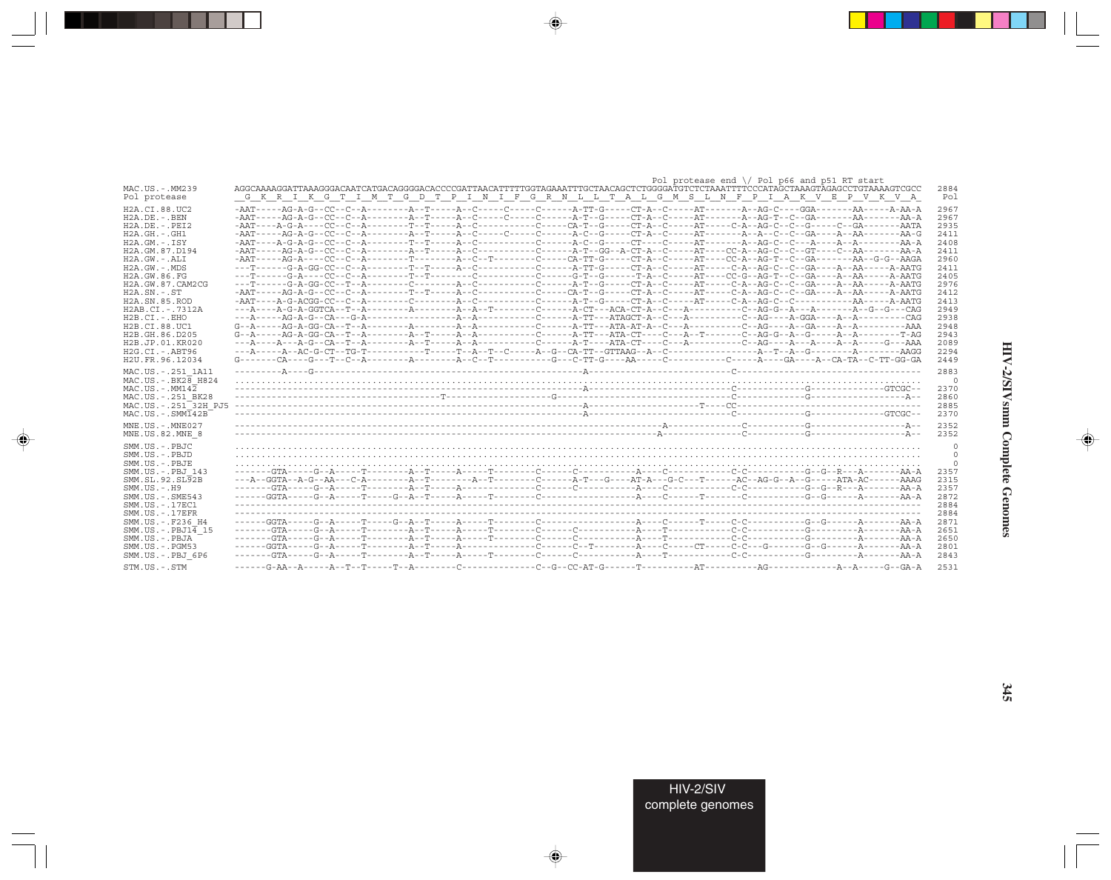|                                   |                                                                                                                                                                                                                         |  |  | Pol protease end $\setminus$ Pol p66 and p51 RT start |  |             |
|-----------------------------------|-------------------------------------------------------------------------------------------------------------------------------------------------------------------------------------------------------------------------|--|--|-------------------------------------------------------|--|-------------|
| MAC.US.-.MM239<br>Pol protease    | AGGCAAAAGGATTAAAGGGACAATCATGACAGGGACACCCCGATTAACATTTTGGTAAAATTTGCTAACAGCTCTGGGGATGTCTCTAAATTTTCCCATAGCTAAAGTAGACCTCTAAAAGTCGCC<br>G K R I K G T I M T G D T P I N I F G R N L L T A L G M S L N F P I A K V E P V K V A |  |  |                                                       |  | 2884<br>Pol |
| H2A.CI.88.UC2                     | -AAT-----AG-A-G--CC--C--A--------A--T-----A--C-----C-----C------A-TT-G-----CT-A-C-----AT------A--AG-C----GGA-------AA-----AAA-A                                                                                         |  |  |                                                       |  | 2967        |
| H2A.DE.-.BEN                      |                                                                                                                                                                                                                         |  |  |                                                       |  | 2967        |
| H2A.DE.-.PEI2                     |                                                                                                                                                                                                                         |  |  |                                                       |  | 2935        |
| H2A.GH.-.GH1                      |                                                                                                                                                                                                                         |  |  |                                                       |  | 2411        |
| H2A.GM.-.ISY                      |                                                                                                                                                                                                                         |  |  |                                                       |  | 2408        |
| H2A.GM.87.D194                    | -AAT-----AG-A-G--CC--C--A--------A--T-----A--C--------C------A-T--GG--A-CT-A--C-----AT---CC-A--AG-C--C--GT----C--AA--------AA-A                                                                                         |  |  |                                                       |  | 2411        |
|                                   | -AAT-----AG-A----CC--C--A--------T-------A--C--T-------C-----CA-TT-G-----CT-A--C-----AT----CC-A--AG-T--C--GA-------AA--G-G--AAGA                                                                                        |  |  |                                                       |  |             |
| H2A.GW.-.ALI                      | ---T------G-A-GG-CC--C--A--------T--T----A--C---------C------A-TT-G-----CT-A--C-----AT----C-A--AG-C--C--GA----A--AA-----A-AATG                                                                                          |  |  |                                                       |  | 2960        |
| H2A.GW.-.MDS                      |                                                                                                                                                                                                                         |  |  |                                                       |  | 2411        |
| H2A.GW.86.FG                      |                                                                                                                                                                                                                         |  |  |                                                       |  | 2405        |
| H2A.GW.87.CAM2CG                  |                                                                                                                                                                                                                         |  |  |                                                       |  | 2976        |
| H2A.SN.-.ST                       |                                                                                                                                                                                                                         |  |  |                                                       |  | 2412        |
| H2A.SN.85.ROD                     |                                                                                                                                                                                                                         |  |  |                                                       |  | 2413        |
| H2AB.CI.-.7312A                   |                                                                                                                                                                                                                         |  |  |                                                       |  | 2949        |
| H2B.CI.-.EHO                      |                                                                                                                                                                                                                         |  |  |                                                       |  | 2938        |
| H2B.CI.88.UC1                     |                                                                                                                                                                                                                         |  |  |                                                       |  | 2948        |
| H2B.GH.86.D205                    |                                                                                                                                                                                                                         |  |  |                                                       |  | 2943        |
| H2B.JP.01.KR020                   |                                                                                                                                                                                                                         |  |  |                                                       |  | 2089        |
| H2G.CI.-.ABT96                    |                                                                                                                                                                                                                         |  |  |                                                       |  | 2294        |
| H2U.FR.96.12034                   |                                                                                                                                                                                                                         |  |  |                                                       |  | 2449        |
|                                   |                                                                                                                                                                                                                         |  |  |                                                       |  |             |
| MAC.US.-.251 1A11                 |                                                                                                                                                                                                                         |  |  |                                                       |  | 2883        |
| MAC.US.-.BK28 H824                |                                                                                                                                                                                                                         |  |  |                                                       |  |             |
| MAC.US.-.MM142                    |                                                                                                                                                                                                                         |  |  |                                                       |  | 2370        |
| MAC.US.-.251 BK28                 |                                                                                                                                                                                                                         |  |  |                                                       |  | 2860        |
| MAC.US.-.251 <sup>—</sup> 32H PJ5 |                                                                                                                                                                                                                         |  |  |                                                       |  | 2885        |
| $MAC . US . - . SIM142B$          |                                                                                                                                                                                                                         |  |  |                                                       |  | 2370        |
|                                   |                                                                                                                                                                                                                         |  |  |                                                       |  |             |
| MNE.US.-.MNE027                   |                                                                                                                                                                                                                         |  |  |                                                       |  | 2352        |
| MNE.US.82.MNE 8                   |                                                                                                                                                                                                                         |  |  |                                                       |  | 2352        |
| SMM.US.-.PBJC                     |                                                                                                                                                                                                                         |  |  |                                                       |  |             |
|                                   |                                                                                                                                                                                                                         |  |  |                                                       |  |             |
| SMM.US.-.PBJD                     |                                                                                                                                                                                                                         |  |  |                                                       |  |             |
| SMM.US.-.PBJE                     |                                                                                                                                                                                                                         |  |  |                                                       |  |             |
| SMM.US.-.PBJ 143                  |                                                                                                                                                                                                                         |  |  |                                                       |  | 2357        |
| SMM.SL.92.SL92B                   | ---A--GGTA--A-G--AA---C-A--------A--T-------C------A-T---G----AT-A--G-C--T-----AC--AG-G-A--G------ATA-AC------AAAG                                                                                                      |  |  |                                                       |  | 2315        |
| SMM.US.-.H9                       |                                                                                                                                                                                                                         |  |  |                                                       |  | 2357        |
| SMM.US.-.SME543                   |                                                                                                                                                                                                                         |  |  |                                                       |  | 2872        |
| SMM.US.-.17EC1                    |                                                                                                                                                                                                                         |  |  |                                                       |  | 2884        |
| SMM.US.-.17EFR                    |                                                                                                                                                                                                                         |  |  |                                                       |  | 2884        |
| SMM.US.-.F236 H4                  |                                                                                                                                                                                                                         |  |  |                                                       |  | 2871        |
| SMM.US.-.PBJ1 $\overline{4}$ 15   |                                                                                                                                                                                                                         |  |  |                                                       |  | 2651        |
| SMM.US.-.PBJA                     |                                                                                                                                                                                                                         |  |  |                                                       |  | 2650        |
|                                   |                                                                                                                                                                                                                         |  |  |                                                       |  |             |
| SMM.US.-.PGM53                    |                                                                                                                                                                                                                         |  |  |                                                       |  | 2801        |
| SMM.US.-.PBJ 6P6                  |                                                                                                                                                                                                                         |  |  |                                                       |  | 2843        |
| STM.US.-.STM                      |                                                                                                                                                                                                                         |  |  |                                                       |  | 2531        |
|                                   |                                                                                                                                                                                                                         |  |  |                                                       |  |             |

 $\begin{picture}(20,5) \put(0,0){\vector(0,1){10}} \put(15,0){\vector(0,1){10}} \put(15,0){\vector(0,1){10}} \put(15,0){\vector(0,1){10}} \put(15,0){\vector(0,1){10}} \put(15,0){\vector(0,1){10}} \put(15,0){\vector(0,1){10}} \put(15,0){\vector(0,1){10}} \put(15,0){\vector(0,1){10}} \put(15,0){\vector(0,1){10}} \put(15,0){\vector(0,1){10}} \put(15,0){\vector(0,$ 

a shekara 1960

 $\overrightarrow{\phantom{a}}$ 

 $\frac{1}{\sqrt{2}}$ 

HIV-2/SIVsmm Complete Genomes

 $\begin{picture}(20,5) \put(0,0){\line(1,0){10}} \put(15,0){\line(1,0){10}} \put(15,0){\line(1,0){10}} \put(15,0){\line(1,0){10}} \put(15,0){\line(1,0){10}} \put(15,0){\line(1,0){10}} \put(15,0){\line(1,0){10}} \put(15,0){\line(1,0){10}} \put(15,0){\line(1,0){10}} \put(15,0){\line(1,0){10}} \put(15,0){\line(1,0){10}} \put(15,0){\line(1,$ 

 $\overline{\phantom{0}}$ 

e<br>Silipin

 $\Box$ 

. . .

٠

 $345$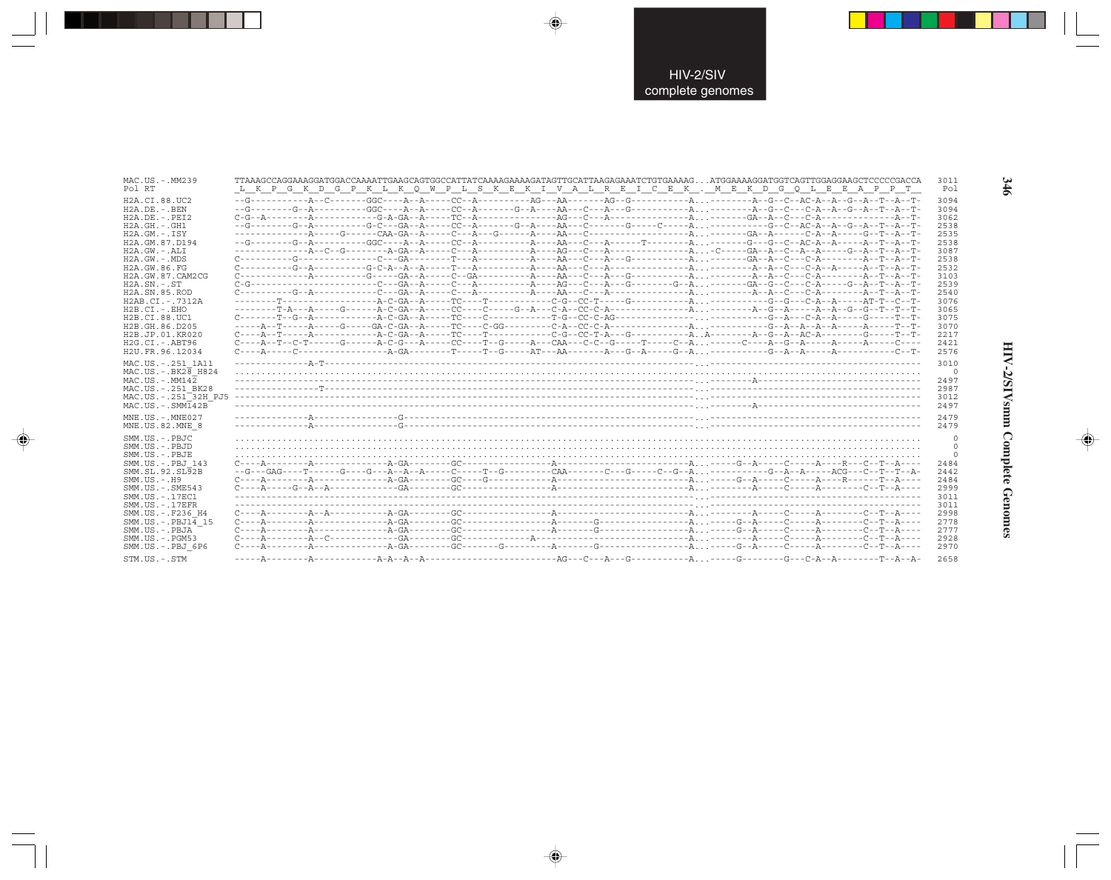| MAC.US.-.MM239<br>Pol RT                                                                                                                                                                                                                                                                                                                | TTAAAGCCAGGAAAGGATGGACCAAAATTGAAGCAGTGGCCATTATCAAAAGAAAAGATAGTTGCATTAAGAGAAATCTGTGAAAAG ATGGAAAAGGATGGTCAGTTGGAGGAAGCTCCCCCGACCA<br>L K P G K D G P K L K Q W P L S K E K I V A L R E I C E K . M E K D G Q L E E A P P T                                                                                                                                                                                                                                                                                                                 | 3011<br>Pol                                                                                                                                  |
|-----------------------------------------------------------------------------------------------------------------------------------------------------------------------------------------------------------------------------------------------------------------------------------------------------------------------------------------|-------------------------------------------------------------------------------------------------------------------------------------------------------------------------------------------------------------------------------------------------------------------------------------------------------------------------------------------------------------------------------------------------------------------------------------------------------------------------------------------------------------------------------------------|----------------------------------------------------------------------------------------------------------------------------------------------|
| H2A.CI.88.UC2<br>$H2A.DE. - .BEN$<br>$H2A.DE. - .PEI2$<br>$H2A.GH. - .GH1$<br>$H2A.GM.-.ISY$<br>H2A.GM.87.D194<br>$H2A.GW. - .ALI$<br>H2A.GW.-.MDS<br>H2A.GW.86.FG<br>H2A.GW.87.CAM2CG<br>$H2A.SN.-.ST$<br>H2A.SN.85.ROD<br>H2AB.CI.-.7312A<br>$H2B.CI.-.EHO$<br>H2B.CI.88.UC1<br>H2B.GH.86.D205<br>H2B.JP.01.KR020<br>$H2G.CI.-.ABT96$ | $C \rightarrow \texttt{-----T--G--A--}\texttt{---} \texttt{-G--A--}\texttt{-G--A--}\texttt{-G--C--C--}\texttt{-G--C--C--}\texttt{-G--C--A--}\texttt{-G--A--C--A--C--A--C--}\texttt{-A--C--A--C--}\texttt{-A--C--A--C--}\texttt{-A--C--C--}\texttt{-A--C--}\texttt{-A--C--C--}\texttt{-A--C--C--}\texttt{-A--C--C--}\texttt{-A--C--C--}\texttt{-A--C--C--}\texttt{-A--C--}\texttt{-A--C--C--}\texttt{-A--C--}\texttt{-A--C--C--}\texttt{-A--C$<br>$C---A--T--C-T---A--C---A--C--G---A---C---T--G---A---CAA---C--G---T---T---C--A\ldots\,.$ | 3094<br>3094<br>3062<br>2538<br>2535<br>2538<br>3087<br>2538<br>2532<br>3103<br>2539<br>2540<br>3076<br>3065<br>3075<br>3070<br>2217<br>2421 |
| H2U.FR.96.12034<br>MAC.US. - . 251 1A11<br>$MAC.US.-.BK2\overline{8}$ H824<br>$MAC. US.-. MM142$<br>MAC.US. - . 251 BK28<br>MAC.US.-.251 32H PJ5<br>$MAC . US . - . SIMT42B$                                                                                                                                                            |                                                                                                                                                                                                                                                                                                                                                                                                                                                                                                                                           | 2576<br>3010<br>$\circ$<br>2497<br>2987<br>3012<br>2497                                                                                      |
| MNE.US.-.MNE027<br>MNE.US.82.MNE 8                                                                                                                                                                                                                                                                                                      |                                                                                                                                                                                                                                                                                                                                                                                                                                                                                                                                           | 2479<br>2479                                                                                                                                 |
| SMM.US.-.PBJC<br>SMM.US.-.PBJD<br>SMM.US.-.PBJE<br>SMM.US.-.PBJ 143<br>SMM.SL.92.SL92B<br>$SMM. US. - . H9$<br>SMM.US.-.SME543<br>SMM.US.-.17EC1<br>$SMM. US. - .17EFR$<br>SMM.US.-.F236 H4<br>$SMM.US.-.PBJ14$ 15                                                                                                                      |                                                                                                                                                                                                                                                                                                                                                                                                                                                                                                                                           | $\Omega$<br>$\Omega$<br>2484<br>2442<br>2484<br>2999<br>3011<br>3011<br>2998<br>2778                                                         |
| SMM.US.-.PBJA<br>SMM.US.-.PGM53<br>SMM.US.-.PBJ 6P6                                                                                                                                                                                                                                                                                     |                                                                                                                                                                                                                                                                                                                                                                                                                                                                                                                                           | 2777<br>2928<br>2970                                                                                                                         |
| STM.US.-.STM                                                                                                                                                                                                                                                                                                                            |                                                                                                                                                                                                                                                                                                                                                                                                                                                                                                                                           | 2658                                                                                                                                         |

 $\color{red} \blacklozenge$ 

 $\overline{\bigcirc}$ 

 $\overline{\bigoplus}$ 

346

HIV-2/SIVsmm Complete Genomes

 $\color{red} \bigoplus$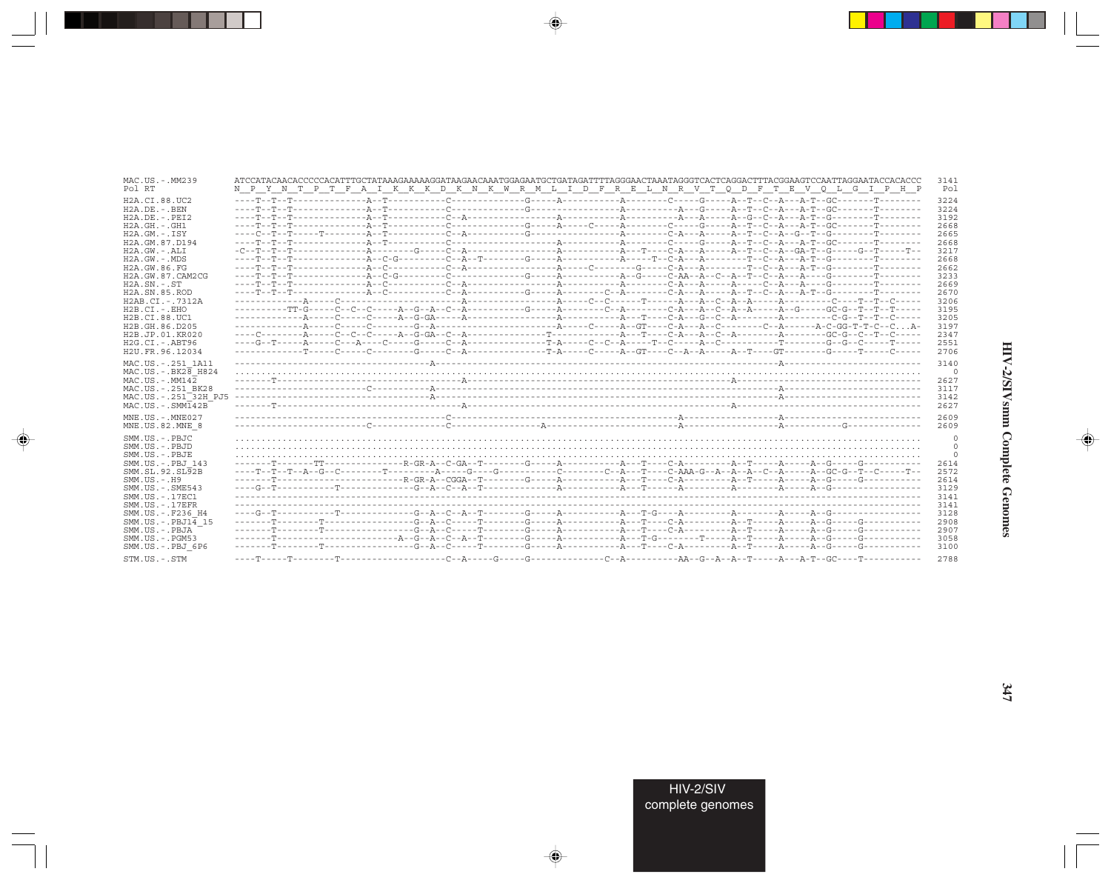| MAC.US.-.MM239                                                                                                                                                                 | ATCCATACAACACCCCCACATTTGCTATAAAGAAAAAGGATAAGAACAAATGGAGAATGCTGATAGATTTTAGGGAACTAAATAGGGTCACTCAGGACTTTACGGAAGTCCAATTAGGAATACCACACCC                                                                                                                                                                                                                                        | 3141                                                          |
|--------------------------------------------------------------------------------------------------------------------------------------------------------------------------------|---------------------------------------------------------------------------------------------------------------------------------------------------------------------------------------------------------------------------------------------------------------------------------------------------------------------------------------------------------------------------|---------------------------------------------------------------|
| Pol RT                                                                                                                                                                         | N P Y N T P T F A I K K K D K N K W R M L I D F R E L N R V T Q D F T E V Q L G I P H P                                                                                                                                                                                                                                                                                   | Pol                                                           |
| H2A.CI.88.UC2                                                                                                                                                                  |                                                                                                                                                                                                                                                                                                                                                                           | 3224                                                          |
| $H2A.DE. - .BEN$                                                                                                                                                               |                                                                                                                                                                                                                                                                                                                                                                           | 3224                                                          |
| $H2A.DE. - .PEI2$                                                                                                                                                              |                                                                                                                                                                                                                                                                                                                                                                           | 3192                                                          |
| H2A.GH.-.GH1                                                                                                                                                                   |                                                                                                                                                                                                                                                                                                                                                                           | 2668                                                          |
| $H2A.GM.-.ISY$                                                                                                                                                                 |                                                                                                                                                                                                                                                                                                                                                                           | 2665                                                          |
| H2A.GM.87.D194                                                                                                                                                                 |                                                                                                                                                                                                                                                                                                                                                                           | 2668                                                          |
| $H2A.GW. - .ALI$                                                                                                                                                               | $-C--T--T--T--\ldots 2- A--\ldots 2--C--A--\ldots 2--\ldots 2--\ldots 2--\ldots 2--\ldots 2--\ldots 2--\ldots 2--\ldots 2--\ldots 2--\ldots 2--\ldots 2--\ldots 2--\ldots 2--\ldots 2--\ldots 2--\ldots 2--\ldots 2--\ldots 2--\ldots 2--\ldots 2--\ldots 2--\ldots 2--\ldots 2--\ldots 2--\ldots 2--\ldots 2--\ldots 2--\ldots 2--\ldots 2--\ldots 2--\ldots 2--\ldots $ | 3217                                                          |
| $H2A.GW.-.MDS$                                                                                                                                                                 |                                                                                                                                                                                                                                                                                                                                                                           | 2668                                                          |
| H2A.GW.86.FG                                                                                                                                                                   |                                                                                                                                                                                                                                                                                                                                                                           | 2662                                                          |
| H2A.GW.87.CAM2CG                                                                                                                                                               |                                                                                                                                                                                                                                                                                                                                                                           | 3233                                                          |
| $H2A.SN.-.ST$                                                                                                                                                                  |                                                                                                                                                                                                                                                                                                                                                                           | 2669                                                          |
| H2A.SN.85.ROD                                                                                                                                                                  |                                                                                                                                                                                                                                                                                                                                                                           | 2670                                                          |
| H2AB.CI.-.7312A                                                                                                                                                                |                                                                                                                                                                                                                                                                                                                                                                           | 3206                                                          |
| $H2B.CI.-.EHO$                                                                                                                                                                 |                                                                                                                                                                                                                                                                                                                                                                           | 3195                                                          |
| H2B.CI.88.UC1                                                                                                                                                                  |                                                                                                                                                                                                                                                                                                                                                                           | 3205                                                          |
| H2B.GH.86.D205                                                                                                                                                                 |                                                                                                                                                                                                                                                                                                                                                                           | 3197                                                          |
| H2B.JP.01.KR020                                                                                                                                                                |                                                                                                                                                                                                                                                                                                                                                                           | 2347                                                          |
| H2G.CI.-.ABT96                                                                                                                                                                 |                                                                                                                                                                                                                                                                                                                                                                           | 2551                                                          |
| H2U.FR.96.12034<br>MAC.US. - . 251 1A11<br>$MAC. US. - . BK26$ H824<br>$MAC. US.-. MM142$<br>MAC.US.-.251 BK28<br>MAC.US.-.251 <sup>-32H</sup> PJ5<br>$MAC . US . - . SIM142B$ |                                                                                                                                                                                                                                                                                                                                                                           | 2706<br>3140<br>0<br>2627<br>3117<br>3142<br>2627             |
| MNE.US.-.MNE027                                                                                                                                                                |                                                                                                                                                                                                                                                                                                                                                                           | 2609                                                          |
| MNE.US.82.MNE 8                                                                                                                                                                |                                                                                                                                                                                                                                                                                                                                                                           | 2609                                                          |
| SMM.US.-.PBJC                                                                                                                                                                  |                                                                                                                                                                                                                                                                                                                                                                           | 0                                                             |
| SMM.US.-.PBJD<br>SMM.US.-.PBJE<br>SMM.US.-.PBJ 143<br>SMM.SL.92.SL92B<br>$SMM. US. - . H9$<br>$SMM.US. - .SME543$<br>SMM.US.-.17EC1<br>$SMM. US. - .17EFR$                     |                                                                                                                                                                                                                                                                                                                                                                           | 0<br>$\Omega$<br>2614<br>2572<br>2614<br>3129<br>3141<br>3141 |
| SMM.US.-.F236 H4                                                                                                                                                               |                                                                                                                                                                                                                                                                                                                                                                           | 3128                                                          |
| SMM.US.-.PBJ14 15                                                                                                                                                              |                                                                                                                                                                                                                                                                                                                                                                           | 2908                                                          |
| SMM.US.-.PBJA                                                                                                                                                                  |                                                                                                                                                                                                                                                                                                                                                                           | 2907                                                          |
| SMM.US.-.PGM53                                                                                                                                                                 |                                                                                                                                                                                                                                                                                                                                                                           | 3058                                                          |
| SMM.US.-.PBJ 6P6                                                                                                                                                               |                                                                                                                                                                                                                                                                                                                                                                           | 3100                                                          |
| STM.US.-.STM                                                                                                                                                                   |                                                                                                                                                                                                                                                                                                                                                                           | 2788                                                          |

 $\begin{picture}(20,5) \put(0,0){\vector(0,1){10}} \put(15,0){\vector(0,1){10}} \put(15,0){\vector(0,1){10}} \put(15,0){\vector(0,1){10}} \put(15,0){\vector(0,1){10}} \put(15,0){\vector(0,1){10}} \put(15,0){\vector(0,1){10}} \put(15,0){\vector(0,1){10}} \put(15,0){\vector(0,1){10}} \put(15,0){\vector(0,1){10}} \put(15,0){\vector(0,1){10}} \put(15,0){\vector(0,$ 

an an Tar

 $\overrightarrow{\phantom{a}}$ 

 $\equiv$ 

# HIV-2/SIVsmm Complete Genomes

 $\begin{picture}(20,5) \put(0,0){\line(1,0){10}} \put(15,0){\line(1,0){10}} \put(15,0){\line(1,0){10}} \put(15,0){\line(1,0){10}} \put(15,0){\line(1,0){10}} \put(15,0){\line(1,0){10}} \put(15,0){\line(1,0){10}} \put(15,0){\line(1,0){10}} \put(15,0){\line(1,0){10}} \put(15,0){\line(1,0){10}} \put(15,0){\line(1,0){10}} \put(15,0){\line(1,$ 

 $\equiv$ 

 $\blacksquare$ 

-1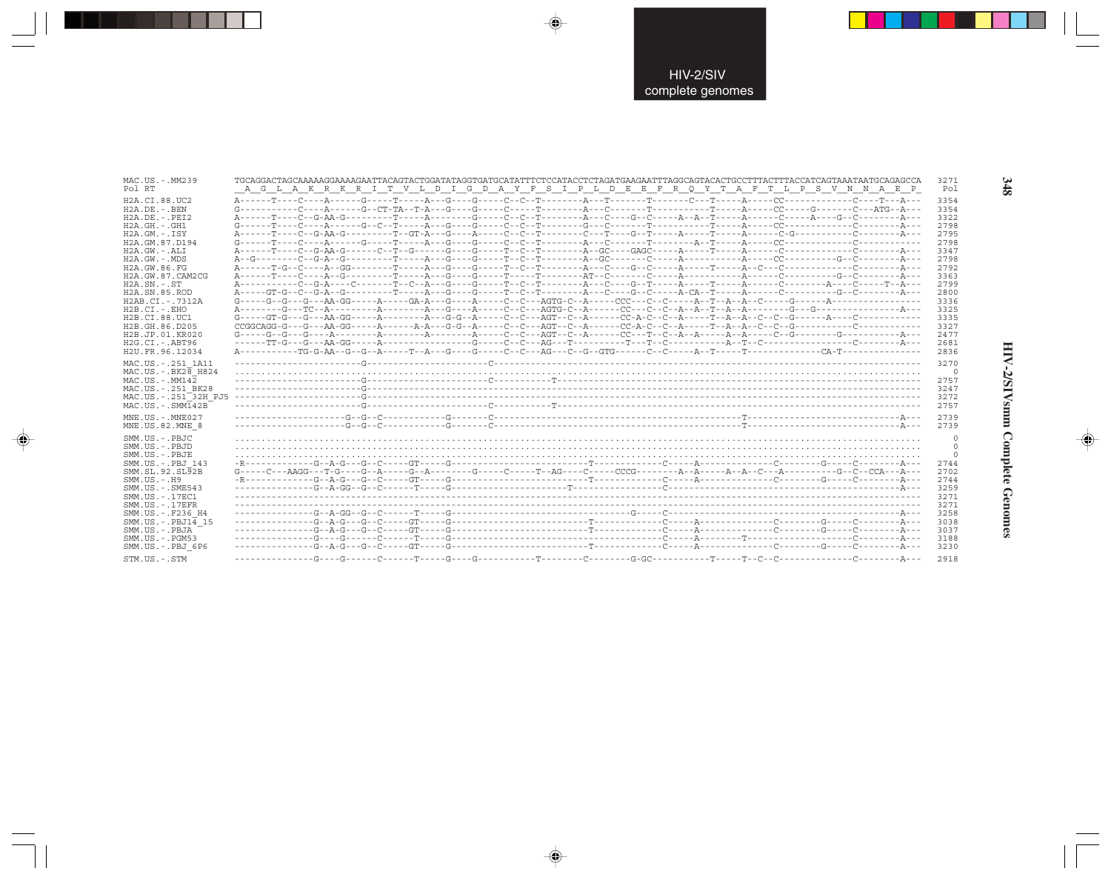| MAC.US.-.MM239<br>Pol RT                                                                                                                                                                                                                                                                                                                         | TGCAGGACTAGCAAAAAGGAAAAGAATTACAGTACTGGATATAGGTGATGCATATTTCTCCATACCTCTAGATGAAGAATTTAGGCAGTACACTGCCTTTACTTTACCATCAGTAAATAATGCAGAGCCA<br>3271<br>A G L A K R K R I T V L D I G D A Y F S I P L D E E F R Q Y T A F T L P S V N N A E P<br>Pol                                                                                                                                                                                                                                                                                                                                                                                                                                                                                                                                                                                                                                                                                                                                                                                                                                                                                                                                                                                                                                                                                                                                                                                                                                                                                                                                                                                                                                                                                                                                                                                                                                                                                                                                                                                                                                                                                                                                                                                                                                                     |  |
|--------------------------------------------------------------------------------------------------------------------------------------------------------------------------------------------------------------------------------------------------------------------------------------------------------------------------------------------------|------------------------------------------------------------------------------------------------------------------------------------------------------------------------------------------------------------------------------------------------------------------------------------------------------------------------------------------------------------------------------------------------------------------------------------------------------------------------------------------------------------------------------------------------------------------------------------------------------------------------------------------------------------------------------------------------------------------------------------------------------------------------------------------------------------------------------------------------------------------------------------------------------------------------------------------------------------------------------------------------------------------------------------------------------------------------------------------------------------------------------------------------------------------------------------------------------------------------------------------------------------------------------------------------------------------------------------------------------------------------------------------------------------------------------------------------------------------------------------------------------------------------------------------------------------------------------------------------------------------------------------------------------------------------------------------------------------------------------------------------------------------------------------------------------------------------------------------------------------------------------------------------------------------------------------------------------------------------------------------------------------------------------------------------------------------------------------------------------------------------------------------------------------------------------------------------------------------------------------------------------------------------------------------------|--|
| H2A.CI.88.UC2<br>$H2A.DE. - .BEN$<br>$H2A.DE. - .PEI2$<br>H2A.GH.-.GH1<br>$H2A.GM.-.ISY$<br>H2A.GM.87.D194<br>H2A.GW.-.ALI<br>H2A.GW.-.MDS<br>H2A.GW.86.FG<br>H2A.GW.87.CAM2CG<br>$H2A.SN.-.ST$<br>H2A.SN.85.ROD<br>H2AB.CI.-.7312A<br>$H2B.CI.-.EHO$<br>H2B.CI.88.UC1<br>H2B.GH.86.D205<br>H2B.JP.01.KR020<br>H2G.CI.-.ABT96<br>H2U.FR.96.12034 | 3354<br>3354<br>A------T----C--G-AA-G---------T-----A---------G----C--C--T--------A---C---G--C-----A--T-----A-----C-----A----G--C-------A---<br>3322<br>$\texttt{G}\texttt{-----} \texttt{T}\texttt{-----} \texttt{S}\texttt{-----} \texttt{G}\texttt{---} \texttt{S}\texttt{---} \texttt{--} \texttt{S}\texttt{---} \texttt{--} \texttt{G}\texttt{---} \texttt{--} \texttt{--} \texttt{--} \texttt{--} \texttt{--} \texttt{--} \texttt{--} \texttt{--} \texttt{--} \texttt{--} \texttt{--} \texttt{--} \texttt{--} \texttt{--} \texttt{--} \texttt{--} \texttt{--} \texttt{--} \texttt{--} \texttt{--} \texttt{--} \texttt{--}$<br>2798<br>A------T----C--G-AA-G---------T--GT-A---G----A-----C--C--T--------C--T----G-T-----A----T----A------C-G---------C--------A---<br>2795<br>2798<br>3347<br>2798<br>2792<br>3363<br>2799<br>2800<br>3336<br>$G \dashrightarrow \neg G \dashrightarrow \neg G \dashrightarrow \neg A \dashrightarrow \neg G \dashrightarrow \neg A \dashrightarrow \neg G \dashrightarrow \neg A \dashrightarrow \neg G \dashrightarrow \neg A \dashrightarrow \neg C \dashrightarrow \neg A \dashrightarrow \neg C \dashrightarrow \neg A \dashrightarrow \neg C \dashrightarrow \neg A \dashrightarrow \neg A \dashrightarrow \neg C \dashrightarrow \neg A \dashrightarrow \neg A \dashrightarrow \neg A \dashrightarrow \neg A \dashrightarrow \neg A \dashrightarrow \neg A \dashrightarrow \neg A \dashrightarrow \neg A \dashrightarrow \neg A \dashrightarrow \neg A \dashrightarrow \neg A \dashrightarrow \neg A \dashrightarrow \neg A \dashrightarrow \neg A \dashrightarrow \neg A \dashrightarrow \neg A \dashrightarrow \neg A \dashrightarrow \neg A \dashrightarrow \neg A \dashrightarrow$<br>3325<br>$G \texttt{----G}T \cdot G \texttt{---} G \texttt{----A} - G \texttt{---} A \texttt{---} A \texttt{---} A \texttt{---} B \cdot G \cdot G \texttt{---} A \texttt{---} C \texttt{---} C \texttt{---} A \texttt{---} C \texttt{---} A \texttt{---} C \texttt{---} A \cdot G \texttt{---} C \texttt{---} A \cdot G \texttt{---} C \texttt{---} A \cdot G \texttt{---} A \cdot G \texttt{---} A \cdot G \texttt{---} A \cdot G \texttt{---} A \cdot G \texttt{---} A \cdot G \texttt{---} A \cdot G \texttt$<br>3335<br>3327<br>2477<br>2681<br>2836 |  |
| MAC.US.-.251 1A11<br>$MAC. US. - . BK28$ $H824$<br>MAC.US.-.MM142<br>MAC.US.-.251 BK28<br>MAC.US.-.251 <sup>-32H</sup> PJ5<br>$MAC. US. - . SIM142B$<br>MNE.US.-.MNE027                                                                                                                                                                          | 3270<br>0<br>2757<br>3247<br>3272<br>2757<br>2739                                                                                                                                                                                                                                                                                                                                                                                                                                                                                                                                                                                                                                                                                                                                                                                                                                                                                                                                                                                                                                                                                                                                                                                                                                                                                                                                                                                                                                                                                                                                                                                                                                                                                                                                                                                                                                                                                                                                                                                                                                                                                                                                                                                                                                              |  |
| MNE.US.82.MNE 8<br>SMM.US.-.PBJC<br>SMM.US.-.PBJD<br>SMM.US.-.PBJE<br>SMM.US.-.PBJ 143<br>SMM.SL.92.SL92B<br>$SMM. US. - . H9$<br>SMM.US.-.SME543<br>SMM.US.-.17EC1<br>$SMM. US. - .17EFR$<br>SMM.US.-.F236 H4<br>SMM.US.-.PBJ14 15<br>SMM.US.-.PBJA<br>SMM.US.-.PGM53<br>SMM.US.-.PBJ 6P6<br>CTM IIC _ CTM                                      | 2739<br>0<br>2744<br>$\texttt{G}\texttt{---C}\texttt{---A}\texttt{AGG}\texttt{---T}\texttt{-G}\texttt{---G}\texttt{-A}\texttt{---G}\texttt{-A}\texttt{---G}\texttt{-A}\texttt{-1---G}\texttt{-1---C}\texttt{---T}\texttt{-A}\texttt{G}\texttt{---C}\texttt{-1---C}\texttt{CCG}\texttt{-1---A}\texttt{-A}\texttt{-1---A}\texttt{-A}\texttt{-1---A}\texttt{-1---A}\texttt{-1---A}\texttt{-1---G}\texttt{-1---G}\texttt{-1---A}\texttt{-1---A}\texttt{-1---A}\texttt{-1---A}\texttt{-1---A}\texttt{-1---A}\texttt$<br>2702<br>2744<br>3259<br>3271<br>3271<br>3258<br>3038<br>3037<br>3188<br>3230<br>2918                                                                                                                                                                                                                                                                                                                                                                                                                                                                                                                                                                                                                                                                                                                                                                                                                                                                                                                                                                                                                                                                                                                                                                                                                                                                                                                                                                                                                                                                                                                                                                                                                                                                                        |  |

 $\begin{picture}(20,5) \put(0,0){\vector(0,1){10}} \put(15,0){\vector(0,1){10}} \put(15,0){\vector(0,1){10}} \put(15,0){\vector(0,1){10}} \put(15,0){\vector(0,1){10}} \put(15,0){\vector(0,1){10}} \put(15,0){\vector(0,1){10}} \put(15,0){\vector(0,1){10}} \put(15,0){\vector(0,1){10}} \put(15,0){\vector(0,1){10}} \put(15,0){\vector(0,1){10}} \put(15,0){\vector(0,$ 

 $\spadesuit$ 

. . .

 $\Rightarrow$ 

HIV-2/SIVsmm Complete Genomes

 $\Rightarrow$ 

348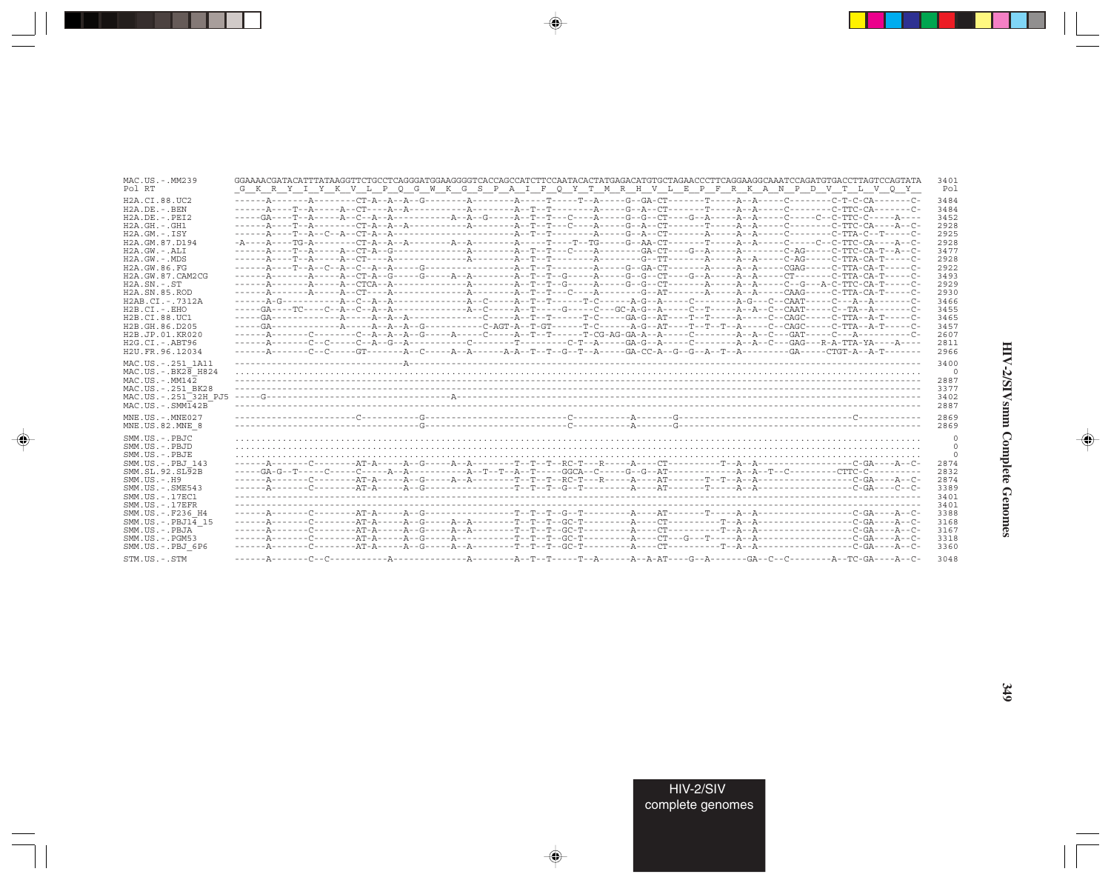| MAC.US.-.MM239                                                                                                                                                               | GGAAAACGATACATTTATAAGGTTCTGCCTCAGGGATGGAAGGGGTCACCAGCCATCTTCCAATACACTATGAGACATGTGCTAGAACCCTTCAGGAAGGCAAATCCAGATGTGACCTTAGTCCAGTATA                                                                                                                                                                                                                                                                                                    | 3401                                                     |
|------------------------------------------------------------------------------------------------------------------------------------------------------------------------------|---------------------------------------------------------------------------------------------------------------------------------------------------------------------------------------------------------------------------------------------------------------------------------------------------------------------------------------------------------------------------------------------------------------------------------------|----------------------------------------------------------|
| Pol RT                                                                                                                                                                       | G K R Y I Y K V L P Q G W K G S P A I F Q Y T M R H V L E P F R K A N P D V T L V Q Y                                                                                                                                                                                                                                                                                                                                                 | Po]                                                      |
| H2A.CI.88.UC2                                                                                                                                                                |                                                                                                                                                                                                                                                                                                                                                                                                                                       | 3484                                                     |
| $H2A.DE. - .BEN$                                                                                                                                                             |                                                                                                                                                                                                                                                                                                                                                                                                                                       | 3484                                                     |
| $H2A.DE. - .PEI2$                                                                                                                                                            |                                                                                                                                                                                                                                                                                                                                                                                                                                       | 3452                                                     |
| H2A.GH.-.GH1                                                                                                                                                                 |                                                                                                                                                                                                                                                                                                                                                                                                                                       | 2928                                                     |
| $H2A.GM. - . TSY$                                                                                                                                                            |                                                                                                                                                                                                                                                                                                                                                                                                                                       | 2925                                                     |
| H2A.GM.87.D194                                                                                                                                                               | $-{\tt A}\hbox{----}{\tt A}-\hbox{----}{\tt T}{\tt G}-{\tt A}-\hbox{----}{\tt A}-{\tt A}-{\tt A}-\hbox{----}{\tt A}-{\tt A}-\hbox{----}{\tt A}-\hbox{----}{\tt T}-\hbox{-}-{\tt T}{\tt G}-\hbox{-}-{\tt G}-{\tt A}-{\tt C}{\tt T}-\hbox{----}{\tt T}-\hbox{-}-{\tt A}-\hbox{----}{\tt C}-\hbox{----}{\tt C}-\hbox{---}{\tt C}-{\tt C}-{\tt T}{\tt C}-{\tt C}{\tt A}-\hbox{----}{\tt A}-{\tt C}-{\tt T}{\tt C}-{\tt A}-{\tt A}-{\tt C$ | 2928                                                     |
| H2A.GW.-.ALI                                                                                                                                                                 |                                                                                                                                                                                                                                                                                                                                                                                                                                       | 3477                                                     |
| H2A.GW.-.MDS                                                                                                                                                                 |                                                                                                                                                                                                                                                                                                                                                                                                                                       | 2928                                                     |
| H2A.GW.86.FG                                                                                                                                                                 |                                                                                                                                                                                                                                                                                                                                                                                                                                       | 2922                                                     |
| H2A.GW.87.CAM2CG                                                                                                                                                             |                                                                                                                                                                                                                                                                                                                                                                                                                                       | 3493                                                     |
| $H2A$ . $SN. - . ST$                                                                                                                                                         |                                                                                                                                                                                                                                                                                                                                                                                                                                       | 2929                                                     |
| H <sub>2</sub> A.SN.85.ROD                                                                                                                                                   |                                                                                                                                                                                                                                                                                                                                                                                                                                       | 2930                                                     |
| H2AB.CI.-.7312A                                                                                                                                                              |                                                                                                                                                                                                                                                                                                                                                                                                                                       | 3466                                                     |
| $H2B.CI.-.EHO$                                                                                                                                                               |                                                                                                                                                                                                                                                                                                                                                                                                                                       | 3455                                                     |
| H2B.CI.88.UC1                                                                                                                                                                |                                                                                                                                                                                                                                                                                                                                                                                                                                       | 3465                                                     |
| H2B.GH.86.D205                                                                                                                                                               |                                                                                                                                                                                                                                                                                                                                                                                                                                       | 3457                                                     |
| H2B.JP.01.KR020                                                                                                                                                              |                                                                                                                                                                                                                                                                                                                                                                                                                                       | 2607                                                     |
| $H2G.CI.-ABT96$                                                                                                                                                              |                                                                                                                                                                                                                                                                                                                                                                                                                                       | 2811                                                     |
| H2U.FR.96.12034<br>MAC.US. - . 251 1A11<br>$MAC. US. - . BK2B$ H824<br>$MAC. US.-. MM142$<br>MAC.US.-.251 BK28<br>MAC.US.-.251 <sup>-32H</sup> PJ5<br>$MAC. US. - . SIMT42B$ |                                                                                                                                                                                                                                                                                                                                                                                                                                       | 2966<br>3400<br>$\Omega$<br>2887<br>3377<br>3402<br>2887 |
| MNE.US.-.MNE027                                                                                                                                                              |                                                                                                                                                                                                                                                                                                                                                                                                                                       | 2869                                                     |
| MNE.US.82.MNE 8                                                                                                                                                              |                                                                                                                                                                                                                                                                                                                                                                                                                                       | 2869                                                     |
| SMM.US.-.PBJC                                                                                                                                                                |                                                                                                                                                                                                                                                                                                                                                                                                                                       | $\mathbf{0}$                                             |
| SMM.US.-.PBJD                                                                                                                                                                |                                                                                                                                                                                                                                                                                                                                                                                                                                       | $\circ$                                                  |
| SMM.US.-.PBJE                                                                                                                                                                |                                                                                                                                                                                                                                                                                                                                                                                                                                       | $\Omega$                                                 |
| SMM.US.-.PBJ 143                                                                                                                                                             |                                                                                                                                                                                                                                                                                                                                                                                                                                       | 2874                                                     |
| SMM.SL.92.SL92B                                                                                                                                                              |                                                                                                                                                                                                                                                                                                                                                                                                                                       | 2832                                                     |
| SMM.US.-.H9                                                                                                                                                                  |                                                                                                                                                                                                                                                                                                                                                                                                                                       | 2874                                                     |
| $SMM.US. - .SME543$                                                                                                                                                          |                                                                                                                                                                                                                                                                                                                                                                                                                                       | 3389                                                     |
| SMM.US.-.17EC1                                                                                                                                                               |                                                                                                                                                                                                                                                                                                                                                                                                                                       | 3401                                                     |
| SMM.US. - . 17EFR                                                                                                                                                            |                                                                                                                                                                                                                                                                                                                                                                                                                                       | 3401                                                     |
| SMM.US.-.F236 H4                                                                                                                                                             |                                                                                                                                                                                                                                                                                                                                                                                                                                       | 3388                                                     |
| $SMM.US.-.PBJ14$ 15                                                                                                                                                          |                                                                                                                                                                                                                                                                                                                                                                                                                                       | 3168                                                     |
| SMM.US.-.PBJA                                                                                                                                                                |                                                                                                                                                                                                                                                                                                                                                                                                                                       | 3167                                                     |
| SMM.US.-.PGM53                                                                                                                                                               |                                                                                                                                                                                                                                                                                                                                                                                                                                       | 3318                                                     |
| SMM.US.-.PBJ 6P6                                                                                                                                                             |                                                                                                                                                                                                                                                                                                                                                                                                                                       | 3360                                                     |
| STM.US.-.STM                                                                                                                                                                 |                                                                                                                                                                                                                                                                                                                                                                                                                                       | 3048                                                     |

 $\begin{picture}(20,5) \put(0,0){\vector(0,1){10}} \put(15,0){\vector(0,1){10}} \put(15,0){\vector(0,1){10}} \put(15,0){\vector(0,1){10}} \put(15,0){\vector(0,1){10}} \put(15,0){\vector(0,1){10}} \put(15,0){\vector(0,1){10}} \put(15,0){\vector(0,1){10}} \put(15,0){\vector(0,1){10}} \put(15,0){\vector(0,1){10}} \put(15,0){\vector(0,1){10}} \put(15,0){\vector(0,$ 

an an Tar

 $\overrightarrow{\phantom{a}}$ 

 $\frac{\partial \mathcal{L}}{\partial \mathbf{r}} = \frac{\partial \mathcal{L}}{\partial \mathbf{r}}$ 

 $\begin{picture}(20,5) \put(0,0){\line(1,0){10}} \put(15,0){\line(1,0){10}} \put(15,0){\line(1,0){10}} \put(15,0){\line(1,0){10}} \put(15,0){\line(1,0){10}} \put(15,0){\line(1,0){10}} \put(15,0){\line(1,0){10}} \put(15,0){\line(1,0){10}} \put(15,0){\line(1,0){10}} \put(15,0){\line(1,0){10}} \put(15,0){\line(1,0){10}} \put(15,0){\line(1,$ 

 $\equiv$ 

 $\blacksquare$ 

. . .

-1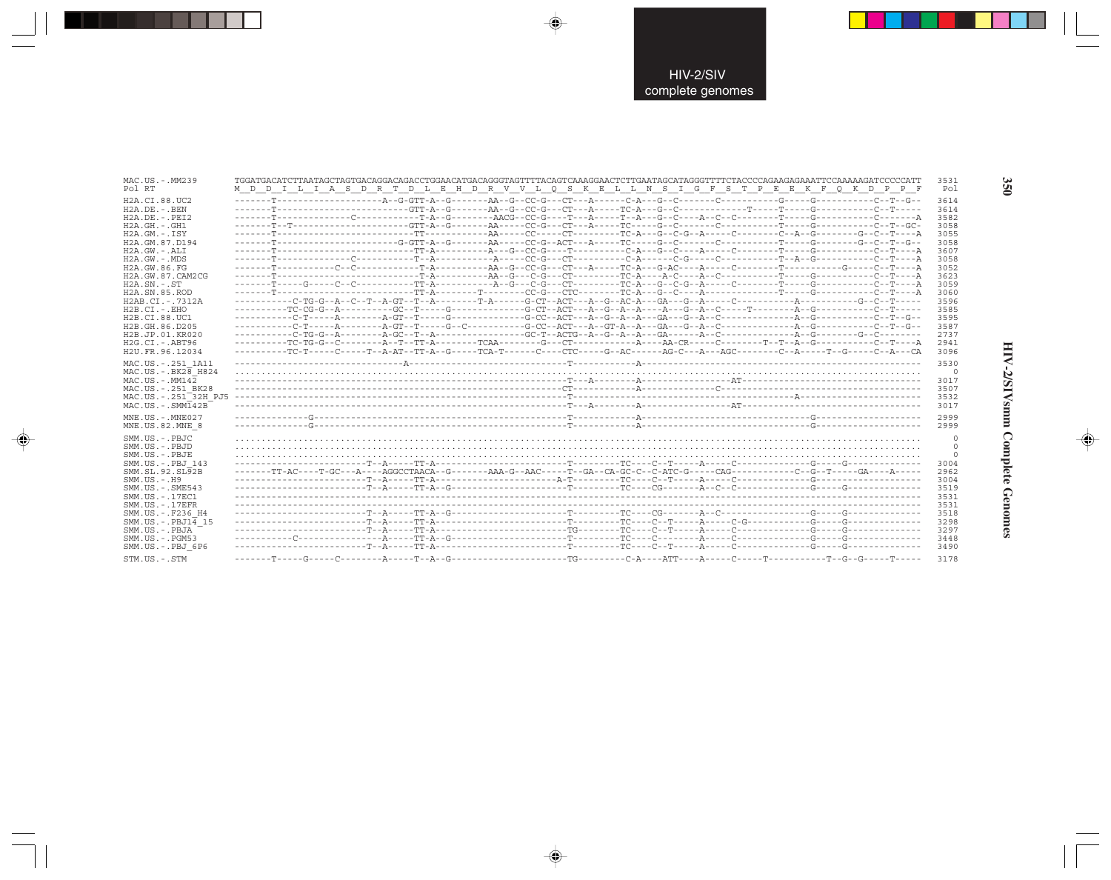| MAC.US.-.MM239<br>Pol RT        | TGGATGACATCTTAATAGCTAGTGACAGGACAGACCTGGAACATGACAGGGTAGTTTTACAGTCAAAGGAACTCTTGAATAGCATAGGGTTTTCTACCCCAGAAGAGAAATTCCAAAAAGATCCCCCATT<br>M D D I L I A S D R T D L E H D R V V L O S K E L L N S I G F S T P E E K F O K D P P F | 3531<br>Pol |
|---------------------------------|-------------------------------------------------------------------------------------------------------------------------------------------------------------------------------------------------------------------------------|-------------|
|                                 |                                                                                                                                                                                                                               |             |
| H2A.CI.88.UC2                   |                                                                                                                                                                                                                               | 3614        |
| H2A.DE. - .BEN                  |                                                                                                                                                                                                                               | 3614        |
| $H2A.DE. - .PEI2$               |                                                                                                                                                                                                                               | 3582        |
| $H2A.GH. - .GH1$                |                                                                                                                                                                                                                               | 3058        |
| $H2A.GM.-.ISY$                  |                                                                                                                                                                                                                               | 3055        |
| H2A.GM.87.D194                  | -------T--------------------G-GTT-A--G-------AA-----CC-G--ACT---A------TC-----G--C-------C--------T-----G--C--T--G--                                                                                                          | 3058        |
| $H2A.GW. - .ALI$                |                                                                                                                                                                                                                               | 3607        |
| $H2A.GW. - .MDS$                |                                                                                                                                                                                                                               | 3058        |
| H2A.GW.86.FG                    |                                                                                                                                                                                                                               | 3052        |
| H2A.GW.87.CAM2CG                |                                                                                                                                                                                                                               | 3623        |
| $H2A.SN. - .ST$                 |                                                                                                                                                                                                                               | 3059        |
| H <sub>2</sub> A.SN.85.ROD      |                                                                                                                                                                                                                               | 3060        |
| H2AB.CI.-.7312A                 |                                                                                                                                                                                                                               | 3596        |
| $H2B.CI.-.EHO$                  |                                                                                                                                                                                                                               | 3585        |
| H2B.CI.88.UC1                   |                                                                                                                                                                                                                               | 3595        |
| H2B.GH.86.D205                  |                                                                                                                                                                                                                               | 3587        |
| H2B.JP.01.KR020                 |                                                                                                                                                                                                                               | 2737        |
| H2G.CI.-.ABT96                  |                                                                                                                                                                                                                               | 2941        |
| H2U.FR.96.12034                 |                                                                                                                                                                                                                               | 3096        |
|                                 |                                                                                                                                                                                                                               |             |
| MAC.US. - . 251 1A11            |                                                                                                                                                                                                                               | 3530        |
| $MAC.US.-.BK2\overline{8}$ H824 |                                                                                                                                                                                                                               | 0           |
| $MAC. US. - . MM142$            |                                                                                                                                                                                                                               | 3017        |
| MAC.US. - . 251 BK28            |                                                                                                                                                                                                                               | 3507        |
| MAC.US.-.251 32H PJ5            |                                                                                                                                                                                                                               | 3532        |
| $MAC . US . - . SIM142B$        |                                                                                                                                                                                                                               | 3017        |
|                                 |                                                                                                                                                                                                                               |             |
| MNE.US.-.MNE027                 |                                                                                                                                                                                                                               | 2999        |
| MNE.US.82.MNE 8                 |                                                                                                                                                                                                                               | 2999        |
| SMM.US.-.PBJC                   |                                                                                                                                                                                                                               | 0           |
| SMM.US.-.PBJD                   |                                                                                                                                                                                                                               | 0           |
| SMM.US.-.PBJE                   |                                                                                                                                                                                                                               | $\Omega$    |
| SMM.US.-.PBJ 143                |                                                                                                                                                                                                                               | 3004        |
| SMM.SL.92.SL92B                 |                                                                                                                                                                                                                               | 2962        |
| $SMM. US. - . H9$               |                                                                                                                                                                                                                               | 3004        |
| $SMM.US. - .SME543$             |                                                                                                                                                                                                                               | 3519        |
| SMM.US. - . 17EC1               |                                                                                                                                                                                                                               | 3531        |
| $SMM. US. - .17EFR$             |                                                                                                                                                                                                                               | 3531        |
| SMM.US.-.F236 H4                |                                                                                                                                                                                                                               | 3518        |
|                                 |                                                                                                                                                                                                                               |             |
| SMM.US. - . PBJ14 15            |                                                                                                                                                                                                                               | 3298        |
| SMM.US.-.PBJA                   |                                                                                                                                                                                                                               | 3297        |
| $SMM. US. - . PGM53$            |                                                                                                                                                                                                                               | 3448        |
| SMM.US.-.PBJ 6P6                |                                                                                                                                                                                                                               | 3490        |
| STM.US.-.STM                    |                                                                                                                                                                                                                               | 3178        |

 $\Rightarrow$ 

 $\Rightarrow$ 

 $\color{red} \bigoplus$ 

HIV-2/SIVsmm Complete Genomes

 $\Rightarrow$ 

350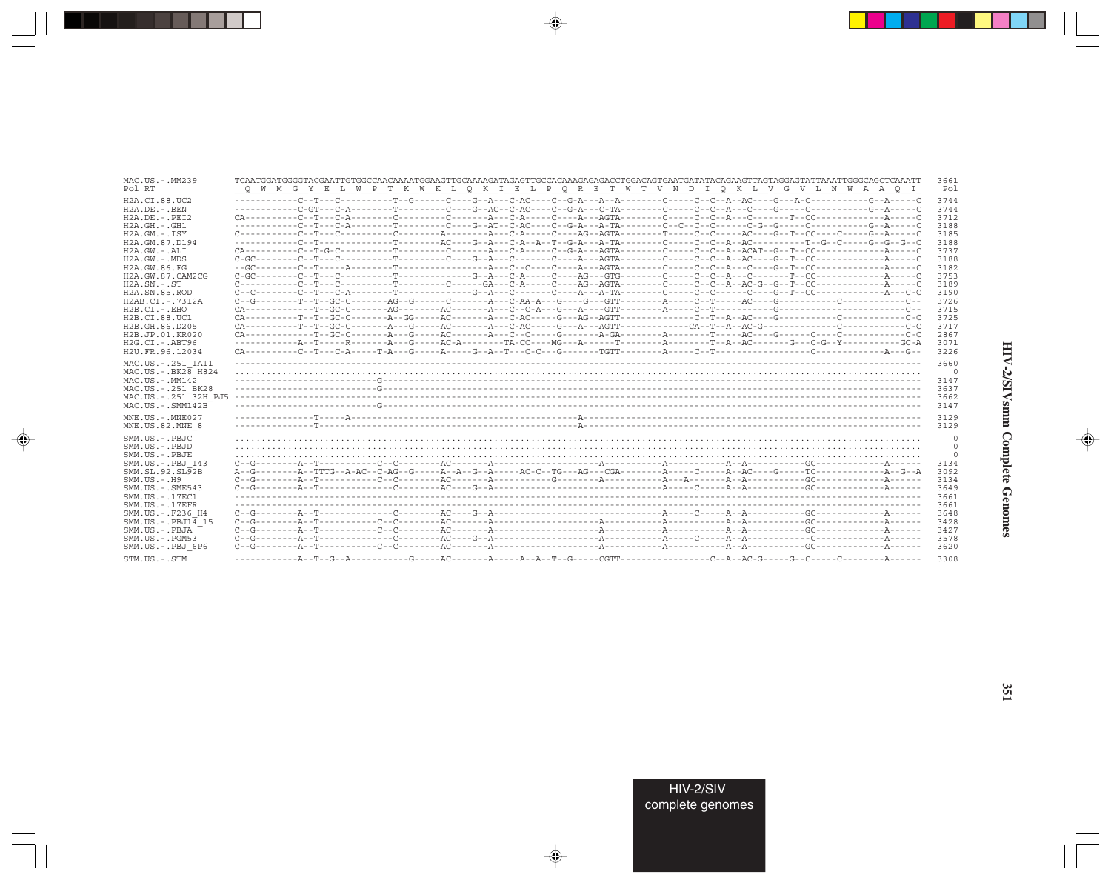| MAC.US.-.MM239                                                                                                                                          | TCAATGGATGGGGTACGAATTGTGGCCAACAAAATGGAAGTTGCAAAAGATAGAGTTGCCACAAAGAGAGACCTGGACAGTGAATGATATACAGAAGTTAGTAGGAGTATTAAATTGGGCAGCTCAAATT | 3661                                                     |
|---------------------------------------------------------------------------------------------------------------------------------------------------------|------------------------------------------------------------------------------------------------------------------------------------|----------------------------------------------------------|
| Pol RT                                                                                                                                                  | Q W M G Y E L W P T K W K L Q K I E L P Q R E T W T V N D I Q K L V G V L N W A A Q I                                              | Pol                                                      |
| H2A.CI.88.UC2                                                                                                                                           |                                                                                                                                    | 3744                                                     |
| $H2A.DE. - .BEN$                                                                                                                                        |                                                                                                                                    | 3744                                                     |
| $H2A.DE. - .PEI2$                                                                                                                                       |                                                                                                                                    | 3712                                                     |
| $H2A.GH. - .GH1$                                                                                                                                        |                                                                                                                                    | 3188                                                     |
| $H2A.GM. - . TSY$                                                                                                                                       |                                                                                                                                    | 3185                                                     |
| H2A.GM.87.D194                                                                                                                                          | -----------C--T-------------T-------AC----G--A--C-A--T--G-A-----A-TA-------C---C--A--AC---------T--G--C--C--G--G--C-               | 3188                                                     |
| $H2A.GW. - .ALI$                                                                                                                                        |                                                                                                                                    | 3737                                                     |
| $H2A.GW. - .MDS$                                                                                                                                        |                                                                                                                                    | 3188                                                     |
| H2A.GW.86.FG                                                                                                                                            |                                                                                                                                    | 3182                                                     |
| H2A.GW.87.CAM2CG                                                                                                                                        |                                                                                                                                    | 3753                                                     |
| $H2A$ . $SN. - . ST$                                                                                                                                    |                                                                                                                                    | 3189                                                     |
| H <sub>2</sub> A.SN.85.ROD                                                                                                                              |                                                                                                                                    | 3190                                                     |
| $H2AB.CI. - .7312A$                                                                                                                                     | $C--G--\cdots-T-T-T-GC-C--\cdots-AG-G--\cdots-C--\cdots-A--\cdots-A-$                                                              | 3726                                                     |
| $H2B.CI.-.EHO$                                                                                                                                          |                                                                                                                                    | 3715                                                     |
| H2B.CI.88.UC1                                                                                                                                           |                                                                                                                                    | 3725                                                     |
| H2B.GH.86.D205                                                                                                                                          |                                                                                                                                    | 3717                                                     |
| H <sub>2</sub> B.JP.01.KR020                                                                                                                            |                                                                                                                                    | 2867                                                     |
| $H2G.CI.-ABT96$                                                                                                                                         | ------------A--T-----R-------A---G-----AC-A--------TA-CC----MG---A------T--------A-------T--A--AC-------G--C-G--Y-----------GC-A   | 3071                                                     |
| H2U.FR.96.12034                                                                                                                                         |                                                                                                                                    | 3226                                                     |
| MAC.US. - . 251 1A11                                                                                                                                    |                                                                                                                                    | 3660                                                     |
| $MAC. US. - . BK2B$ H824                                                                                                                                |                                                                                                                                    | $\circ$                                                  |
| $MAC. US. - . MM142$                                                                                                                                    |                                                                                                                                    | 3147                                                     |
| MAC.US.-.251 BK28                                                                                                                                       |                                                                                                                                    | 3637                                                     |
| MAC.US.-.251 <sup>-32H</sup> PJ5                                                                                                                        |                                                                                                                                    | 3662                                                     |
| $MAC . US . - . SIM142B$                                                                                                                                |                                                                                                                                    | 3147                                                     |
| $MNE. US.-. MNE027$                                                                                                                                     |                                                                                                                                    | 3129                                                     |
| MNE.US.82.MNE 8                                                                                                                                         |                                                                                                                                    | 3129                                                     |
| SMM.US.-.PBJC<br>$SMM. US. - PBJD$<br>SMM.US.-.PBJE<br>SMM.US.-.PBJ 143<br>SMM.SL.92.SL92B<br>$SMM. US. - . H9$<br>SMM.US. - . SME543<br>SMM.US.-.17EC1 | $C- G-1$                                                                                                                           | 0<br>$\mathbf 0$<br>3134<br>3092<br>3134<br>3649<br>3661 |
| $SMM. US. - .17EFR$                                                                                                                                     |                                                                                                                                    | 3661                                                     |
| SMM.US. - .F236 H4                                                                                                                                      | $C- G-1$                                                                                                                           | 3648                                                     |
| SMM.US. - . $PRJ1\overline{4}$ 15                                                                                                                       |                                                                                                                                    | 3428                                                     |
| SMM.US.-.PBJA                                                                                                                                           | $C- G-1$                                                                                                                           | 3427                                                     |
| SMM.US.-.PGM53                                                                                                                                          |                                                                                                                                    | 3578                                                     |
| SMM.US.-.PBJ 6P6                                                                                                                                        | $C- G-1$                                                                                                                           | 3620                                                     |
| STM.US.-.STM                                                                                                                                            |                                                                                                                                    | 3308                                                     |

 $\begin{picture}(20,5) \put(0,0){\vector(0,1){10}} \put(15,0){\vector(0,1){10}} \put(15,0){\vector(0,1){10}} \put(15,0){\vector(0,1){10}} \put(15,0){\vector(0,1){10}} \put(15,0){\vector(0,1){10}} \put(15,0){\vector(0,1){10}} \put(15,0){\vector(0,1){10}} \put(15,0){\vector(0,1){10}} \put(15,0){\vector(0,1){10}} \put(15,0){\vector(0,1){10}} \put(15,0){\vector(0,$ 

a shekara 1960

 $\overrightarrow{\phantom{a}}$ 

 $\frac{1}{\sqrt{2}}$ 

# HIV-2/SIVsmm Complete Genomes

 $\begin{picture}(20,5) \put(0,0){\line(1,0){10}} \put(15,0){\line(1,0){10}} \put(15,0){\line(1,0){10}} \put(15,0){\line(1,0){10}} \put(15,0){\line(1,0){10}} \put(15,0){\line(1,0){10}} \put(15,0){\line(1,0){10}} \put(15,0){\line(1,0){10}} \put(15,0){\line(1,0){10}} \put(15,0){\line(1,0){10}} \put(15,0){\line(1,0){10}} \put(15,0){\line(1,$ 

 $\overline{\phantom{0}}$ 

 $\Box$ 

. . .

٠

HIV-2/SIV<br>complete genomes

351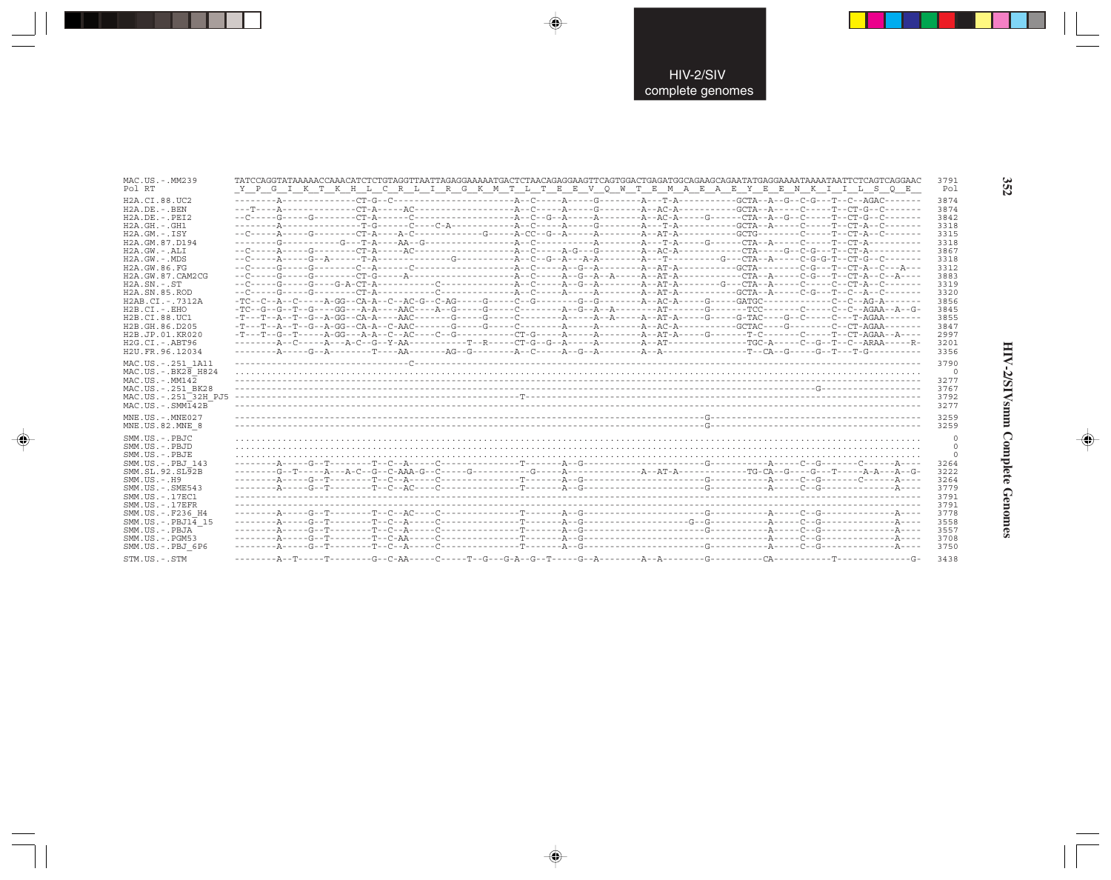| MAC.US.-.MM239                                                                                                                                                                                  |                                                                                       | 3791                                                 |
|-------------------------------------------------------------------------------------------------------------------------------------------------------------------------------------------------|---------------------------------------------------------------------------------------|------------------------------------------------------|
| Pol RT                                                                                                                                                                                          | Y P G I K T K H L C R L I R G K M T L T E E V Q W T E M A E A E Y E E N K I I L S Q E | Pol                                                  |
| H2A.CI.88.UC2                                                                                                                                                                                   |                                                                                       | 3874                                                 |
| $H2A.DE. - .BEN$                                                                                                                                                                                |                                                                                       | 3874                                                 |
| $H2A.DE. - .PEI2$                                                                                                                                                                               |                                                                                       | 3842                                                 |
| $H2A.GH.-.GH1$                                                                                                                                                                                  |                                                                                       | 3318                                                 |
| $H2A.GM. - TSY$                                                                                                                                                                                 |                                                                                       | 3315                                                 |
| H2A.GM.87.D194                                                                                                                                                                                  |                                                                                       | 3318                                                 |
| $H2A.GW. - .ALI$                                                                                                                                                                                |                                                                                       | 3867                                                 |
| H2A.GW.-.MDS                                                                                                                                                                                    |                                                                                       | 3318                                                 |
| H2A.GW.86.FG                                                                                                                                                                                    |                                                                                       | 3312                                                 |
| H2A.GW.87.CAM2CG                                                                                                                                                                                |                                                                                       | 3883                                                 |
| $H2A$ . $SN. - . ST$                                                                                                                                                                            |                                                                                       | 3319                                                 |
| H2A.SN.85.ROD                                                                                                                                                                                   |                                                                                       | 3320                                                 |
| H2AB.CI.-.7312A                                                                                                                                                                                 |                                                                                       | 3856                                                 |
| $H2B.CI.-.EHO$                                                                                                                                                                                  |                                                                                       | 3845                                                 |
| H2B.CI.88.UC1                                                                                                                                                                                   |                                                                                       | 3855                                                 |
| H2B.GH.86.D205                                                                                                                                                                                  |                                                                                       | 3847                                                 |
| H2B.JP.01.KR020                                                                                                                                                                                 |                                                                                       | 2997                                                 |
| H2G.CI.-.ABT96                                                                                                                                                                                  |                                                                                       | 3201                                                 |
| H2U.FR.96.12034                                                                                                                                                                                 |                                                                                       | 3356                                                 |
| MAC.US. - . 251 1A11<br>$MAC. US. - . BK2B$ H824<br>$MAC. US.-. MM142$<br>MAC.US. - . 251 BK28<br>MAC.US.-.251 32H PJ5<br>$MAC . US . - . SIM142B$                                              |                                                                                       | 3790<br>$\Omega$<br>3277<br>3767<br>3792<br>3277     |
| $MNE. US.-. MNE027$                                                                                                                                                                             |                                                                                       | 3259                                                 |
| MNE.US.82.MNE 8                                                                                                                                                                                 |                                                                                       | 3259                                                 |
| SMM.US.-.PBJC<br>SMM.US.-.PBJD<br>SMM.US.-.PBJE<br>SMM.US.-.PBJ 143<br>SMM.SL.92.SL92B<br>$SMM. US. - . H9$<br>$SMM.US. - .SME543$<br>SMM.US.-.17EC1<br>$SMM. US. - .17EFR$<br>SMM.US.-.F236 H4 |                                                                                       | 3264<br>3222<br>3264<br>3779<br>3791<br>3791<br>3778 |
| SMM.US.-.PBJ14 15                                                                                                                                                                               |                                                                                       | 3558                                                 |
| SMM.US.-.PBJA                                                                                                                                                                                   |                                                                                       | 3557                                                 |
| SMM.US.-.PGM53                                                                                                                                                                                  |                                                                                       | 3708                                                 |
| SMM.US.-.PBJ 6P6                                                                                                                                                                                |                                                                                       | 3750                                                 |
| STM.US.-.STM                                                                                                                                                                                    |                                                                                       | 3438                                                 |

 $\Rightarrow$ 

 $\bigoplus$ 

 $\color{red} \bigoplus$ 

352

 $\Rightarrow$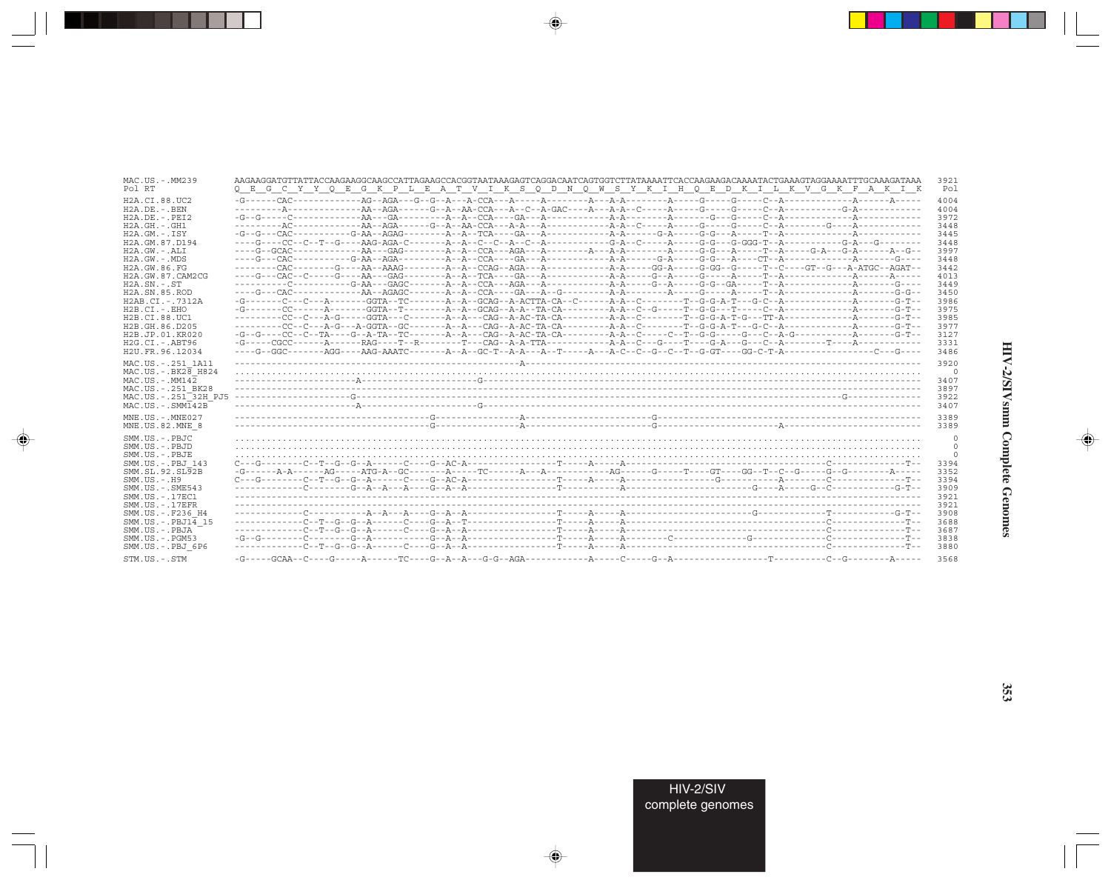| MAC.US.-.MM239                                                                                                                                                                   | AAGAAGGATGTTATTACCAAGAAGGCAAGCCATTAGAAGCCACGGTAATAAAGAGTCAGGACAATCAGTGGTCTTATAAAATTCACCAAGAAGACAAAATACTGAAAGTAGGAAAATTTGCAAAGATAAA                                                                                                                                                                                                                                                                                                                                                                       | 3921                                                    |
|----------------------------------------------------------------------------------------------------------------------------------------------------------------------------------|----------------------------------------------------------------------------------------------------------------------------------------------------------------------------------------------------------------------------------------------------------------------------------------------------------------------------------------------------------------------------------------------------------------------------------------------------------------------------------------------------------|---------------------------------------------------------|
| Pol RT                                                                                                                                                                           | Q E G C Y Y Q E G K P L E A T V I K S Q D N Q W S Y K I H Q E D K I L K V G K F A K I K                                                                                                                                                                                                                                                                                                                                                                                                                  | Pol                                                     |
| H <sub>2</sub> A CT 88 UC <sub>2</sub>                                                                                                                                           |                                                                                                                                                                                                                                                                                                                                                                                                                                                                                                          | 4004                                                    |
| $H2A.DE. - .BEN$                                                                                                                                                                 |                                                                                                                                                                                                                                                                                                                                                                                                                                                                                                          | 4004                                                    |
| $H2A$ . DE. - . PET2                                                                                                                                                             |                                                                                                                                                                                                                                                                                                                                                                                                                                                                                                          | 3972                                                    |
| $H2A.GH. - .GH1$                                                                                                                                                                 |                                                                                                                                                                                                                                                                                                                                                                                                                                                                                                          | 3448                                                    |
| $H2A.GM.-.ISY$                                                                                                                                                                   |                                                                                                                                                                                                                                                                                                                                                                                                                                                                                                          | 3445                                                    |
| H2A.GM.87.D194                                                                                                                                                                   |                                                                                                                                                                                                                                                                                                                                                                                                                                                                                                          | 3448                                                    |
| $H2A.GW. - .ALI$                                                                                                                                                                 |                                                                                                                                                                                                                                                                                                                                                                                                                                                                                                          | 3997                                                    |
| H2A.GW.-.MDS                                                                                                                                                                     |                                                                                                                                                                                                                                                                                                                                                                                                                                                                                                          | 3448                                                    |
| H2A.GW.86.FG                                                                                                                                                                     |                                                                                                                                                                                                                                                                                                                                                                                                                                                                                                          | 3442                                                    |
| H2A.GW.87.CAM2CG                                                                                                                                                                 |                                                                                                                                                                                                                                                                                                                                                                                                                                                                                                          | 4013                                                    |
| $H2A.SN.-.ST$                                                                                                                                                                    |                                                                                                                                                                                                                                                                                                                                                                                                                                                                                                          | 3449                                                    |
| H <sub>2</sub> A.SN.85.ROD                                                                                                                                                       |                                                                                                                                                                                                                                                                                                                                                                                                                                                                                                          | 3450                                                    |
| H2AB.CI.-.7312A                                                                                                                                                                  |                                                                                                                                                                                                                                                                                                                                                                                                                                                                                                          | 3986                                                    |
| $H2B.CI.-.EHO$                                                                                                                                                                   |                                                                                                                                                                                                                                                                                                                                                                                                                                                                                                          | 3975                                                    |
| H2B.CI.88.UC1                                                                                                                                                                    |                                                                                                                                                                                                                                                                                                                                                                                                                                                                                                          | 3985                                                    |
| H2B.GH.86.D205                                                                                                                                                                   |                                                                                                                                                                                                                                                                                                                                                                                                                                                                                                          | 3977                                                    |
| H2B.JP.01.KR020                                                                                                                                                                  |                                                                                                                                                                                                                                                                                                                                                                                                                                                                                                          | 3127                                                    |
| $H2G.CI.-ABT96$                                                                                                                                                                  |                                                                                                                                                                                                                                                                                                                                                                                                                                                                                                          | 3331                                                    |
| H2U.FR.96.12034<br>MAC.US. - . 251 1A11<br>MAC.US. - . BK28 H824<br>$MAC. US. - . MM142$<br>MAC.US. - . 251 BK28<br>MAC.US.-.251 <sup>-32H</sup> PJ5<br>$MAC . US . - . SIMT42B$ |                                                                                                                                                                                                                                                                                                                                                                                                                                                                                                          | 3486<br>3920<br>$\circ$<br>3407<br>3897<br>3922<br>3407 |
| $MNE. US.-. MNE027$                                                                                                                                                              |                                                                                                                                                                                                                                                                                                                                                                                                                                                                                                          | 3389                                                    |
| MNE.US.82.MNE 8                                                                                                                                                                  |                                                                                                                                                                                                                                                                                                                                                                                                                                                                                                          | 3389                                                    |
| SMM US - PBJC                                                                                                                                                                    |                                                                                                                                                                                                                                                                                                                                                                                                                                                                                                          | $\mathbf 0$                                             |
| SMM.US.-.PBJD                                                                                                                                                                    |                                                                                                                                                                                                                                                                                                                                                                                                                                                                                                          | $\mathbf 0$                                             |
| SMM.US.-.PBJE                                                                                                                                                                    |                                                                                                                                                                                                                                                                                                                                                                                                                                                                                                          | $\mathbf 0$                                             |
| SMM.US. - PBJ 143                                                                                                                                                                |                                                                                                                                                                                                                                                                                                                                                                                                                                                                                                          | 3394                                                    |
| SMM.SL.92.SL92B                                                                                                                                                                  |                                                                                                                                                                                                                                                                                                                                                                                                                                                                                                          | 3352                                                    |
| $SMM. US. - . H9$                                                                                                                                                                | $\underbrace{\texttt{C--G--}\dots\texttt{-C--G--G--G--G--G--A--}\dots\texttt{-C--G--A}\dots\texttt{-G--}\dots\texttt{-T--}\dots\texttt{-A--}\dots\texttt{-A--}\dots\texttt{-A--}\dots\texttt{-G--}\dots\texttt{-G--}\dots\texttt{-G--}\dots\texttt{-C--}\dots\texttt{-G--}\dots\texttt{-G--}\dots\texttt{-G--}\dots\texttt{-G--}\dots\texttt{-G--}\dots\texttt{-G--}\dots\texttt{-G--}\dots\texttt{-G--}\dots\texttt{-G--}\dots\texttt{-G--}\dots\texttt{-G--}\dots\texttt{-G--}\dots\texttt{-G--}\dots$ | 3394                                                    |
| SMM.US.-.SME543                                                                                                                                                                  |                                                                                                                                                                                                                                                                                                                                                                                                                                                                                                          | 3909                                                    |
| SMM. US. - . 17EC1                                                                                                                                                               |                                                                                                                                                                                                                                                                                                                                                                                                                                                                                                          | 3921                                                    |
| $SMM. US. - .17EFR$                                                                                                                                                              |                                                                                                                                                                                                                                                                                                                                                                                                                                                                                                          | 3921                                                    |
| SMM.US. - .F236 H4                                                                                                                                                               |                                                                                                                                                                                                                                                                                                                                                                                                                                                                                                          | 3908                                                    |
| $SMM.US.-.PBJ14$ 15                                                                                                                                                              |                                                                                                                                                                                                                                                                                                                                                                                                                                                                                                          | 3688                                                    |
| SMM.US.-.PBJA                                                                                                                                                                    |                                                                                                                                                                                                                                                                                                                                                                                                                                                                                                          | 3687                                                    |
| $SMM.US. - . PGM53$                                                                                                                                                              |                                                                                                                                                                                                                                                                                                                                                                                                                                                                                                          | 3838                                                    |
| SMM.US.-.PBJ 6P6                                                                                                                                                                 |                                                                                                                                                                                                                                                                                                                                                                                                                                                                                                          | 3880                                                    |
| STM.US.-.STM                                                                                                                                                                     |                                                                                                                                                                                                                                                                                                                                                                                                                                                                                                          | 3568                                                    |

 $\begin{picture}(20,5) \put(0,0){\vector(0,1){10}} \put(15,0){\vector(0,1){10}} \put(15,0){\vector(0,1){10}} \put(15,0){\vector(0,1){10}} \put(15,0){\vector(0,1){10}} \put(15,0){\vector(0,1){10}} \put(15,0){\vector(0,1){10}} \put(15,0){\vector(0,1){10}} \put(15,0){\vector(0,1){10}} \put(15,0){\vector(0,1){10}} \put(15,0){\vector(0,1){10}} \put(15,0){\vector(0,$ 

a shekara 1960

 $\overrightarrow{\phantom{a}}$ 

 $\equiv$ 

HIV-2/SIVsmm Complete Genomes

 $\begin{picture}(20,5) \put(0,0){\line(1,0){10}} \put(15,0){\line(1,0){10}} \put(15,0){\line(1,0){10}} \put(15,0){\line(1,0){10}} \put(15,0){\line(1,0){10}} \put(15,0){\line(1,0){10}} \put(15,0){\line(1,0){10}} \put(15,0){\line(1,0){10}} \put(15,0){\line(1,0){10}} \put(15,0){\line(1,0){10}} \put(15,0){\line(1,0){10}} \put(15,0){\line(1,$ 

 $\equiv$ 

e<br>G

 $\Box$ 

. . .

٠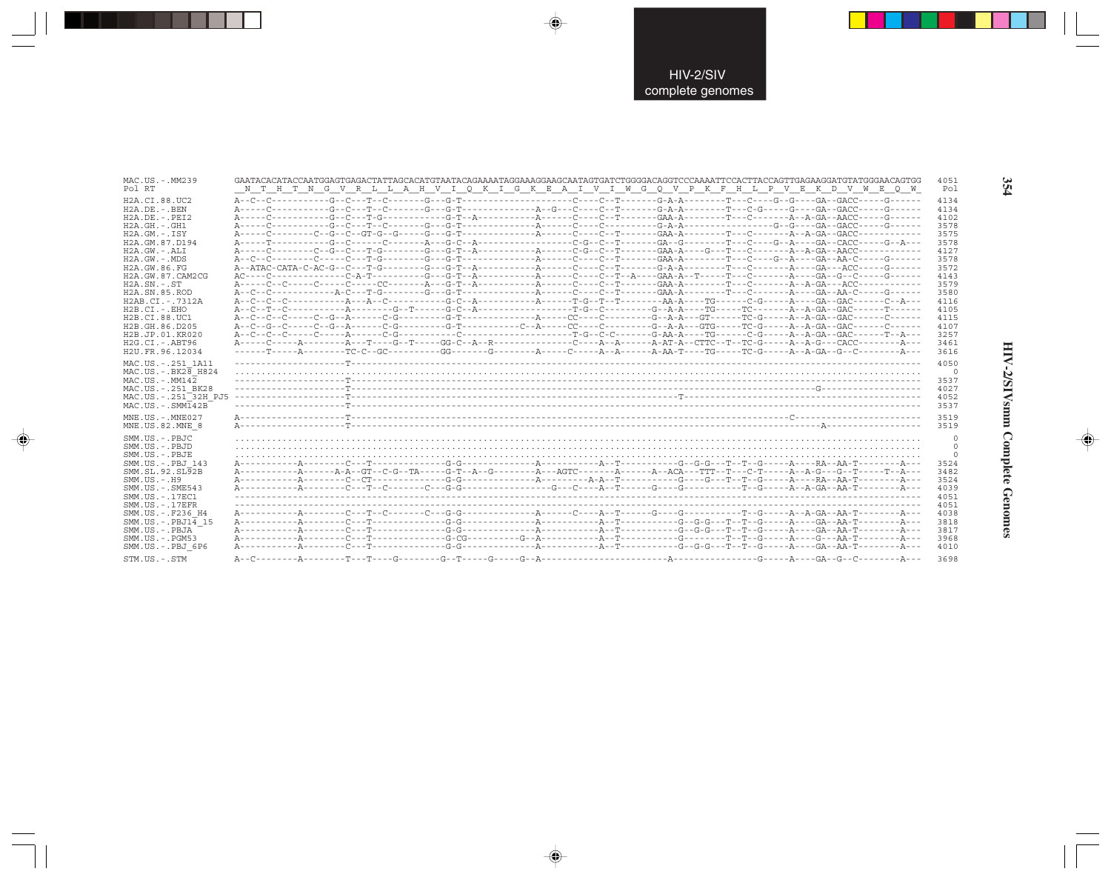| MAC.US. - . MM239<br>Pol RT                                                                                                                                                                                                                                                                                                      | 4051<br>GAATACACATACCAATGGAGTGAGACTATTAGCACATGTAATACAGAAAATAGGAAAGGAAGCAATAGTGATCTGGGGACAGGTCCCAAAATTCCACTTACCAGTTGAGAAGGATGTATGGGAACAGTGG<br>N T H T N G V R L L A H V I Q K I G K E A I V I W G Q V P K F H L P V E K D V W E Q W<br>Pol                                         |                                 |
|----------------------------------------------------------------------------------------------------------------------------------------------------------------------------------------------------------------------------------------------------------------------------------------------------------------------------------|------------------------------------------------------------------------------------------------------------------------------------------------------------------------------------------------------------------------------------------------------------------------------------|---------------------------------|
| H2A.CI.88.UC2<br>H2A.DE. - . BEN<br>$H2A.DE. - .PEI2$<br>$H2A.GH.-.GH1$<br>$H2A.GM.-.ISY$<br>H2A.GM.87.D194<br>H2A.GW.-.ALI<br>H2A.GW.-.MDS<br>H2A.GW.86.FG<br>H2A.GW.87.CAM2CG<br>$H2A.SN.-.ST$<br>H2A.SN.85.ROD<br>H2AB.CI.-.7312A<br>$H2B.CI.-.EHO$<br>H2B.CI.88.UC1<br>H2B.GH.86.D205<br>H2B.JP.01.KR020<br>$H2G.CI.-.ABT96$ | 4134<br>4134<br>4102<br>3578<br>3575<br>3578<br>4127<br>3578<br>3572<br>4143<br>3579<br>3580<br>4116<br>4105<br>4115<br>4107<br>3257<br>A-----C-----A--------A---T----G--T-----GG-C--A--R-------------C----A-A-A------A-AT-A--CTTC--T--TC-G-----A--A-G---CACC--------A----<br>3461 |                                 |
| H2U.FR.96.12034<br>MAC.US. - . 251 1A11<br>$MAC. US. - . BK28$ H824<br>$MAC. US. - . MM142$<br>MAC.US.-.251 BK28<br>MAC.US.-.251 <sup>-32H</sup> PJ5<br>$MAC . US . - . SIM142B$                                                                                                                                                 | 3616<br>4050<br>3537<br>4027<br>4052<br>3537                                                                                                                                                                                                                                       | $\circ$                         |
| MNE.US.-.MNE027                                                                                                                                                                                                                                                                                                                  |                                                                                                                                                                                                                                                                                    |                                 |
| MNE.US.82.MNE 8                                                                                                                                                                                                                                                                                                                  | 3519<br>3519                                                                                                                                                                                                                                                                       |                                 |
| SMM.US.-.PBJC<br>SMM.US.-.PBJD<br>SMM.US.-.PBJE<br>SMM.US. - PBJ 143<br>SMM.SL.92.SL92B<br>$SMM. US. - . H9$<br>SMM.US.-.SME543<br>SMM.US.-.17EC1<br>$SMM$ . US. $-$ . 17EFR<br>SMM.US.-.F236 H4                                                                                                                                 | 3524<br>3482<br>3524<br>4039<br>4051<br>4051<br>4038                                                                                                                                                                                                                               | $\circ$<br>$\Omega$<br>$\Omega$ |
| $SMM.US.-.PBJ14$ 15<br>SMM.US.-.PBJA<br>SMM.US.-.PGM53<br>SMM.US.-.PBJ 6P6                                                                                                                                                                                                                                                       | 3818<br>3817<br>3968<br>4010                                                                                                                                                                                                                                                       |                                 |

 $\Rightarrow$ 

 $\Rightarrow$ 

 $\color{red} \blacklozenge$ 

354

HIV-2/SIVsmm Complete Genomes

 $\Rightarrow$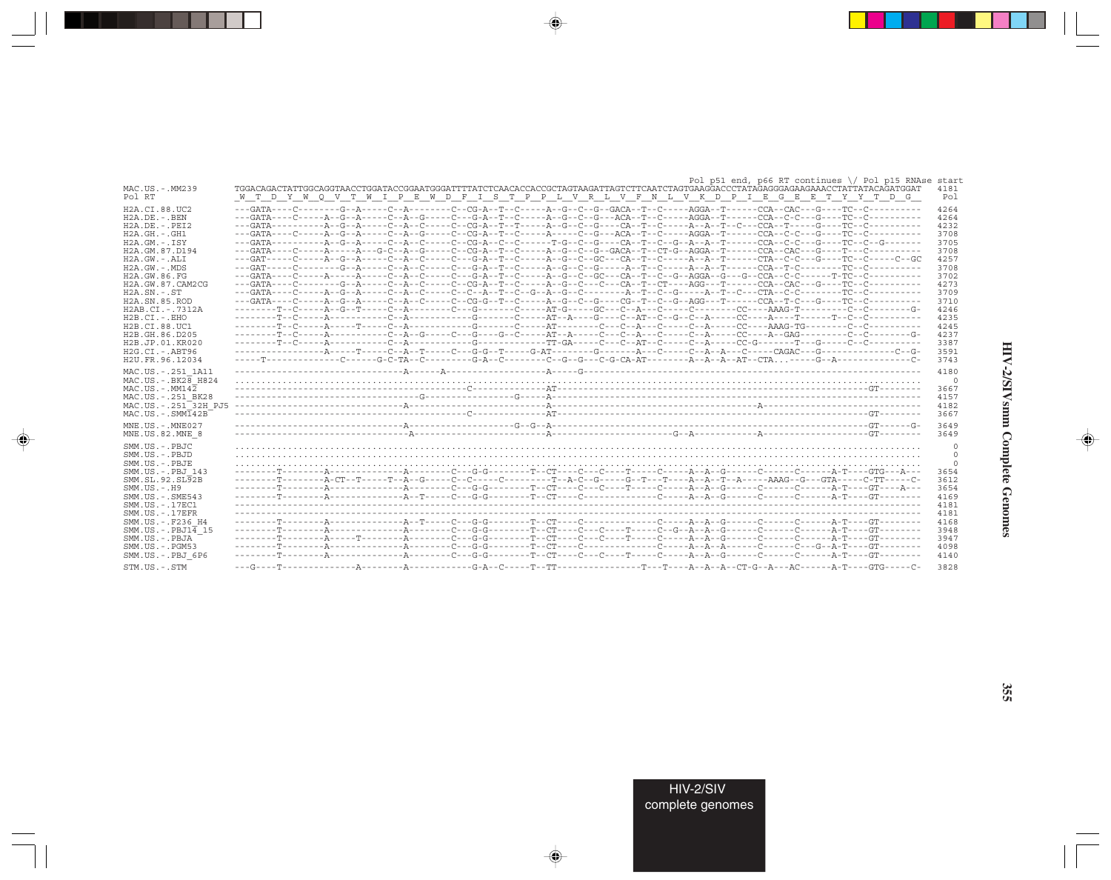|                                                                                                                                                                                                                                                                                                                                                 | Pol p51 end, p66 RT continues \/ Pol p15 RNAse start                                                                              |                                                                                                                                      |
|-------------------------------------------------------------------------------------------------------------------------------------------------------------------------------------------------------------------------------------------------------------------------------------------------------------------------------------------------|-----------------------------------------------------------------------------------------------------------------------------------|--------------------------------------------------------------------------------------------------------------------------------------|
| MAC.US.-.MM239                                                                                                                                                                                                                                                                                                                                  | TGGACAGACTATTGGCAGGTAACCTGGATACCGGAATGGGATTTTATCTCAACACCACCGCTAGTAAGATTAGTCTTCAATCTAGTGAAGGACCCTATAGAGGGAGAAGAACCTATTATACAGATGGAT | 4181                                                                                                                                 |
| Pol RT                                                                                                                                                                                                                                                                                                                                          | W T D Y W Q V T W I P E W D F I S T P P L V R L V F N L V K D P I E G E E T Y Y T D G                                             | Pol                                                                                                                                  |
| H <sub>2</sub> A.CI.88.UC <sub>2</sub><br>$H2A.DE. - .BEN$<br>$H2A.DE. - .PEI2$<br>$H2A.GH. - .GH1$<br>$H2A.GM.-.ISY$<br>H2A.GM.87.D194<br>$H2A.GW. - .ALI$<br>$H2A.GW. - .MDS$<br>H2A.GW.86.FG<br>H2A.GW.87.CAM2CG<br>$H2A.SN.-.ST$<br>H2A.SN.85.ROD<br>H2AB.CI.-.7312A<br>$H2B.CI.-EHO$<br>H2B.CI.88.UC1<br>H2B.GH.86.D205<br>H2B.JP.01.KR020 | --------T--C-----A--G--T-----C--A--------C---G-------C----AT-G-----GC---C--A---C------C-------CC----AAAG-T---------C--C-------G-  | 4264<br>4264<br>4232<br>3708<br>3705<br>3708<br>4257<br>3708<br>3702<br>4273<br>3709<br>3710<br>4246<br>4235<br>4245<br>4237<br>3387 |
| $H2G.CI.-.ABT96$                                                                                                                                                                                                                                                                                                                                |                                                                                                                                   | 3591                                                                                                                                 |
| H2U.FR.96.12034                                                                                                                                                                                                                                                                                                                                 | -----T-------------C-----G-C-TA--C--------G-A--C--------C--G--G--G---C-G-CA-AT--------A--A--AT--CTA----G--A-------------C-        | 3743                                                                                                                                 |
| MAC.US. - . 251 1A11<br>MAC.US. - . BK28 H824<br>$MAC$ . U.S. - $MM142$<br>MAC.US. - . 251 BK28<br>MAC.US. - . 251 <sup>-32H</sup> PJ5<br>$MAC. US. - . SIM142B$<br>MNE.US.-.MNE027                                                                                                                                                             |                                                                                                                                   | 4180<br>$\circ$<br>3667<br>4157<br>4182<br>3667<br>3649                                                                              |
| MNE.US.82.MNE 8                                                                                                                                                                                                                                                                                                                                 |                                                                                                                                   | 3649                                                                                                                                 |
| SMM.US.-.PBJC<br>SMM.US.-.PBJD<br>SMM.US.-.PBJE<br>SMM.US. -. PBJ 143<br>SMM.SL.92.SL92B<br>$SMM.US.-.H9$<br>$SMM. US. - . SME543$<br>SMM.US. - . 17EC1<br>$SMM. US. - .17EFR$                                                                                                                                                                  |                                                                                                                                   | $\mathbf 0$<br>$\Omega$<br>3654<br>3612<br>3654<br>4169<br>4181<br>4181                                                              |
| SMM.US. - . F236 H4<br>$SMM.US.-.PBJ1\overline{4}15$<br>SMM.US.-.PBJA<br>$SMM. US. - . PGM53$<br>SMM.US.-.PBJ 6P6                                                                                                                                                                                                                               |                                                                                                                                   | 4168<br>3948<br>3947<br>4098<br>4140                                                                                                 |
| $STM.$ US $. - .$ $STM$                                                                                                                                                                                                                                                                                                                         |                                                                                                                                   | 3828                                                                                                                                 |

 $\begin{picture}(20,5) \put(0,0){\vector(0,1){10}} \put(15,0){\vector(0,1){10}} \put(15,0){\vector(0,1){10}} \put(15,0){\vector(0,1){10}} \put(15,0){\vector(0,1){10}} \put(15,0){\vector(0,1){10}} \put(15,0){\vector(0,1){10}} \put(15,0){\vector(0,1){10}} \put(15,0){\vector(0,1){10}} \put(15,0){\vector(0,1){10}} \put(15,0){\vector(0,1){10}} \put(15,0){\vector(0,$ 

. . . .

 $\overrightarrow{\phantom{a}}$ 

 $\frac{1}{\sqrt{2}}$ 

HIV-2/SIVsmm Complete Genomes

 $\begin{picture}(20,5) \put(0,0){\line(1,0){10}} \put(15,0){\line(1,0){10}} \put(15,0){\line(1,0){10}} \put(15,0){\line(1,0){10}} \put(15,0){\line(1,0){10}} \put(15,0){\line(1,0){10}} \put(15,0){\line(1,0){10}} \put(15,0){\line(1,0){10}} \put(15,0){\line(1,0){10}} \put(15,0){\line(1,0){10}} \put(15,0){\line(1,0){10}} \put(15,0){\line(1,$ 

 $\blacksquare$ 

 $\Box$ 

**355**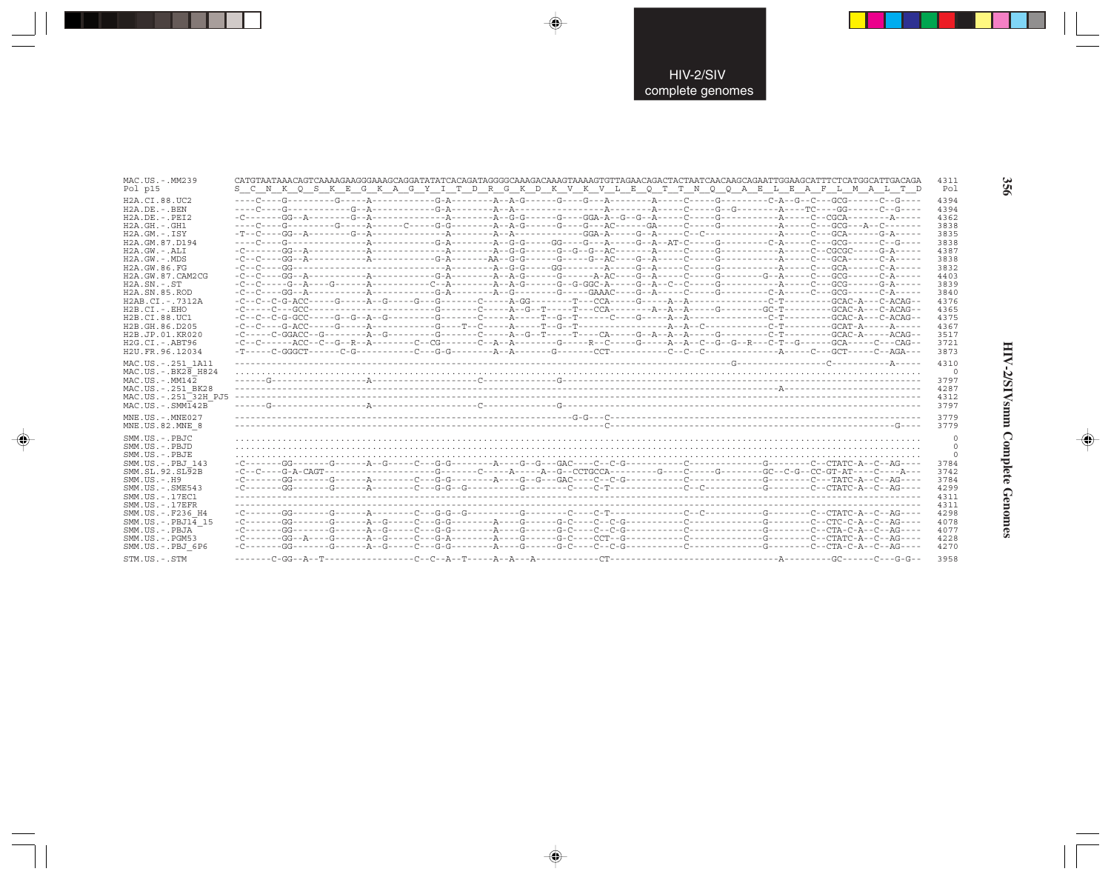| MAC.US.-.MM239                                                                                                                                                                                     | CATGTAATAAACAGTCAAAAGAAGGGAAAGCAGGATATATCACAGATAGGGGCAAAGACAAAGTAAAAGTGTTAGAACAGACTACTAATCAACCAGAATTGGAAGCATTTCTCATGGCATTGACAGA                                                                                                                                                                                                                                                                                                                                                                                                                                                             | 4311                                                                   |
|----------------------------------------------------------------------------------------------------------------------------------------------------------------------------------------------------|---------------------------------------------------------------------------------------------------------------------------------------------------------------------------------------------------------------------------------------------------------------------------------------------------------------------------------------------------------------------------------------------------------------------------------------------------------------------------------------------------------------------------------------------------------------------------------------------|------------------------------------------------------------------------|
| Pol p15                                                                                                                                                                                            | S C N K Q S K E G K A G Y I T D R G K D K V K V L E Q T T N Q Q A E L E A F L M A L T D                                                                                                                                                                                                                                                                                                                                                                                                                                                                                                     | Pol                                                                    |
| H2A.CI.88.UC2                                                                                                                                                                                      |                                                                                                                                                                                                                                                                                                                                                                                                                                                                                                                                                                                             | 4394                                                                   |
| $H2A.DE. - .BEN$                                                                                                                                                                                   |                                                                                                                                                                                                                                                                                                                                                                                                                                                                                                                                                                                             | 4394                                                                   |
| $H2A.DE. - .PEI2$                                                                                                                                                                                  |                                                                                                                                                                                                                                                                                                                                                                                                                                                                                                                                                                                             | 4362                                                                   |
| $H2A.GH. - .GH1$                                                                                                                                                                                   |                                                                                                                                                                                                                                                                                                                                                                                                                                                                                                                                                                                             | 3838                                                                   |
| $H2A.GM.-.ISY$                                                                                                                                                                                     |                                                                                                                                                                                                                                                                                                                                                                                                                                                                                                                                                                                             | 3835                                                                   |
| H2A.GM.87.D194                                                                                                                                                                                     |                                                                                                                                                                                                                                                                                                                                                                                                                                                                                                                                                                                             | 3838                                                                   |
| $H2A.GW.-.ALI$                                                                                                                                                                                     |                                                                                                                                                                                                                                                                                                                                                                                                                                                                                                                                                                                             | 4387                                                                   |
| H2A.GW.-.MDS                                                                                                                                                                                       |                                                                                                                                                                                                                                                                                                                                                                                                                                                                                                                                                                                             | 3838                                                                   |
| H2A.GW.86.FG                                                                                                                                                                                       |                                                                                                                                                                                                                                                                                                                                                                                                                                                                                                                                                                                             | 3832                                                                   |
| H2A.GW.87.CAM2CG                                                                                                                                                                                   | $-{\color{red}C} - {\color{red}C} - {\color{red}-C} - {\color{red}-C} - {\color{red}A} - {\color{red}-D} - {\color{red}-C} - {\color{red}-D} - {\color{red}-D} - {\color{red}-D} - {\color{red}-D} - {\color{red}-D} - {\color{red}-D} - {\color{red}-D} - {\color{red}-D} - {\color{red}-D} - {\color{red}-D} - {\color{red}-D} - {\color{red}-D} - {\color{red}-D} - {\color{red}-D} - {\color{red}-D} - {\color{red}-D} - {\color{red}-D} - {\color{red}-D} - {\color{red}-D} - {\color{red}-D} - {\color{$                                                                              | 4403                                                                   |
| $H2A.SN.-.ST$                                                                                                                                                                                      | $-{\color{red}C} - {\color{red}C} - {\color{red}C} - {\color{red}-C} - {\color{red}-A} - {\color{red}-C} - {\color{red}C} - {\color{red}-A} - {\color{red}-C} - {\color{red}A} - {\color{red}-C} - {\color{red}A} - {\color{red}-C} - {\color{red}-A} - {\color{red}-C} - {\color{red}G} - {\color{red}G} - {\color{red}G} - {\color{red}-C} - {\color{red}-C} - {\color{red}-C} - {\color{red}-C} - {\color{red}-C} - {\color{red}-C} - {\color{red}-C} - {\color{red}-C} - {\color{red}-C} - {\color{$                                                                                    | 3839                                                                   |
| H2A.SN.85.ROD                                                                                                                                                                                      |                                                                                                                                                                                                                                                                                                                                                                                                                                                                                                                                                                                             | 3840                                                                   |
| H2AB.CI.-.7312A                                                                                                                                                                                    | $-C--C-C-C-G-ACC---G---A--G---A--G---G---G---A-GC---A-GG---A--C-A---G---A--A---A---A---A---C--T---C--T---A--G-C-C--C---A--G-C-A--C-ACAG--A--C-ACAG--A--C-A.$                                                                                                                                                                                                                                                                                                                                                                                                                                | 4376                                                                   |
| $H2B.CI.-.EHO$                                                                                                                                                                                     |                                                                                                                                                                                                                                                                                                                                                                                                                                                                                                                                                                                             | 4365                                                                   |
| H2B.CI.88.UC1                                                                                                                                                                                      |                                                                                                                                                                                                                                                                                                                                                                                                                                                                                                                                                                                             | 4375                                                                   |
| H2B.GH.86.D205                                                                                                                                                                                     |                                                                                                                                                                                                                                                                                                                                                                                                                                                                                                                                                                                             | 4367                                                                   |
| H2B.JP.01.KR020                                                                                                                                                                                    |                                                                                                                                                                                                                                                                                                                                                                                                                                                                                                                                                                                             | 3517                                                                   |
| H2G.CI.-.ABT96                                                                                                                                                                                     | -C--C------ACC--C--G--R--A--------C--CG-------C--A--A--------G-----R--C------G-----A--A--C--G--G--R---C-T--G------GCA-----C--CAG--                                                                                                                                                                                                                                                                                                                                                                                                                                                          | 3721                                                                   |
| H2U.FR.96.12034<br>MAC.US. - . 251 1A11<br>$MAC. US. - . BK2B$ H824<br>$MAC. US. - . MM142$<br>MAC.US. - . 251 BK28<br>MAC.US.-.251 32H PJ5<br>$MAC . US . - . SIM142B$                            |                                                                                                                                                                                                                                                                                                                                                                                                                                                                                                                                                                                             | 3873<br>4310<br>$\circ$<br>3797<br>4287<br>4312<br>3797                |
| MNE.US.-.MNE027                                                                                                                                                                                    |                                                                                                                                                                                                                                                                                                                                                                                                                                                                                                                                                                                             | 3779                                                                   |
| MNE.US.82.MNE 8                                                                                                                                                                                    |                                                                                                                                                                                                                                                                                                                                                                                                                                                                                                                                                                                             | 3779                                                                   |
| SMM.US.-.PBJC<br>SMM.US.-.PBJD<br>SMM.US.-.PBJE<br>SMM.US.-.PBJ 143<br>SMM.SL.92.SL92B<br>$SMM. US. - . H9$<br>$SMM.US. - .SME543$<br>SMM.US. - . 17EC1<br>$SMM. US. - .17EFR$<br>SMM.US.-.F236 H4 | -C--C----G-A-CAGT------------------G------C-----A------A---G--CCTGCCA---------G----C-----G------GC--C-G--CC-GT-AT----C----A---<br>$-{\tt C}\hbox{-}\cdots\hbox{-}\cdots\hbox{-}\cdots\hbox{-}\cdots\hbox{-}\cdots\hbox{-}\cdots\hbox{-}\cdots\hbox{-}\cdots\hbox{-}\cdots\hbox{-}\cdots\hbox{-}\cdots\hbox{-}\cdots\hbox{-}\cdots\hbox{-}\cdots\hbox{-}\cdots\hbox{-}\cdots\hbox{-}\cdots\hbox{-}\cdots\hbox{-}\cdots\hbox{-}\cdots\hbox{-}\cdots\hbox{-}\cdots\hbox{-}\cdots\hbox{-}\cdots\hbox{-}\cdots\hbox{-}\cdots\hbox{-}\cdots\hbox{-}\cdots\hbox{-}\cdots\hbox{-}\cdots\hbox{-}\cd$ | $\Omega$<br>-0<br>3784<br>3742<br>3784<br>4299<br>4311<br>4311<br>4298 |
| $SMM.US.-.PBJ14$ 15                                                                                                                                                                                |                                                                                                                                                                                                                                                                                                                                                                                                                                                                                                                                                                                             | 4078                                                                   |
| SMM.US.-.PBJA                                                                                                                                                                                      |                                                                                                                                                                                                                                                                                                                                                                                                                                                                                                                                                                                             | 4077                                                                   |
| SMM.US.-.PGM53                                                                                                                                                                                     | $-C-\cdots-GG-A--\cdots-G---\cdots-A--\cdots-C--\cdots-G-A--\cdots-A--\cdots-G---\cdots-CT--\cdots-C-T---\cdots-C---\cdots-C---\cdots-C--\cdots-C--\cdots-C--\cdots-C---\cdots-C---\cdots-C---\cdots-C---\cdots-C---\cdots-C---\cdots-C---\cdots-C---\cdots-C---\cdots-C---\cdots-C---\cdots-C---\cdots-C---\cdots-C---\cdots-C---\cdots-C---\cdots-C---\cdots-C---\cdots-C---\cdots-C---\cdots-C---\cdots-C---\cdots-C---\$                                                                                                                                                                | 4228                                                                   |
| SMM.US.-.PBJ 6P6                                                                                                                                                                                   |                                                                                                                                                                                                                                                                                                                                                                                                                                                                                                                                                                                             | 4270                                                                   |
| STM.US.-.STM                                                                                                                                                                                       |                                                                                                                                                                                                                                                                                                                                                                                                                                                                                                                                                                                             | 3958                                                                   |

 $\Rightarrow$ 

 $\Rightarrow$ 

 $\color{red} \bigoplus$ 

356

 $\Rightarrow$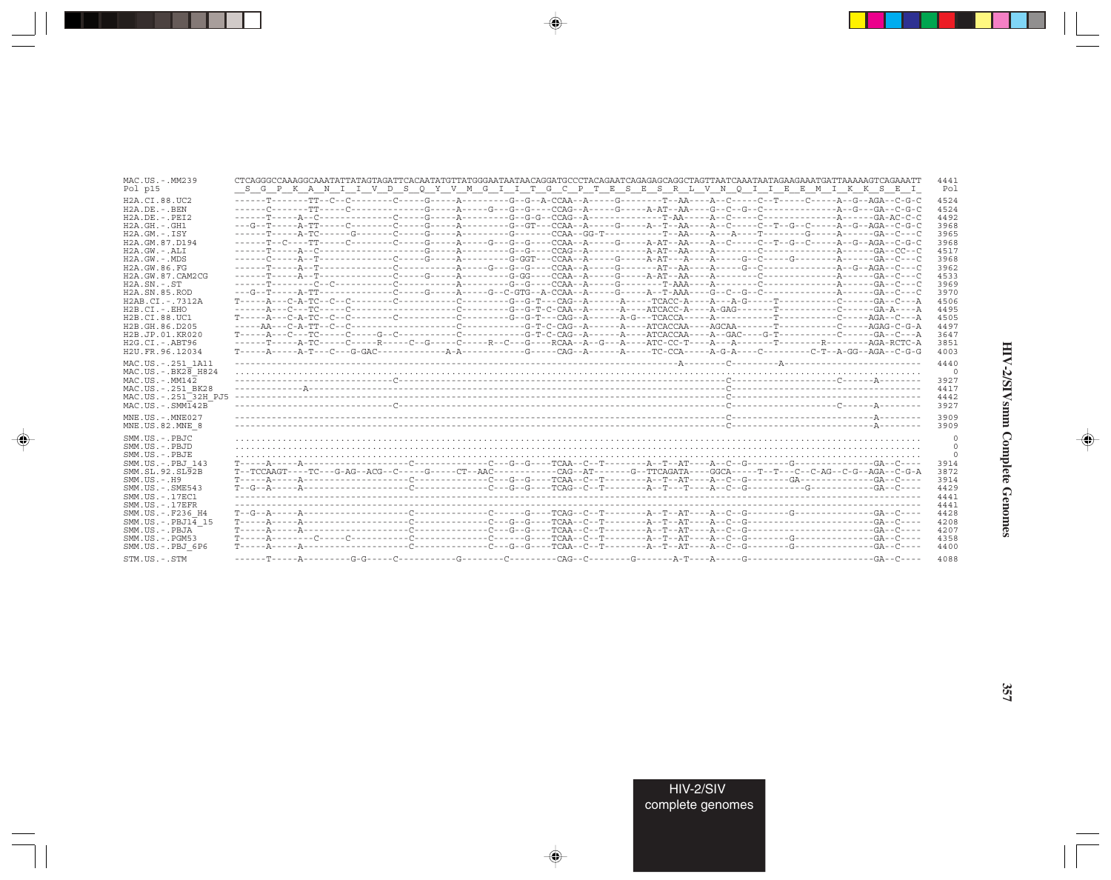| MAC.US.-.MM239                                                                                                                                                                 | CTCAGGGCCAAAGGCAAATATTATAGTAGATTCACAATATGTTATGGGAATAATAACAGGATGCCCTACAGAATCAGAGAGCAGGCTAGTTAATCAAATAATAGAAGAAATGATTAAAAAGTCAGAAATT | 4441                                                    |
|--------------------------------------------------------------------------------------------------------------------------------------------------------------------------------|------------------------------------------------------------------------------------------------------------------------------------|---------------------------------------------------------|
| Pol p15                                                                                                                                                                        | S G P K A N I I V D S Q Y V M G I I T G C P T E S E S R L V N Q I I E E M I K K S E I                                              | Pol                                                     |
| H <sub>2</sub> A.CI.88.UC <sub>2</sub>                                                                                                                                         |                                                                                                                                    | 4524                                                    |
| $H2A.DE. - .BEN$                                                                                                                                                               |                                                                                                                                    | 4524                                                    |
| $H2A$ . DE. - . PET2                                                                                                                                                           |                                                                                                                                    | 4492                                                    |
| $H2A.GH. - .GH1$                                                                                                                                                               |                                                                                                                                    | 3968                                                    |
| $H2A.GM. - TSY$                                                                                                                                                                |                                                                                                                                    | 3965                                                    |
| H2A.GM.87.D194                                                                                                                                                                 | ------T--C----TT-----C--------C-----G-----A----G---G--G----CCAA--A-----G-----A-AT--AA----A--C-----C--T--G--C-----A--G--AGA--C-G-C  | 3968                                                    |
| $H2A.GW. - .ALI$                                                                                                                                                               |                                                                                                                                    | 4517                                                    |
| $H2A.GW. - MDS$                                                                                                                                                                |                                                                                                                                    | 3968                                                    |
| H2A.GW.86.FG                                                                                                                                                                   |                                                                                                                                    | 3962                                                    |
| H2A.GW.87.CAM2CG                                                                                                                                                               |                                                                                                                                    | 4533                                                    |
| $H2A$ . $SN. - . ST$                                                                                                                                                           |                                                                                                                                    | 3969                                                    |
| H <sub>2</sub> A.SN.85.ROD                                                                                                                                                     |                                                                                                                                    | 3970                                                    |
| $H2AB.CI. - .7312A$                                                                                                                                                            |                                                                                                                                    | 4506                                                    |
| $H2B.CI.-EHO$                                                                                                                                                                  |                                                                                                                                    | 4495                                                    |
| H2B.CI.88.UC1                                                                                                                                                                  |                                                                                                                                    | 4505                                                    |
| H2B.GH.86.D205                                                                                                                                                                 |                                                                                                                                    | 4497                                                    |
| H <sub>2</sub> B.JP.01.KR020                                                                                                                                                   |                                                                                                                                    | 3647                                                    |
| $H2G.CI.-.ABT96$                                                                                                                                                               |                                                                                                                                    | 3851                                                    |
| H2U.FR.96.12034<br>MAC.US. - . 251 1A11<br>MAC.US. - . BK28 H824<br>$MAC. US.-. MM142$<br>MAC.US. - . 251 BK28<br>MAC.US.-.251 <sup>-32H</sup> PJ5<br>$MAC . US . - . SIM142B$ |                                                                                                                                    | 4003<br>4440<br>$\circ$<br>3927<br>4417<br>4442<br>3927 |
| $MNE$ . US. - $MNE$ 027                                                                                                                                                        |                                                                                                                                    | 3909                                                    |
| MNE.US.82.MNE 8                                                                                                                                                                |                                                                                                                                    | 3909                                                    |
| SMM.US.-.PBJC                                                                                                                                                                  |                                                                                                                                    | 0                                                       |
| SMM.US.-.PBJD                                                                                                                                                                  |                                                                                                                                    | $\mathbf 0$                                             |
| SMM.US.-.PBJE                                                                                                                                                                  |                                                                                                                                    | $\mathbf 0$                                             |
| SMM.US.-.PBJ 143                                                                                                                                                               |                                                                                                                                    | 3914                                                    |
| SMM.SL.92.SL92B                                                                                                                                                                |                                                                                                                                    | 3872                                                    |
| $SMM$ . U.S. $-$ . H9                                                                                                                                                          |                                                                                                                                    | 3914                                                    |
| $SMM. US. - . SME543$                                                                                                                                                          |                                                                                                                                    | 4429                                                    |
| SMM. US. - .17EC1                                                                                                                                                              |                                                                                                                                    | 4441                                                    |
| SMM.US. - . 17EFR                                                                                                                                                              |                                                                                                                                    | 4441                                                    |
| SMM.US. -. F236 H4                                                                                                                                                             |                                                                                                                                    | 4428                                                    |
| SMM.US. -. $PBJ1\overline{4}$ 15                                                                                                                                               |                                                                                                                                    | 4208                                                    |
| SMM.US.-.PBJA                                                                                                                                                                  |                                                                                                                                    | 4207                                                    |
| $SMM. US. - . PGM53$                                                                                                                                                           |                                                                                                                                    | 4358                                                    |
| SMM.US.-.PBJ 6P6                                                                                                                                                               |                                                                                                                                    | 4400                                                    |
| STM.US.-.STM                                                                                                                                                                   |                                                                                                                                    | 4088                                                    |

 $\begin{picture}(20,5) \put(0,0){\vector(0,1){10}} \put(15,0){\vector(0,1){10}} \put(15,0){\vector(0,1){10}} \put(15,0){\vector(0,1){10}} \put(15,0){\vector(0,1){10}} \put(15,0){\vector(0,1){10}} \put(15,0){\vector(0,1){10}} \put(15,0){\vector(0,1){10}} \put(15,0){\vector(0,1){10}} \put(15,0){\vector(0,1){10}} \put(15,0){\vector(0,1){10}} \put(15,0){\vector(0,$ 

a shekara 1960

 $\overrightarrow{\phantom{a}}$ 

 $\equiv$ 

HIV-2/SIVsmm Complete Genomes

 $\begin{picture}(20,5) \put(0,0){\line(1,0){10}} \put(15,0){\line(1,0){10}} \put(15,0){\line(1,0){10}} \put(15,0){\line(1,0){10}} \put(15,0){\line(1,0){10}} \put(15,0){\line(1,0){10}} \put(15,0){\line(1,0){10}} \put(15,0){\line(1,0){10}} \put(15,0){\line(1,0){10}} \put(15,0){\line(1,0){10}} \put(15,0){\line(1,0){10}} \put(15,0){\line(1,$ 

 $\equiv$ 

 $\Box$ 

. . .

٠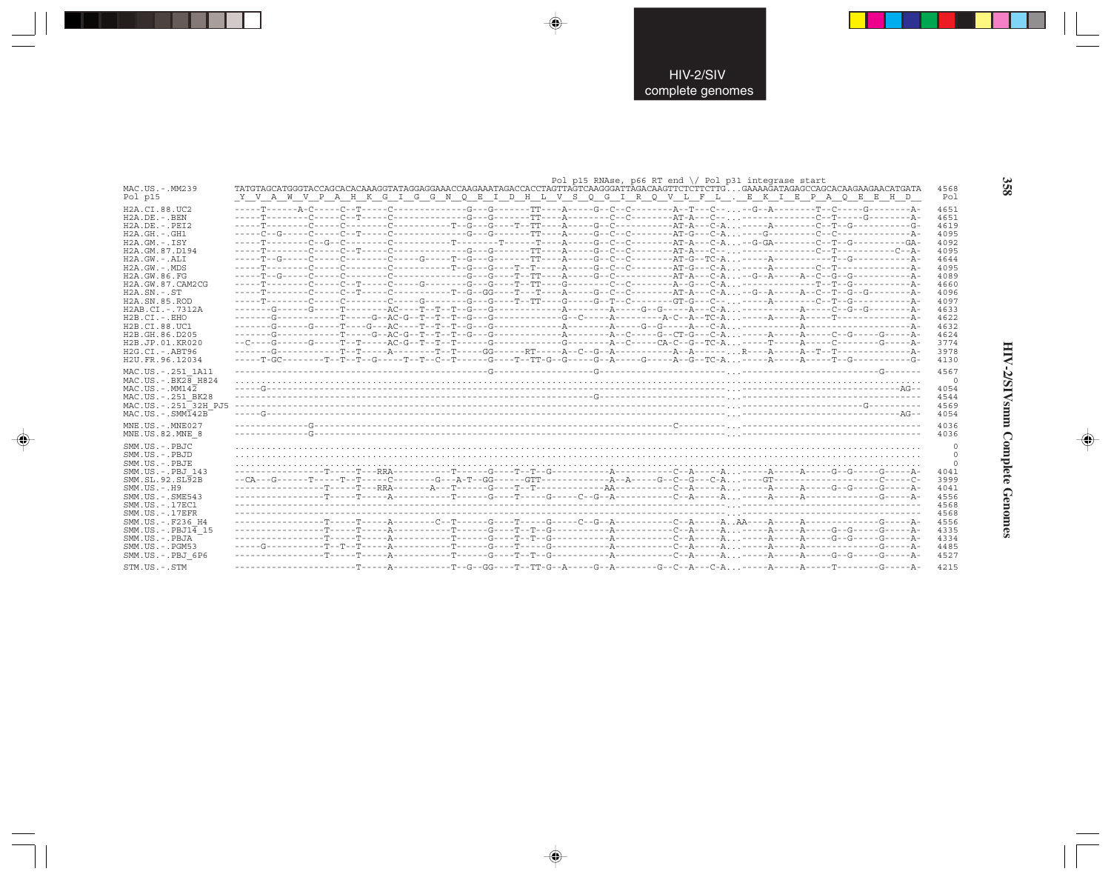|                                                                                                                                                                                                                                                                                                                                                                                                   | Pol p15 RNAse, p66 RT end \/ Pol p31 integrase start                                                                     |                                                                                                                                              |
|---------------------------------------------------------------------------------------------------------------------------------------------------------------------------------------------------------------------------------------------------------------------------------------------------------------------------------------------------------------------------------------------------|--------------------------------------------------------------------------------------------------------------------------|----------------------------------------------------------------------------------------------------------------------------------------------|
| MAC.US.-.MM239                                                                                                                                                                                                                                                                                                                                                                                    |                                                                                                                          | 4568                                                                                                                                         |
| Pol p15                                                                                                                                                                                                                                                                                                                                                                                           | Y V A W V P A H K G I G G N Q E I D H L V S Q G I R Q V L F L . E K I E P A Q E E H D                                    | Pol                                                                                                                                          |
| H <sub>2</sub> A.CT.88.UC <sub>2</sub><br>$H2A.DE. -.BEN$<br>$H2A.DE. - .PEI2$<br>$H2A.GH. - .GH1$<br>$H2A.GM.-.ISY$<br>H2A.GM.87.D194<br>$H2A.GW. - .ALI$<br>$H2A.GW. - MDS$<br>H2A.GW.86.FG<br>H2A.GW.87.CAM2CG<br>$H2A.SN.-.ST$<br>H <sub>2</sub> A.SN.85.ROD<br>H2AB.CI.-.7312A<br>$H2B.CI.-EHO$<br>H2B.CI.88.UC1<br>H2B.GH.86.D205<br>H2B.JP.01.KR020<br>$H2G.CI.-.ABT96$<br>H2U.FR.96.12034 |                                                                                                                          | 4651<br>4651<br>4619<br>4095<br>4092<br>4095<br>4644<br>4095<br>4089<br>4660<br>4096<br>4097<br>4633<br>4622<br>4632<br>4624<br>3774<br>3978 |
| MAC.US. - . 251 1A11<br>MAC.US. - . BK28 H824<br>$MAC$ . U.S. - $MM142$<br>MAC.US. - . 251 BK28<br>MAC.US. - . 251 <sup>-32H</sup> PJ5<br>$MAC. US.-. SIM142B$<br>$MNE$ . US. - $MNE$ 027                                                                                                                                                                                                         | -----T-GC--------T--T--G-----T--T--C--T------G----T--T-G--G-----G--A----G----A--G--TC-A-----A-----A-----T--G----------G- | 4130<br>4567<br>- 0<br>4054<br>4544<br>4569<br>4054<br>4036                                                                                  |
| MNE.US.82.MNE 8                                                                                                                                                                                                                                                                                                                                                                                   |                                                                                                                          | 4036                                                                                                                                         |
| SMM.US.-.PBJC                                                                                                                                                                                                                                                                                                                                                                                     |                                                                                                                          | $\mathbf{0}$                                                                                                                                 |
| SMM.US.-.PBJD                                                                                                                                                                                                                                                                                                                                                                                     |                                                                                                                          | $\circ$                                                                                                                                      |
| SMM.US.-.PBJE                                                                                                                                                                                                                                                                                                                                                                                     |                                                                                                                          | $\Omega$                                                                                                                                     |
| SMM.US.-.PBJ 143                                                                                                                                                                                                                                                                                                                                                                                  |                                                                                                                          | 4041                                                                                                                                         |
| SMM.SL.92.SL92B                                                                                                                                                                                                                                                                                                                                                                                   |                                                                                                                          | 3999                                                                                                                                         |
| $SMM. US. - . H9$                                                                                                                                                                                                                                                                                                                                                                                 |                                                                                                                          | 4041                                                                                                                                         |
| SMM. US. - . SME543                                                                                                                                                                                                                                                                                                                                                                               |                                                                                                                          | 4556                                                                                                                                         |
| SMM.US. - . 17EC1                                                                                                                                                                                                                                                                                                                                                                                 |                                                                                                                          | 4568                                                                                                                                         |
| $SMM. US. - .17EFR$                                                                                                                                                                                                                                                                                                                                                                               |                                                                                                                          | 4568                                                                                                                                         |
| SMM.US. - . F236 H4                                                                                                                                                                                                                                                                                                                                                                               |                                                                                                                          | 4556                                                                                                                                         |
| $SMM.US.-.PBJ1\overline{4}15$                                                                                                                                                                                                                                                                                                                                                                     |                                                                                                                          | 4335                                                                                                                                         |
| SMM.US.-.PBJA                                                                                                                                                                                                                                                                                                                                                                                     |                                                                                                                          | 4334                                                                                                                                         |
| $SMM$ . U.S. $-$ . PGM53                                                                                                                                                                                                                                                                                                                                                                          |                                                                                                                          | 4485                                                                                                                                         |
| SMM.US.-.PBJ 6P6                                                                                                                                                                                                                                                                                                                                                                                  |                                                                                                                          | 4527                                                                                                                                         |
| STM.US.-.STM                                                                                                                                                                                                                                                                                                                                                                                      |                                                                                                                          | 4215                                                                                                                                         |

 $\begin{picture}(20,5) \put(0,0){\vector(0,1){10}} \put(15,0){\vector(0,1){10}} \put(15,0){\vector(0,1){10}} \put(15,0){\vector(0,1){10}} \put(15,0){\vector(0,1){10}} \put(15,0){\vector(0,1){10}} \put(15,0){\vector(0,1){10}} \put(15,0){\vector(0,1){10}} \put(15,0){\vector(0,1){10}} \put(15,0){\vector(0,1){10}} \put(15,0){\vector(0,1){10}} \put(15,0){\vector(0,$ 

 $\spadesuit$ 

. . .

 $\Rightarrow$ 

358

J

HIV-2/SIVsmm Complete Genomes

 $\Rightarrow$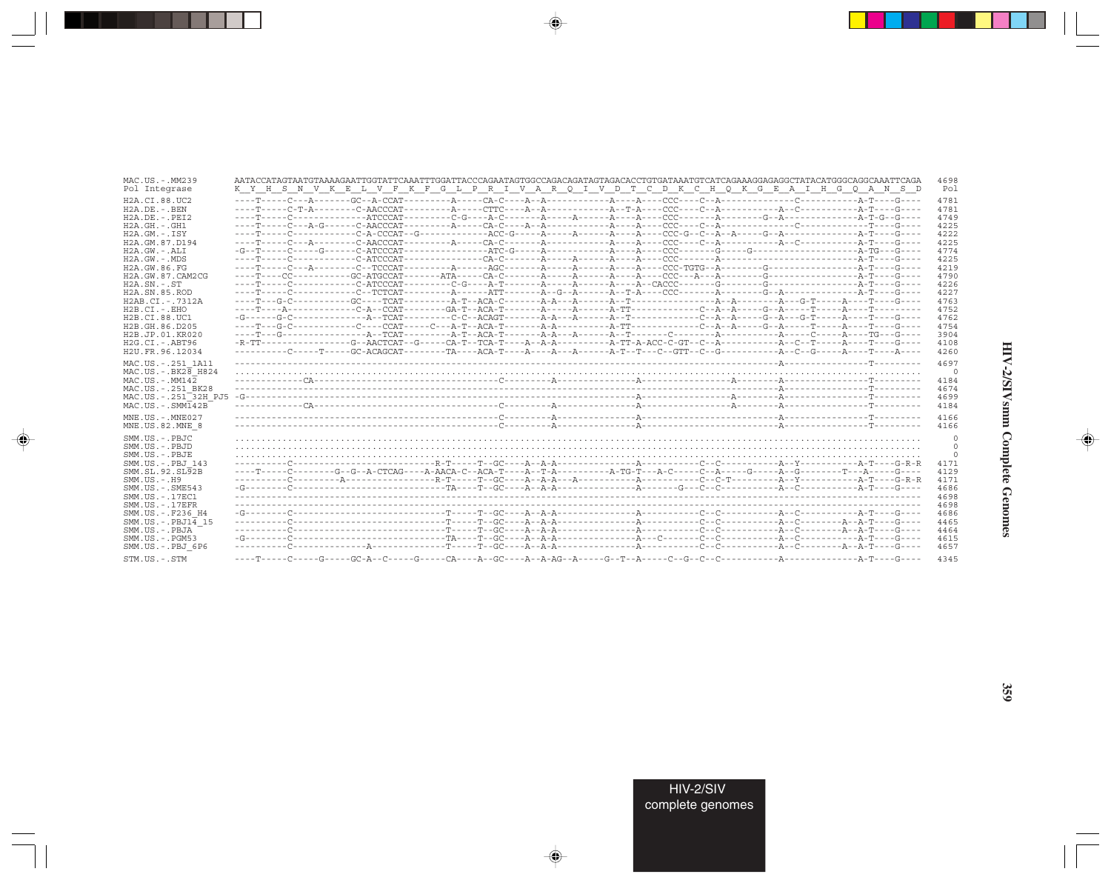| MAC.US.-.MM239<br>Pol Integrase                                                                                                                                                                                                                                                                                                       | 4698<br>K Y H S N V K E L V F K F G L P R I V A R Q I V D T C D K C H Q K G E A I H G Q A N S D                              | Pol                             |
|---------------------------------------------------------------------------------------------------------------------------------------------------------------------------------------------------------------------------------------------------------------------------------------------------------------------------------------|------------------------------------------------------------------------------------------------------------------------------|---------------------------------|
| H <sub>2</sub> A.CT.88.UC <sub>2</sub><br>$H2A.DE. - .BEN$<br>$H2A.DE. - .PEI2$<br>$H2A.GH. - .GH1$<br>$H2A.GM.-.ISY$<br>H2A.GM.87.D194<br>H2A.GW.-.ALI<br>$H2A.GW. - .MDS$<br>H2A.GW.86.FG<br>H2A.GW.87.CAM2CG<br>$H2A.SN.-.ST$<br>H <sub>2</sub> A.SN.85.ROD<br>H2AB.CI.-.7312A<br>$H2B.CI.-EHO$<br>H2B.CI.88.UC1<br>H2B.GH.86.D205 | 4781<br>4781<br>4749<br>4225<br>4222<br>4225<br>4774<br>4225<br>4219<br>4790<br>4226<br>4227<br>4763<br>4752<br>4762<br>4754 |                                 |
| H2B.JP.01.KR020<br>$H2G.CI. - ABT96$<br>H2U.FR.96.12034                                                                                                                                                                                                                                                                               | 3904<br>4108<br>4260                                                                                                         |                                 |
| MAC.US. - . 251 1A11<br>$MAC. US. - . BK2B$ H824<br>$MAC. US. - . MM142$<br>MAC.US. - . 251 BK28<br>MAC.US.-.251 <sup>-32H</sup> PJ5<br>$MAC. US. - . SIMT42B$                                                                                                                                                                        | 4697<br>4184<br>4674<br>4699<br>4184                                                                                         | $\mathbf 0$                     |
| $MNE. US.-. MNE027$<br>MNE.US.82.MNE 8                                                                                                                                                                                                                                                                                                | 4166<br>4166                                                                                                                 |                                 |
| SMM.US.-.PBJC<br>SMM.US.-.PBJD<br>SMM.US.-.PBJE<br>SMM.US. - PBJ 143<br>SMM.SL.92.SL92B<br>$SMM. US. - . H9$<br>SMM.US.-.SME543<br>SMM. US. - . 17EC1<br>$SMM. US. - .17EFR$                                                                                                                                                          | 4171<br>4129<br>4171<br>4686<br>4698<br>4698                                                                                 | 0<br>$\mathbf 0$<br>$\mathbf 0$ |
| SMM.US. -. F236 H4<br>$SMM.US.-.PBJ14$ 15<br>SMM.US.-.PBJA<br>SMM.US.-.PGM53<br>SMM.US.-.PBJ 6P6<br>STM.US.-.STM                                                                                                                                                                                                                      | 4686<br>4465<br>4464<br>4615<br>4657<br>4345                                                                                 |                                 |

 $\begin{picture}(20,5) \put(0,0){\vector(0,1){10}} \put(15,0){\vector(0,1){10}} \put(15,0){\vector(0,1){10}} \put(15,0){\vector(0,1){10}} \put(15,0){\vector(0,1){10}} \put(15,0){\vector(0,1){10}} \put(15,0){\vector(0,1){10}} \put(15,0){\vector(0,1){10}} \put(15,0){\vector(0,1){10}} \put(15,0){\vector(0,1){10}} \put(15,0){\vector(0,1){10}} \put(15,0){\vector(0,$ 

a shekara 1960

 $\overrightarrow{\phantom{a}}$ 

 $\equiv$ 

HIV-2/SIVsmm Complete Genomes

 $\begin{picture}(20,5) \put(0,0){\line(1,0){10}} \put(15,0){\line(1,0){10}} \put(15,0){\line(1,0){10}} \put(15,0){\line(1,0){10}} \put(15,0){\line(1,0){10}} \put(15,0){\line(1,0){10}} \put(15,0){\line(1,0){10}} \put(15,0){\line(1,0){10}} \put(15,0){\line(1,0){10}} \put(15,0){\line(1,0){10}} \put(15,0){\line(1,0){10}} \put(15,0){\line(1,$ 

 $\equiv$ 

 $\Box$ 

. . .

٠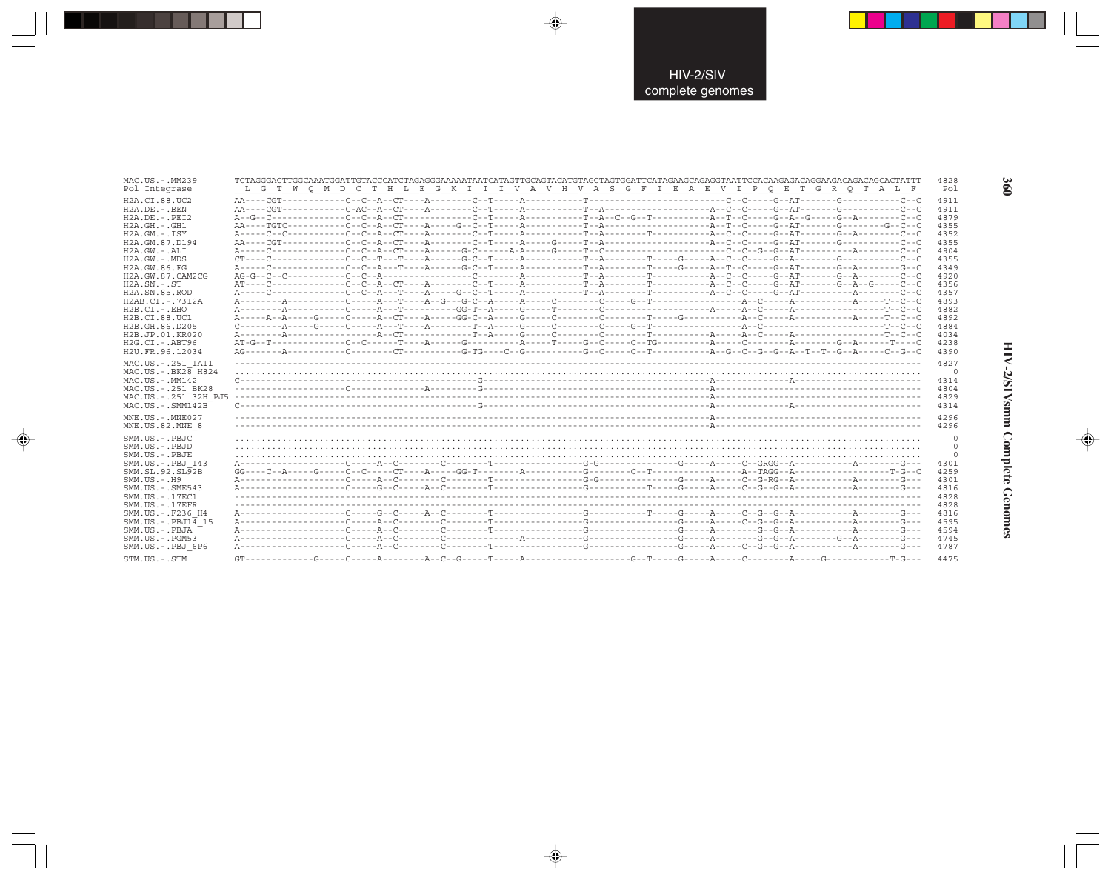| MAC.US.-.MM239                                                                                                                                                                                                                                                                        |                                                                                                                                                                                                                                                                                                                                                                                                                                                                                                             | 4828                                                                                 |
|---------------------------------------------------------------------------------------------------------------------------------------------------------------------------------------------------------------------------------------------------------------------------------------|-------------------------------------------------------------------------------------------------------------------------------------------------------------------------------------------------------------------------------------------------------------------------------------------------------------------------------------------------------------------------------------------------------------------------------------------------------------------------------------------------------------|--------------------------------------------------------------------------------------|
| Pol Integrase                                                                                                                                                                                                                                                                         | L G T W Q M D C T H L E G K I I I V A V H V A S G F I E A E V I P Q E T G R Q T A L F                                                                                                                                                                                                                                                                                                                                                                                                                       | Pol                                                                                  |
| H <sub>2</sub> A.CI.88.UC <sub>2</sub>                                                                                                                                                                                                                                                |                                                                                                                                                                                                                                                                                                                                                                                                                                                                                                             | 4911                                                                                 |
| $H2A.DE. - .BEN$                                                                                                                                                                                                                                                                      |                                                                                                                                                                                                                                                                                                                                                                                                                                                                                                             | 4911                                                                                 |
| H2A.DE. -. PEI2                                                                                                                                                                                                                                                                       |                                                                                                                                                                                                                                                                                                                                                                                                                                                                                                             | 4879                                                                                 |
| $H2A.GH.-.GH1$                                                                                                                                                                                                                                                                        |                                                                                                                                                                                                                                                                                                                                                                                                                                                                                                             | 4355                                                                                 |
| $H2A.GM.-.ISY$                                                                                                                                                                                                                                                                        |                                                                                                                                                                                                                                                                                                                                                                                                                                                                                                             | 4352                                                                                 |
| H2A.GM.87.D194                                                                                                                                                                                                                                                                        |                                                                                                                                                                                                                                                                                                                                                                                                                                                                                                             | 4355                                                                                 |
| $H2A.GW.-.ALI$                                                                                                                                                                                                                                                                        |                                                                                                                                                                                                                                                                                                                                                                                                                                                                                                             | 4904                                                                                 |
| $H2A.GW. - MDS$                                                                                                                                                                                                                                                                       |                                                                                                                                                                                                                                                                                                                                                                                                                                                                                                             | 4355                                                                                 |
| H2A.GW.86.FG                                                                                                                                                                                                                                                                          |                                                                                                                                                                                                                                                                                                                                                                                                                                                                                                             | 4349                                                                                 |
| H2A.GW.87.CAM2CG                                                                                                                                                                                                                                                                      |                                                                                                                                                                                                                                                                                                                                                                                                                                                                                                             | 4920                                                                                 |
| $H2A$ . $SN. - . ST$                                                                                                                                                                                                                                                                  |                                                                                                                                                                                                                                                                                                                                                                                                                                                                                                             | 4356                                                                                 |
| H <sub>2</sub> A.SN.85.ROD                                                                                                                                                                                                                                                            |                                                                                                                                                                                                                                                                                                                                                                                                                                                                                                             | 4357                                                                                 |
| H2AB.CI.-.7312A                                                                                                                                                                                                                                                                       |                                                                                                                                                                                                                                                                                                                                                                                                                                                                                                             | 4893                                                                                 |
| $H2B.CI.-.EHO$                                                                                                                                                                                                                                                                        |                                                                                                                                                                                                                                                                                                                                                                                                                                                                                                             | 4882                                                                                 |
| H2B.CI.88.UC1                                                                                                                                                                                                                                                                         |                                                                                                                                                                                                                                                                                                                                                                                                                                                                                                             | 4892                                                                                 |
| H2B.GH.86.D205                                                                                                                                                                                                                                                                        | $\texttt{C}\texttt{-----} \texttt{A}\texttt{-----} \texttt{C}\texttt{-----} \texttt{A}\texttt{-----} \texttt{A}\texttt{-----} \texttt{C}\texttt{-----} \texttt{C}\texttt{-----} \texttt{C}\texttt{-----} \texttt{C}\texttt{-----} \texttt{C}\texttt{-----} \texttt{C}\texttt{-----} \texttt{A}\texttt{---} \texttt{C}\texttt{-----} \texttt{C}\texttt{-----} \texttt{C}\texttt{-----} \texttt{A}\texttt{---} \texttt{C}\texttt{---} \texttt{---} \texttt{C}\texttt{---} \texttt{---} \texttt{C}\texttt{---$ | 4884                                                                                 |
| H2B.JP.01.KR020                                                                                                                                                                                                                                                                       |                                                                                                                                                                                                                                                                                                                                                                                                                                                                                                             | 4034                                                                                 |
| $H2G.CI.-.ABT96$                                                                                                                                                                                                                                                                      |                                                                                                                                                                                                                                                                                                                                                                                                                                                                                                             | 4238                                                                                 |
| H2U.FR.96.12034                                                                                                                                                                                                                                                                       |                                                                                                                                                                                                                                                                                                                                                                                                                                                                                                             | 4390                                                                                 |
| MAC.US. - . 251 1A11                                                                                                                                                                                                                                                                  |                                                                                                                                                                                                                                                                                                                                                                                                                                                                                                             | 4827                                                                                 |
| $MAC. US. - . BK28$ H824                                                                                                                                                                                                                                                              |                                                                                                                                                                                                                                                                                                                                                                                                                                                                                                             | $\Omega$                                                                             |
| $MAC. US. - . MM142$                                                                                                                                                                                                                                                                  |                                                                                                                                                                                                                                                                                                                                                                                                                                                                                                             | 4314                                                                                 |
| MAC.US.-.251 BK28                                                                                                                                                                                                                                                                     |                                                                                                                                                                                                                                                                                                                                                                                                                                                                                                             | 4804                                                                                 |
| MAC.US.-.251 32H PJ5                                                                                                                                                                                                                                                                  |                                                                                                                                                                                                                                                                                                                                                                                                                                                                                                             | 4829                                                                                 |
| $MAC. US. - . SIMT42B$                                                                                                                                                                                                                                                                |                                                                                                                                                                                                                                                                                                                                                                                                                                                                                                             | 4314                                                                                 |
| $MNE. US.-. MNE027$                                                                                                                                                                                                                                                                   |                                                                                                                                                                                                                                                                                                                                                                                                                                                                                                             | 4296                                                                                 |
| MNE.US.82.MNE 8                                                                                                                                                                                                                                                                       |                                                                                                                                                                                                                                                                                                                                                                                                                                                                                                             | 4296                                                                                 |
| SMM.US.-.PBJC<br>SMM.US.-.PBJD<br>SMM.US.-.PBJE<br>SMM.US.-.PBJ 143<br>SMM.SL.92.SL92B<br>SMM. US. - . H9<br>$SMM.US. - .SME543$<br>SMM. US. - . 17EC1<br>$SMM. US. - .17EFR$<br>SMM.US. - .F236 H4<br>SMM.US. - PBJ14 15<br>SMM.US.-.PBJA<br>$SMM.US. - . PGM53$<br>SMM.US.-.PBJ 6P6 |                                                                                                                                                                                                                                                                                                                                                                                                                                                                                                             | 4301<br>4259<br>4301<br>4816<br>4828<br>4828<br>4816<br>4595<br>4594<br>4745<br>4787 |
| CTM IIC _ CTM                                                                                                                                                                                                                                                                         |                                                                                                                                                                                                                                                                                                                                                                                                                                                                                                             |                                                                                      |

 $\begin{picture}(20,5) \put(0,0){\vector(0,1){10}} \put(15,0){\vector(0,1){10}} \put(15,0){\vector(0,1){10}} \put(15,0){\vector(0,1){10}} \put(15,0){\vector(0,1){10}} \put(15,0){\vector(0,1){10}} \put(15,0){\vector(0,1){10}} \put(15,0){\vector(0,1){10}} \put(15,0){\vector(0,1){10}} \put(15,0){\vector(0,1){10}} \put(15,0){\vector(0,1){10}} \put(15,0){\vector(0,$ 

 $\spadesuit$ 

--

 $\Rightarrow$ 

360

۱

HIV-2/SIVsmm Complete Genomes

 $\begin{picture}(20,5) \put(0,0){\line(1,0){10}} \put(15,0){\line(1,0){10}} \put(15,0){\line(1,0){10}} \put(15,0){\line(1,0){10}} \put(15,0){\line(1,0){10}} \put(15,0){\line(1,0){10}} \put(15,0){\line(1,0){10}} \put(15,0){\line(1,0){10}} \put(15,0){\line(1,0){10}} \put(15,0){\line(1,0){10}} \put(15,0){\line(1,0){10}} \put(15,0){\line(1,$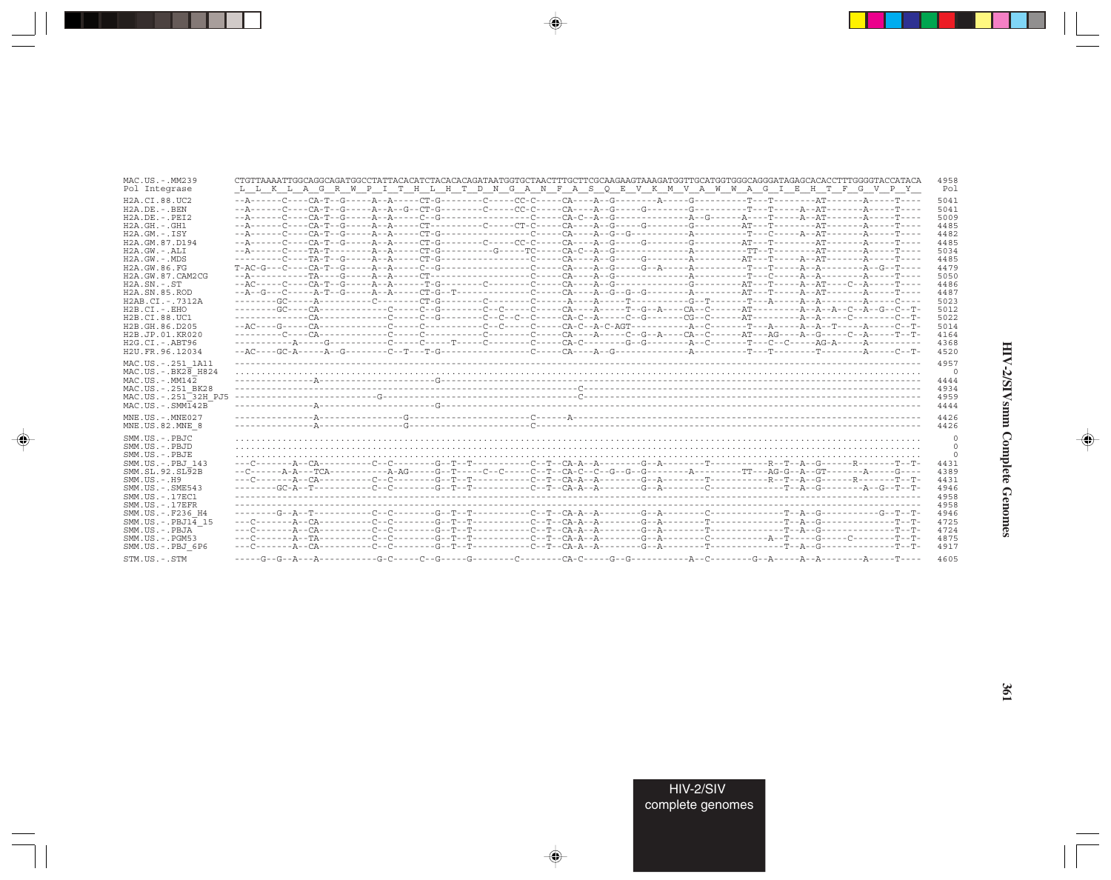| MAC.US.-.MM239<br>Pol Integrase                                                                                                                                                                                                                                                                                                                                                                                | CTGTTAAAATTGGCAGGCAGATGGCCTATTACACATCTACACACAGATAATGGTGCTAACTTTGCTTCGCAAGAAGTAAAGATGGTTGCATGGTGGCAGGGATAGAGCACACCTTTGGGGTACCATACA<br>4958<br>L L K L A G R W P I T H L H T D N G A N F A S Q E V K M V A W W A G I E H T F G V P Y<br>Pol |
|----------------------------------------------------------------------------------------------------------------------------------------------------------------------------------------------------------------------------------------------------------------------------------------------------------------------------------------------------------------------------------------------------------------|-------------------------------------------------------------------------------------------------------------------------------------------------------------------------------------------------------------------------------------------|
| H2A.CI.88.UC2<br>$H2A$ . DE. - . BEN<br>$H2A$ . DE. - . PET2<br>$H2A.GH.-.GH1$<br>$H2A.GM. - . TSY$<br>H2A.GM.87.D194<br>$H2A.GW. - .ALI$<br>$H2A.GW. - MDS$<br>H2A.GW.86.FG<br>H2A.GW.87.CAM2CG<br>$H2A$ . $SN. - . ST$<br>H <sub>2</sub> A.SN.85.ROD<br>H2AB.CI.-.7312A<br>$H2B.CI. - . EHO$<br>H <sub>2</sub> B.C <sub>T.88.UC1</sub><br>H2B.GH.86.D205<br>H <sub>2</sub> B.JP.01.KR020<br>$H2G.CI.-.ABT96$ | 5041<br>5041<br>5009<br>4485<br>4482<br>4485<br>5034<br>4485<br>4479<br>5050<br>4486<br>4487<br>5023<br>5012<br>5022<br>5014<br>4164<br>4368                                                                                              |
| H2U.FR.96.12034<br>MAC.US. - . 251 1A11<br>$MAC.US.-.BK2\overline{8}$ H824<br>$MAC. US.-. MM142$<br>MAC.US. - . 251 BK28<br>MAC.US.-.251 <sup>-32H</sup> PJ5<br>$MAC . US . - . SIMI42B$                                                                                                                                                                                                                       | 4520<br>4957<br>$\Omega$<br>4444<br>4934<br>4959<br>4444                                                                                                                                                                                  |
| $MNE$ . U.S. - $MNE$ 027<br>MNE.US.82.MNE 8                                                                                                                                                                                                                                                                                                                                                                    | 4426<br>4426                                                                                                                                                                                                                              |
| SMM.US.-.PBJC<br>SMM.US.-.PBJD<br>SMM.US.-.PBJE<br>SMM.US.-.PBJ 143<br>SMM.SL.92.SL92B<br>$SMM. US. - . H9$<br>$SMM. US. - . SME543$<br>SMM. US. - . 17EC1<br>$SMM$ . US. $-$ . 17EFR<br>SMM.US. -. F236 H4<br>$SMM. US. - PBJ14$ 15<br>SMM.US.-.PBJA<br>SMM.US.-.PGM53                                                                                                                                        | 0<br>0<br>$\Omega$<br>4431<br>4389<br>4431<br>4946<br>4958<br>4958<br>4946<br>4725<br>4724<br>4875                                                                                                                                        |
| SMM.US.-.PBJ 6P6<br>STM.US.-.STM                                                                                                                                                                                                                                                                                                                                                                               | 4917<br>4605                                                                                                                                                                                                                              |

 $\begin{picture}(20,5) \put(0,0){\vector(0,1){10}} \put(15,0){\vector(0,1){10}} \put(15,0){\vector(0,1){10}} \put(15,0){\vector(0,1){10}} \put(15,0){\vector(0,1){10}} \put(15,0){\vector(0,1){10}} \put(15,0){\vector(0,1){10}} \put(15,0){\vector(0,1){10}} \put(15,0){\vector(0,1){10}} \put(15,0){\vector(0,1){10}} \put(15,0){\vector(0,1){10}} \put(15,0){\vector(0,$ 

a shekara 1960

 $\overrightarrow{\phantom{a}}$ 

 $\equiv$ 

# HIV-2/SIVsmm Complete Genomes

 $\begin{picture}(20,5) \put(0,0){\line(1,0){10}} \put(15,0){\line(1,0){10}} \put(15,0){\line(1,0){10}} \put(15,0){\line(1,0){10}} \put(15,0){\line(1,0){10}} \put(15,0){\line(1,0){10}} \put(15,0){\line(1,0){10}} \put(15,0){\line(1,0){10}} \put(15,0){\line(1,0){10}} \put(15,0){\line(1,0){10}} \put(15,0){\line(1,0){10}} \put(15,0){\line(1,$ 

 $\equiv$ 

e<br>G

 $\Box$ 

. . .

٠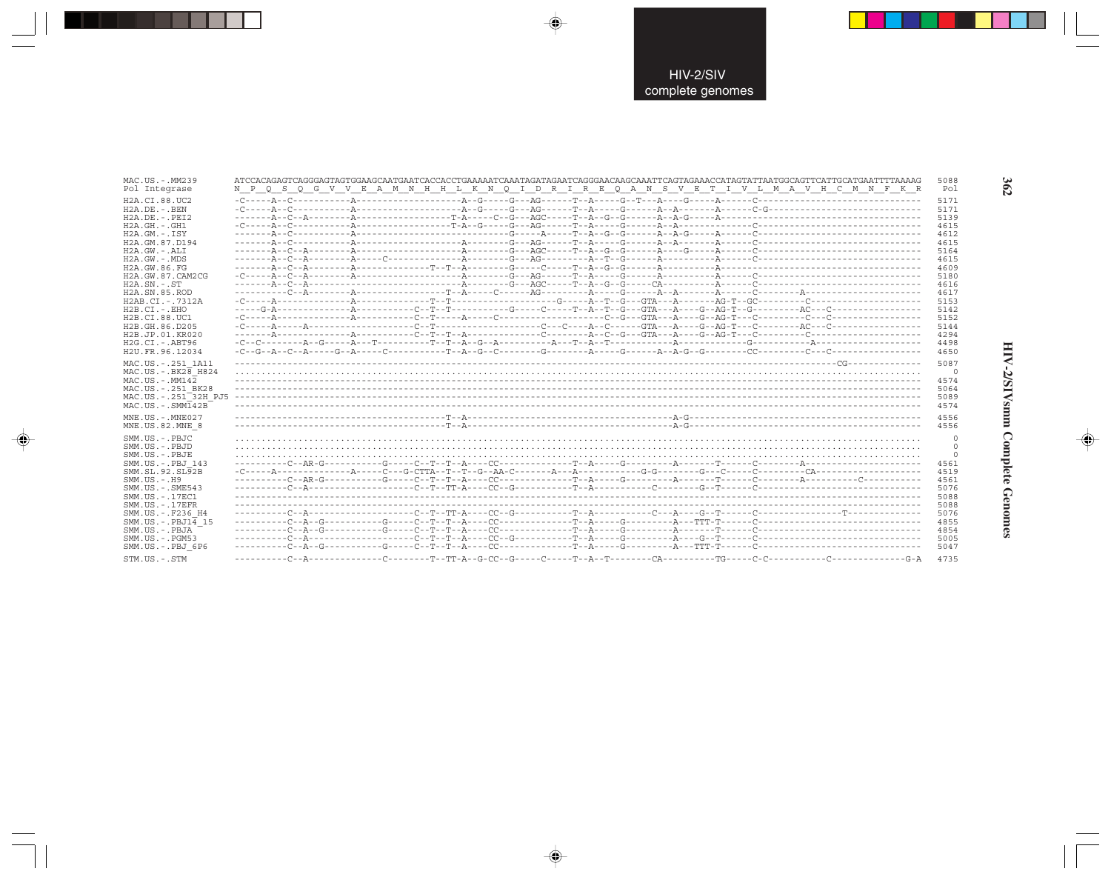| MAC.US.-.MM239                                                                                                                                                                                                                                                                         |                                                                                         | 5088                                                                                 |
|----------------------------------------------------------------------------------------------------------------------------------------------------------------------------------------------------------------------------------------------------------------------------------------|-----------------------------------------------------------------------------------------|--------------------------------------------------------------------------------------|
| Pol Integrase                                                                                                                                                                                                                                                                          | N P Q S Q G V V E A M N H H L K N Q I D R I R E Q A N S V E T I V L M A V H C M N F K R | Pol                                                                                  |
| H2A.CI.88.UC2                                                                                                                                                                                                                                                                          |                                                                                         | 5171                                                                                 |
| H2A.DE. - . BEN                                                                                                                                                                                                                                                                        |                                                                                         | 5171                                                                                 |
| $H2A.DE. - .PEI2$                                                                                                                                                                                                                                                                      |                                                                                         | 5139                                                                                 |
| $H2A.GH. - .GH1$                                                                                                                                                                                                                                                                       |                                                                                         | 4615                                                                                 |
| $H2A.GM.-.ISY$                                                                                                                                                                                                                                                                         |                                                                                         | 4612                                                                                 |
| H2A.GM.87.D194                                                                                                                                                                                                                                                                         |                                                                                         | 4615                                                                                 |
| H2A.GW.-.ALI                                                                                                                                                                                                                                                                           |                                                                                         | 5164                                                                                 |
| $H2A.GW. - .MDS$                                                                                                                                                                                                                                                                       |                                                                                         | 4615                                                                                 |
| H2A.GW.86.FG                                                                                                                                                                                                                                                                           |                                                                                         | 4609                                                                                 |
| H2A.GW.87.CAM2CG                                                                                                                                                                                                                                                                       |                                                                                         | 5180                                                                                 |
| $H2A$ . $SN. - . ST$                                                                                                                                                                                                                                                                   |                                                                                         | 4616                                                                                 |
| H2A.SN.85.ROD                                                                                                                                                                                                                                                                          |                                                                                         | 4617                                                                                 |
| H2AB.CI.-.7312A                                                                                                                                                                                                                                                                        |                                                                                         | 5153                                                                                 |
| $H2B.CI.-EHO$                                                                                                                                                                                                                                                                          |                                                                                         | 5142                                                                                 |
| H2B.CI.88.UC1                                                                                                                                                                                                                                                                          |                                                                                         | 5152                                                                                 |
| H2B.GH.86.D205                                                                                                                                                                                                                                                                         |                                                                                         | 5144                                                                                 |
| H2B.JP.01.KR020                                                                                                                                                                                                                                                                        |                                                                                         | 4294                                                                                 |
| H2G.CI.-.ABT96                                                                                                                                                                                                                                                                         |                                                                                         | 4498                                                                                 |
| H2U.FR.96.12034                                                                                                                                                                                                                                                                        |                                                                                         | 4650                                                                                 |
| MAC.US. - . 251 1A11                                                                                                                                                                                                                                                                   |                                                                                         | 5087                                                                                 |
| MAC.US. - . BK28 H824                                                                                                                                                                                                                                                                  |                                                                                         | $\circ$                                                                              |
| $MAC. US. - . MM142$                                                                                                                                                                                                                                                                   |                                                                                         | 4574                                                                                 |
| MAC.US. - . 251 BK28                                                                                                                                                                                                                                                                   |                                                                                         | 5064                                                                                 |
| MAC.US. - . 251 <sup>-32H</sup> PJ5                                                                                                                                                                                                                                                    |                                                                                         | 5089                                                                                 |
| $MAC . US . - . SIM142B$                                                                                                                                                                                                                                                               |                                                                                         | 4574                                                                                 |
| $MNE$ . US. - $MNE$ 027                                                                                                                                                                                                                                                                |                                                                                         | 4556                                                                                 |
| MNE.US.82.MNE 8                                                                                                                                                                                                                                                                        |                                                                                         | 4556                                                                                 |
| SMM.US.-.PBJC<br>SMM.US.-.PBJD<br>SMM.US.-.PBJE<br>SMM.US. -. PBJ 143<br>SMM.SL.92.SL92B<br>$SMM. US. - . H9$<br>$SMM.US. - .SME543$<br>SMM. US. - . 17EC1<br>$SMM. US. - .17EFR$<br>SMM.US.-.F236 H4<br>SMM.US.-.PBJ14 15<br>SMM.US.-.PBJA<br>$SMM.US. - . PGM53$<br>SMM.US.-.PBJ 6P6 |                                                                                         | 4561<br>4519<br>4561<br>5076<br>5088<br>5088<br>5076<br>4855<br>4854<br>5005<br>5047 |
| STM.US.-.STM                                                                                                                                                                                                                                                                           |                                                                                         | 4735                                                                                 |

 $\Rightarrow$ 

 $\bigoplus$ 

 $\overrightarrow{\mathbf{\P}}$ 

# HIV-2/SIVsmm Complete Genomes

 $\Rightarrow$ 

362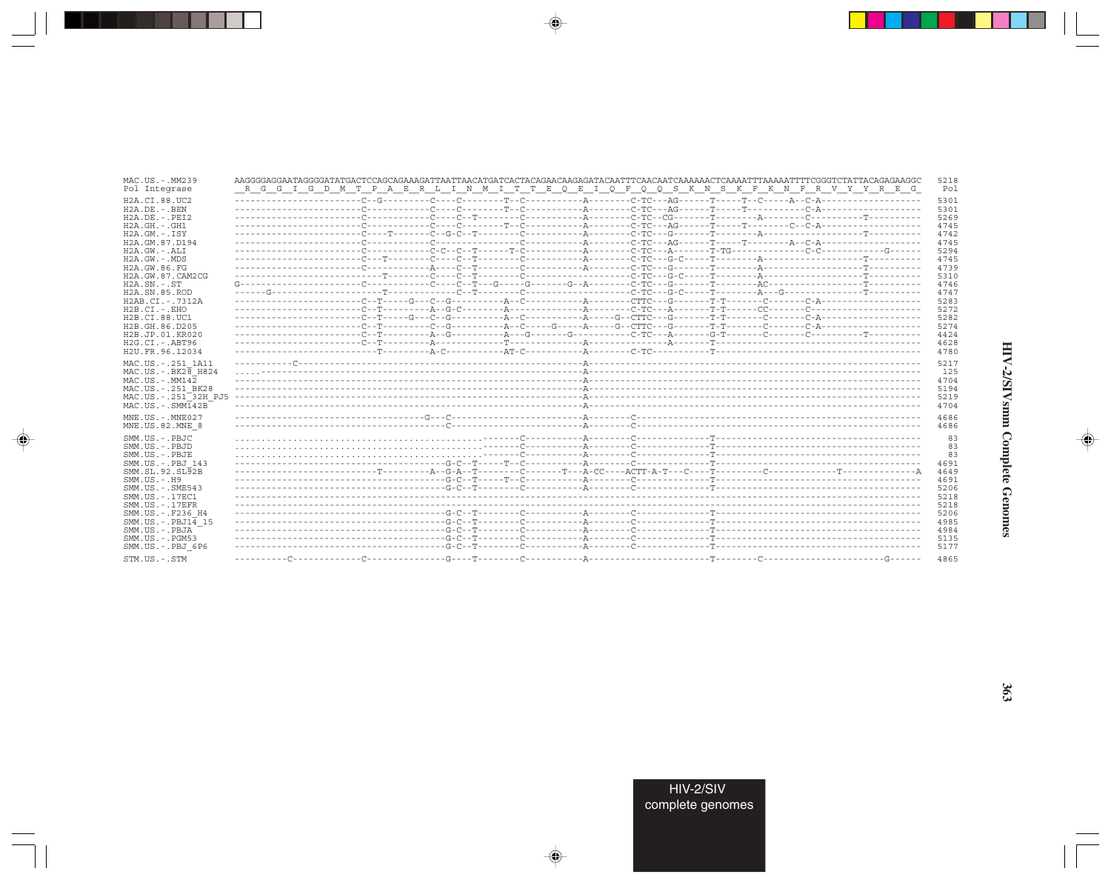| MAC.US.-.MM239                                                                                                                                                                               | AAGGGGAAGAATAGGGGATATGACTCCAGCAGAAAGATTAACTTAACATGATCACCAGAACAAGAGATACAATTTCAACAATCAAAAACTCAAAATTTTAAAAATTTTCGGGTCTATTACAGAGAAGGC | 5218                                                                 |
|----------------------------------------------------------------------------------------------------------------------------------------------------------------------------------------------|-----------------------------------------------------------------------------------------------------------------------------------|----------------------------------------------------------------------|
| Pol Integrase                                                                                                                                                                                | R G G I G D M T P A E R L I N M I T T E Q E I Q F Q Q S K N S K F K N F R V Y Y R E G                                             | Pol                                                                  |
| H2A.CI.88.UC2<br>H2A.DE. - .BEN<br>$H2A.DE. - .PEI2$<br>$H2A.GH. - .GH1$<br>$H2A.GM.-.ISY$<br>H2A.GM.87.D194<br>$H2A.GW. - .ALI$<br>$H2A.GW. - .MDS$                                         |                                                                                                                                   | 5301<br>5301<br>5269<br>4745<br>4742<br>4745<br>5294<br>4745<br>4739 |
| H2A.GW.86.FG<br>H2A.GW.87.CAM2CG<br>$H2A.SN.-.ST$<br>H <sub>2</sub> A.SN.85.ROD<br>H2AB.CI.-.7312A<br>$H2B.CI.-.EHO$<br>H2B.CI.88.UC1<br>H2B.GH.86.D205<br>H2B.JP.01.KR020<br>H2G.CI.-.ABT96 |                                                                                                                                   | 5310<br>4746<br>4747<br>5283<br>5272<br>5282<br>5274<br>4424<br>4628 |
| H2U.FR.96.12034                                                                                                                                                                              |                                                                                                                                   | 4780                                                                 |
| MAC.US. - . 251 1A11                                                                                                                                                                         |                                                                                                                                   | 5217                                                                 |
| $MAC.US.-.BK2\overline{8}$ H824                                                                                                                                                              |                                                                                                                                   | 125                                                                  |
| $MAC. US. - . MM142$                                                                                                                                                                         |                                                                                                                                   | 4704                                                                 |
| MAC.US. - . 251 BK28                                                                                                                                                                         |                                                                                                                                   | 5194                                                                 |
| MAC.US.-.251 <sup>-32H</sup> PJ5                                                                                                                                                             |                                                                                                                                   | 5219                                                                 |
| $MAC. US. - . SIMT42B$                                                                                                                                                                       |                                                                                                                                   | 4704                                                                 |
| MNE.US.-.MNE027                                                                                                                                                                              |                                                                                                                                   | 4686                                                                 |
| MNE.US.82.MNE 8                                                                                                                                                                              |                                                                                                                                   | 4686                                                                 |
| SMM.US.-.PBJC                                                                                                                                                                                |                                                                                                                                   | 83                                                                   |
| SMM.US.-.PBJD                                                                                                                                                                                |                                                                                                                                   | 83                                                                   |
| SMM.US.-.PBJE                                                                                                                                                                                |                                                                                                                                   | 83                                                                   |
| SMM.US.-.PBJ 143                                                                                                                                                                             |                                                                                                                                   | 4691                                                                 |
| SMM.SL.92.SL92B                                                                                                                                                                              |                                                                                                                                   | 4649                                                                 |
| $SMM. US. - . H9$                                                                                                                                                                            |                                                                                                                                   | 4691                                                                 |
| SMM.US.-.SME543                                                                                                                                                                              |                                                                                                                                   | 5206                                                                 |
| SMM. US. - . 17EC1                                                                                                                                                                           |                                                                                                                                   | 5218                                                                 |
| SMM.US.-.17EFR                                                                                                                                                                               |                                                                                                                                   | 5218                                                                 |
| SMM.US.-.F236 H4                                                                                                                                                                             |                                                                                                                                   | 5206                                                                 |
| $SMM.US.-.PBJ14$ 15                                                                                                                                                                          |                                                                                                                                   | 4985                                                                 |
| SMM.US.-.PBJA                                                                                                                                                                                |                                                                                                                                   | 4984                                                                 |
| $SMM.US. - . PGM53$                                                                                                                                                                          |                                                                                                                                   | 5135                                                                 |
| SMM.US.-.PBJ 6P6                                                                                                                                                                             |                                                                                                                                   | 5177                                                                 |
| STM.US.-.STM                                                                                                                                                                                 |                                                                                                                                   | 4865                                                                 |

 $\begin{picture}(20,5) \put(0,0){\vector(0,1){10}} \put(15,0){\vector(0,1){10}} \put(15,0){\vector(0,1){10}} \put(15,0){\vector(0,1){10}} \put(15,0){\vector(0,1){10}} \put(15,0){\vector(0,1){10}} \put(15,0){\vector(0,1){10}} \put(15,0){\vector(0,1){10}} \put(15,0){\vector(0,1){10}} \put(15,0){\vector(0,1){10}} \put(15,0){\vector(0,1){10}} \put(15,0){\vector(0,$ 

a shekara 1960

 $\overrightarrow{\phantom{a}}$ 

 $\frac{\partial \mathcal{L}}{\partial \mathbf{r}} = \frac{\partial \mathcal{L}}{\partial \mathbf{r}}$ 

HIV-2/SIVsmm Complete Genomes

 $\begin{picture}(20,5) \put(0,0){\line(1,0){10}} \put(15,0){\line(1,0){10}} \put(15,0){\line(1,0){10}} \put(15,0){\line(1,0){10}} \put(15,0){\line(1,0){10}} \put(15,0){\line(1,0){10}} \put(15,0){\line(1,0){10}} \put(15,0){\line(1,0){10}} \put(15,0){\line(1,0){10}} \put(15,0){\line(1,0){10}} \put(15,0){\line(1,0){10}} \put(15,0){\line(1,$ 

 $\equiv$ 

 $\Box$ 

. . .

٠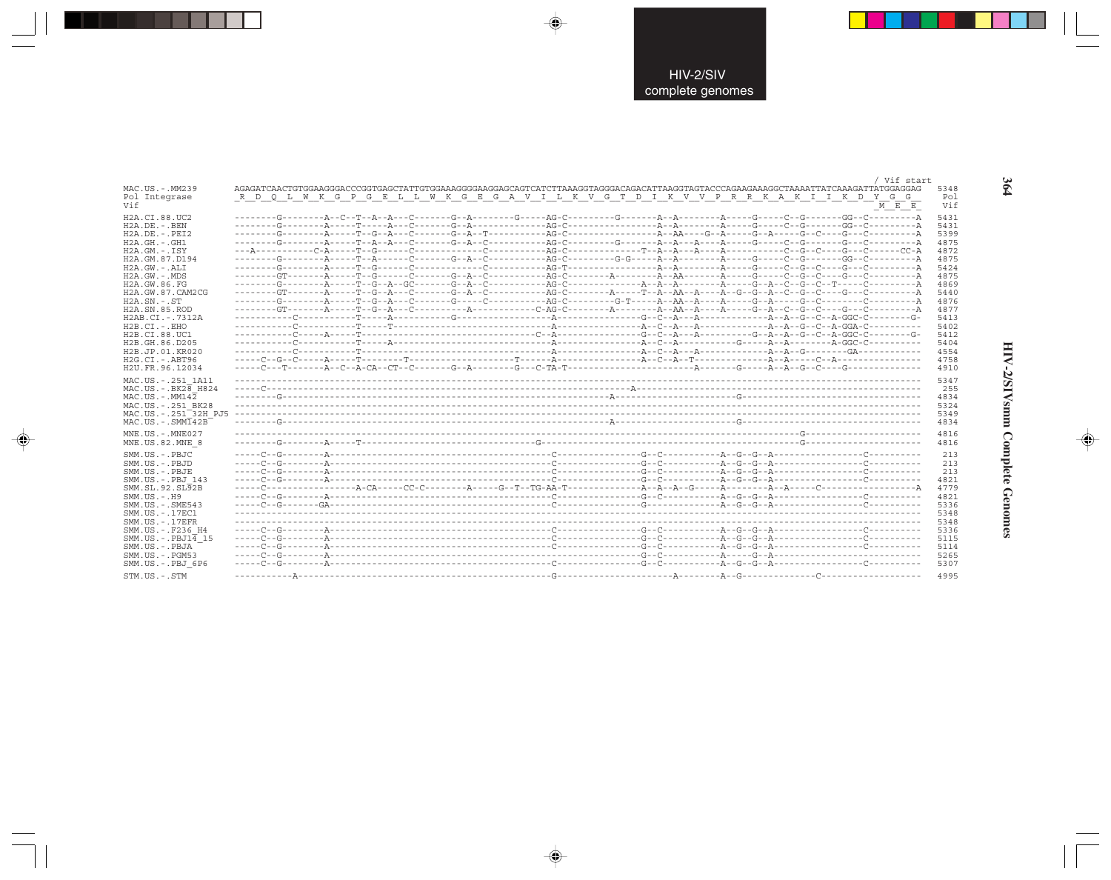|                                            |                                                                                       | Vif start   |      |
|--------------------------------------------|---------------------------------------------------------------------------------------|-------------|------|
| MAC.US.-.MM239                             |                                                                                       |             | 5348 |
| Pol Integrase                              | R D Q L W K G P G E L L W K G E G A V I L K V G T D I K V V P R R K A K I I K D Y G G |             | Pol  |
| Vif                                        |                                                                                       | $M$ $E$ $E$ | Vif  |
|                                            |                                                                                       |             |      |
| H2A.CI.88.UC2                              |                                                                                       |             | 5431 |
| $H2A.DE. - . BEN$                          |                                                                                       |             | 5431 |
| $H2A.DE. - .PEI2$                          |                                                                                       |             | 5399 |
| $H2A.GH.-.GH1$                             |                                                                                       |             | 4875 |
| $H2A.GM.-.ISY$                             |                                                                                       |             | 4872 |
|                                            |                                                                                       |             |      |
| H2A.GM.87.D194                             |                                                                                       |             | 4875 |
| $H2A.GW.-.ALI$                             |                                                                                       |             | 5424 |
| $H2A.GW. - .MDS$                           |                                                                                       |             | 4875 |
| H2A.GW.86.FG                               |                                                                                       |             | 4869 |
| H2A. GW. 87. CAM2CG                        |                                                                                       |             | 5440 |
| $H2A$ . $SN. - . ST$                       |                                                                                       |             | 4876 |
| H <sub>2</sub> A.SN.85.ROD                 |                                                                                       |             | 4877 |
| H2AB.CI.-.7312A                            |                                                                                       |             | 5413 |
|                                            |                                                                                       |             |      |
| $H2B.CI.-EHO$                              |                                                                                       |             | 5402 |
| H2B.CI.88.UC1                              |                                                                                       |             | 5412 |
| H <sub>2</sub> B. GH. 86. D <sub>205</sub> |                                                                                       |             | 5404 |
| H2B.JP.01.KR020                            |                                                                                       |             | 4554 |
| $H2G.CI.-.ABT96$                           |                                                                                       |             | 4758 |
| H2U.FR.96.12034                            |                                                                                       |             | 4910 |
|                                            |                                                                                       |             |      |
| MAC.US. - . 251 1A11                       |                                                                                       |             | 5347 |
| $MAC.US.-.BK2\overline{8}$ H824            |                                                                                       |             | 255  |
| $MAC$ . US. - $MM14\overline{2}$           |                                                                                       |             | 4834 |
| MAC.US. - . 251 BK28                       |                                                                                       |             | 5324 |
| MAC.US. - . 251 32H PJ5                    |                                                                                       |             | 5349 |
| $MAC . US . - . SIM142B$                   |                                                                                       |             | 4834 |
|                                            |                                                                                       |             |      |
| $MNE$ . U.S. - $MNE$ 027                   |                                                                                       |             | 4816 |
| MNE.US.82.MNE 8                            |                                                                                       |             | 4816 |
|                                            |                                                                                       |             |      |
| SMM.US.-.PBJC                              |                                                                                       |             | 213  |
| SMM.US.-.PBJD                              |                                                                                       |             | 213  |
| SMM.US.-.PBJE                              |                                                                                       |             | 213  |
| SMM.US.-.PBJ 143                           |                                                                                       |             | 4821 |
| SMM.SL.92.SL92B                            |                                                                                       |             | 4779 |
| $SMM. US. - . H9$                          |                                                                                       |             | 4821 |
|                                            |                                                                                       |             |      |
| $SMM. US. - . SME543$                      |                                                                                       |             | 5336 |
| SMM. US. - . 17EC1                         |                                                                                       |             | 5348 |
| $SMM. US. - .17EFR$                        |                                                                                       |             | 5348 |
| SMM.US. -. F236 H4                         |                                                                                       |             | 5336 |
| $SMM.US.-PBJ1\overline{4}15$               |                                                                                       |             | 5115 |
| SMM.US.-.PBJA                              |                                                                                       |             | 5114 |
| $SMM. US. - . PGM53$                       |                                                                                       |             | 5265 |
| SMM.US.-.PBJ 6P6                           |                                                                                       |             | 5307 |
|                                            |                                                                                       |             |      |
| STM.US.-.STM                               |                                                                                       |             | 4995 |

 $\overline{\blacklozenge}$ 

 $\color{red} \bigoplus$ 

. . .

 $\Rightarrow$ 

364

 $\overline{\blacklozenge}$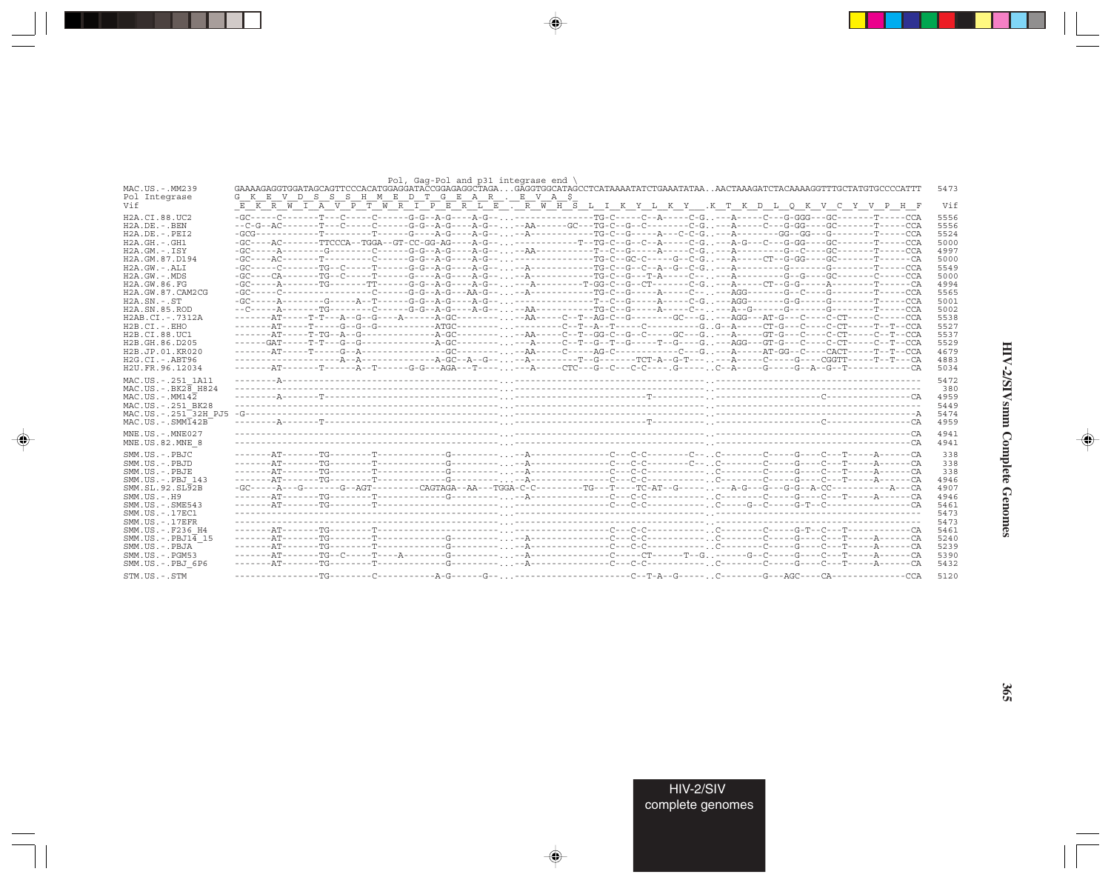| MAC.US.-.MM239                                                                                                                                | Pol, Gag-Pol and p31 integrase end<br>GAAAAGAGGTGGATAGCAGTTCCCACATGGAGGATACCGGAGAGGCTAGAGAGGTGGCATAGCCTCATAAAATATCTGAAATATAAAACTAAAGATCTACAAAAGGTTTGCTATGTGCCCCATTT | 5473                                |
|-----------------------------------------------------------------------------------------------------------------------------------------------|---------------------------------------------------------------------------------------------------------------------------------------------------------------------|-------------------------------------|
| Pol Integrase<br>Vif                                                                                                                          | G K E V D S S S H M E D T G E A R . E V A S<br>EKRWIAVPTWRIPERLETRWHSLIKYLKY .KTKDLOKVCYVPHF                                                                        | Vif                                 |
|                                                                                                                                               |                                                                                                                                                                     |                                     |
| H2A.CI.88.UC2<br>$H2A$ . DE. - . BEN                                                                                                          |                                                                                                                                                                     | 5556<br>5556                        |
| $H2A.DE. - .PEI2$                                                                                                                             |                                                                                                                                                                     | 5524                                |
| $H2A.GH. - . GH1$                                                                                                                             | -GC----AC------TTCCCA--TGGA--GT-CC-GG-AG----A-G-----------TG-C--G--C--A-----C-G---A-G---C--G-GG----GC--GC-----T----CCA                                              | 5000                                |
| $H2A.GM.-.ISY$                                                                                                                                |                                                                                                                                                                     | 4997                                |
| H2A.GM.87.D194                                                                                                                                |                                                                                                                                                                     | 5000                                |
| $H2A.GW. - .ALI$                                                                                                                              |                                                                                                                                                                     | 5549                                |
| $H2A.GW. - .MDS$                                                                                                                              |                                                                                                                                                                     | 5000                                |
| H2A.GW.86.FG                                                                                                                                  | -GC-----A-------TG-------TT------G-G--A-G----A-G-----A---------T-GG-C--G--CT------C-G. .---A-----CT--G-G-----A-------T------CA                                      | 4994                                |
| H2A.GW.87.CAM2CG                                                                                                                              |                                                                                                                                                                     | 5565                                |
| $H2A.SN.-.ST$                                                                                                                                 |                                                                                                                                                                     | 5001                                |
| H <sub>2</sub> A.SN.85.ROD                                                                                                                    |                                                                                                                                                                     | 5002                                |
| H2AB.CI.-.7312A                                                                                                                               |                                                                                                                                                                     | 5538                                |
| $H2B.CI.-.EHO$                                                                                                                                | ------AT-----T-TG--A--G---------------A-GC----------AA-----C--T--GG-C--G--C-----GC---G---A-----GT-G---C-CT-----C--T--CCA                                            | 5527                                |
| H2B.CI.88.UC1<br>H2B.GH.86.D205                                                                                                               |                                                                                                                                                                     | 5537<br>5529                        |
| H2B.JP.01.KR020                                                                                                                               |                                                                                                                                                                     | 4679                                |
| $H2G.CI.-.ABT96$                                                                                                                              |                                                                                                                                                                     | 4883                                |
| H2U.FR.96.12034                                                                                                                               | -------AT-------T------A--T------G-G---AGA---T---- , , ---A----CTC---G--C-C-C---- ,G----- , C--A----G----G--A--G--T-----------CA                                    | 5034                                |
| MAC.US. - . 251 1A11<br>MAC.US. - . BK28 H824<br>$MAC$ . US. - $MM14\overline{2}$<br>MAC.US. - . 251 BK28<br>MAC.US.-.251 <sup>-32H</sup> PJ5 |                                                                                                                                                                     | 5472<br>380<br>4959<br>5449<br>5474 |
| $MAC. US.-. SIMT42B$                                                                                                                          |                                                                                                                                                                     | 4959                                |
| MNE.US.-.MNE027<br>MNE.US.82.MNE 8                                                                                                            |                                                                                                                                                                     | 4941<br>4941                        |
| $SMM$ . US. $-$ . PBJC.                                                                                                                       |                                                                                                                                                                     | 338                                 |
| SMM.US.-.PBJD                                                                                                                                 |                                                                                                                                                                     | 338                                 |
| SMM.US.-.PBJE                                                                                                                                 |                                                                                                                                                                     | 338                                 |
| SMM.US.-.PBJ 143                                                                                                                              |                                                                                                                                                                     | 4946                                |
| SMM.SL.92.SL92B                                                                                                                               |                                                                                                                                                                     | 4907                                |
| $SMM.US.-.H9$                                                                                                                                 |                                                                                                                                                                     | 4946                                |
| $SMM. US. - . SME543$<br>SMM. US. - . 17EC1                                                                                                   |                                                                                                                                                                     | 5461<br>5473                        |
| $SMM. US. - .17EFR$                                                                                                                           |                                                                                                                                                                     | 5473                                |
| SMM.US. -. F236 H4<br>$SMM.US.-.PBJ1\overline{4}15$                                                                                           |                                                                                                                                                                     | 5461<br>5240                        |
| SMM.US.-.PBJA                                                                                                                                 |                                                                                                                                                                     | 5239                                |
| $SMM$ . U.S. $-$ . PGM53                                                                                                                      |                                                                                                                                                                     | 5390                                |
| SMM.US.-.PBJ 6P6                                                                                                                              |                                                                                                                                                                     | 5432                                |
| STM.US.-.STM                                                                                                                                  |                                                                                                                                                                     | 5120                                |
|                                                                                                                                               |                                                                                                                                                                     |                                     |

 $\begin{picture}(20,5) \put(0,0){\vector(0,1){10}} \put(15,0){\vector(0,1){10}} \put(15,0){\vector(0,1){10}} \put(15,0){\vector(0,1){10}} \put(15,0){\vector(0,1){10}} \put(15,0){\vector(0,1){10}} \put(15,0){\vector(0,1){10}} \put(15,0){\vector(0,1){10}} \put(15,0){\vector(0,1){10}} \put(15,0){\vector(0,1){10}} \put(15,0){\vector(0,1){10}} \put(15,0){\vector(0,$ 

a shekara 1960

 $\overrightarrow{\phantom{a}}$ 

 $\frac{1}{\sqrt{2}}$ 

 $\begin{picture}(20,5) \put(0,0){\line(1,0){10}} \put(15,0){\line(1,0){10}} \put(15,0){\line(1,0){10}} \put(15,0){\line(1,0){10}} \put(15,0){\line(1,0){10}} \put(15,0){\line(1,0){10}} \put(15,0){\line(1,0){10}} \put(15,0){\line(1,0){10}} \put(15,0){\line(1,0){10}} \put(15,0){\line(1,0){10}} \put(15,0){\line(1,0){10}} \put(15,0){\line(1,$ 

 $\frac{1}{\sqrt{2\pi}}\int_{0}^{\pi}d\mathbf{x}^{2}d\mathbf{x}^{2}d\mathbf{x}^{2}d\mathbf{x}^{2}d\mathbf{x}^{2}d\mathbf{x}^{2}d\mathbf{x}^{2}d\mathbf{x}^{2}d\mathbf{x}^{2}d\mathbf{x}^{2}d\mathbf{x}^{2}d\mathbf{x}^{2}d\mathbf{x}^{2}d\mathbf{x}^{2}d\mathbf{x}^{2}d\mathbf{x}^{2}d\mathbf{x}^{2}d\mathbf{x}^{2}d\mathbf{x}^{2}d\mathbf{x}^{2}d\mathbf{x}^{2}d\mathbf{x}^{2}d$ 

 $\Box$ 

. . .

٠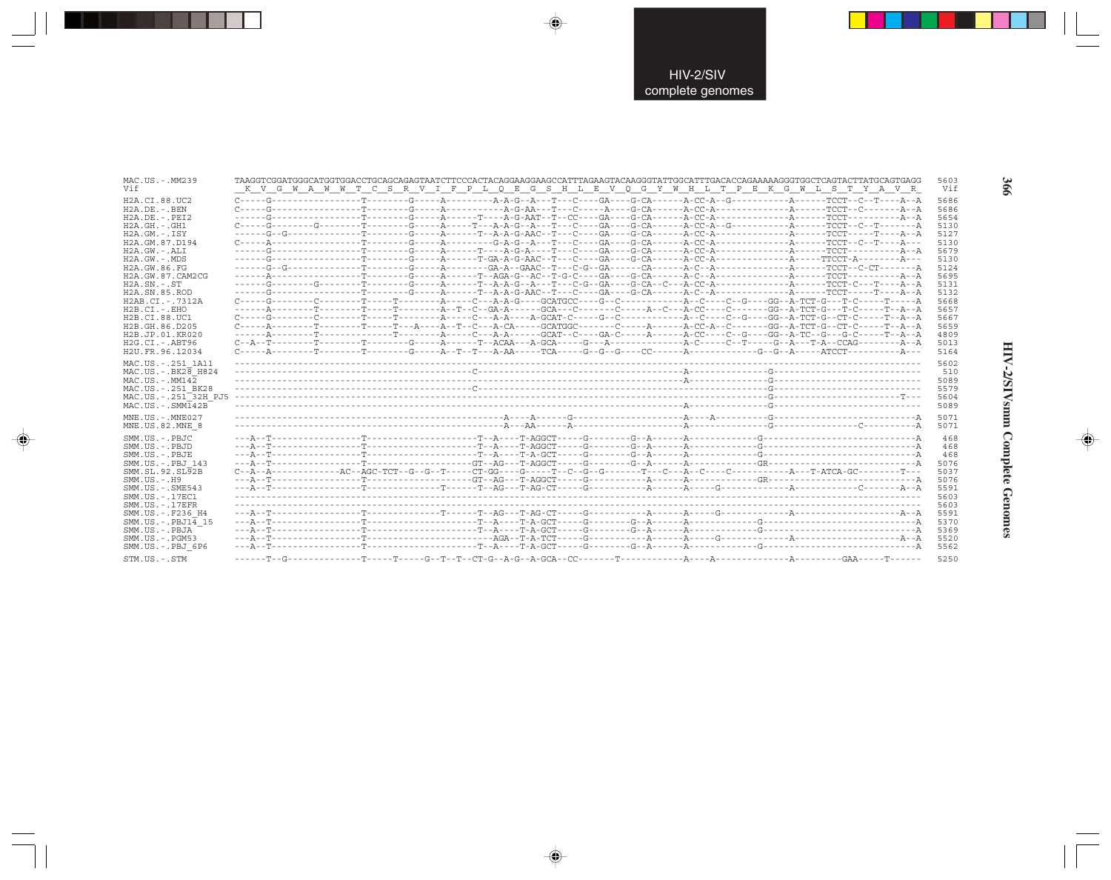| MAC.US.-.MM239                                                            |                                                                                                                                                                                                                                                                                                                                                                                                                                                                                                                                                                                                                                                                                           | 5603                         |
|---------------------------------------------------------------------------|-------------------------------------------------------------------------------------------------------------------------------------------------------------------------------------------------------------------------------------------------------------------------------------------------------------------------------------------------------------------------------------------------------------------------------------------------------------------------------------------------------------------------------------------------------------------------------------------------------------------------------------------------------------------------------------------|------------------------------|
| Vif                                                                       | K V G W A W W T C S R V I F P L Q E G S H L E V Q G Y W H L T P E K G W L S T Y A V R                                                                                                                                                                                                                                                                                                                                                                                                                                                                                                                                                                                                     | Vif                          |
| H2A.CI.88.UC2                                                             | $C \rightarrow \texttt{-G} \rightarrow \texttt{-G} \rightarrow \texttt{-G} \rightarrow \texttt{-G} \rightarrow \texttt{-G} \rightarrow \texttt{-G} \rightarrow \texttt{-G} \rightarrow \texttt{-G} \rightarrow \texttt{-G} \rightarrow \texttt{-G} \rightarrow \texttt{-G} \rightarrow \texttt{-G} \rightarrow \texttt{-G} \rightarrow \texttt{-G} \rightarrow \texttt{-G} \rightarrow \texttt{-G} \rightarrow \texttt{-G} \rightarrow \texttt{-G} \rightarrow \texttt{-G} \rightarrow \texttt{-G} \rightarrow \texttt{-G} \rightarrow \texttt{-G} \rightarrow \texttt{-G} \rightarrow \texttt{-G} \rightarrow \texttt{-G} \rightarrow \texttt{-G} \rightarrow \texttt{-G} \rightarrow \$ | 5686                         |
| $H2A.DE. - . BEN$                                                         |                                                                                                                                                                                                                                                                                                                                                                                                                                                                                                                                                                                                                                                                                           | 5686                         |
| $H2A.DE. - .PEI2$                                                         |                                                                                                                                                                                                                                                                                                                                                                                                                                                                                                                                                                                                                                                                                           | 5654                         |
| $H2A.GH.-.GH1$                                                            |                                                                                                                                                                                                                                                                                                                                                                                                                                                                                                                                                                                                                                                                                           | 5130                         |
| H2A.GM.-.ISY                                                              |                                                                                                                                                                                                                                                                                                                                                                                                                                                                                                                                                                                                                                                                                           | 5127                         |
| H2A.GM.87.D194                                                            |                                                                                                                                                                                                                                                                                                                                                                                                                                                                                                                                                                                                                                                                                           | 5130                         |
| H2A.GW.-.ALI                                                              |                                                                                                                                                                                                                                                                                                                                                                                                                                                                                                                                                                                                                                                                                           | 5679                         |
| H2A.GW.-.MDS                                                              |                                                                                                                                                                                                                                                                                                                                                                                                                                                                                                                                                                                                                                                                                           | 5130                         |
| H2A.GW.86.FG<br>H2A.GW.87.CAM2CG<br>$H2A$ . $SN. - . ST$<br>H2A.SN.85.ROD |                                                                                                                                                                                                                                                                                                                                                                                                                                                                                                                                                                                                                                                                                           | 5124<br>5695<br>5131<br>5132 |
| H2AB.CI.-.7312A<br>$H2B.CI.-.EHO$<br>H2B.CI.88.UC1                        |                                                                                                                                                                                                                                                                                                                                                                                                                                                                                                                                                                                                                                                                                           | 5668<br>5657<br>5667         |
| H2B.GH.86.D205                                                            |                                                                                                                                                                                                                                                                                                                                                                                                                                                                                                                                                                                                                                                                                           | 5659                         |
| H2B.JP.01.KR020                                                           |                                                                                                                                                                                                                                                                                                                                                                                                                                                                                                                                                                                                                                                                                           | 4809                         |
| H2G.CI.-.ABT96                                                            | $C - A - T - \cdots - T - \cdots - T - \cdots - T - \cdots - G - \cdots - A - \cdots - T - A - G$ and $C - A - \cdots - G - A - \cdots - G - \cdots - A - C - \cdots - G - A - \cdots - T - A - C$ and $C - A - \cdots - T - A - C - \cdots - T - A - C - \cdots - T - A - C - \cdots - T - A - \cdots - A - \cdots - A - \cdots - X - \cdots - X - \cdots - X - \cdots - X - \cdots - X - \cdots - X - \cdots - X - \cdots - X - \cdots - X - \cdots - X - \cdots -$                                                                                                                                                                                                                     | 5013                         |
| H2U.FR.96.12034                                                           | $C-\dots-A-\dots-\dots-\mathbf{T}-\dots-\dots-\mathbf{T}-\dots-\mathbf{T}-\dots-\mathbf{G}-\dots-\mathbf{T}-\mathbf{T}-\mathbf{T}-\mathbf{T}-\mathbf{T}-\mathbf{G}-\mathbf{G}-\mathbf{G}-\mathbf{G}-\mathbf{G}-\mathbf{G}-\mathbf{G}-\mathbf{G}-\mathbf{G}-\mathbf{G}-\mathbf{G}-\mathbf{G}-\mathbf{G}-\mathbf{G}-\mathbf{G}-\mathbf{G}-\mathbf{G}-\mathbf{G}-\mathbf{G}-\mathbf{G}-\mathbf{G}-\mathbf{G}-\mathbf{G}-\mathbf{G}-\mathbf{G}-\mathbf{G}-$                                                                                                                                                                                                                                   | 5164                         |
| MAC.US. - . 251 1A11                                                      |                                                                                                                                                                                                                                                                                                                                                                                                                                                                                                                                                                                                                                                                                           | 5602                         |
| $MAC. US. - . BK28$ H824                                                  |                                                                                                                                                                                                                                                                                                                                                                                                                                                                                                                                                                                                                                                                                           | 510                          |
| $MAC . US . - . MM142$                                                    |                                                                                                                                                                                                                                                                                                                                                                                                                                                                                                                                                                                                                                                                                           | 5089                         |
| MAC.US.-.251 BK28                                                         |                                                                                                                                                                                                                                                                                                                                                                                                                                                                                                                                                                                                                                                                                           | 5579                         |
| MAC.US.-.251 <sup>-32H</sup> PJ5                                          |                                                                                                                                                                                                                                                                                                                                                                                                                                                                                                                                                                                                                                                                                           | 5604                         |
| $MAC . US . - . SIM142B$                                                  |                                                                                                                                                                                                                                                                                                                                                                                                                                                                                                                                                                                                                                                                                           | 5089                         |
| $MNE. US.-. MNE027$                                                       |                                                                                                                                                                                                                                                                                                                                                                                                                                                                                                                                                                                                                                                                                           | 5071                         |
| MNE.US.82.MNE 8                                                           |                                                                                                                                                                                                                                                                                                                                                                                                                                                                                                                                                                                                                                                                                           | 5071                         |
| SMM.US.-.PBJC                                                             |                                                                                                                                                                                                                                                                                                                                                                                                                                                                                                                                                                                                                                                                                           | 468                          |
| SMM.US.-.PBJD                                                             |                                                                                                                                                                                                                                                                                                                                                                                                                                                                                                                                                                                                                                                                                           | 468                          |
| SMM.US.-.PBJE                                                             |                                                                                                                                                                                                                                                                                                                                                                                                                                                                                                                                                                                                                                                                                           | 468                          |
| SMM.US.-.PBJ 143                                                          |                                                                                                                                                                                                                                                                                                                                                                                                                                                                                                                                                                                                                                                                                           | 5076                         |
| SMM.SL.92.SL92B                                                           |                                                                                                                                                                                                                                                                                                                                                                                                                                                                                                                                                                                                                                                                                           | 5037                         |
| SMM.US.-.H9                                                               |                                                                                                                                                                                                                                                                                                                                                                                                                                                                                                                                                                                                                                                                                           | 5076                         |
| SMM.US.-.SME543                                                           |                                                                                                                                                                                                                                                                                                                                                                                                                                                                                                                                                                                                                                                                                           | 5591                         |
| SMM.US. - 17EC1                                                           |                                                                                                                                                                                                                                                                                                                                                                                                                                                                                                                                                                                                                                                                                           | 5603                         |
| $SMM.US. - .17EFR$                                                        |                                                                                                                                                                                                                                                                                                                                                                                                                                                                                                                                                                                                                                                                                           | 5603                         |
| SMM.US. - .F236 H4                                                        |                                                                                                                                                                                                                                                                                                                                                                                                                                                                                                                                                                                                                                                                                           | 5591                         |
| $SMM.US.-.PBJ14$ 15                                                       |                                                                                                                                                                                                                                                                                                                                                                                                                                                                                                                                                                                                                                                                                           | 5370                         |
| SMM.US.-.PBJA                                                             |                                                                                                                                                                                                                                                                                                                                                                                                                                                                                                                                                                                                                                                                                           | 5369                         |
| SMM.US.-.PGM53                                                            |                                                                                                                                                                                                                                                                                                                                                                                                                                                                                                                                                                                                                                                                                           | 5520                         |
| SMM.US.-.PBJ 6P6                                                          |                                                                                                                                                                                                                                                                                                                                                                                                                                                                                                                                                                                                                                                                                           | 5562                         |
| CTM IIC _ CTM                                                             |                                                                                                                                                                                                                                                                                                                                                                                                                                                                                                                                                                                                                                                                                           | <b>5250</b>                  |

 $\begin{picture}(20,5) \put(0,0){\vector(0,1){10}} \put(15,0){\vector(0,1){10}} \put(15,0){\vector(0,1){10}} \put(15,0){\vector(0,1){10}} \put(15,0){\vector(0,1){10}} \put(15,0){\vector(0,1){10}} \put(15,0){\vector(0,1){10}} \put(15,0){\vector(0,1){10}} \put(15,0){\vector(0,1){10}} \put(15,0){\vector(0,1){10}} \put(15,0){\vector(0,1){10}} \put(15,0){\vector(0,$ 

 $\spadesuit$ 

. . .

 $\Rightarrow$ 

HIV-2/SIVsmm Complete Genomes

 $\Rightarrow$ 

366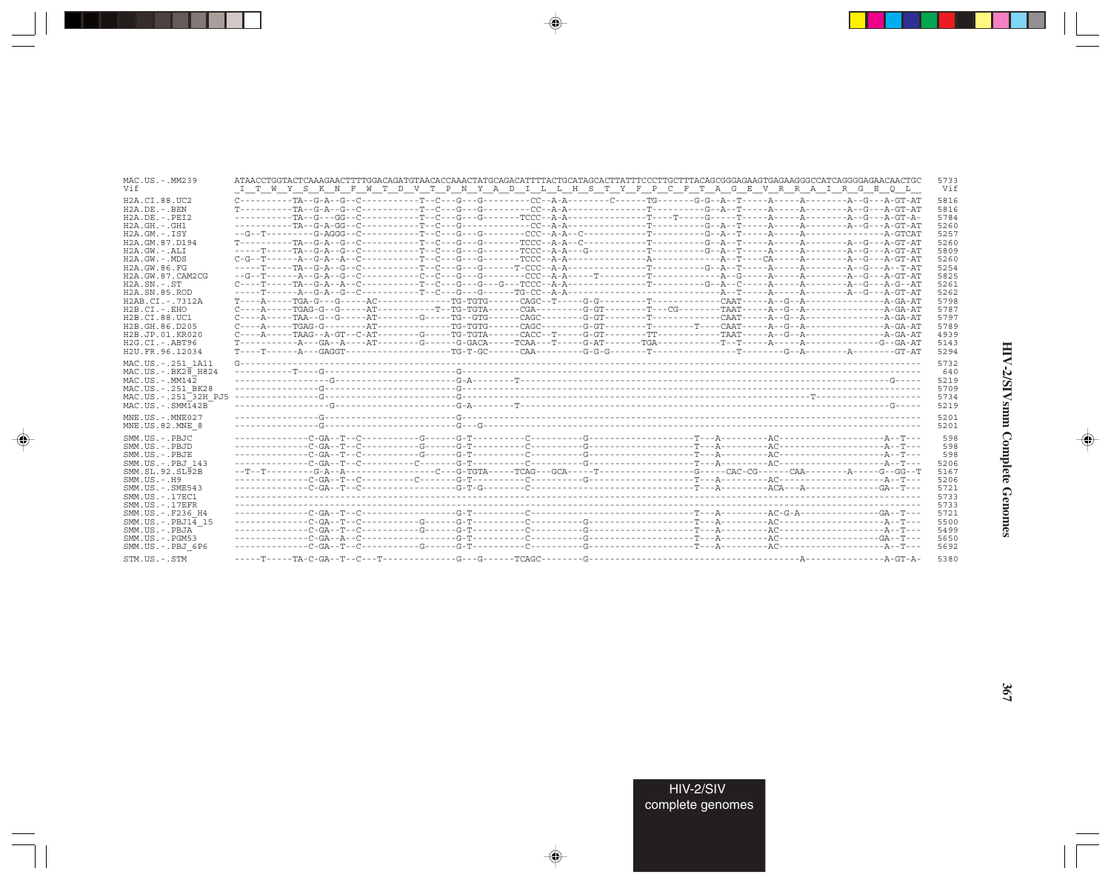| MAC.US.-.MM239<br>Vif                                                                                                                                                                                                                                                                                           | ATAACCTGGTACTCAAAGAACTTTTGGACAGATGTAACACCAAACTATGCAGACATTTTACTGCATAGCACTTATTTCCCTTGCTTTACAGCGGGAGAAGTGAGAAGGGCCATCAGGGGAAACTGC<br>I T W Y S K N F W T D V T P N Y A D I L L H S T Y F P C F T A G E V R R A I R G E O L                                                                                                                                                                                                                                                                                                                                                                                          |  |  | 5733<br>Vif                                                                                                                  |
|-----------------------------------------------------------------------------------------------------------------------------------------------------------------------------------------------------------------------------------------------------------------------------------------------------------------|------------------------------------------------------------------------------------------------------------------------------------------------------------------------------------------------------------------------------------------------------------------------------------------------------------------------------------------------------------------------------------------------------------------------------------------------------------------------------------------------------------------------------------------------------------------------------------------------------------------|--|--|------------------------------------------------------------------------------------------------------------------------------|
| H2A.CI.88.UC2<br>$H2A.DE. - .BEN$<br>$H2A.DE. - .PEI2$<br>$H2A.GH. - .GH1$<br>$H2A.GM.-.ISY$<br>H2A.GM.87.D194<br>H2A.GW.-.ALI<br>H2A.GW.-.MDS<br>H2A.GW.86.FG<br>H2A.GW.87.CAM2CG<br>$H2A$ . $SN. - . ST$<br>H <sub>2</sub> A.SN.85.ROD<br>H2AB.CI.-.7312A<br>$H2B.CI.-EHO$<br>H2B.CI.88.UC1<br>H2B.GH.86.D205 | $C-\cdots--\cdots-TA-G-A- G-C-\cdots-$<br>$C---A---TGAG-G---G---AT---T---T---TG-TGTA---CGA---T---G-GT---T---CG---T---TAGA---TAAT---A---A---A---A---T---A-G---A---A-G---A$<br>$C---A---TGAG-G------AT------TG---TG-TGTG------CAGC------G-GT------T------T---CART----A-G---A---A---A---A---A-G---A---A-G---A--C---A---A-G---A--C---A-G---A--C---A-G---A--C---A-G---A--C---A-G---A--C---A-G---A--C---A-G---A--C---A-G---A--C---A-G---A--C---A-G---A--C---A-G---A--C---A-G---A--C---A-G---A--C---A-G---A--C---A-G---A--C---A-G---A--C---A-G---A--C---A-G---A--C---A-G---A--C---A-G---A--C---A-G---A--C---A-G---A--C$ |  |  | 5816<br>5816<br>5784<br>5260<br>5257<br>5260<br>5809<br>5260<br>5254<br>5825<br>5261<br>5262<br>5798<br>5787<br>5797<br>5789 |
| H2B.JP.01.KR020<br>$H2G.CI.-ABT96$<br>H2U.FR.96.12034                                                                                                                                                                                                                                                           | $T-\cdots-T-\cdots-A-\cdots GAGGT-\cdots-\cdots-\cdots-TG-T-GC-\cdots-CAA-\cdots-G-G-G-\cdots-$ . The context of the context of the context of the context of the context of the context of the context of the context of the context of the context of the context of the con                                                                                                                                                                                                                                                                                                                                   |  |  | 4939<br>5143<br>5294                                                                                                         |
| MAC.US. - . 251 1A11<br>$MAC.US.-.BK2\overline{8}$ H824<br>$MAC. US. - . MM142$<br>MAC.US. - . 251 BK28<br>MAC.US.-.251 <sup>-32H</sup> PJ5<br>$MAC. US. - . SIMT42B$                                                                                                                                           |                                                                                                                                                                                                                                                                                                                                                                                                                                                                                                                                                                                                                  |  |  | 5732<br>640<br>5219<br>5709<br>5734<br>5219                                                                                  |
| $MNE. US.-. MNE027$<br>MNE.US.82.MNE 8                                                                                                                                                                                                                                                                          |                                                                                                                                                                                                                                                                                                                                                                                                                                                                                                                                                                                                                  |  |  | 5201<br>5201                                                                                                                 |
| SMM.US.-.PBJC<br>SMM.US.-.PBJD<br>SMM.US.-.PBJE<br>SMM.US.-.PBJ 143<br>SMM.SL.92.SL92B<br>$SMM. US. - . H9$<br>SMM. US. - . SME543<br>SMM. US. - . 17EC1<br>$SMM. US. - .17EFR$                                                                                                                                 |                                                                                                                                                                                                                                                                                                                                                                                                                                                                                                                                                                                                                  |  |  | 598<br>598<br>598<br>5206<br>5167<br>5206<br>5721<br>5733<br>5733                                                            |
| SMM.US.-.F236 H4<br>$SMM.US.-.PBJ14$ 15<br>SMM.US.-.PBJA<br>$SMM.US. - . PGM53$<br>SMM.US.-.PBJ 6P6<br>STM.US.-.STM                                                                                                                                                                                             |                                                                                                                                                                                                                                                                                                                                                                                                                                                                                                                                                                                                                  |  |  | 5721<br>5500<br>5499<br>5650<br>5692<br>5380                                                                                 |

 $\begin{picture}(20,5) \put(0,0){\vector(0,1){10}} \put(15,0){\vector(0,1){10}} \put(15,0){\vector(0,1){10}} \put(15,0){\vector(0,1){10}} \put(15,0){\vector(0,1){10}} \put(15,0){\vector(0,1){10}} \put(15,0){\vector(0,1){10}} \put(15,0){\vector(0,1){10}} \put(15,0){\vector(0,1){10}} \put(15,0){\vector(0,1){10}} \put(15,0){\vector(0,1){10}} \put(15,0){\vector(0,$ 

a shekara 1960

 $\overrightarrow{\phantom{a}}$ 

 $\frac{\partial \mathcal{L}}{\partial \mathbf{r}} = \frac{\partial \mathcal{L}}{\partial \mathbf{r}}$ 

HIV-2/SIVsmm Complete Genomes

 $\begin{picture}(20,5) \put(0,0){\line(1,0){10}} \put(15,0){\line(1,0){10}} \put(15,0){\line(1,0){10}} \put(15,0){\line(1,0){10}} \put(15,0){\line(1,0){10}} \put(15,0){\line(1,0){10}} \put(15,0){\line(1,0){10}} \put(15,0){\line(1,0){10}} \put(15,0){\line(1,0){10}} \put(15,0){\line(1,0){10}} \put(15,0){\line(1,0){10}} \put(15,0){\line(1,$ 

 $\equiv$ 

 $\Box$ 

. . .

٠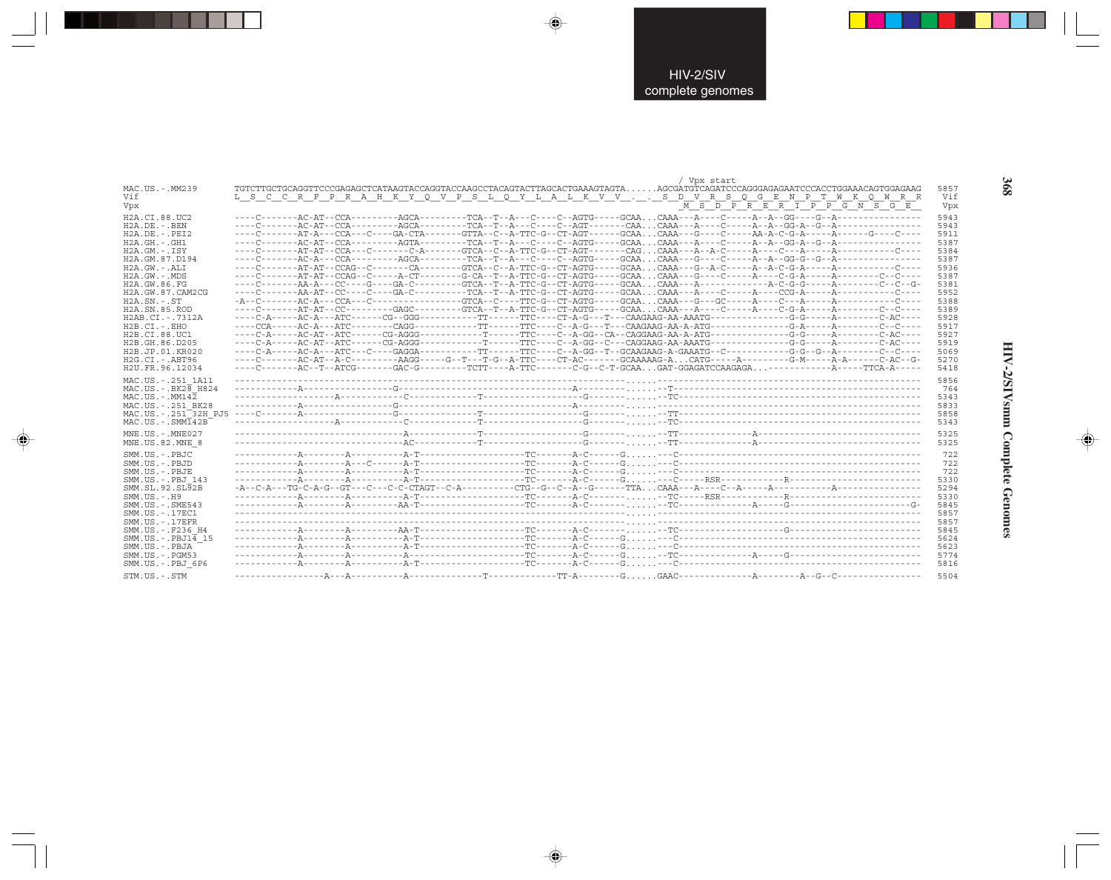|                                  | / Vpx start                                                                                                                        |      |
|----------------------------------|------------------------------------------------------------------------------------------------------------------------------------|------|
| MAC.US.-.MM239                   | TGTCTTGCTGCAGGTTCCCGAGAGCTCATAAGTACCAGGTACCAAGCCTACAGTACTTAGCACTGAAAGTAGTAAGCGATGTCAGATCCCAGGGAGAGAATCCCACCTGGAAACAGTGGAGAAG       | 5857 |
| Vif                              | L S C C R F P R A H K Y Q V P S L Q Y L A L K V V S D V R S Q G E N P T W K Q W R R                                                | Vif  |
| Vpx                              | M S D P R E R I P P G N S G E                                                                                                      | Vpx  |
| H2A.CI.88.UC2                    |                                                                                                                                    | 5943 |
| $H2A.DE. - .BEN$                 |                                                                                                                                    | 5943 |
| $H2A.DE. - .PEI2$                | ----C-------AT-A---CCA---C----GA-CTA-------GTTA--C--A-TTC-G--CT-AGT------GCAACAAA---G----C-----AA-A-C-G-A-----A------G----C----    | 5911 |
| $H2A.GH. - .GH1$                 |                                                                                                                                    | 5387 |
| H2A.GM.-.ISY                     |                                                                                                                                    | 5384 |
| H2A.GM.87.D194                   |                                                                                                                                    | 5387 |
| $H2A.GW. - .ALI$                 |                                                                                                                                    | 5936 |
| $H2A.GW. - .MDS$                 | ----C-------AT-AT--CCAG--C-----A-CT--------G-CA--T--A-TTC-G--CT-AGTG-----GCAACAAA---G----C-----A----C-G-A------A-------C--C--C---- | 5387 |
| H2A.GW.86.FG                     |                                                                                                                                    | 5381 |
| H2A.GW.87.CAM2CG                 |                                                                                                                                    | 5952 |
| $H2A.SN.-.ST$                    |                                                                                                                                    | 5388 |
| H <sub>2</sub> A.SN.85.ROD       | ----C-------AT-AT--CC---------GAGC---------GTCA--T--A-TTC-G--CT-AGTG-----GCAACAAA---A----C-----A----C-G-A------A-------C--C--C---- | 5389 |
| H2AB.CI.-.7312A                  |                                                                                                                                    | 5928 |
| $H2B.CI.-.EHO$                   |                                                                                                                                    | 5917 |
| H2B.CI.88.UC1                    |                                                                                                                                    | 5927 |
| H2B.GH.86.D205                   |                                                                                                                                    | 5919 |
| H2B.JP.01.KR020                  |                                                                                                                                    | 5069 |
| $H2G.CI.-ABT96$                  | ----C-------AC-AT--A-C---------AAGG-----G--T---T-G--A-TTC----CT-AC-------GCAAAAAG-ACATG-----A---------G-M-----A-A------C-AC--G-    | 5270 |
| H2U.FR.96.12034                  | ----C-------AC--T--ATCG-------GAC-G---------TCTT----A-TTC-------C-G--C-T-GCAAGAT-GGAGATCCAAGAGA---------------A-----TTCA-A-----    | 5418 |
| MAC.US. - . 251 1A11             |                                                                                                                                    | 5856 |
| $MAC. US. - . BK2B$ H824         |                                                                                                                                    | 764  |
| $MAC. US. - . MM142$             |                                                                                                                                    | 5343 |
| MAC.US. - . 251 BK28             |                                                                                                                                    | 5833 |
| MAC.US.-.251 <sup>-32H</sup> PJ5 |                                                                                                                                    | 5858 |
| $MAC . US . - . SIMT42B$         |                                                                                                                                    | 5343 |
| MNE.US. - . MNE027               |                                                                                                                                    | 5325 |
| MNE.US.82.MNE 8                  |                                                                                                                                    | 5325 |
|                                  |                                                                                                                                    |      |
| SMM.US.-.PBJC                    |                                                                                                                                    | 722  |
| SMM.US.-.PBJD                    |                                                                                                                                    | 722  |
| SMM.US.-.PBJE                    |                                                                                                                                    | 722  |
| SMM.US.-.PBJ 143                 |                                                                                                                                    | 5330 |
| SMM.SL.92.SL92B                  |                                                                                                                                    | 5294 |
| $SMM.US.-.H9$                    |                                                                                                                                    | 5330 |
| $SMM. US. - . SME543$            |                                                                                                                                    | 5845 |
| SMM. US. - . 17EC1               |                                                                                                                                    | 5857 |
| $SMM$ . US. $-$ . 17EFR          |                                                                                                                                    | 5857 |
| SMM.US. -. F236 H4               |                                                                                                                                    | 5845 |
| $SMM.US.-.PBJ1\overline{4}15$    |                                                                                                                                    | 5624 |
| SMM.US.-.PBJA                    |                                                                                                                                    | 5623 |
| $SMM.US. - . PGM53$              |                                                                                                                                    | 5774 |
| SMM.US.-.PBJ 6P6                 |                                                                                                                                    | 5816 |
| STM.US.-.STM                     |                                                                                                                                    | 5504 |

 $\begin{picture}(20,5) \put(0,0){\vector(0,1){10}} \put(15,0){\vector(0,1){10}} \put(15,0){\vector(0,1){10}} \put(15,0){\vector(0,1){10}} \put(15,0){\vector(0,1){10}} \put(15,0){\vector(0,1){10}} \put(15,0){\vector(0,1){10}} \put(15,0){\vector(0,1){10}} \put(15,0){\vector(0,1){10}} \put(15,0){\vector(0,1){10}} \put(15,0){\vector(0,1){10}} \put(15,0){\vector(0,$ 

 $\begin{picture}(20,5) \put(0,0){\vector(0,1){10}} \put(15,0){\vector(0,1){10}} \put(15,0){\vector(0,1){10}} \put(15,0){\vector(0,1){10}} \put(15,0){\vector(0,1){10}} \put(15,0){\vector(0,1){10}} \put(15,0){\vector(0,1){10}} \put(15,0){\vector(0,1){10}} \put(15,0){\vector(0,1){10}} \put(15,0){\vector(0,1){10}} \put(15,0){\vector(0,1){10}} \put(15,0){\vector(0,$ 

---

 $\begin{picture}(20,5) \put(0,0){\line(1,0){10}} \put(15,0){\line(1,0){10}} \put(15,0){\line(1,0){10}} \put(15,0){\line(1,0){10}} \put(15,0){\line(1,0){10}} \put(15,0){\line(1,0){10}} \put(15,0){\line(1,0){10}} \put(15,0){\line(1,0){10}} \put(15,0){\line(1,0){10}} \put(15,0){\line(1,0){10}} \put(15,0){\line(1,0){10}} \put(15,0){\line(1,$ 

 $\frac{1}{\sqrt{2}}$ 

368

w

HIV-2/SIVsmm Complete Genomes

 $\begin{picture}(20,5) \put(0,0){\line(1,0){10}} \put(15,0){\line(1,0){10}} \put(15,0){\line(1,0){10}} \put(15,0){\line(1,0){10}} \put(15,0){\line(1,0){10}} \put(15,0){\line(1,0){10}} \put(15,0){\line(1,0){10}} \put(15,0){\line(1,0){10}} \put(15,0){\line(1,0){10}} \put(15,0){\line(1,0){10}} \put(15,0){\line(1,0){10}} \put(15,0){\line(1,$ 

 $\frac{1}{\sqrt{2\pi}}\int_0^1\frac{1}{\sqrt{2\pi}}\left(1-\frac{1}{2}\right)\left(1-\frac{1}{2}\right)\left(1-\frac{1}{2}\right)\left(1-\frac{1}{2}\right)\left(1-\frac{1}{2}\right)\left(1-\frac{1}{2}\right)\left(1-\frac{1}{2}\right)\left(1-\frac{1}{2}\right)\left(1-\frac{1}{2}\right)\left(1-\frac{1}{2}\right)\left(1-\frac{1}{2}\right)\left(1-\frac{1}{2}\right)\left(1-\frac{1}{2}\right)\left(1-\frac{1}{2}\right)\left(1-\frac{1}{2}\right)\left(1-\frac{1}{2$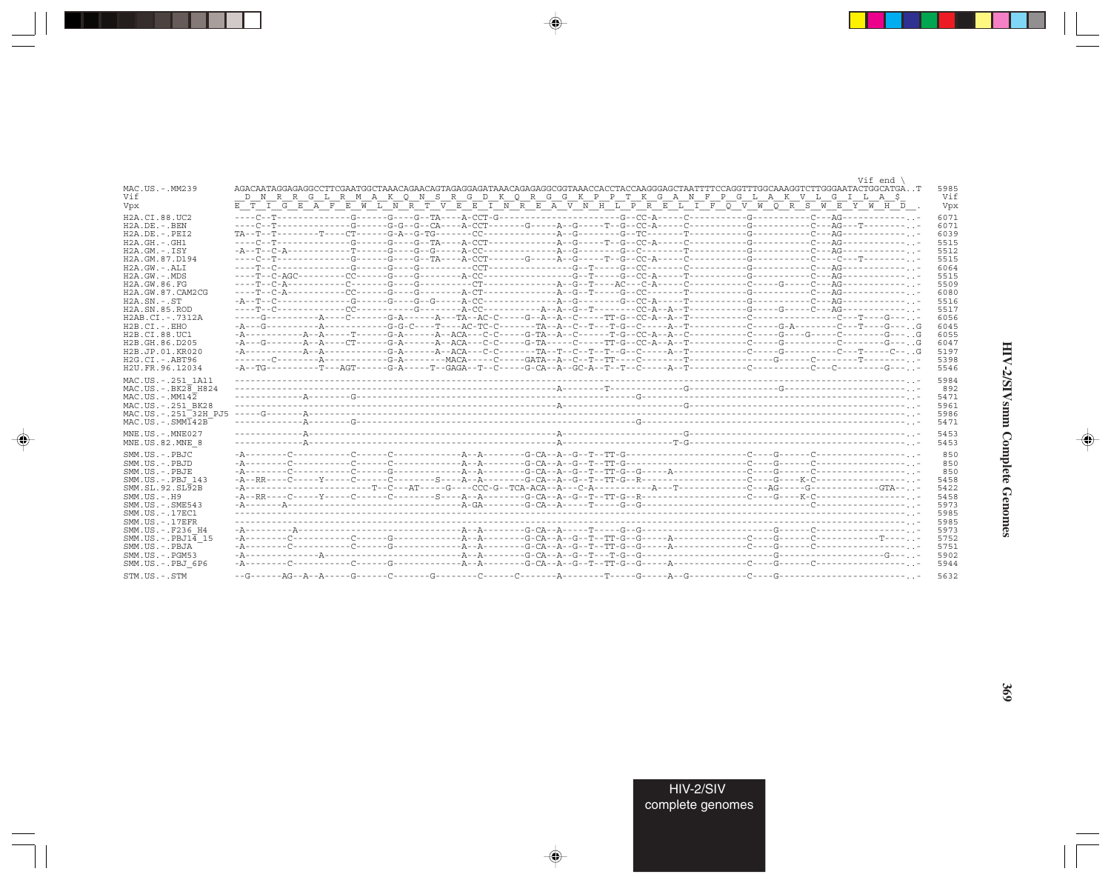|                                               | Vif end                                                                                                                                                                                                                                                                                                                                                                                                                                                                                   |              |
|-----------------------------------------------|-------------------------------------------------------------------------------------------------------------------------------------------------------------------------------------------------------------------------------------------------------------------------------------------------------------------------------------------------------------------------------------------------------------------------------------------------------------------------------------------|--------------|
| MAC.US.-.MM239                                |                                                                                                                                                                                                                                                                                                                                                                                                                                                                                           | 5985         |
| Vif                                           | D N R R G L R M A K O N S R G D K O R G G K P P T K G A N F P G L A K V L G I L A \$                                                                                                                                                                                                                                                                                                                                                                                                      | Vif          |
| Vpx                                           | $\overline{{\tt E}}\hspace{1mm}\overline{{\tt T}}\hspace{1mm}\overline{{\tt T}}\hspace{1mm}\overline{{\tt G}}\hspace{1mm}\overline{{\tt E}}\hspace{1mm}\overline{{\tt A}}\hspace{1mm}\overline{{\tt F}}\hspace{1mm}\overline{{\tt F}}\hspace{1mm}\overline{{\tt W}}\hspace{1mm}\overline{{\tt U}}\hspace{1mm}\overline{{\tt N}}\hspace{1mm}\overline{{\tt R}}\hspace{1mm}\overline{{\tt T}}\hspace{1mm}\overline{{\tt V}}\hspace{1mm}\overline{{\tt E}}\hspace{1mm}\overline{{\tt E}}\hs$ | Vpx          |
| H2A.CI.88.UC2                                 |                                                                                                                                                                                                                                                                                                                                                                                                                                                                                           | 6071         |
| $H2A.DE. - . BEN$                             |                                                                                                                                                                                                                                                                                                                                                                                                                                                                                           | 6071         |
| $H2A.DE. - .PEI2$                             |                                                                                                                                                                                                                                                                                                                                                                                                                                                                                           | 6039         |
| $H2A.GH.-.GH1$                                |                                                                                                                                                                                                                                                                                                                                                                                                                                                                                           | 5515         |
| $H2A.GM.-.ISY$                                |                                                                                                                                                                                                                                                                                                                                                                                                                                                                                           | 5512         |
| H2A.GM.87.D194                                |                                                                                                                                                                                                                                                                                                                                                                                                                                                                                           | 5515         |
| $H2A.GW.-.ALI$                                |                                                                                                                                                                                                                                                                                                                                                                                                                                                                                           | 6064         |
| $H2A.GW. - .MDS$                              |                                                                                                                                                                                                                                                                                                                                                                                                                                                                                           | 5515         |
| H2A.GW.86.FG                                  |                                                                                                                                                                                                                                                                                                                                                                                                                                                                                           | 5509         |
| H2A.GW.87.CAM2CG                              |                                                                                                                                                                                                                                                                                                                                                                                                                                                                                           | 6080         |
| $H2A.SN.-.ST$                                 |                                                                                                                                                                                                                                                                                                                                                                                                                                                                                           | 5516         |
| H <sub>2</sub> A.SN.85.ROD<br>H2AB.CI.-.7312A |                                                                                                                                                                                                                                                                                                                                                                                                                                                                                           | 5517<br>6056 |
| $H2B.CI.-EHO$                                 |                                                                                                                                                                                                                                                                                                                                                                                                                                                                                           | 6045         |
| H2B.CI.88.UC1                                 |                                                                                                                                                                                                                                                                                                                                                                                                                                                                                           | 6055         |
| H2B.GH.86.D205                                | -A---G-------A--A----CT------G-A-------A-ACA---C-C-----G-TA-----C-----TT-G--CC-A--A--T--------C-----G-------C---------G------G----.G---                                                                                                                                                                                                                                                                                                                                                   | 6047         |
| H2B.JP.01.KR020                               | -A----------A--A----------G-A-------ACA---C-C-------TA--T--C--T--G--C-----A--T-------C----G------C---T----C--T                                                                                                                                                                                                                                                                                                                                                                            | 5197         |
| $H2G.CI.-ABT96$                               |                                                                                                                                                                                                                                                                                                                                                                                                                                                                                           | 5398         |
| H2U.FR.96.12034                               |                                                                                                                                                                                                                                                                                                                                                                                                                                                                                           | 5546         |
|                                               |                                                                                                                                                                                                                                                                                                                                                                                                                                                                                           |              |
| MAC.US. - . 251 1A11                          |                                                                                                                                                                                                                                                                                                                                                                                                                                                                                           | 5984         |
| $MAC.US.-.BK2B$ H824                          |                                                                                                                                                                                                                                                                                                                                                                                                                                                                                           | 892          |
| $MAC. US. - . MM142$<br>MAC.US. - . 251 BK28  |                                                                                                                                                                                                                                                                                                                                                                                                                                                                                           | 5471         |
| MAC.US. - . 251 <sup>-32H</sup> PJ5           |                                                                                                                                                                                                                                                                                                                                                                                                                                                                                           | 5961<br>5986 |
| $MAC . US . - . SIMT42B$                      |                                                                                                                                                                                                                                                                                                                                                                                                                                                                                           | 5471         |
|                                               |                                                                                                                                                                                                                                                                                                                                                                                                                                                                                           |              |
| MNE.US.-.MNE027                               |                                                                                                                                                                                                                                                                                                                                                                                                                                                                                           | 5453         |
| MNE.US.82.MNE 8                               |                                                                                                                                                                                                                                                                                                                                                                                                                                                                                           | 5453         |
| SMM.US.-.PBJC                                 |                                                                                                                                                                                                                                                                                                                                                                                                                                                                                           | 850          |
| SMM.US.-.PBJD                                 |                                                                                                                                                                                                                                                                                                                                                                                                                                                                                           | 850          |
| $SMM$ . $US - PBJE$                           |                                                                                                                                                                                                                                                                                                                                                                                                                                                                                           | 850          |
| SMM.US.-.PBJ 143                              |                                                                                                                                                                                                                                                                                                                                                                                                                                                                                           | 5458         |
| SMM.SL.92.SL92B                               |                                                                                                                                                                                                                                                                                                                                                                                                                                                                                           | 5422         |
| $SMM. US. - . H9$                             |                                                                                                                                                                                                                                                                                                                                                                                                                                                                                           | 5458         |
| $SMM. US. - . SME543$                         |                                                                                                                                                                                                                                                                                                                                                                                                                                                                                           | 5973         |
| SMM. US. - . 17EC1                            |                                                                                                                                                                                                                                                                                                                                                                                                                                                                                           | 5985         |
| $SMM$ . US. $-$ . 17EFR                       |                                                                                                                                                                                                                                                                                                                                                                                                                                                                                           | 5985         |
| SMM.US.-.F236 H4                              |                                                                                                                                                                                                                                                                                                                                                                                                                                                                                           | 5973         |
| SMM.US.-.PBJ14 15                             |                                                                                                                                                                                                                                                                                                                                                                                                                                                                                           | 5752         |
| SMM.US.-.PBJA                                 |                                                                                                                                                                                                                                                                                                                                                                                                                                                                                           | 5751         |
| $SMM. US. - . PGM53$                          |                                                                                                                                                                                                                                                                                                                                                                                                                                                                                           | 5902         |
| SMM.US.-.PBJ 6P6                              |                                                                                                                                                                                                                                                                                                                                                                                                                                                                                           | 5944         |
| STM.US.-.STM                                  |                                                                                                                                                                                                                                                                                                                                                                                                                                                                                           | 5632         |

 $\begin{picture}(20,5) \put(0,0){\vector(0,1){10}} \put(15,0){\vector(0,1){10}} \put(15,0){\vector(0,1){10}} \put(15,0){\vector(0,1){10}} \put(15,0){\vector(0,1){10}} \put(15,0){\vector(0,1){10}} \put(15,0){\vector(0,1){10}} \put(15,0){\vector(0,1){10}} \put(15,0){\vector(0,1){10}} \put(15,0){\vector(0,1){10}} \put(15,0){\vector(0,1){10}} \put(15,0){\vector(0,$ 

a shekara 1960

 $\overrightarrow{\phantom{a}}$ 

 $\frac{\partial \mathcal{L}}{\partial \mathbf{r}} = \frac{\partial \mathcal{L}}{\partial \mathbf{r}}$ 

 $\begin{picture}(20,5) \put(0,0){\line(1,0){10}} \put(15,0){\line(1,0){10}} \put(15,0){\line(1,0){10}} \put(15,0){\line(1,0){10}} \put(15,0){\line(1,0){10}} \put(15,0){\line(1,0){10}} \put(15,0){\line(1,0){10}} \put(15,0){\line(1,0){10}} \put(15,0){\line(1,0){10}} \put(15,0){\line(1,0){10}} \put(15,0){\line(1,0){10}} \put(15,0){\line(1,$ 

 $\equiv$ 

 $\Box$ 

. . .

-1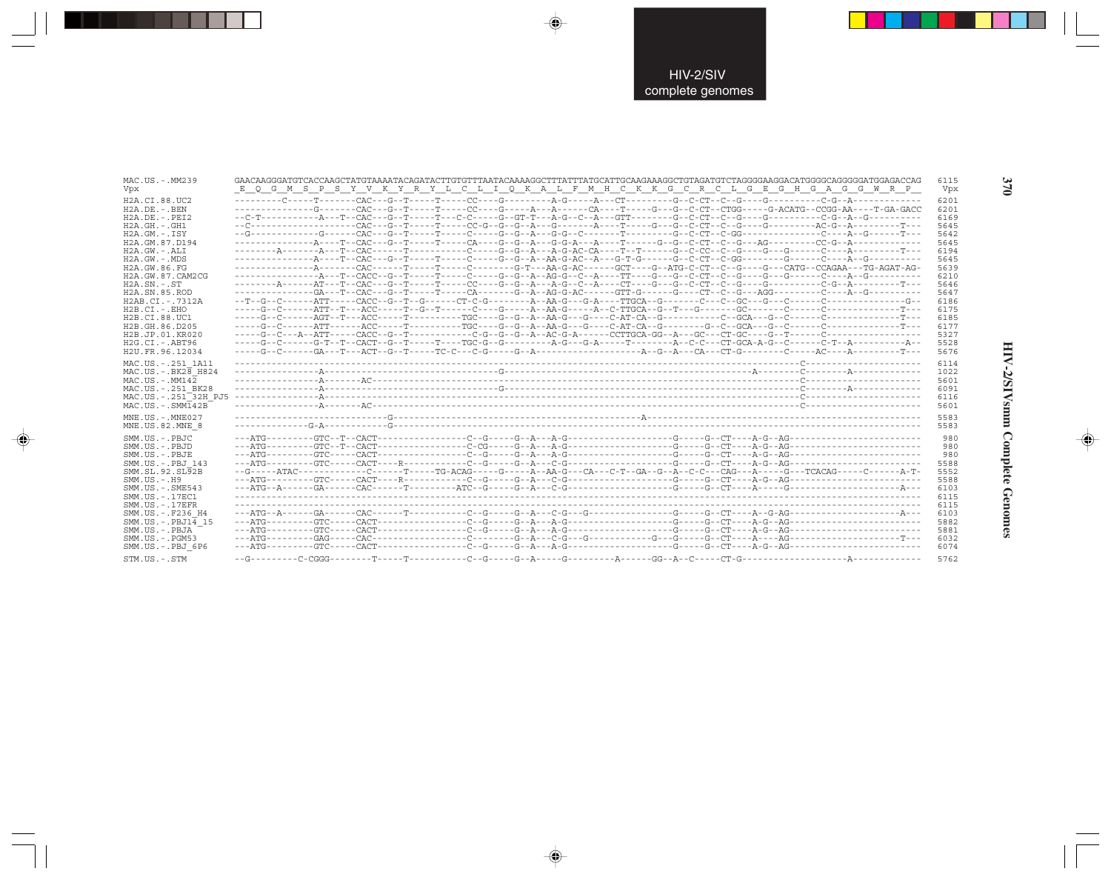| MAC.US.-.MM239                                                                                                                                                                               |                                                                                                                                 | 6115                                                                 |
|----------------------------------------------------------------------------------------------------------------------------------------------------------------------------------------------|---------------------------------------------------------------------------------------------------------------------------------|----------------------------------------------------------------------|
| Vpx                                                                                                                                                                                          | E Q G M S P S Y V K Y R Y L C L I Q K A L F M H C K K G C R C L G E G H G A G G W R P                                           | Vpx                                                                  |
| H2A.CI.88.UC2                                                                                                                                                                                |                                                                                                                                 | 6201                                                                 |
| $H2A.DE. - .BEN$                                                                                                                                                                             | -------------G-------CAC---G--T-----T-----CC----G----A---A-----CA----T----G---G--C-CT--CTGG-----G-ACATG--CCGG-AA----T-GA-GACC   | 6201                                                                 |
| $H2A.DE. - .PEI2$                                                                                                                                                                            |                                                                                                                                 | 6169                                                                 |
| $H2A.GH. - .GH1$                                                                                                                                                                             |                                                                                                                                 | 5645                                                                 |
| $H2A.GM.-.$ TSY                                                                                                                                                                              |                                                                                                                                 | 5642                                                                 |
| H2A.GM.87.D194                                                                                                                                                                               |                                                                                                                                 | 5645                                                                 |
| $H2A.GW. - .ALI$                                                                                                                                                                             |                                                                                                                                 | 6194                                                                 |
| $H2A.GW. - .MDS$                                                                                                                                                                             |                                                                                                                                 | 5645                                                                 |
| H2A.GW.86.FG                                                                                                                                                                                 |                                                                                                                                 | 5639                                                                 |
| H2A.GW.87.CAM2CG                                                                                                                                                                             |                                                                                                                                 | 6210                                                                 |
| $H2A.SN.-.ST$                                                                                                                                                                                |                                                                                                                                 | 5646                                                                 |
| H2A.SN.85.ROD                                                                                                                                                                                |                                                                                                                                 | 5647                                                                 |
| H2AB.CI.-.7312A                                                                                                                                                                              |                                                                                                                                 | 6186                                                                 |
| $H2B.CI.-.EHO$                                                                                                                                                                               |                                                                                                                                 | 6175                                                                 |
| H2B.CI.88.UC1                                                                                                                                                                                |                                                                                                                                 | 6185                                                                 |
| H2B.GH.86.D205                                                                                                                                                                               |                                                                                                                                 | 6177                                                                 |
| H2B.JP.01.KR020                                                                                                                                                                              |                                                                                                                                 | 5327                                                                 |
| $H2G.CI.-.ABT96$                                                                                                                                                                             |                                                                                                                                 | 5528                                                                 |
| H2U.FR.96.12034                                                                                                                                                                              |                                                                                                                                 | 5676                                                                 |
| MAC.US.-.251 1A11                                                                                                                                                                            |                                                                                                                                 | 6114                                                                 |
| MAC.US. - . BK28 H824                                                                                                                                                                        |                                                                                                                                 | 1022                                                                 |
| $MAC. US. - . MM142$                                                                                                                                                                         |                                                                                                                                 | 5601                                                                 |
| MAC.US. - . 251 BK28                                                                                                                                                                         |                                                                                                                                 | 6091                                                                 |
| MAC.US.-.251 <sup>-32H</sup> PJ5                                                                                                                                                             |                                                                                                                                 | 6116                                                                 |
| $MAC . US . - . SIM142B$                                                                                                                                                                     |                                                                                                                                 | 5601                                                                 |
| MNE.US.-.MNE027<br>MNE.US.82.MNE 8<br>SMM.US.-.PBJC<br>SMM.US.-.PBJD<br>SMM.US.-.PBJE<br>SMM.US. - PBJ 143<br>SMM.SL.92.SL92B<br>$SMM. US. - . H9$                                           | --G-----ATAC------------C------T----TG-ACAG-----G-----A--AA-G---CA---C-T--GA--G--A--C-C---CAG---A----G---TCACAG-----C------A-T- | 5583<br>5583<br>980<br>980<br>980<br>5588<br>5552<br>5588            |
| $SMM.US. - .SME543$<br>SMM.US. - . 17EC1<br>$SMM$ . US. $-$ . 17EFR<br>SMM.US. - .F236 H4<br>$SMM.US.-.PBJ14$ 15<br>SMM.US.-.PBJA<br>$SMM.US. - . PGM53$<br>SMM.US.-.PBJ 6P6<br>STM.US.-.STM |                                                                                                                                 | 6103<br>6115<br>6115<br>6103<br>5882<br>5881<br>6032<br>6074<br>5762 |

 $\begin{picture}(20,5) \put(0,0){\vector(0,1){10}} \put(15,0){\vector(0,1){10}} \put(15,0){\vector(0,1){10}} \put(15,0){\vector(0,1){10}} \put(15,0){\vector(0,1){10}} \put(15,0){\vector(0,1){10}} \put(15,0){\vector(0,1){10}} \put(15,0){\vector(0,1){10}} \put(15,0){\vector(0,1){10}} \put(15,0){\vector(0,1){10}} \put(15,0){\vector(0,1){10}} \put(15,0){\vector(0,$ 

 $\color{red} \bigoplus$ 

. .

 $\Rightarrow$ 

# HIV-2/SIVsmm Complete Genomes

 $\Rightarrow$ 

370

J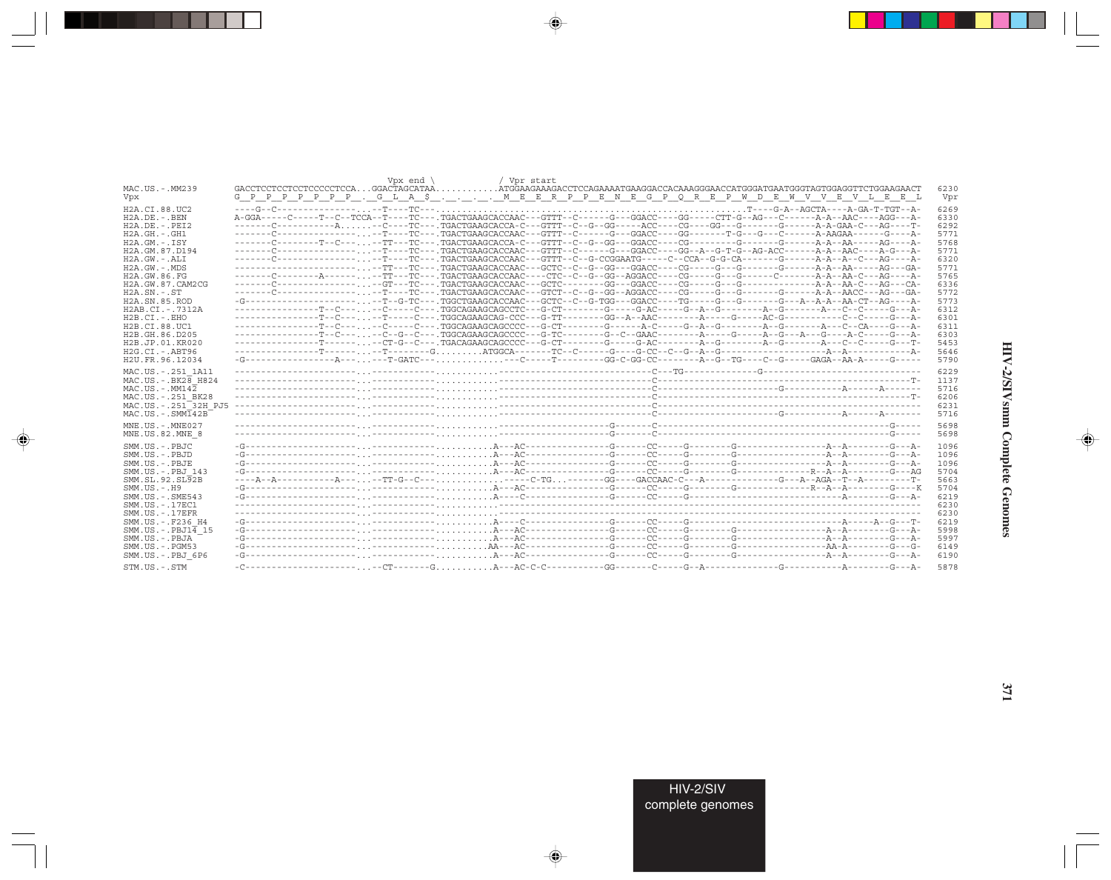|                                     |     |  |  | Vox end $\backslash$ |  | / Vor start |  |  |  |  |  |  |                                                                                                                                          |              |
|-------------------------------------|-----|--|--|----------------------|--|-------------|--|--|--|--|--|--|------------------------------------------------------------------------------------------------------------------------------------------|--------------|
| MAC.US.-.MM239                      |     |  |  |                      |  |             |  |  |  |  |  |  |                                                                                                                                          | 6230         |
| Vpx                                 | G P |  |  |                      |  |             |  |  |  |  |  |  | P P P P P P P . G L A \$ M E E R P P E N E G P Q R E P W D E W V V E V L E E L                                                           | Vpr          |
| H2A.CI.88.UC2                       |     |  |  |                      |  |             |  |  |  |  |  |  |                                                                                                                                          | 6269         |
| $H2A.DE. - . BEN$                   |     |  |  |                      |  |             |  |  |  |  |  |  | A-GGA-----C-----T--C--TCCA--T----TC---.TGACTGAAGCACCAAC---GTTT--C------G---GGACC----GG-----CTT-G--AG---C------A-A--AAC----AGG---A-       | 6330         |
| $H2A.DE. - .PEI2$                   |     |  |  |                      |  |             |  |  |  |  |  |  |                                                                                                                                          | 6292         |
| $H2A.GH. - .GH1$                    |     |  |  |                      |  |             |  |  |  |  |  |  | -------C--------------------------TC----TGACTGAAGCACCAAC---GTTT--C------G---GGACC----GG-------T-G---G-----A-AAGAA------G----A-           | 5771         |
| $H2A.GM.-.ISY$                      |     |  |  |                      |  |             |  |  |  |  |  |  |                                                                                                                                          | 5768         |
| H2A.GM.87.D194                      |     |  |  |                      |  |             |  |  |  |  |  |  | -------C------------------------TC--- TGACTGAAGCACCAAC---GTTT--C------G---GGACC----GG--A--G-T-G--AG-ACC-------A-A--AAC----A-G---A-G---A- | 5771         |
| $H2A.GW. - AT.T$                    |     |  |  |                      |  |             |  |  |  |  |  |  |                                                                                                                                          | 6320         |
| $H2A.GW. - .MDS$                    |     |  |  |                      |  |             |  |  |  |  |  |  |                                                                                                                                          | 5771         |
| H2A.GW.86.FG                        |     |  |  |                      |  |             |  |  |  |  |  |  |                                                                                                                                          | 5765         |
| H2A.GW.87.CAM2CG                    |     |  |  |                      |  |             |  |  |  |  |  |  |                                                                                                                                          | 6336         |
| $H2A$ . $SN - SN$                   |     |  |  |                      |  |             |  |  |  |  |  |  |                                                                                                                                          | 5772         |
| H <sub>2</sub> A.SN.85.ROD          |     |  |  |                      |  |             |  |  |  |  |  |  | -G--------------------,,,--T--G-TC---,TGGCTGAAGCACCAAC---GCTC--C--G-TGG---GGACC----TG-----G---G-------G---A-A-A-A-CT--AA----A-           | 5773         |
| H2AB.CI.-.7312A                     |     |  |  |                      |  |             |  |  |  |  |  |  |                                                                                                                                          | 6312         |
| $H2B.CI.-EHO$                       |     |  |  |                      |  |             |  |  |  |  |  |  |                                                                                                                                          | 6301         |
| H2B.CI.88.UC1                       |     |  |  |                      |  |             |  |  |  |  |  |  |                                                                                                                                          | 6311         |
| H2B.GH.86.D205                      |     |  |  |                      |  |             |  |  |  |  |  |  | ---------------T--C-----C--G--C---.TGGCAGAAGCCCCC---G-TC--------G--C--GAAC--------A----G----A--G---A---G----A-C----G---A-                | 6303         |
| H2B.JP.01.KR020                     |     |  |  |                      |  |             |  |  |  |  |  |  |                                                                                                                                          | 5453         |
| H2G.CI.-.ABT96                      |     |  |  |                      |  |             |  |  |  |  |  |  |                                                                                                                                          | 5646         |
| H2U.FR.96.12034                     |     |  |  |                      |  |             |  |  |  |  |  |  |                                                                                                                                          | 5790         |
|                                     |     |  |  |                      |  |             |  |  |  |  |  |  |                                                                                                                                          |              |
| MAC.US. - . 251 1A11                |     |  |  |                      |  |             |  |  |  |  |  |  |                                                                                                                                          | 6229         |
| $MAC. US. - . BK2B$ H824            |     |  |  |                      |  |             |  |  |  |  |  |  |                                                                                                                                          | 1137         |
| $MAC. US. - . MM142$                |     |  |  |                      |  |             |  |  |  |  |  |  |                                                                                                                                          | 5716         |
| MAC.US.-.251 BK28                   |     |  |  |                      |  |             |  |  |  |  |  |  |                                                                                                                                          | 6206         |
| MAC.US. - . 251 <sup>-32H</sup> PJ5 |     |  |  |                      |  |             |  |  |  |  |  |  |                                                                                                                                          | 6231         |
| $MAC. US. - . SIM142B$              |     |  |  |                      |  |             |  |  |  |  |  |  |                                                                                                                                          | 5716         |
| $MNE. US.-. MNE027$                 |     |  |  |                      |  |             |  |  |  |  |  |  |                                                                                                                                          | 5698         |
| MNE.US.82.MNE 8                     |     |  |  |                      |  |             |  |  |  |  |  |  |                                                                                                                                          | 5698         |
|                                     |     |  |  |                      |  |             |  |  |  |  |  |  |                                                                                                                                          |              |
| SMM.US.-.PBJC                       |     |  |  |                      |  |             |  |  |  |  |  |  |                                                                                                                                          | 1096<br>1096 |
| SMM.US.-.PBJD                       |     |  |  |                      |  |             |  |  |  |  |  |  |                                                                                                                                          |              |
| SMM.US.-.PBJE                       |     |  |  |                      |  |             |  |  |  |  |  |  |                                                                                                                                          | 1096         |
| SMM.US.-.PBJ 143                    |     |  |  |                      |  |             |  |  |  |  |  |  | ----A--A-----------A-----TT-G--C-------C-TG-------GACCAAC-C---A-------------GAC--T--A-------T-                                           | 5704         |
| SMM.SL.92.SL92B                     |     |  |  |                      |  |             |  |  |  |  |  |  |                                                                                                                                          | 5663         |
| $SMM. US. - . H9$                   |     |  |  |                      |  |             |  |  |  |  |  |  |                                                                                                                                          | 5704         |
| $SMM. US. - . SME543$               |     |  |  |                      |  |             |  |  |  |  |  |  |                                                                                                                                          | 6219         |
| SMM.US.-.17EC1                      |     |  |  |                      |  |             |  |  |  |  |  |  |                                                                                                                                          | 6230         |
| $SMM. US. - .17EFR$                 |     |  |  |                      |  |             |  |  |  |  |  |  |                                                                                                                                          | 6230         |
| SMM.US. -. F236 H4                  |     |  |  |                      |  |             |  |  |  |  |  |  |                                                                                                                                          | 6219         |
| $SMM.US.-.PBJ1\overline{4}15$       |     |  |  |                      |  |             |  |  |  |  |  |  |                                                                                                                                          | 5998         |
| SMM.US.-.PBJA                       |     |  |  |                      |  |             |  |  |  |  |  |  |                                                                                                                                          | 5997         |
| $SMM.US. - . PGM53$                 |     |  |  |                      |  |             |  |  |  |  |  |  |                                                                                                                                          | 6149         |
| SMM.US.-.PBJ 6P6                    |     |  |  |                      |  |             |  |  |  |  |  |  |                                                                                                                                          | 6190         |
| STM.US.-.STM                        |     |  |  |                      |  |             |  |  |  |  |  |  |                                                                                                                                          | 5878         |

 $\begin{picture}(20,5) \put(0,0){\vector(0,1){10}} \put(15,0){\vector(0,1){10}} \put(15,0){\vector(0,1){10}} \put(15,0){\vector(0,1){10}} \put(15,0){\vector(0,1){10}} \put(15,0){\vector(0,1){10}} \put(15,0){\vector(0,1){10}} \put(15,0){\vector(0,1){10}} \put(15,0){\vector(0,1){10}} \put(15,0){\vector(0,1){10}} \put(15,0){\vector(0,1){10}} \put(15,0){\vector(0,$ 

a shekara 1960

 $\overrightarrow{\phantom{a}}$ 

 $\frac{\partial \mathcal{L}}{\partial \mathbf{r}} = \frac{\partial \mathcal{L}}{\partial \mathbf{r}}$ 

HIV-2/SIVsmm Complete Genomes

 $\begin{picture}(20,5) \put(0,0){\line(1,0){10}} \put(15,0){\line(1,0){10}} \put(15,0){\line(1,0){10}} \put(15,0){\line(1,0){10}} \put(15,0){\line(1,0){10}} \put(15,0){\line(1,0){10}} \put(15,0){\line(1,0){10}} \put(15,0){\line(1,0){10}} \put(15,0){\line(1,0){10}} \put(15,0){\line(1,0){10}} \put(15,0){\line(1,0){10}} \put(15,0){\line(1,$ 

 $\equiv$ 

 $\Box$ 

. . .

H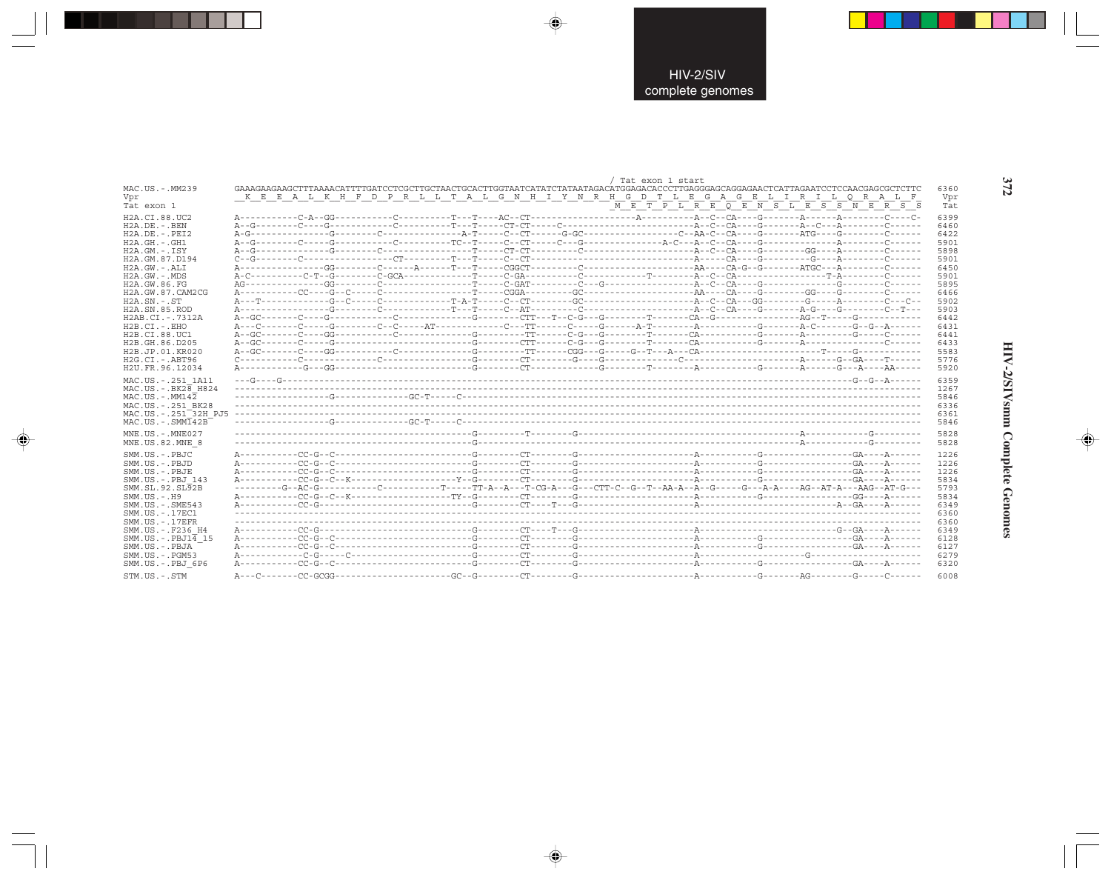| GAAAGAAGAAGCTTTAAAACATTTTGATCCTCGCTTGCTAACTGCACTTGGTAATCATATCTATAATAGACATGGAGACACCCTTGAGGGAGCAGGAGAACTCATTAGAATCCTCCAACGAGCGCTCTTC<br>MAC.US. - MM239<br>K E E A L K H F D P R L L T A L G N H I Y N R H G D T L E G A G E L I R I L O R A L F<br>Vpr<br>$\frac{1}{N}$ $\frac{1}{E}$ $\frac{1}{T}$ $\frac{1}{F}$ $\frac{1}{F}$ $\frac{1}{E}$ $\frac{1}{E}$ $\frac{1}{E}$ $\frac{1}{E}$ $\frac{1}{E}$ $\frac{1}{E}$ $\frac{1}{E}$ $\frac{1}{E}$ $\frac{1}{E}$ $\frac{1}{E}$ $\frac{1}{E}$ $\frac{1}{E}$ $\frac{1}{E}$ $\frac{1}{E}$ $\frac{1}{E}$ $\frac{1}{E}$ $\frac{1}{E}$<br>Tat exon 1<br>H <sub>2</sub> A.CT.88.UC <sub>2</sub><br>$H2A.DE. - . BEN$<br>$H2A.DE. - PRT2$<br>$H2A.GH.-.GH1$ | 6360<br>Vpr<br>Tat<br>6399 |
|-------------------------------------------------------------------------------------------------------------------------------------------------------------------------------------------------------------------------------------------------------------------------------------------------------------------------------------------------------------------------------------------------------------------------------------------------------------------------------------------------------------------------------------------------------------------------------------------------------------------------------------------------------------------------------------------------|----------------------------|
|                                                                                                                                                                                                                                                                                                                                                                                                                                                                                                                                                                                                                                                                                                 |                            |
|                                                                                                                                                                                                                                                                                                                                                                                                                                                                                                                                                                                                                                                                                                 |                            |
|                                                                                                                                                                                                                                                                                                                                                                                                                                                                                                                                                                                                                                                                                                 |                            |
|                                                                                                                                                                                                                                                                                                                                                                                                                                                                                                                                                                                                                                                                                                 |                            |
|                                                                                                                                                                                                                                                                                                                                                                                                                                                                                                                                                                                                                                                                                                 | 6460                       |
|                                                                                                                                                                                                                                                                                                                                                                                                                                                                                                                                                                                                                                                                                                 | 6422                       |
|                                                                                                                                                                                                                                                                                                                                                                                                                                                                                                                                                                                                                                                                                                 | 5901                       |
| $H2A.GM.-.ISY$                                                                                                                                                                                                                                                                                                                                                                                                                                                                                                                                                                                                                                                                                  | 5898                       |
| H2A.GM.87.D194                                                                                                                                                                                                                                                                                                                                                                                                                                                                                                                                                                                                                                                                                  | 5901                       |
| $H2A.GW. - AT.T$                                                                                                                                                                                                                                                                                                                                                                                                                                                                                                                                                                                                                                                                                | 6450                       |
| $H2A.GW. - .MDS$                                                                                                                                                                                                                                                                                                                                                                                                                                                                                                                                                                                                                                                                                | 5901                       |
| H2A.GW.86.FG                                                                                                                                                                                                                                                                                                                                                                                                                                                                                                                                                                                                                                                                                    | 5895                       |
| H2A.GW.87.CAM2CG                                                                                                                                                                                                                                                                                                                                                                                                                                                                                                                                                                                                                                                                                | 6466                       |
| $H2A$ . $SN. - . ST$                                                                                                                                                                                                                                                                                                                                                                                                                                                                                                                                                                                                                                                                            | 5902                       |
| H2A.SN.85.ROD                                                                                                                                                                                                                                                                                                                                                                                                                                                                                                                                                                                                                                                                                   | 5903                       |
| H2AB.CI.-.7312A                                                                                                                                                                                                                                                                                                                                                                                                                                                                                                                                                                                                                                                                                 | 6442                       |
| H2B.CI.-.EHO                                                                                                                                                                                                                                                                                                                                                                                                                                                                                                                                                                                                                                                                                    | 6431                       |
| H <sub>2</sub> B.C <sub>T.88</sub> .UC1                                                                                                                                                                                                                                                                                                                                                                                                                                                                                                                                                                                                                                                         | 6441                       |
| H2B.GH.86.D205                                                                                                                                                                                                                                                                                                                                                                                                                                                                                                                                                                                                                                                                                  | 6433                       |
| H2B.JP.01.KR020                                                                                                                                                                                                                                                                                                                                                                                                                                                                                                                                                                                                                                                                                 | 5583                       |
| $H2G.CI.-ABT96$                                                                                                                                                                                                                                                                                                                                                                                                                                                                                                                                                                                                                                                                                 | 5776                       |
| H2U.FR.96.12034                                                                                                                                                                                                                                                                                                                                                                                                                                                                                                                                                                                                                                                                                 | 5920                       |
| MAC.US. - . 251 1A11                                                                                                                                                                                                                                                                                                                                                                                                                                                                                                                                                                                                                                                                            | 6359                       |
| $MAC. US. - . B K 28 H 824$                                                                                                                                                                                                                                                                                                                                                                                                                                                                                                                                                                                                                                                                     | 1267                       |
| $MAC. US. - . MM142$                                                                                                                                                                                                                                                                                                                                                                                                                                                                                                                                                                                                                                                                            | 5846                       |
| MAC.US.-.251 BK28                                                                                                                                                                                                                                                                                                                                                                                                                                                                                                                                                                                                                                                                               | 6336                       |
| MAC.US.-.251 32H PJ5                                                                                                                                                                                                                                                                                                                                                                                                                                                                                                                                                                                                                                                                            | 6361                       |
| $MAC. US. - . SIM142B$                                                                                                                                                                                                                                                                                                                                                                                                                                                                                                                                                                                                                                                                          | 5846                       |
|                                                                                                                                                                                                                                                                                                                                                                                                                                                                                                                                                                                                                                                                                                 |                            |
| MNE.US.-.MNE027                                                                                                                                                                                                                                                                                                                                                                                                                                                                                                                                                                                                                                                                                 | 5828                       |
| MNE.US.82.MNE 8                                                                                                                                                                                                                                                                                                                                                                                                                                                                                                                                                                                                                                                                                 | 5828                       |
| SMM.US.-.PBJC                                                                                                                                                                                                                                                                                                                                                                                                                                                                                                                                                                                                                                                                                   | 1226                       |
| SMM.US.-.PBJD                                                                                                                                                                                                                                                                                                                                                                                                                                                                                                                                                                                                                                                                                   | 1226                       |
| SMM.US.-.PBJE                                                                                                                                                                                                                                                                                                                                                                                                                                                                                                                                                                                                                                                                                   | 1226                       |
| SMM.US.-.PBJ 143                                                                                                                                                                                                                                                                                                                                                                                                                                                                                                                                                                                                                                                                                | 5834                       |
|                                                                                                                                                                                                                                                                                                                                                                                                                                                                                                                                                                                                                                                                                                 | 5793                       |
| SMM.SL.92.SL92B                                                                                                                                                                                                                                                                                                                                                                                                                                                                                                                                                                                                                                                                                 |                            |
| $SMM. US. - . H9$                                                                                                                                                                                                                                                                                                                                                                                                                                                                                                                                                                                                                                                                               | 5834                       |
| $SMM.US. - .SME543$                                                                                                                                                                                                                                                                                                                                                                                                                                                                                                                                                                                                                                                                             | 6349                       |
| SMM.US.-.17EC1                                                                                                                                                                                                                                                                                                                                                                                                                                                                                                                                                                                                                                                                                  | 6360                       |
| $SMM. US. - .17EFR$                                                                                                                                                                                                                                                                                                                                                                                                                                                                                                                                                                                                                                                                             | 6360                       |
| SMM.US. - . F236 H4                                                                                                                                                                                                                                                                                                                                                                                                                                                                                                                                                                                                                                                                             | 6349                       |
| $SMM.US.-.PBJ1\overline{4}15$                                                                                                                                                                                                                                                                                                                                                                                                                                                                                                                                                                                                                                                                   | 6128                       |
| SMM.US.-.PBJA                                                                                                                                                                                                                                                                                                                                                                                                                                                                                                                                                                                                                                                                                   | 6127                       |
| $SMM.US. - . PGM53$                                                                                                                                                                                                                                                                                                                                                                                                                                                                                                                                                                                                                                                                             | 6279                       |
| SMM.US.-.PBJ 6P6                                                                                                                                                                                                                                                                                                                                                                                                                                                                                                                                                                                                                                                                                | 6320                       |

 $\begin{picture}(20,5) \put(0,0){\vector(0,1){10}} \put(15,0){\vector(0,1){10}} \put(15,0){\vector(0,1){10}} \put(15,0){\vector(0,1){10}} \put(15,0){\vector(0,1){10}} \put(15,0){\vector(0,1){10}} \put(15,0){\vector(0,1){10}} \put(15,0){\vector(0,1){10}} \put(15,0){\vector(0,1){10}} \put(15,0){\vector(0,1){10}} \put(15,0){\vector(0,1){10}} \put(15,0){\vector(0,$ 

 $\begin{picture}(20,5) \put(0,0){\vector(0,1){10}} \put(15,0){\vector(0,1){10}} \put(15,0){\vector(0,1){10}} \put(15,0){\vector(0,1){10}} \put(15,0){\vector(0,1){10}} \put(15,0){\vector(0,1){10}} \put(15,0){\vector(0,1){10}} \put(15,0){\vector(0,1){10}} \put(15,0){\vector(0,1){10}} \put(15,0){\vector(0,1){10}} \put(15,0){\vector(0,1){10}} \put(15,0){\vector(0,$ 

---

 $\begin{picture}(20,5) \put(0,0){\line(1,0){10}} \put(15,0){\line(1,0){10}} \put(15,0){\line(1,0){10}} \put(15,0){\line(1,0){10}} \put(15,0){\line(1,0){10}} \put(15,0){\line(1,0){10}} \put(15,0){\line(1,0){10}} \put(15,0){\line(1,0){10}} \put(15,0){\line(1,0){10}} \put(15,0){\line(1,0){10}} \put(15,0){\line(1,0){10}} \put(15,0){\line(1,$ 

 $\frac{1}{\sqrt{2}}$ 

372

w

 $\Box$ 

HIV-2/SIVsmm Complete Genomes

 $\begin{picture}(20,5) \put(0,0){\line(1,0){10}} \put(15,0){\line(1,0){10}} \put(15,0){\line(1,0){10}} \put(15,0){\line(1,0){10}} \put(15,0){\line(1,0){10}} \put(15,0){\line(1,0){10}} \put(15,0){\line(1,0){10}} \put(15,0){\line(1,0){10}} \put(15,0){\line(1,0){10}} \put(15,0){\line(1,0){10}} \put(15,0){\line(1,0){10}} \put(15,0){\line(1,$ 

 $\equiv$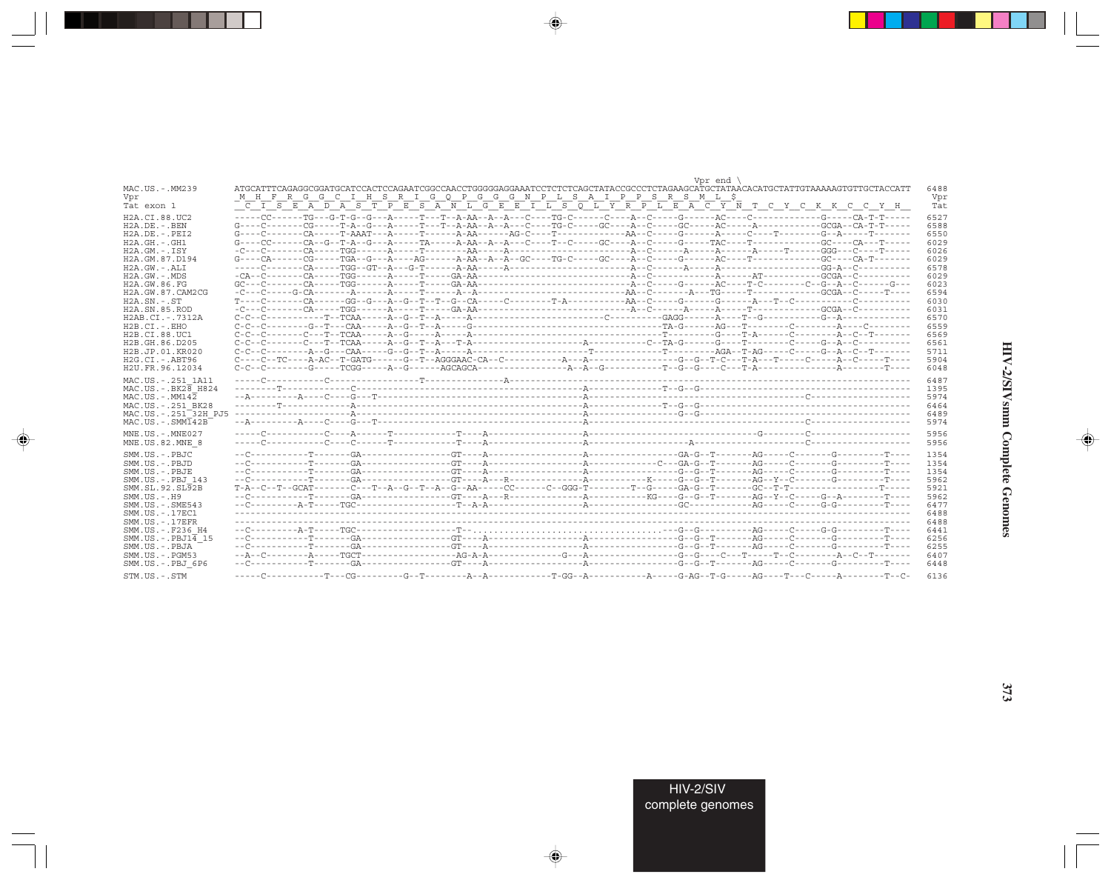|                                 | Vor end                                                                                                                          |      |
|---------------------------------|----------------------------------------------------------------------------------------------------------------------------------|------|
| MAC.US.-.MM239                  | ATGCATTTCAGAGGCGGATGCATCCACTCCAGAATCGGCCAACCTGGGGGAGGAAATCCTCTCTCAGCTATACCGCCCTCTAGAAGCATGCTATAACACATGCTATTGTAAAAAGTGTTGCTACCATT | 6488 |
| Vor                             | <u>MHFRGGCIHSRIGOPGGGNPLSAIPPSRSMLS</u>                                                                                          | Vpr  |
| Tat exon 1                      | <u>C I S E A D A S T P E S A N L G E E I L S O L Y R P L E A C Y N T C Y C K K C C Y H</u>                                       | Tat  |
| H2A.CI.88.UC2                   | 6527                                                                                                                             |      |
| $H2A.DE. - .BEN$                | $G---C---CG---T-A---T-A---G---A---T---T-A-AA--A-A---C---TG-C---GC---A-C---GC---A-C---A--C---A---A---A---C=0.$                    | 6588 |
| $H2A.DE. - .PEI2$               |                                                                                                                                  | 6550 |
| $H2A.GH. - .GH1$                |                                                                                                                                  | 6029 |
| $H2A.GM.-.ISY$                  | 6026                                                                                                                             |      |
| H2A.GM.87.D194                  |                                                                                                                                  | 6029 |
| $H2A.GW.-.ALI$                  |                                                                                                                                  | 6578 |
| $H2A.GW. - MDS$                 |                                                                                                                                  | 6029 |
| H2A.GW.86.FG                    |                                                                                                                                  | 6023 |
| H2A.GW.87.CAM2CG                |                                                                                                                                  | 6594 |
| $H2A$ . $SN - SN$               |                                                                                                                                  | 6030 |
| H2A.SN.85.ROD                   |                                                                                                                                  | 6031 |
| H2AB.CI.-.7312A                 |                                                                                                                                  | 6570 |
| $H2B.CI.-EHO$                   |                                                                                                                                  | 6559 |
| H <sub>2</sub> B.CI.88.UC1      |                                                                                                                                  | 6569 |
| H2B.GH.86.D205                  | 6561                                                                                                                             |      |
| H2B.JP.01.KR020                 | 5711                                                                                                                             |      |
| $H2G.CI.-ABT96$                 | 5904                                                                                                                             |      |
| H2U.FR.96.12034                 |                                                                                                                                  | 6048 |
|                                 |                                                                                                                                  |      |
| MAC.US.-.251 1A11               | 6487                                                                                                                             |      |
| $MAC.US.-.BK2\overline{8}$ H824 | 1395                                                                                                                             |      |
| $MAC. US. - . MM142$            | 5974                                                                                                                             |      |
| MAC.US. - . 251 BK28            |                                                                                                                                  | 6464 |
| MAC.US.-.251 32H PJ5            | 6489                                                                                                                             |      |
| $MAC. US. - . SIM142B$          | 5974                                                                                                                             |      |
| MNE.US.-.MNE027                 | 5956                                                                                                                             |      |
| MNE.US.82.MNE 8                 |                                                                                                                                  | 5956 |
| SMM.US.-.PBJC                   | 1354                                                                                                                             |      |
| SMM.US.-.PBJD                   | 1354                                                                                                                             |      |
| $SMM$ . $US - PBJE$             | 1354                                                                                                                             |      |
| SMM.US.-.PBJ 143                |                                                                                                                                  | 5962 |
| SMM.SL.92.SL92B                 | 5921                                                                                                                             |      |
| $SMM. US. - . H9$               |                                                                                                                                  | 5962 |
| $SMM. US. - . SME543$           |                                                                                                                                  | 6477 |
| SMM.US.-.17EC1                  |                                                                                                                                  | 6488 |
| $SMM$ . US. $-$ . 17EFR         | 6488                                                                                                                             |      |
| SMM.US.-.F236 H4                | 6441                                                                                                                             |      |
| $SMM.US.-.PBJ1\overline{4}15$   | 6256                                                                                                                             |      |
| SMM.US.-.PBJA                   |                                                                                                                                  | 6255 |
| $SMM.US. - . PGM53$             |                                                                                                                                  | 6407 |
| SMM.US.-.PBJ 6P6                |                                                                                                                                  | 6448 |
| STM.US.-.STM                    |                                                                                                                                  | 6136 |
|                                 |                                                                                                                                  |      |

 $\begin{picture}(20,5) \put(0,0){\vector(0,1){10}} \put(15,0){\vector(0,1){10}} \put(15,0){\vector(0,1){10}} \put(15,0){\vector(0,1){10}} \put(15,0){\vector(0,1){10}} \put(15,0){\vector(0,1){10}} \put(15,0){\vector(0,1){10}} \put(15,0){\vector(0,1){10}} \put(15,0){\vector(0,1){10}} \put(15,0){\vector(0,1){10}} \put(15,0){\vector(0,1){10}} \put(15,0){\vector(0,$ 

a shekara 1960

 $\overrightarrow{\phantom{a}}$ 

 $\frac{\partial \mathcal{L}}{\partial \mathbf{r}} = \frac{\partial \mathcal{L}}{\partial \mathbf{r}}$ 

 $\begin{picture}(20,5) \put(0,0){\line(1,0){10}} \put(15,0){\line(1,0){10}} \put(15,0){\line(1,0){10}} \put(15,0){\line(1,0){10}} \put(15,0){\line(1,0){10}} \put(15,0){\line(1,0){10}} \put(15,0){\line(1,0){10}} \put(15,0){\line(1,0){10}} \put(15,0){\line(1,0){10}} \put(15,0){\line(1,0){10}} \put(15,0){\line(1,0){10}} \put(15,0){\line(1,$ 

 $\equiv$ 

 $\Box$ 

. . .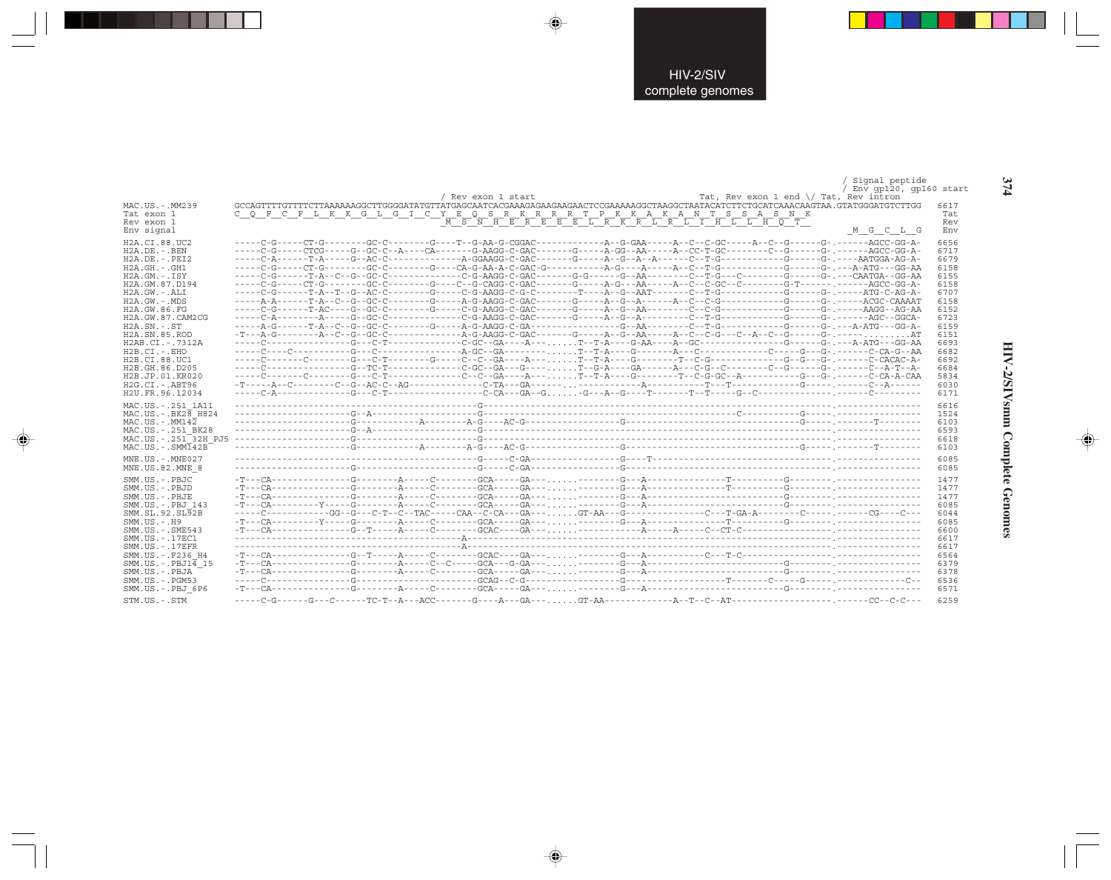|                                 |                                                                                                                                                       |                    |                                                      |                                                 | Signal peptide           |      |
|---------------------------------|-------------------------------------------------------------------------------------------------------------------------------------------------------|--------------------|------------------------------------------------------|-------------------------------------------------|--------------------------|------|
|                                 |                                                                                                                                                       |                    |                                                      |                                                 | / Env qp120, qp160 start |      |
|                                 |                                                                                                                                                       | / Rev exon 1 start |                                                      | Tat, Rev exon 1 end $\setminus$ Tat, Rev intron |                          |      |
| MAC.US.-.MM239                  | GCCAGTTTTGTTTAAAAAAGGCTTGGGGATATGTTATGAGCAATCACGAAAGAAGAAGAACTCCGAAAAAGGCTAAGGCTAATACATCTTCTGCATCAAACAAGTAA,GTATGGGATGTCTTGG                          |                    |                                                      |                                                 |                          | 6617 |
| Tat exon 1                      | C O F C F L K K G L G I C Y E O S R K R R R T P K K A K A N T S S A S N K                                                                             |                    |                                                      |                                                 |                          | Tat  |
| Rev exon 1                      |                                                                                                                                                       |                    | <u>M S N H E R E E E L R K R L R L I H L L H O T</u> |                                                 |                          | Rev  |
| Env signal                      |                                                                                                                                                       |                    |                                                      |                                                 | M G C L G                | Env  |
| H2A.CI.88.UC2                   |                                                                                                                                                       |                    |                                                      |                                                 |                          | 6656 |
| $H2A.DE. -.BEN$                 | -----C-G-----CTCG-----G--GC-C--A----CA-------G-AAGG-C-GAC-------G-----A-GG--AA-----A--CC-T-GC---------C--G-------G-.------AGCC-GG-A-                  |                    |                                                      |                                                 |                          | 6717 |
| $H2A.DE. - .PEI2$               |                                                                                                                                                       |                    |                                                      |                                                 |                          | 6679 |
| $H2A.GH.-.GH1$                  |                                                                                                                                                       |                    |                                                      |                                                 |                          | 6158 |
| $H2A.GM.-.ISY$                  |                                                                                                                                                       |                    |                                                      |                                                 |                          | 6155 |
| H2A.GM.87.D194                  |                                                                                                                                                       |                    |                                                      |                                                 |                          | 6158 |
|                                 |                                                                                                                                                       |                    |                                                      |                                                 |                          |      |
| $H2A.GW. - .ALI$                |                                                                                                                                                       |                    |                                                      |                                                 |                          | 6707 |
| $H2A.GW. - .MDS$                |                                                                                                                                                       |                    |                                                      |                                                 |                          | 6158 |
| H2A.GW.86.FG                    |                                                                                                                                                       |                    |                                                      |                                                 |                          | 6152 |
| H2A.GW.87.CAM2CG                |                                                                                                                                                       |                    |                                                      |                                                 |                          | 6723 |
| $H2A.SN.-.ST$                   |                                                                                                                                                       |                    |                                                      |                                                 |                          | 6159 |
| H <sub>2</sub> A.SN.85.ROD      |                                                                                                                                                       |                    |                                                      |                                                 |                          | 6151 |
| H2AB.CI.-.7312A                 |                                                                                                                                                       |                    |                                                      |                                                 |                          | 6693 |
| H2B.CI.-.EHO                    |                                                                                                                                                       |                    |                                                      |                                                 |                          | 6682 |
| H2B.CI.88.UC1                   |                                                                                                                                                       |                    |                                                      |                                                 |                          | 6692 |
| H2B.GH.86.D205                  |                                                                                                                                                       |                    |                                                      |                                                 |                          | 6684 |
| H2B.JP.01.KR020                 |                                                                                                                                                       |                    |                                                      |                                                 |                          | 5834 |
| $H2G.CI.-.ABT96$                |                                                                                                                                                       |                    |                                                      |                                                 |                          | 6030 |
| H2U.FR.96.12034                 |                                                                                                                                                       |                    |                                                      |                                                 |                          | 6171 |
| MAC.US. - . 251 1A11            |                                                                                                                                                       |                    |                                                      |                                                 |                          | 6616 |
| $MAC.US.-.BK2\overline{8}$ H824 |                                                                                                                                                       |                    |                                                      |                                                 |                          | 1524 |
| $MAC. US. - . MM142$            |                                                                                                                                                       |                    |                                                      |                                                 |                          | 6103 |
| MAC.US. - . 251 BK28            |                                                                                                                                                       |                    |                                                      |                                                 |                          | 6593 |
| MAC.US. - . 251 32H PJ5         |                                                                                                                                                       |                    |                                                      |                                                 |                          | 6618 |
| $MAC . US . - . SIM142B$        |                                                                                                                                                       |                    |                                                      |                                                 |                          | 6103 |
|                                 |                                                                                                                                                       |                    |                                                      |                                                 |                          |      |
| MNE.US.-.MNE027                 |                                                                                                                                                       |                    |                                                      |                                                 |                          | 6085 |
| MNE.US.82.MNE 8                 |                                                                                                                                                       |                    |                                                      |                                                 |                          | 6085 |
| SMM.US.-.PBJC                   |                                                                                                                                                       |                    |                                                      |                                                 |                          | 1477 |
| SMM.US.-.PBJD                   |                                                                                                                                                       |                    |                                                      |                                                 |                          | 1477 |
| SMM.US.-.PBJE                   | $-T--CA-----------G---A-------C------GA---GA---$                                                                                                      |                    |                                                      |                                                 |                          | 1477 |
| SMM.US.-.PBJ 143                |                                                                                                                                                       |                    |                                                      |                                                 |                          | 6085 |
| SMM.SL.92.SL92B                 | -----C-----------GG--G---C-T--C--TAC-----CAA--C-CA---GA---GT-AA---G-------------C---T-GA-A--------C------CG----C----                                  |                    |                                                      |                                                 |                          | 6044 |
| $SMM.US.-.H9$                   |                                                                                                                                                       |                    |                                                      |                                                 |                          | 6085 |
| $SMM. US. - . SME543$           |                                                                                                                                                       |                    |                                                      |                                                 |                          | 6600 |
| SMM. US. - . 17EC1              |                                                                                                                                                       |                    |                                                      |                                                 |                          | 6617 |
| $SMM. US. - .17EFR$             |                                                                                                                                                       |                    |                                                      |                                                 |                          | 6617 |
| SMM.US. - . F236 H4             | $-T--CA--\cdots--\cdots--G-T--\cdots-A--\cdots-C--\cdots-GCAC--\cdots-GA--\cdots\cdots--\cdots-C--A--\cdots--\cdots-C--T-C--\cdots--\cdots--\cdots-1$ |                    |                                                      |                                                 |                          | 6564 |
| $SMM.US.-.PBJ1\overline{4}15$   |                                                                                                                                                       |                    |                                                      |                                                 |                          | 6379 |
|                                 | $-{\tt T}\texttt{---C}\texttt{A---}\texttt{---}\texttt{---}\texttt{A---}\texttt{-1---C}$                                                              |                    |                                                      |                                                 |                          | 6378 |
| SMM.US.-.PBJA                   |                                                                                                                                                       |                    |                                                      |                                                 |                          | 6536 |
| $SMM.US. - . PGM53$             | $-T--CA---------G------A--------G-A------GA---$                                                                                                       |                    |                                                      |                                                 |                          |      |
| SMM.US.-.PBJ 6P6                |                                                                                                                                                       |                    |                                                      |                                                 |                          | 6571 |
| STM.US.-.STM                    | -----C-G------C-------TC-T--A---ACC-------G---A---GA--- GT-AA-----------------A--T--C--AT---                                                          |                    |                                                      |                                                 | --.------CC--C-C---      | 6259 |

 $\Rightarrow$ 

 $\bigoplus$ 

 $\Rightarrow$ 

374

HIV-2/SIVsmm Complete Genomes

 $\Rightarrow$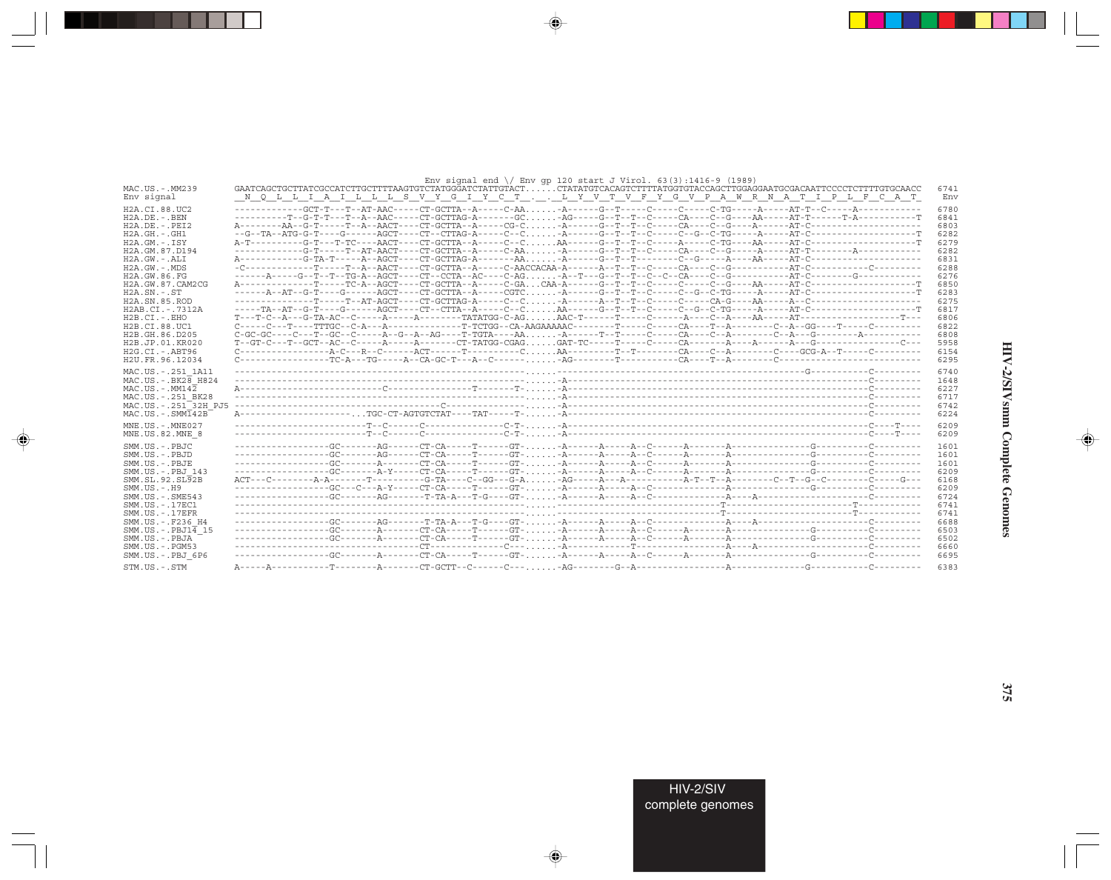|                                            | Env signal end $\setminus$ Env qp 120 start J Virol. 63(3):1416-9 (1989)                                                                                                                                                                                                                                                                                                                             |      |
|--------------------------------------------|------------------------------------------------------------------------------------------------------------------------------------------------------------------------------------------------------------------------------------------------------------------------------------------------------------------------------------------------------------------------------------------------------|------|
| MAC.US.-.MM239                             | GAATCAGCTGCTTATCGCCATCTTGCTTTTAAGTGTCTATGGGATCTATTGTACTCTATATGTCACAGTCTTTTATGGTGTACCAGCTTGGAGGAATGCGACAATTCCCCTCTTTTGTGCAACC                                                                                                                                                                                                                                                                         | 6741 |
| Env signal                                 | N Q L L I A I L L L S V Y G I Y C T L Y V T V F Y G V P A W R N A T I P L F C A T                                                                                                                                                                                                                                                                                                                    | Env  |
| H2A.CI.88.UC2                              |                                                                                                                                                                                                                                                                                                                                                                                                      | 6780 |
| $H2A.DE. - .BEN$                           |                                                                                                                                                                                                                                                                                                                                                                                                      | 6841 |
| $H2A$ . DE. - . PET2                       |                                                                                                                                                                                                                                                                                                                                                                                                      | 6803 |
| $H2A.GH.-.GH1$                             |                                                                                                                                                                                                                                                                                                                                                                                                      | 6282 |
| $H2A.GM.-.ISY$                             |                                                                                                                                                                                                                                                                                                                                                                                                      | 6279 |
| H2A.GM.87.D194                             |                                                                                                                                                                                                                                                                                                                                                                                                      | 6282 |
| $H2A.GW.-.ALI$                             |                                                                                                                                                                                                                                                                                                                                                                                                      | 6831 |
| $H2A.GW. - .MDS$                           |                                                                                                                                                                                                                                                                                                                                                                                                      | 6288 |
| H2A.GW.86.FG                               |                                                                                                                                                                                                                                                                                                                                                                                                      | 6276 |
| H2A.GW.87.CAM2CG                           |                                                                                                                                                                                                                                                                                                                                                                                                      | 6850 |
| $H2A$ . $SN. - . ST$                       |                                                                                                                                                                                                                                                                                                                                                                                                      | 6283 |
| H <sub>2</sub> A.SN.85.ROD                 |                                                                                                                                                                                                                                                                                                                                                                                                      | 6275 |
| H2AB.CI.-.7312A                            |                                                                                                                                                                                                                                                                                                                                                                                                      | 6817 |
| $H2B.CI.-EHO$                              | $T--T-C--A---G-TA-AC--C---A---A---A---A---A---TATATGG-C-AG. \ldots. AAC-T---T---C---A---A---C--A---AA---A-A---A-T---A---A----C--A---A--C--A---A----C--A---A----C--A---A----C--A---A----C--A---A----C--A---A----C--A---A----C--A---A----C--A---A----C--A---A----C--A---A----C--A---A----C--A---A----C--A---A----C--A---A----C--A---A----C--A---A----C--A---A----C--A---A----C--A---A----C--A---A----$ | 6806 |
| H2B.CI.88.UC1                              |                                                                                                                                                                                                                                                                                                                                                                                                      | 6822 |
| H <sub>2</sub> B. GH. 86. D <sub>205</sub> |                                                                                                                                                                                                                                                                                                                                                                                                      | 6808 |
| H2B.JP.01.KR020                            |                                                                                                                                                                                                                                                                                                                                                                                                      | 5958 |
| $H2G.CI.-ABT96$                            |                                                                                                                                                                                                                                                                                                                                                                                                      | 6154 |
| H2U.FR.96.12034                            |                                                                                                                                                                                                                                                                                                                                                                                                      | 6295 |
|                                            |                                                                                                                                                                                                                                                                                                                                                                                                      |      |
| MAC.US. - . 251 1A11                       |                                                                                                                                                                                                                                                                                                                                                                                                      | 6740 |
| MAC.US. - . BK28 H824                      |                                                                                                                                                                                                                                                                                                                                                                                                      | 1648 |
| $MAC. US. - . MM142$                       |                                                                                                                                                                                                                                                                                                                                                                                                      | 6227 |
| MAC.US. - . 251 BK28                       |                                                                                                                                                                                                                                                                                                                                                                                                      | 6717 |
| MAC.US.-.251 32H PJ5                       |                                                                                                                                                                                                                                                                                                                                                                                                      | 6742 |
| $MAC. US. - . SIM142B$                     |                                                                                                                                                                                                                                                                                                                                                                                                      | 6224 |
| MNE.US.-.MNE027                            |                                                                                                                                                                                                                                                                                                                                                                                                      | 6209 |
| MNE.US.82.MNE 8                            |                                                                                                                                                                                                                                                                                                                                                                                                      | 6209 |
| SMM.US.-.PBJC                              |                                                                                                                                                                                                                                                                                                                                                                                                      | 1601 |
| $SMM. US. - PBJD$                          |                                                                                                                                                                                                                                                                                                                                                                                                      | 1601 |
| SMM.US.-.PBJE                              |                                                                                                                                                                                                                                                                                                                                                                                                      | 1601 |
| SMM.US. - PBJ 143                          |                                                                                                                                                                                                                                                                                                                                                                                                      | 6209 |
| SMM.SL.92.SL92B                            |                                                                                                                                                                                                                                                                                                                                                                                                      | 6168 |
| $SMM. US. - . H9$                          |                                                                                                                                                                                                                                                                                                                                                                                                      | 6209 |
| $SMM.US. - .SME543$                        |                                                                                                                                                                                                                                                                                                                                                                                                      | 6724 |
| SMM. US. - . 17EC1                         |                                                                                                                                                                                                                                                                                                                                                                                                      | 6741 |
| $SMM. US. - .17EFR$                        |                                                                                                                                                                                                                                                                                                                                                                                                      | 6741 |
| SMM.US. - . F236 H4                        |                                                                                                                                                                                                                                                                                                                                                                                                      | 6688 |
| $SMM.US.-.PBJ1\overline{4}15$              |                                                                                                                                                                                                                                                                                                                                                                                                      | 6503 |
| SMM.US.-.PBJA                              |                                                                                                                                                                                                                                                                                                                                                                                                      | 6502 |
| $SMM. US. - . PGM53$                       |                                                                                                                                                                                                                                                                                                                                                                                                      | 6660 |
| SMM.US.-.PBJ 6P6                           |                                                                                                                                                                                                                                                                                                                                                                                                      | 6695 |
|                                            |                                                                                                                                                                                                                                                                                                                                                                                                      |      |
| STM.US.-.STM                               |                                                                                                                                                                                                                                                                                                                                                                                                      | 6383 |

 $\begin{picture}(20,5) \put(0,0){\vector(0,1){10}} \put(15,0){\vector(0,1){10}} \put(15,0){\vector(0,1){10}} \put(15,0){\vector(0,1){10}} \put(15,0){\vector(0,1){10}} \put(15,0){\vector(0,1){10}} \put(15,0){\vector(0,1){10}} \put(15,0){\vector(0,1){10}} \put(15,0){\vector(0,1){10}} \put(15,0){\vector(0,1){10}} \put(15,0){\vector(0,1){10}} \put(15,0){\vector(0,$ 

a shekara 1960

 $\overrightarrow{\phantom{a}}$ 

 $\frac{\partial \mathcal{L}}{\partial \mathbf{r}} = \frac{\partial \mathcal{L}}{\partial \mathbf{r}}$ 

HIV-2/SIVsmm Complete Genomes

 $\begin{picture}(20,5) \put(0,0){\line(1,0){10}} \put(15,0){\line(1,0){10}} \put(15,0){\line(1,0){10}} \put(15,0){\line(1,0){10}} \put(15,0){\line(1,0){10}} \put(15,0){\line(1,0){10}} \put(15,0){\line(1,0){10}} \put(15,0){\line(1,0){10}} \put(15,0){\line(1,0){10}} \put(15,0){\line(1,0){10}} \put(15,0){\line(1,0){10}} \put(15,0){\line(1,$ 

 $\equiv$ 

 $\blacksquare$ 

. . .

H

375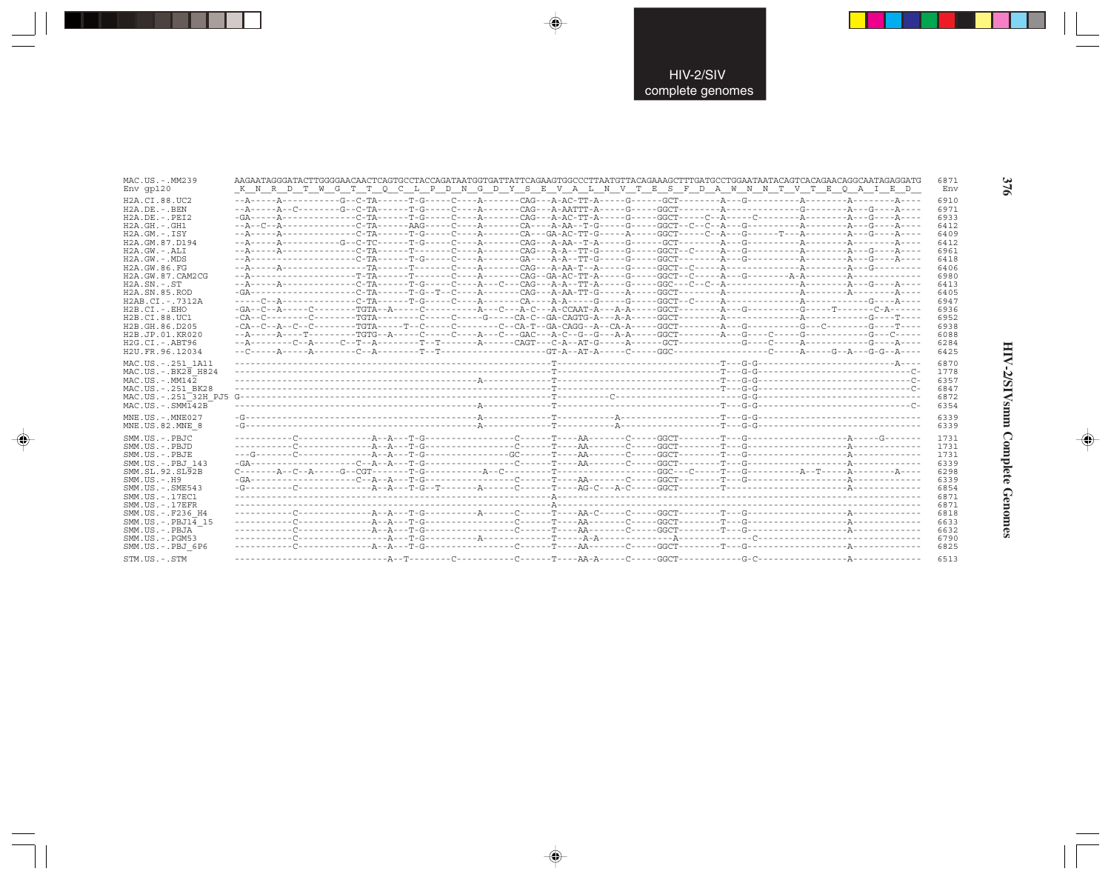| MAC.US.-.MM239                                                                                                | AAGAATAGGGATACTTGGGGAACAACTCAGTGCCTACCAGATAATGGTGATTATTCAGAAGTGGCCCTTAATGTTACAGAAAGCTTTGATGCCTGGAATAATACAGTCACAGAACAGGCAATAGAGGGATG                                                                                                                                                                                                                                                                                                                                                                                     | 6871                                         |
|---------------------------------------------------------------------------------------------------------------|-------------------------------------------------------------------------------------------------------------------------------------------------------------------------------------------------------------------------------------------------------------------------------------------------------------------------------------------------------------------------------------------------------------------------------------------------------------------------------------------------------------------------|----------------------------------------------|
| $Env$ qp $120$                                                                                                | K N R D T W G T T Q C L P D N G D Y S E V A L N V T E S F D A W N N T V T E Q A I E D                                                                                                                                                                                                                                                                                                                                                                                                                                   | Env                                          |
| H2A.CI.88.UC2                                                                                                 |                                                                                                                                                                                                                                                                                                                                                                                                                                                                                                                         | 6910                                         |
| $H2A.DE. - . BEN$                                                                                             |                                                                                                                                                                                                                                                                                                                                                                                                                                                                                                                         | 6971                                         |
| $H2A.DE. - .PEI2$                                                                                             |                                                                                                                                                                                                                                                                                                                                                                                                                                                                                                                         | 6933                                         |
| $H2A.GH. - .GH1$                                                                                              |                                                                                                                                                                                                                                                                                                                                                                                                                                                                                                                         | 6412                                         |
| $H2A.GM.-.ISY$                                                                                                | --A-----A-------------C-TA------T-G-----C----A--------CA--GA-AC-TT-G-----A-----GGCT-----C--A---G-----T---A---------A---G----A----                                                                                                                                                                                                                                                                                                                                                                                       | 6409                                         |
| H2A.GM.87.D194                                                                                                |                                                                                                                                                                                                                                                                                                                                                                                                                                                                                                                         | 6412                                         |
| $H2A.GW. - .ALI$                                                                                              |                                                                                                                                                                                                                                                                                                                                                                                                                                                                                                                         | 6961                                         |
| H2A.GW.-.MDS                                                                                                  |                                                                                                                                                                                                                                                                                                                                                                                                                                                                                                                         | 6418                                         |
| H2A.GW.86.FG                                                                                                  |                                                                                                                                                                                                                                                                                                                                                                                                                                                                                                                         | 6406                                         |
| H2A.GW.87.CAM2CG                                                                                              |                                                                                                                                                                                                                                                                                                                                                                                                                                                                                                                         | 6980                                         |
| $H2A.SN. - .ST$                                                                                               | $-{\tt A}\xspace--{\tt A}\xspace--{\tt A}\xspace--{\tt C}\xspace--{\tt C}\xspace--{\tt A}\xspace--{\tt C}\xspace--{\tt C}\xspace--{\tt C}\xspace--{\tt C}\xspace--{\tt A}\xspace--{\tt C}\xspace--{\tt C}\xspace--{\tt A}\xspace--{\tt C}\xspace--{\tt A}\xspace--{\tt C}\xspace--{\tt A}\xspace--{\tt A}\xspace--{\tt C}\xspace--{\tt A}\xspace--{\tt A}\xspace--{\tt C}\xspace--{\tt A}\xspace--{\tt C}\xspace--{\tt A}\xspace--{\tt C}\xspace--{\tt A}\xspace--{\tt A}\xspace--{\tt C}\xspace--{\tt A}\xspace--{\tt$ | 6413                                         |
| H2A.SN.85.ROD                                                                                                 |                                                                                                                                                                                                                                                                                                                                                                                                                                                                                                                         | 6405                                         |
| H2AB.CI.-.7312A                                                                                               |                                                                                                                                                                                                                                                                                                                                                                                                                                                                                                                         | 6947                                         |
| $H2B.CI.-.EHO$                                                                                                |                                                                                                                                                                                                                                                                                                                                                                                                                                                                                                                         | 6936                                         |
| H2B.CI.88.UC1                                                                                                 |                                                                                                                                                                                                                                                                                                                                                                                                                                                                                                                         | 6952                                         |
| H2B.GH.86.D205                                                                                                | -CA--C--A--C--C--------TGTA-----T--C-----C-------CA-T--GA-CAGG--A--CA-A-----GGCT--------A---G---------G---C-------G----T----                                                                                                                                                                                                                                                                                                                                                                                            | 6938                                         |
| H2B.JP.01.KR020                                                                                               | --A-----A----T---------TGTG--A-----C-----A---C----AA-C--G-G--G--A-A-----GGCT---------A---G----C-----G--------G---C-----                                                                                                                                                                                                                                                                                                                                                                                                 | 6088                                         |
| H2G.CI.-.ABT96                                                                                                |                                                                                                                                                                                                                                                                                                                                                                                                                                                                                                                         | 6284                                         |
| H2U.FR.96.12034                                                                                               |                                                                                                                                                                                                                                                                                                                                                                                                                                                                                                                         | 6425                                         |
| MAC.US.-.251 1A11<br>MAC.US. - . BK28 H824<br>MAC.US.-.MM142<br>MAC.US.-.251 BK28<br>$MAC . US . - . SIM142B$ |                                                                                                                                                                                                                                                                                                                                                                                                                                                                                                                         | 6870<br>1778<br>6357<br>6847<br>6872<br>6354 |
| $MNE. US.-. MNE027$                                                                                           |                                                                                                                                                                                                                                                                                                                                                                                                                                                                                                                         | 6339                                         |
| MNE.US.82.MNE 8                                                                                               |                                                                                                                                                                                                                                                                                                                                                                                                                                                                                                                         | 6339                                         |
| SMM.US.-.PBJC                                                                                                 |                                                                                                                                                                                                                                                                                                                                                                                                                                                                                                                         | 1731                                         |
| SMM.US.-.PBJD                                                                                                 |                                                                                                                                                                                                                                                                                                                                                                                                                                                                                                                         | 1731                                         |
| SMM.US.-.PBJE                                                                                                 |                                                                                                                                                                                                                                                                                                                                                                                                                                                                                                                         | 1731                                         |
| SMM.US.-.PBJ 143                                                                                              |                                                                                                                                                                                                                                                                                                                                                                                                                                                                                                                         | 6339                                         |
| SMM.SL.92.SL92B                                                                                               |                                                                                                                                                                                                                                                                                                                                                                                                                                                                                                                         | 6298                                         |
| $SMM. US. - . H9$                                                                                             |                                                                                                                                                                                                                                                                                                                                                                                                                                                                                                                         | 6339                                         |
| $SMM.US. - .SME543$                                                                                           |                                                                                                                                                                                                                                                                                                                                                                                                                                                                                                                         | 6854                                         |
| SMM.US. - . 17EC1                                                                                             |                                                                                                                                                                                                                                                                                                                                                                                                                                                                                                                         | 6871                                         |
| $SMM. US. - .17EFR$                                                                                           |                                                                                                                                                                                                                                                                                                                                                                                                                                                                                                                         | 6871                                         |
| SMM.US. - .F236 H4                                                                                            |                                                                                                                                                                                                                                                                                                                                                                                                                                                                                                                         | 6818                                         |
| SMM. US. - . PBJ14 15                                                                                         |                                                                                                                                                                                                                                                                                                                                                                                                                                                                                                                         | 6633                                         |
| SMM.US.-.PBJA                                                                                                 |                                                                                                                                                                                                                                                                                                                                                                                                                                                                                                                         | 6632                                         |
| SMM.US.-.PGM53                                                                                                |                                                                                                                                                                                                                                                                                                                                                                                                                                                                                                                         | 6790                                         |
| SMM.US.-.PBJ 6P6                                                                                              |                                                                                                                                                                                                                                                                                                                                                                                                                                                                                                                         | 6825                                         |
| STM.US.-.STM                                                                                                  |                                                                                                                                                                                                                                                                                                                                                                                                                                                                                                                         | 6513                                         |

 $\Rightarrow$ 

 $\Rightarrow$ 

 $\color{red} \bigoplus$ 

HIV-2/SIVsmm Complete Genomes

 $\Rightarrow$ 

376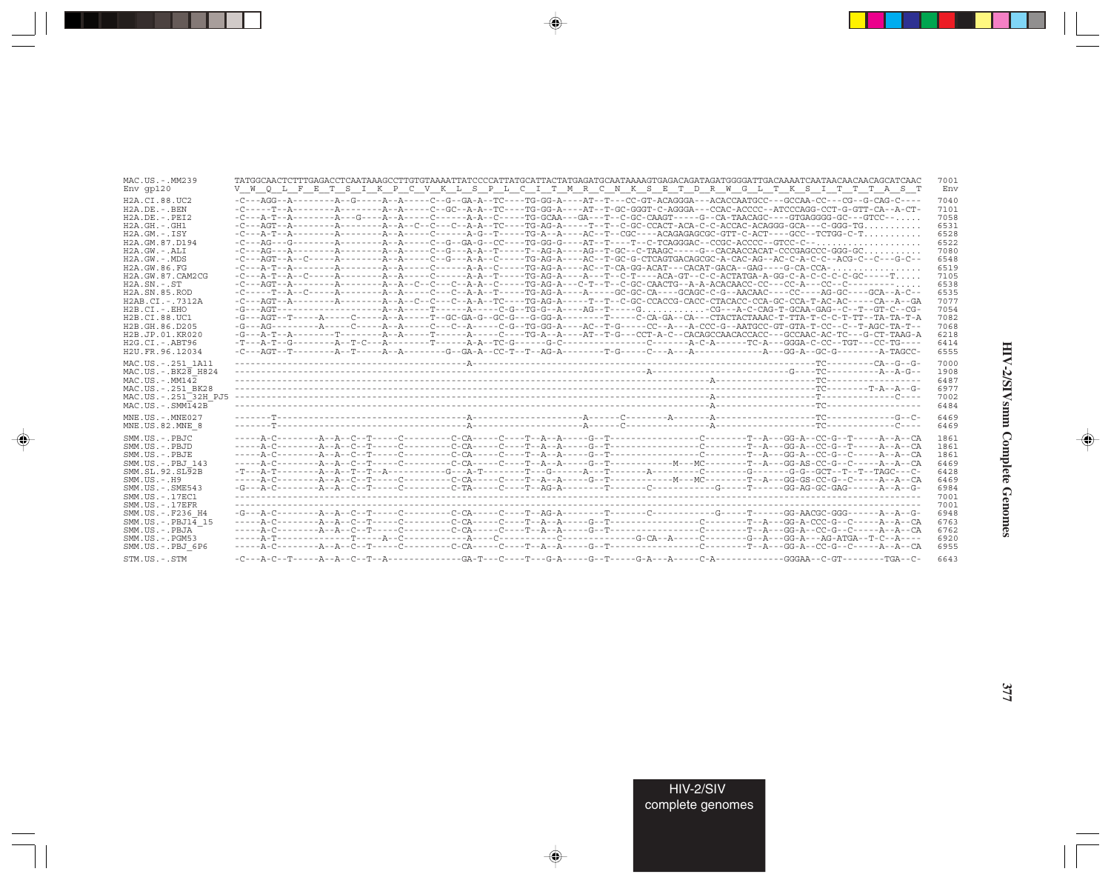| MAC.US.-.MM239                   |                                                                                                                                    | 7001 |
|----------------------------------|------------------------------------------------------------------------------------------------------------------------------------|------|
| $Env$ qp $120$                   | V W O L F E T S I K P C V K L S P L C I T M R C N K S E T D R W G L T K S I T T T A S T                                            | Env  |
| H2A.CI.88.UC2                    | -C---AGG--A---------A--G-----A--A----C--G--GA-A--TC----TG-GG-A----AT--T--CC-GT-ACAGGGA---ACACCAATGCC---GCCAA-CC---CG--G-CAG-C---   | 7040 |
| $H2A.DE. -.BEN$                  | -C-----T--A--------A---------A--A-----C--GC--A-A--TC---TG-GG-A----AT--T-GC-GGGT-C-AGGGA---CCAC-ACCCC--ATCCCAGG-CCT-G-GTT-CA--A-CT- | 7101 |
| $H2A.DE. - .PEI2$                | $-C---A-T--A------A---B---A---A---A---C---A-A--C---TG-GCAA---GA---T--C-GC-CAAGT---G--CA-TAACAG----GTGAGGGG-GC---GTCC---C.$         | 7058 |
| $H2A.GH. - .GH1$                 |                                                                                                                                    | 6531 |
| $H2A.GM.-.ISY$                   | $-C--A-T--A---A---A---A--A---A---A--C---A-G---T--TG-A---AC---AC---ACGAGAGAGCGCC-GTT-C-ACT---GCC---TCCG--TTCGG-C-T$                 | 6528 |
| H2A.GM.87.D194                   |                                                                                                                                    | 6522 |
| $H2A.GW. - .ALI$                 |                                                                                                                                    | 7080 |
| $H2A.GW. - .MDS$                 |                                                                                                                                    | 6548 |
| H2A.GW.86.FG                     |                                                                                                                                    | 6519 |
| H2A.GW.87.CAM2CG                 |                                                                                                                                    | 7105 |
| $H2A.SN.-.ST$                    |                                                                                                                                    | 6538 |
| H <sub>2</sub> A.SN.85.ROD       |                                                                                                                                    | 6535 |
| H2AB.CI.-.7312A                  | -C---AGT--A------------A-------A--C--C--C--A-A--TC----TG-AG-A-----T--C-GC-CCACCG-CACC-CCA-GC-CCA-T-AC-AC-----CA--A--GA             | 7077 |
| $H2B.CI.-.EHO$                   |                                                                                                                                    | 7054 |
| H2B.CI.88.UC1                    | -G---AGT--T-----A----C----A--A----T--GC-GA-G--GC-G---G-GG-A-------T---C-CA-GA--CA--CTACTACTAAAC-T-TTA-T-C-C-T-TT--TA-TA-T-A        | 7082 |
| H2B.GH.86.D205                   |                                                                                                                                    | 7068 |
| H2B.JP.01.KR020                  |                                                                                                                                    | 6218 |
| $H2G.CI.-.ABT96$                 |                                                                                                                                    | 6414 |
| H2U.FR.96.12034                  |                                                                                                                                    | 6555 |
| MAC.US. - . 251 1A11             |                                                                                                                                    | 7000 |
| MAC.US. - . BK28 H824            |                                                                                                                                    | 1908 |
| $MAC. US. - . MM142$             |                                                                                                                                    | 6487 |
| MAC.US. - . 251 BK28             |                                                                                                                                    | 6977 |
| MAC.US.-.251 <sup>-32H</sup> PJ5 |                                                                                                                                    | 7002 |
| $MAC . US . - . SIM142B$         |                                                                                                                                    | 6484 |
| $MNE$ . U.S. - $MNE$ 027         |                                                                                                                                    | 6469 |
| MNE.US.82.MNE 8                  |                                                                                                                                    | 6469 |
| SMM.US.-.PBJC                    |                                                                                                                                    | 1861 |
| SMM.US.-.PBJD                    |                                                                                                                                    | 1861 |
| SMM.US.-.PBJE                    |                                                                                                                                    | 1861 |
| SMM.US. - . PBJ 143              |                                                                                                                                    | 6469 |
| SMM.SL.92.SL92B                  | -T---A-T--------A--R--T--T-A----------G---A-T-------T--G-----A---T------A-------C-------G-G----G-G-GCT--T--TAGC---C-               | 6428 |
| $SMM. US. - . H9$                |                                                                                                                                    | 6469 |
| $SMM.US. - .SME543$              |                                                                                                                                    | 6984 |
| SMM. US. - . 17EC1               |                                                                                                                                    | 7001 |
| $SMM. US. - .17EFR$              |                                                                                                                                    | 7001 |
| SMM.US. - . F236 H4              | -G---A-C--------A--A--C--T-----C---------C-CA-----C----T--AG-A--------T-------C---------G----T-----GG-AACGC-GGG------A--A--G-      | 6948 |
| $SMM.US.-.PBJ14$ 15              |                                                                                                                                    | 6763 |
| SMM.US.-.PBJA                    |                                                                                                                                    | 6762 |
| $SMM. US. - . PGM53$             |                                                                                                                                    | 6920 |
| SMM.US.-.PBJ 6P6                 |                                                                                                                                    | 6955 |
| STM.US.-.STM                     |                                                                                                                                    | 6643 |
|                                  |                                                                                                                                    |      |

 $\begin{picture}(20,5) \put(0,0){\vector(0,1){10}} \put(15,0){\vector(0,1){10}} \put(15,0){\vector(0,1){10}} \put(15,0){\vector(0,1){10}} \put(15,0){\vector(0,1){10}} \put(15,0){\vector(0,1){10}} \put(15,0){\vector(0,1){10}} \put(15,0){\vector(0,1){10}} \put(15,0){\vector(0,1){10}} \put(15,0){\vector(0,1){10}} \put(15,0){\vector(0,1){10}} \put(15,0){\vector(0,$ 

a shekara 1960

 $\overrightarrow{\phantom{a}}$ 

 $\equiv$ 

 $\begin{picture}(20,5) \put(0,0){\line(1,0){10}} \put(15,0){\line(1,0){10}} \put(15,0){\line(1,0){10}} \put(15,0){\line(1,0){10}} \put(15,0){\line(1,0){10}} \put(15,0){\line(1,0){10}} \put(15,0){\line(1,0){10}} \put(15,0){\line(1,0){10}} \put(15,0){\line(1,0){10}} \put(15,0){\line(1,0){10}} \put(15,0){\line(1,0){10}} \put(15,0){\line(1,$ 

 $\equiv$ 

 $\blacksquare$ 

<u> 1959 - 1959 - 1959 - 1959 - 1959 - 1959 - 1959 - 1959 - 1959 - 1959 - 1959 - 1959 - 1959 - 1959 - 1959 - 195</u>

H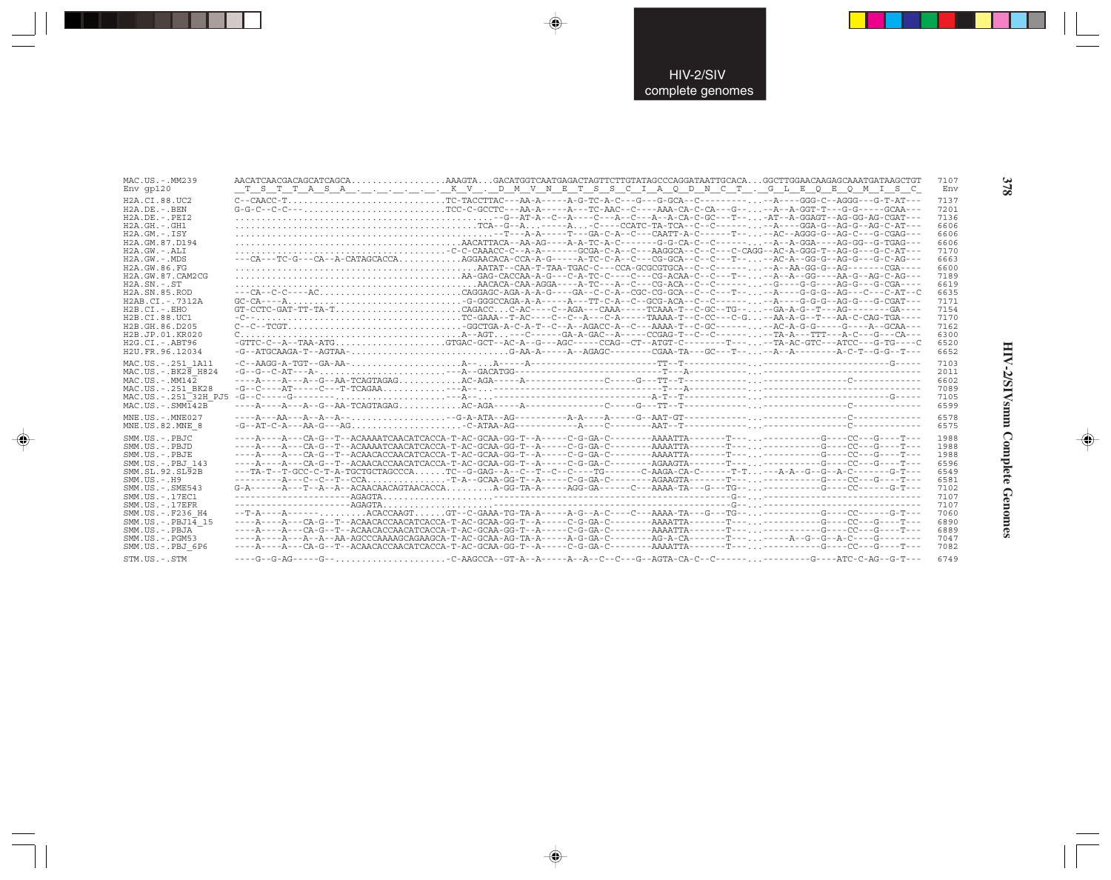| MAC.US.-.MM239                   | AACATCAACGACAGCATCAGCAAAAGTAGACATGGTCAATGAGACTAGTTCTTGTATAGCCCAGGATAATTGCACAGGCTTGGAACAAGAGCAAATGATAAGCTGT                         | 7107 |
|----------------------------------|------------------------------------------------------------------------------------------------------------------------------------|------|
| Env qp120                        | T S T T A S A K V . D M V N E T S S C I A Q D N C T . G L E Q E Q M I S C                                                          | Env  |
| H2A.CI.88.UC2                    |                                                                                                                                    | 7137 |
| $H2A.DE. - .BEN$                 |                                                                                                                                    | 7201 |
| $H2A.DE. - .PEI2$                |                                                                                                                                    | 7136 |
| $H2A.GH.-.GH1$                   |                                                                                                                                    | 6606 |
| $H2A.GM.-.ISY$                   |                                                                                                                                    | 6606 |
| H2A.GM.87.D194                   |                                                                                                                                    | 6606 |
| H2A.GW.-.ALI                     |                                                                                                                                    | 7170 |
| $H2A.GW. - .MDS$                 | ---CA---TC-G---CA--A-CATAGCACCAAGGAACACA-CCA-A-G-----A-TC-C-A--C---CG-GCA--C--C--T---AC-A--GG-G--AG-G---G-C-AG---                  | 6663 |
| H2A.GW.86.FG                     |                                                                                                                                    | 6600 |
| H2A.GW.87.CAM2CG                 |                                                                                                                                    | 7189 |
| $H2A$ . $SN. - . ST$             |                                                                                                                                    | 6619 |
| H2A.SN.85.ROD                    | --CA--C-C----ACCAGGAGC-AGA-A-A-G---GA--C-C-A--CGC-GG-GCA--C---T----A----G-G-G--AG---C--AT--C                                       | 6635 |
| H2AB.CI.-.7312A                  |                                                                                                                                    | 7171 |
| $H2B.CI.-EHO$                    |                                                                                                                                    | 7154 |
| H2B.CI.88.UC1                    |                                                                                                                                    | 7170 |
| H2B.GH.86.D205                   |                                                                                                                                    | 7162 |
| H2B.JP.01.KR020                  |                                                                                                                                    | 6300 |
| $H2G.CI.-ABT96$                  | $-GTTC-C--A--TAA-ATG$ GTGAC-GCT--AC-A--G---AGC-----CCAG--CT--ATGT-C-------T----TA-AC-GTC---ATCC---G-TG----C                        | 6520 |
| H <sub>2U</sub> . FR. 96. 12034  | -G--ATGCAAGA-T--AGTAA-G-AA-A-----A--AGAGC-------CGAA-TA---GC---T----A--A---------A-C-T--G---T---                                   | 6652 |
| MAC.US.-.251 1A11                |                                                                                                                                    | 7103 |
| $MAC. US. - . BK26$ H824         |                                                                                                                                    | 2011 |
| $MAC. US. - . MM142$             |                                                                                                                                    | 6602 |
| MAC.US. - . 251 BK28             | $-G - C - -AT - - -C - -T - T CAGAA$                                                                                               | 7089 |
| MAC.US.-.251 <sup>-32H</sup> PJ5 |                                                                                                                                    | 7105 |
| $MAC . US . - . SIM142B$         |                                                                                                                                    | 6599 |
| $MNE$ . U.S. - $MNE$ 027         | $---A--BA--A--A--A--$                                                                                                              | 6578 |
| MNE.US.82.MNE 8                  | $-G-PAP-C-PA--PA-G---A-G---A.$                                                                                                     | 6575 |
| SMM.US.-.PBJC                    |                                                                                                                                    | 1988 |
| SMM.US.-.PBJD                    |                                                                                                                                    | 1988 |
| SMM.US.-.PBJE                    |                                                                                                                                    | 1988 |
| SMM.US.-.PBJ 143                 | ----A----A---CA-G--T--ACAACACCAACATCACCA-T-AC-GCAA-GG-T--A-----C-G-GA-C--------AGAAGTA-------T---. ------------G-----CC-------T--- | 6596 |
| SMM.SL.92.SL92B                  | ---TA-T--T-GCC-C-T-A-TGCTGCTAGCCCATC--G-GAG--A--C--T--C--C----TG-------C-AAGA-CA-C------T-T---A-A--G--G--A-C-------G-T---          | 6549 |
| $SMM. US. - . H9$                | ----------A---C--C--T--CCA-T-A--GCAA-GG-T--A----C-G-GA-C--------AGAAGTA-------T-------------G---CC---G----T---                     | 6581 |
| SMM.US.-.SME543                  |                                                                                                                                    | 7102 |
| SMM. US. - . 17EC1               |                                                                                                                                    | 7107 |
| $SMM. US. - .17EFR$              |                                                                                                                                    | 7107 |
| SMM.US.-.F236 H4                 | --T-A----A------ACACCAAGTGT--C-GAAA-TG-TA-A-----A-G--A-C----C---AAAA-TA---G---TG------------G----CC------G-T---                    | 7060 |
| $SMM.US.-.PBJ14$ 15              |                                                                                                                                    | 6890 |
| SMM.US.-.PBJA                    |                                                                                                                                    | 6889 |
| SMM.US.-.PGM53                   | ----A----A---A--A--AA-AGCCCAAAAGCAGAAGCA -T-AC-GCAA-AG-TA-A-----A-G-GA-C--------AG-A-CA-------T--------A--G--G--A-C-----G-------   | 7047 |
| SMM.US.-.PBJ 6P6                 |                                                                                                                                    | 7082 |
| STM.US.-.STM                     | ----G--G-AG-----G--C-AAGCCA--GT-A--A----A--A--C--C---G--AGTA-CA-C--C---------------G----ATC-C-AG--G-T---                           | 6749 |

 $\begin{picture}(20,5) \put(0,0){\vector(0,1){10}} \put(15,0){\vector(0,1){10}} \put(15,0){\vector(0,1){10}} \put(15,0){\vector(0,1){10}} \put(15,0){\vector(0,1){10}} \put(15,0){\vector(0,1){10}} \put(15,0){\vector(0,1){10}} \put(15,0){\vector(0,1){10}} \put(15,0){\vector(0,1){10}} \put(15,0){\vector(0,1){10}} \put(15,0){\vector(0,1){10}} \put(15,0){\vector(0,$ 

 $\begin{picture}(20,5) \put(0,0){\vector(0,1){10}} \put(15,0){\vector(0,1){10}} \put(15,0){\vector(0,1){10}} \put(15,0){\vector(0,1){10}} \put(15,0){\vector(0,1){10}} \put(15,0){\vector(0,1){10}} \put(15,0){\vector(0,1){10}} \put(15,0){\vector(0,1){10}} \put(15,0){\vector(0,1){10}} \put(15,0){\vector(0,1){10}} \put(15,0){\vector(0,1){10}} \put(15,0){\vector(0,$ 

. . .

 $\begin{picture}(20,5) \put(0,0){\line(1,0){10}} \put(15,0){\line(1,0){10}} \put(15,0){\line(1,0){10}} \put(15,0){\line(1,0){10}} \put(15,0){\line(1,0){10}} \put(15,0){\line(1,0){10}} \put(15,0){\line(1,0){10}} \put(15,0){\line(1,0){10}} \put(15,0){\line(1,0){10}} \put(15,0){\line(1,0){10}} \put(15,0){\line(1,0){10}} \put(15,0){\line(1,$ 

 $\overline{\mathbb{R}}$ 

**HIV-2/SIVsmm Complete Genomes 378** HIV-2/SIVsmm Complete Genomes

 $\begin{picture}(20,5) \put(0,0){\line(1,0){10}} \put(15,0){\line(1,0){10}} \put(15,0){\line(1,0){10}} \put(15,0){\line(1,0){10}} \put(15,0){\line(1,0){10}} \put(15,0){\line(1,0){10}} \put(15,0){\line(1,0){10}} \put(15,0){\line(1,0){10}} \put(15,0){\line(1,0){10}} \put(15,0){\line(1,0){10}} \put(15,0){\line(1,0){10}} \put(15,0){\line(1,$ 

 $\overline{\phantom{0}}$ 

378

ш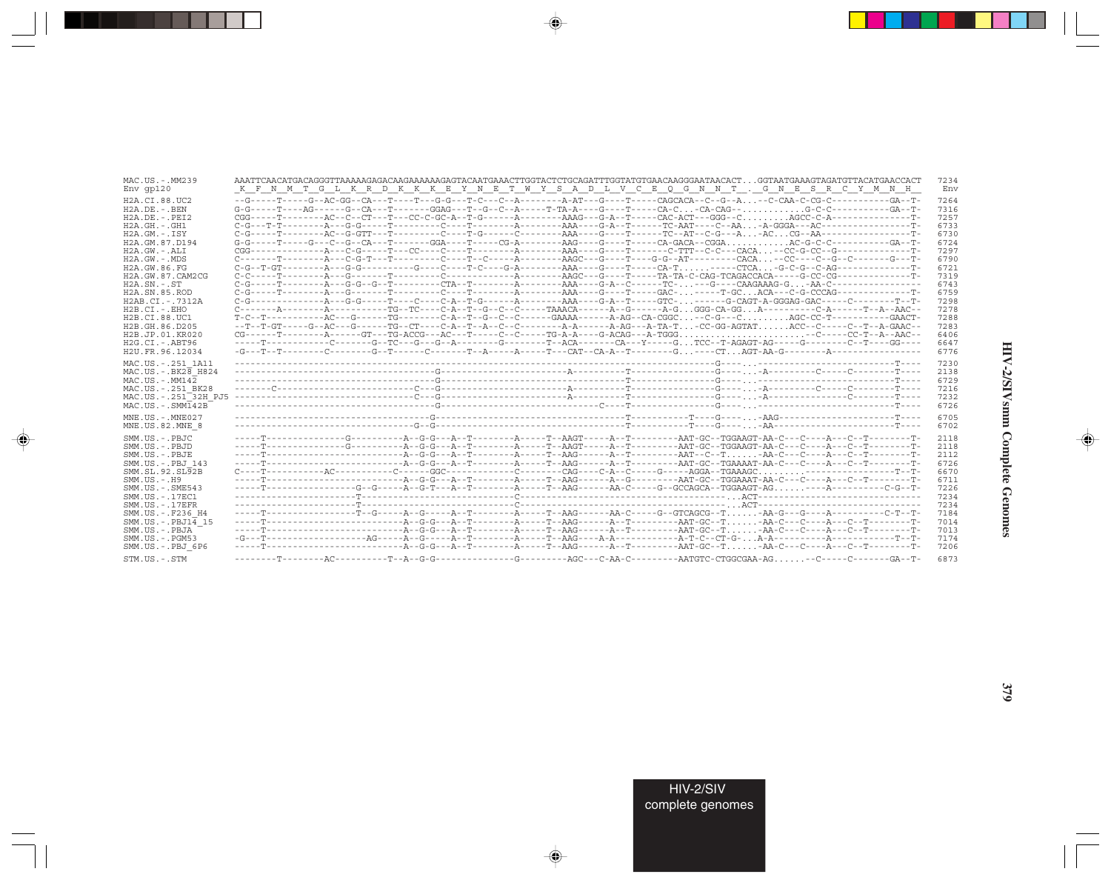| MAC.US.-.MM239             | AAATTCAACATGACAGGGTTAAAAAGAGACAAGAAAAAAGAGTACAATGAAACTTGGTACTCTGCAGATTTGGTATGTGAACAAGGGAATAACACTGGTAATGAAAGTAGATGTTACATGAACCACT | 7234 |
|----------------------------|---------------------------------------------------------------------------------------------------------------------------------|------|
| $Env$ qp $120$             | K F N M T G L K R D K K K E Y N E T W Y S A D L V C E Q G N N T . G N E S R C Y M N H                                           | Env  |
| H2A.CI.88.UC2              |                                                                                                                                 | 7264 |
| $H2A.DE. - . BEN$          |                                                                                                                                 | 7316 |
| $H2A.DE. - .PEI2$          |                                                                                                                                 | 7257 |
| $H2A.GH.-.GH1$             | $C-G--T-T------A--G-G---T--------C---T-----A-----AAA---G-A-A-T----TC-ART---C-AA\ldots -A-GGGA---AC---A-C---A-C--A-TC--A-TC--AA$ | 6733 |
| $H2A.GM.-.TSY$             |                                                                                                                                 | 6730 |
| H2A.GM.87.D194             |                                                                                                                                 | 6724 |
| $H2A.GW. - .ALI$           |                                                                                                                                 | 7297 |
| $H2A.GW. - .MDS$           |                                                                                                                                 | 6790 |
| H2A.GW.86.FG               |                                                                                                                                 | 6721 |
| H2A.GW.87.CAM2CG           |                                                                                                                                 | 7319 |
| $H2A.SN.-.ST$              |                                                                                                                                 | 6743 |
| H <sub>2</sub> A.SN.85.ROD |                                                                                                                                 | 6759 |
| H2AB.CI.-.7312A            |                                                                                                                                 | 7298 |
| $H2B.CI.-.EHO$             |                                                                                                                                 | 7278 |
| H2B.CI.88.UC1              | T-C--T-----------AC---G-------TG--------C-A--T--G--C--C------GAAAA------A-AG--CA-CGGC--C-G---CAGC-CC-T-----------GAACT-         | 7288 |
| H2B.GH.86.D205             | --T--T-GT-----G--AC---G------TG--CT----C-A--T--A--C--C--------A-A-------A-AG---A-TA-TCC-GG-AGTATACC--C-----C--T--A-GAAC--       | 7283 |
| H2B.JP.01.KR020            |                                                                                                                                 | 6406 |
| $H2G.CI.-.ABT96$           | -----T------------C------G--TC---G--G--A--------C------T--ACA-------CA---Y----GTCC--T-AGAGT-AG-----G-------C--T----GG----       | 6647 |
| H2U.FR.96.12034            |                                                                                                                                 | 6776 |
| MAC.US. - . 251 1A11       |                                                                                                                                 | 7230 |
| MAC.US. - . BK28 H824      |                                                                                                                                 | 2138 |
| $MAC. US. - . MM142$       |                                                                                                                                 | 6729 |
| MAC.US. - . 251 BK28       |                                                                                                                                 | 7216 |
| MAC.US.-.251 32H PJ5       |                                                                                                                                 | 7232 |
| $MAC . US . - . SIM142B$   |                                                                                                                                 | 6726 |
| $MNE. US.-. MNE027$        |                                                                                                                                 | 6705 |
| MNE.US.82.MNE 8            |                                                                                                                                 | 6702 |
| SMM.US.-.PBJC              |                                                                                                                                 | 2118 |
| SMM.US.-.PBJD              |                                                                                                                                 | 2118 |
| SMM.US.-.PBJE              |                                                                                                                                 | 2112 |
| SMM.US.-.PBJ 143           |                                                                                                                                 | 6726 |
| SMM.SL.92.SL92B            |                                                                                                                                 | 6670 |
| $SMM. US. - . H9$          |                                                                                                                                 | 6711 |
| $SMM. US. - . SME543$      |                                                                                                                                 | 7226 |
| SMM.US. - . 17EC1          |                                                                                                                                 | 7234 |
| $SMM. US. - .17EFR$        |                                                                                                                                 | 7234 |
| SMM.US.-.F236 H4           |                                                                                                                                 | 7184 |
| $SMM.US.-.PBJ14$ 15        |                                                                                                                                 | 7014 |
| SMM.US.-.PBJA              |                                                                                                                                 | 7013 |
| $SMM.US. - . PGM53$        |                                                                                                                                 | 7174 |
| SMM.US.-.PBJ 6P6           |                                                                                                                                 | 7206 |
| STM.US.-.STM               |                                                                                                                                 | 6873 |

 $\begin{picture}(20,5) \put(0,0){\vector(0,1){10}} \put(15,0){\vector(0,1){10}} \put(15,0){\vector(0,1){10}} \put(15,0){\vector(0,1){10}} \put(15,0){\vector(0,1){10}} \put(15,0){\vector(0,1){10}} \put(15,0){\vector(0,1){10}} \put(15,0){\vector(0,1){10}} \put(15,0){\vector(0,1){10}} \put(15,0){\vector(0,1){10}} \put(15,0){\vector(0,1){10}} \put(15,0){\vector(0,$ 

a shekara 1960

 $\overrightarrow{\phantom{a}}$ 

 $\equiv$ 

 $\begin{picture}(20,5) \put(0,0){\line(1,0){10}} \put(15,0){\line(1,0){10}} \put(15,0){\line(1,0){10}} \put(15,0){\line(1,0){10}} \put(15,0){\line(1,0){10}} \put(15,0){\line(1,0){10}} \put(15,0){\line(1,0){10}} \put(15,0){\line(1,0){10}} \put(15,0){\line(1,0){10}} \put(15,0){\line(1,0){10}} \put(15,0){\line(1,0){10}} \put(15,0){\line(1,$ 

 $\equiv$ 

 $\blacksquare$ 

. . .

٠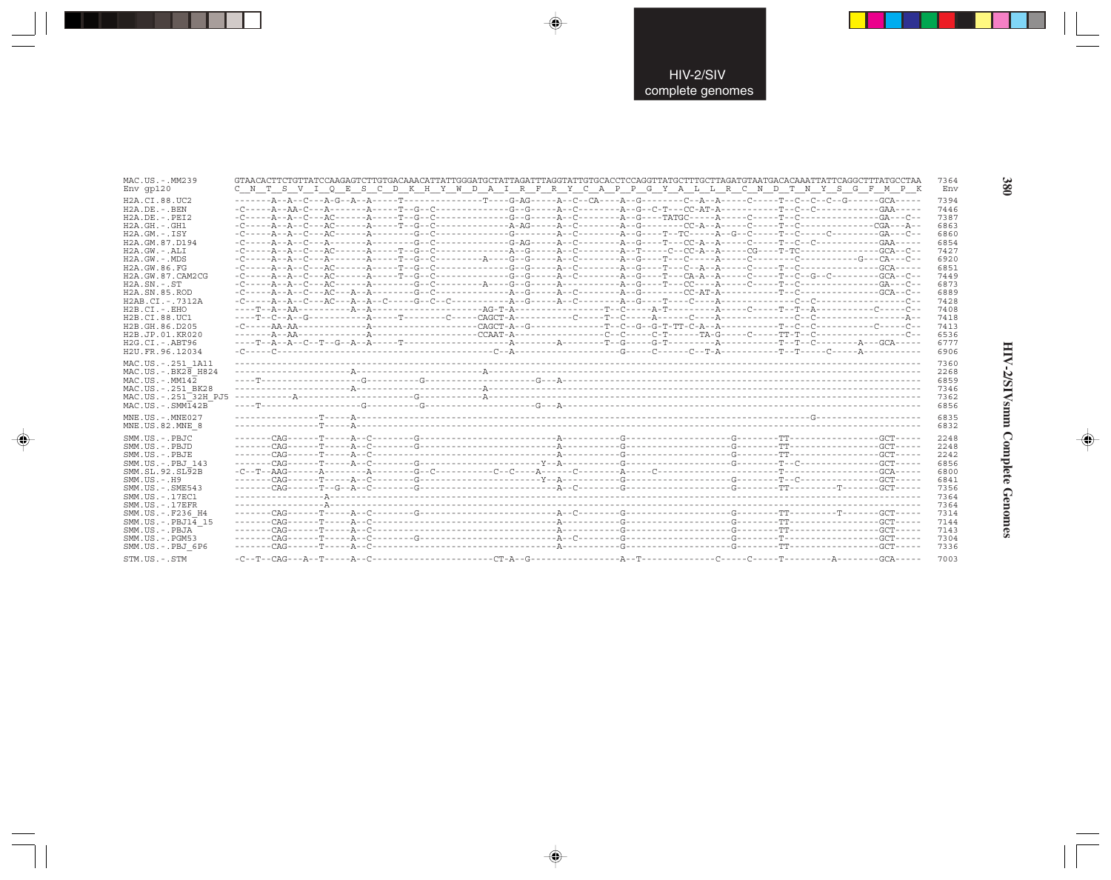| MAC.US.-.MM239<br>$Env$ qp $120$                                                                                                                                                                                                                                                                                                        | GTAACACTTCTGTTATCCAAGAGTCTTGTGACAAACATTATTGGGATGCTATTAGATTTAGGTATTGTGCACCTCCAGGTTATGCTTTGCTTAGATGTAATGACACAAATTATTCAGGCTTTATGCCTAA<br>C N T S V I O E S C D K H Y W D A I R F R Y C A P P G Y A L L R C N D T N Y S G F M P K                                                                                                                                                                                                                                                                                                                                                                                                                                                                                                                                                                                                                                                                                                                                                                                                |  | 7364<br>Env                                                                                                                                  |
|-----------------------------------------------------------------------------------------------------------------------------------------------------------------------------------------------------------------------------------------------------------------------------------------------------------------------------------------|------------------------------------------------------------------------------------------------------------------------------------------------------------------------------------------------------------------------------------------------------------------------------------------------------------------------------------------------------------------------------------------------------------------------------------------------------------------------------------------------------------------------------------------------------------------------------------------------------------------------------------------------------------------------------------------------------------------------------------------------------------------------------------------------------------------------------------------------------------------------------------------------------------------------------------------------------------------------------------------------------------------------------|--|----------------------------------------------------------------------------------------------------------------------------------------------|
| H2A.CI.88.UC2<br>$H2A.DE. - . BEN$<br>$H2A.DE. - .PEI2$<br>$H2A.GH. - .GH1$<br>$H2A.GM.-.ISY$<br>H2A.GM.87.D194<br>$H2A.GW. - .ALI$<br>H2A.GW.-.MDS<br>H2A.GW.86.FG<br>H2A.GW.87.CAM2CG<br>$H2A.SN.-.ST$<br>H2A.SN.85.ROD<br>H2AB.CI.-.7312A<br>$H2B.CI.-EHO$<br>H2B.CI.88.UC1<br>H2B.GH.86.D205<br>H2B.JP.01.KR020<br>$H2G.CI.-.ABT96$ | $-{\color{red}C}\texttt{---A}-{\color{red}A}\texttt{-}{\color{red}C}\texttt{----A}-{\color{red}C}\texttt{----A}\texttt{----A}-{\color{red}C}\texttt{----A}-{\color{red}C}\texttt{----A}-{\color{red}C}\texttt{----A}-{\color{red}C}\texttt{----A}-{\color{red}C}\texttt{----A}-{\color{red}C}\texttt{----A}-{\color{red}C}\texttt{-}-{\color{red}A}\texttt{-}-{\color{red}A}\texttt{----C}-{\color{red}C}\texttt{----T}-{\color{red}C}\texttt{----T}-{\color{red}C}\texttt{----T}-{\color{red}C}\texttt{----$<br>$-{\color{red}C}\texttt{---A}-{\color{red}A}\texttt{-}{\color{red}C}\texttt{----A}-{\color{red}C}\texttt{----A}\texttt{----A}-{\color{red}C}\texttt{----A}-{\color{red}C}\texttt{----A}-{\color{red}C}\texttt{----A}-{\color{red}C}\texttt{----A}-{\color{red}C}\texttt{----C}-{\color{red}C}\texttt{-} {\color{red}A}-{\color{red}A}\texttt{----C}\texttt{-}{\color{red}C}\texttt{----T}\texttt{-}{\color{red}T}\texttt{-}{\color{red}C}\texttt{----}-{\color{red}C}\texttt{----C}\texttt{-}{\color{red}C$ |  | 7394<br>7446<br>7387<br>6863<br>6860<br>6854<br>7427<br>6920<br>6851<br>7449<br>6873<br>6889<br>7428<br>7408<br>7418<br>7413<br>6536<br>6777 |
| H2U.FR.96.12034<br>MAC.US.-.251 1A11<br>$MAC.US.-.BK2\overline{8}$ H824<br>$MAC. US. - . MM142$<br>MAC.US.-.251 BK28<br>MAC.US.-.251 <sup>-32H</sup> PJ5<br>$MAC. US. - . SIMT42B$<br>MNE.US.-.MNE027                                                                                                                                   |                                                                                                                                                                                                                                                                                                                                                                                                                                                                                                                                                                                                                                                                                                                                                                                                                                                                                                                                                                                                                              |  | 6906<br>7360<br>2268<br>6859<br>7346<br>7362<br>6856<br>6835                                                                                 |
| MNE.US.82.MNE 8<br>SMM.US.-.PBJC<br>SMM.US.-.PBJD<br>SMM.US.-.PBJE<br>SMM.US.-.PBJ 143<br>SMM.SL.92.SL92B<br>$SMM.US. - .H9$<br>$SMM.US. - .SME543$                                                                                                                                                                                     |                                                                                                                                                                                                                                                                                                                                                                                                                                                                                                                                                                                                                                                                                                                                                                                                                                                                                                                                                                                                                              |  | 6832<br>2248<br>2248<br>2242<br>6856<br>6800<br>6841<br>7356                                                                                 |
| SMM. US. - . 17EC1<br>$SMM. US. - .17EFR$<br>SMM.US. - .F236 H4<br>SMM.US. - . PBJ14 15<br>SMM.US.-.PBJA<br>$SMM. US. - . PGM53$<br>SMM.US.-.PBJ 6P6<br>STM IIS - STM                                                                                                                                                                   |                                                                                                                                                                                                                                                                                                                                                                                                                                                                                                                                                                                                                                                                                                                                                                                                                                                                                                                                                                                                                              |  | 7364<br>7364<br>7314<br>7144<br>7143<br>7304<br>7336<br>7003                                                                                 |

 $\begin{picture}(20,5) \put(0,0){\vector(0,1){10}} \put(15,0){\vector(0,1){10}} \put(15,0){\vector(0,1){10}} \put(15,0){\vector(0,1){10}} \put(15,0){\vector(0,1){10}} \put(15,0){\vector(0,1){10}} \put(15,0){\vector(0,1){10}} \put(15,0){\vector(0,1){10}} \put(15,0){\vector(0,1){10}} \put(15,0){\vector(0,1){10}} \put(15,0){\vector(0,1){10}} \put(15,0){\vector(0,$ 

 $\begin{picture}(20,5) \put(0,0){\vector(0,1){10}} \put(15,0){\vector(0,1){10}} \put(15,0){\vector(0,1){10}} \put(15,0){\vector(0,1){10}} \put(15,0){\vector(0,1){10}} \put(15,0){\vector(0,1){10}} \put(15,0){\vector(0,1){10}} \put(15,0){\vector(0,1){10}} \put(15,0){\vector(0,1){10}} \put(15,0){\vector(0,1){10}} \put(15,0){\vector(0,1){10}} \put(15,0){\vector(0,$ 

. . .

 $\begin{picture}(20,5) \put(0,0){\line(1,0){10}} \put(15,0){\line(1,0){10}} \put(15,0){\line(1,0){10}} \put(15,0){\line(1,0){10}} \put(15,0){\line(1,0){10}} \put(15,0){\line(1,0){10}} \put(15,0){\line(1,0){10}} \put(15,0){\line(1,0){10}} \put(15,0){\line(1,0){10}} \put(15,0){\line(1,0){10}} \put(15,0){\line(1,0){10}} \put(15,0){\line(1,$ 

 $\frac{1}{\sqrt{2}}$ 

HIV-2/SIVsmm Complete Genomes

 $\begin{picture}(20,5) \put(0,0){\line(1,0){10}} \put(15,0){\line(1,0){10}} \put(15,0){\line(1,0){10}} \put(15,0){\line(1,0){10}} \put(15,0){\line(1,0){10}} \put(15,0){\line(1,0){10}} \put(15,0){\line(1,0){10}} \put(15,0){\line(1,0){10}} \put(15,0){\line(1,0){10}} \put(15,0){\line(1,0){10}} \put(15,0){\line(1,0){10}} \put(15,0){\line(1,$ 

 $\overline{\phantom{0}}$ 

380

w

٠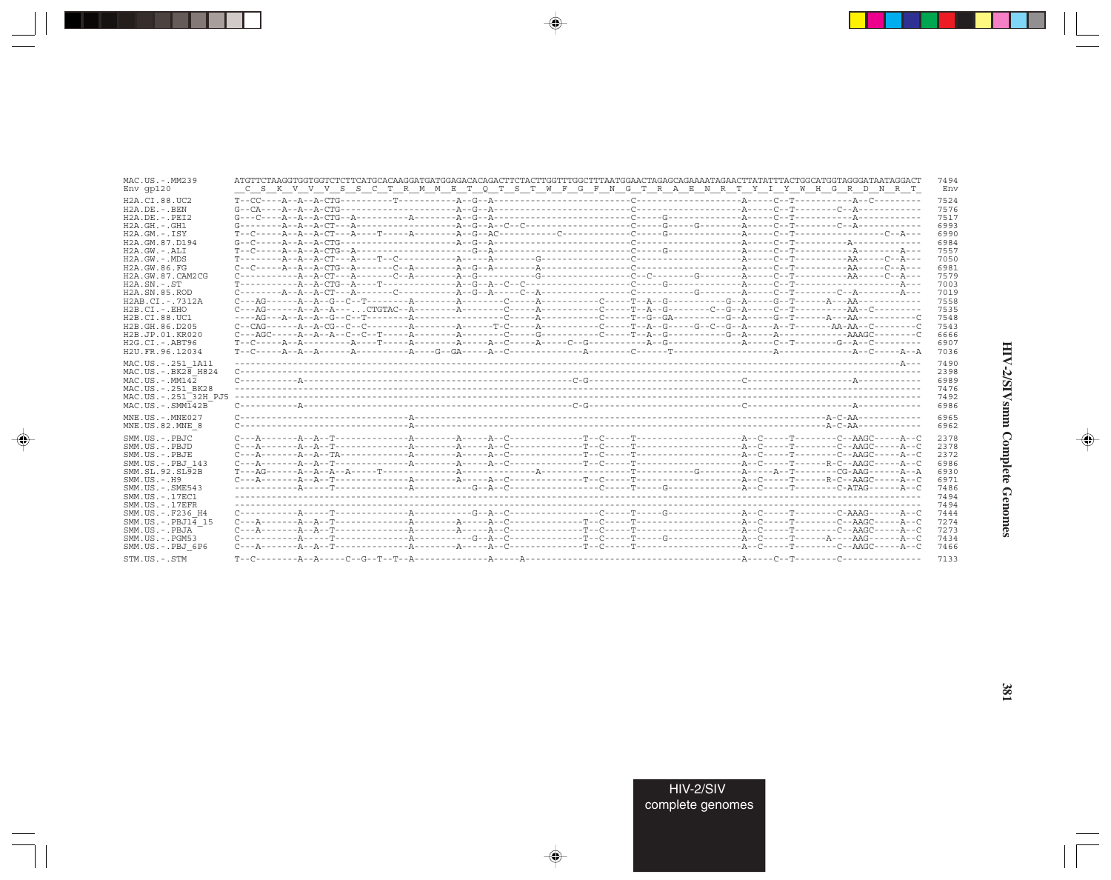| MAC.US.-.MM239                   |                                                                                                                                                                                                                                                                                                                                                                                                                                                                                                                                                                                                                                                                                                                                                                                                                                                                                                                                                                                                                                   | 7494 |
|----------------------------------|-----------------------------------------------------------------------------------------------------------------------------------------------------------------------------------------------------------------------------------------------------------------------------------------------------------------------------------------------------------------------------------------------------------------------------------------------------------------------------------------------------------------------------------------------------------------------------------------------------------------------------------------------------------------------------------------------------------------------------------------------------------------------------------------------------------------------------------------------------------------------------------------------------------------------------------------------------------------------------------------------------------------------------------|------|
| $Env$ qp $120$                   | C S K V V V S S C T R M M E T Q T S T W F G F N G T R A E N R T Y I Y W H G R D N R T                                                                                                                                                                                                                                                                                                                                                                                                                                                                                                                                                                                                                                                                                                                                                                                                                                                                                                                                             | Env  |
| H2A.CI.88.UC2                    | $T-CC---A-A-CTG------T-----T------A-G-A------------C---------A---C---T---C---T------A---A-C-T---A-CTC---A-C---A-CTC-1---A-CTC-1---A-CTC-1---A-CTC-1---A-CTC-1---A-CTC-1---A-CTC-1---A-CTC-1---A-CTC-1---A-CTC-1---A-CTC-1---A-CTC-1---A-CTC-1---A-CTC-1---A-CTC-1---A-CTC-1---A-CTC-1---A-CTC-1---A-CTC-1---A-CTC-1---A-CTC-1---A-CTC-1---A-CTC-1---A-CTC-1---A-CTC-1---A-CTC-1---A-CTC-1---A-CTC-1---A$                                                                                                                                                                                                                                                                                                                                                                                                                                                                                                                                                                                                                          | 7524 |
| $H2A$ . DE. $-$ . BEN            |                                                                                                                                                                                                                                                                                                                                                                                                                                                                                                                                                                                                                                                                                                                                                                                                                                                                                                                                                                                                                                   | 7576 |
| $H2A.DE. - .PEI2$                |                                                                                                                                                                                                                                                                                                                                                                                                                                                                                                                                                                                                                                                                                                                                                                                                                                                                                                                                                                                                                                   | 7517 |
| $H2A.GH. - .GH1$                 |                                                                                                                                                                                                                                                                                                                                                                                                                                                                                                                                                                                                                                                                                                                                                                                                                                                                                                                                                                                                                                   | 6993 |
| $H2A.GM.-.ISY$                   |                                                                                                                                                                                                                                                                                                                                                                                                                                                                                                                                                                                                                                                                                                                                                                                                                                                                                                                                                                                                                                   | 6990 |
| H2A.GM.87.D194                   |                                                                                                                                                                                                                                                                                                                                                                                                                                                                                                                                                                                                                                                                                                                                                                                                                                                                                                                                                                                                                                   | 6984 |
| $H2A.GW. - .ALI$                 |                                                                                                                                                                                                                                                                                                                                                                                                                                                                                                                                                                                                                                                                                                                                                                                                                                                                                                                                                                                                                                   | 7557 |
| $H2A.GW. - .MDS$                 |                                                                                                                                                                                                                                                                                                                                                                                                                                                                                                                                                                                                                                                                                                                                                                                                                                                                                                                                                                                                                                   | 7050 |
| H2A.GW.86.FG                     | $C - C - C - \cdots - A - A - B - C$ $CG - A - \cdots - C - A - \cdots - A - C - A - C - A - \cdots - A - \cdots - A - \cdots - C - A - \cdots - A - \cdots - A - \cdots - A - \cdots - A - \cdots - A - \cdots - A - \cdots - A - \cdots - A - \cdots - A - \cdots - A - \cdots - A - \cdots - A - \cdots - A - \cdots - A - \cdots - A - \cdots - A - \cdots - A - \cdots - A - \cdots - A - \cdots - A - \cdots - A - \cdots - A - \cdots - A - \cdots - A - \cdots - A - \cdots -$                                                                                                                                                                                                                                                                                                                                                                                                                                                                                                                                            | 6981 |
| H2A.GW.87.CAM2CG                 | $\texttt{C}\texttt{-----A}\texttt{-?A}\texttt{-?T}\texttt{---A}\texttt{-?T}\texttt{-?A}\texttt{-----A}\texttt{-?G}\texttt{-?G}\texttt{-?G}\texttt{-?G}\texttt{-?G}\texttt{-?G}\texttt{-?G}\texttt{-?G}\texttt{-?G}\texttt{-?G}\texttt{-?G}\texttt{-?G}\texttt{-?G}\texttt{-?G}\texttt{-?G}\texttt{-?G}\texttt{-?G}\texttt{-?G}\texttt{-?G}\texttt{-?G}\texttt{-?G}\texttt{-?G}\texttt{-?G}\texttt{-?G}\texttt{-?G}\texttt{-?G}\texttt{-?G}\texttt{-?G}\texttt{-?$                                                                                                                                                                                                                                                                                                                                                                                                                                                                                                                                                                 | 7579 |
| $H2A$ . $SN. - . ST$             |                                                                                                                                                                                                                                                                                                                                                                                                                                                                                                                                                                                                                                                                                                                                                                                                                                                                                                                                                                                                                                   | 7003 |
| H <sub>2</sub> A.SN.85.ROD       | $C \rightarrow \dots \rightarrow A \rightarrow A \rightarrow C$ T $\rightarrow \dots \rightarrow A \rightarrow \dots \rightarrow C \rightarrow \dots \rightarrow A \rightarrow G \rightarrow A \rightarrow \dots \rightarrow C \rightarrow A \rightarrow \dots \rightarrow \dots \rightarrow C \rightarrow \dots \rightarrow A \rightarrow \dots \rightarrow C \rightarrow A \rightarrow \dots \rightarrow A \rightarrow \dots \rightarrow A \rightarrow \dots \rightarrow A \rightarrow \dots \rightarrow A \rightarrow \dots \rightarrow A \rightarrow \dots \rightarrow A \rightarrow \dots \rightarrow A \rightarrow \dots \rightarrow A \rightarrow \dots \rightarrow A \rightarrow \dots \rightarrow A \rightarrow \dots \rightarrow A \rightarrow \dots \rightarrow A \rightarrow \dots \rightarrow A \rightarrow \dots \rightarrow A \rightarrow \dots \rightarrow A \rightarrow \dots \rightarrow A \rightarrow \dots \rightarrow A \rightarrow \dots \rightarrow A \rightarrow \dots \rightarrow A \rightarrow \dots \$ | 7019 |
| H2AB.CI.-.7312A                  |                                                                                                                                                                                                                                                                                                                                                                                                                                                                                                                                                                                                                                                                                                                                                                                                                                                                                                                                                                                                                                   | 7558 |
| $H2B.CI.-EHO$                    |                                                                                                                                                                                                                                                                                                                                                                                                                                                                                                                                                                                                                                                                                                                                                                                                                                                                                                                                                                                                                                   | 7535 |
| H <sub>2</sub> B.CI.88.UC1       |                                                                                                                                                                                                                                                                                                                                                                                                                                                                                                                                                                                                                                                                                                                                                                                                                                                                                                                                                                                                                                   | 7548 |
| H2B.GH.86.D205                   | $\texttt{C--CAG----A--A-CG--C---C---A----A-----T-C---A-----C---T--A--G---T--A--G---G--G--G--A---A--T----AA-AA--C---A--A--C---A--A--C---A--A--C---A--A--C---A--A--C---A--A--C---A--A--C---A--A--C---A--A--C---A--A--C---A--A--C---A--A--C---A--A--C---A--A--C---A--A--C---A--A--C---A--A--C---A--A--C---A--A--C---A--A--C---A--A--C---A--A--C---A--A--C---A--A--C---A--A--C---A--A--C$                                                                                                                                                                                                                                                                                                                                                                                                                                                                                                                                                                                                                                             | 7543 |
| H2B.JP.01.KR020                  |                                                                                                                                                                                                                                                                                                                                                                                                                                                                                                                                                                                                                                                                                                                                                                                                                                                                                                                                                                                                                                   | 6666 |
| $H2G.CI.-.ABT96$                 |                                                                                                                                                                                                                                                                                                                                                                                                                                                                                                                                                                                                                                                                                                                                                                                                                                                                                                                                                                                                                                   | 6907 |
| H2U.FR.96.12034                  |                                                                                                                                                                                                                                                                                                                                                                                                                                                                                                                                                                                                                                                                                                                                                                                                                                                                                                                                                                                                                                   | 7036 |
| MAC.US. - . 251 1A11             |                                                                                                                                                                                                                                                                                                                                                                                                                                                                                                                                                                                                                                                                                                                                                                                                                                                                                                                                                                                                                                   | 7490 |
| MAC.US. - . BK28 H824            |                                                                                                                                                                                                                                                                                                                                                                                                                                                                                                                                                                                                                                                                                                                                                                                                                                                                                                                                                                                                                                   | 2398 |
| $MAC. US.-. MM142$               |                                                                                                                                                                                                                                                                                                                                                                                                                                                                                                                                                                                                                                                                                                                                                                                                                                                                                                                                                                                                                                   | 6989 |
| MAC.US.-.251 BK28                |                                                                                                                                                                                                                                                                                                                                                                                                                                                                                                                                                                                                                                                                                                                                                                                                                                                                                                                                                                                                                                   | 7476 |
| MAC.US.-.251 <sup>-32H</sup> PJ5 |                                                                                                                                                                                                                                                                                                                                                                                                                                                                                                                                                                                                                                                                                                                                                                                                                                                                                                                                                                                                                                   | 7492 |
| $MAC . IJS . - . SIMT42B$        |                                                                                                                                                                                                                                                                                                                                                                                                                                                                                                                                                                                                                                                                                                                                                                                                                                                                                                                                                                                                                                   | 6986 |
| MNE.US.-.MNE027                  |                                                                                                                                                                                                                                                                                                                                                                                                                                                                                                                                                                                                                                                                                                                                                                                                                                                                                                                                                                                                                                   | 6965 |
| MNE.US.82.MNE 8                  |                                                                                                                                                                                                                                                                                                                                                                                                                                                                                                                                                                                                                                                                                                                                                                                                                                                                                                                                                                                                                                   | 6962 |
| SMM.US.-.PBJC                    |                                                                                                                                                                                                                                                                                                                                                                                                                                                                                                                                                                                                                                                                                                                                                                                                                                                                                                                                                                                                                                   | 2378 |
| SMM.US.-.PBJD                    |                                                                                                                                                                                                                                                                                                                                                                                                                                                                                                                                                                                                                                                                                                                                                                                                                                                                                                                                                                                                                                   | 2378 |
| SMM.US.-.PBJE                    |                                                                                                                                                                                                                                                                                                                                                                                                                                                                                                                                                                                                                                                                                                                                                                                                                                                                                                                                                                                                                                   | 2372 |
| SMM.US.-.PBJ 143                 |                                                                                                                                                                                                                                                                                                                                                                                                                                                                                                                                                                                                                                                                                                                                                                                                                                                                                                                                                                                                                                   | 6986 |
| SMM.SL.92.SL92B                  |                                                                                                                                                                                                                                                                                                                                                                                                                                                                                                                                                                                                                                                                                                                                                                                                                                                                                                                                                                                                                                   | 6930 |
| $SMM$ . U.S. $-$ . H9            |                                                                                                                                                                                                                                                                                                                                                                                                                                                                                                                                                                                                                                                                                                                                                                                                                                                                                                                                                                                                                                   | 6971 |
| $SMM.US. - .SME543$              |                                                                                                                                                                                                                                                                                                                                                                                                                                                                                                                                                                                                                                                                                                                                                                                                                                                                                                                                                                                                                                   | 7486 |
| SMM. US. - . 17EC1               |                                                                                                                                                                                                                                                                                                                                                                                                                                                                                                                                                                                                                                                                                                                                                                                                                                                                                                                                                                                                                                   | 7494 |
| $SMM. US. - .17EFR$              |                                                                                                                                                                                                                                                                                                                                                                                                                                                                                                                                                                                                                                                                                                                                                                                                                                                                                                                                                                                                                                   | 7494 |
| SMM.US.-.F236 H4                 |                                                                                                                                                                                                                                                                                                                                                                                                                                                                                                                                                                                                                                                                                                                                                                                                                                                                                                                                                                                                                                   | 7444 |
| $SMM.US.-.PBJ14$ 15              | $C \rightarrow -A \rightarrow -A \rightarrow A \rightarrow T \rightarrow -$ . And $C \rightarrow -A \rightarrow C \rightarrow -A \rightarrow C \rightarrow -$ . And $C \rightarrow -$ . The contract of the contract of the contract of the contract of the contract of the contract of the contract of the contract of the contract of the contract o                                                                                                                                                                                                                                                                                                                                                                                                                                                                                                                                                                                                                                                                            | 7274 |
| SMM.US.-.PBJA                    |                                                                                                                                                                                                                                                                                                                                                                                                                                                                                                                                                                                                                                                                                                                                                                                                                                                                                                                                                                                                                                   | 7273 |
| $SMM.US. - . PGM53$              | $\texttt{C}\texttt{-----} \texttt{P}\texttt{-----} \texttt{P}\texttt{-----} \texttt{P}\texttt{-----} \texttt{C} \texttt{-----} \texttt{P}\texttt{---} \texttt{---} \texttt{---} \texttt{---} \texttt{---} \texttt{---} \texttt{---} \texttt{---} \texttt{---} \texttt{---} \texttt{---} \texttt{---} \texttt{---} \texttt{---} \texttt{---} \texttt{---} \texttt{---} \texttt{---} \texttt{---} \texttt{---} \texttt{---} \texttt{---} \texttt{---} \texttt{---} \texttt{---} \texttt{---} \texttt$                                                                                                                                                                                                                                                                                                                                                                                                                                                                                                                               | 7434 |
| SMM.US.-.PBJ 6P6                 |                                                                                                                                                                                                                                                                                                                                                                                                                                                                                                                                                                                                                                                                                                                                                                                                                                                                                                                                                                                                                                   | 7466 |
| STM.US.-.STM                     |                                                                                                                                                                                                                                                                                                                                                                                                                                                                                                                                                                                                                                                                                                                                                                                                                                                                                                                                                                                                                                   | 7133 |

 $\begin{picture}(20,5) \put(0,0){\vector(0,1){10}} \put(15,0){\vector(0,1){10}} \put(15,0){\vector(0,1){10}} \put(15,0){\vector(0,1){10}} \put(15,0){\vector(0,1){10}} \put(15,0){\vector(0,1){10}} \put(15,0){\vector(0,1){10}} \put(15,0){\vector(0,1){10}} \put(15,0){\vector(0,1){10}} \put(15,0){\vector(0,1){10}} \put(15,0){\vector(0,1){10}} \put(15,0){\vector(0,$ 

a shekara 1960

 $\overrightarrow{\phantom{a}}$ 

 $\frac{1}{\sqrt{2}}$ 

HIV-2/SIVsmm Complete Genomes

 $\begin{picture}(20,5) \put(0,0){\line(1,0){10}} \put(15,0){\line(1,0){10}} \put(15,0){\line(1,0){10}} \put(15,0){\line(1,0){10}} \put(15,0){\line(1,0){10}} \put(15,0){\line(1,0){10}} \put(15,0){\line(1,0){10}} \put(15,0){\line(1,0){10}} \put(15,0){\line(1,0){10}} \put(15,0){\line(1,0){10}} \put(15,0){\line(1,0){10}} \put(15,0){\line(1,$ 

 $\equiv$ 

 $\blacksquare$ 

. . .

٠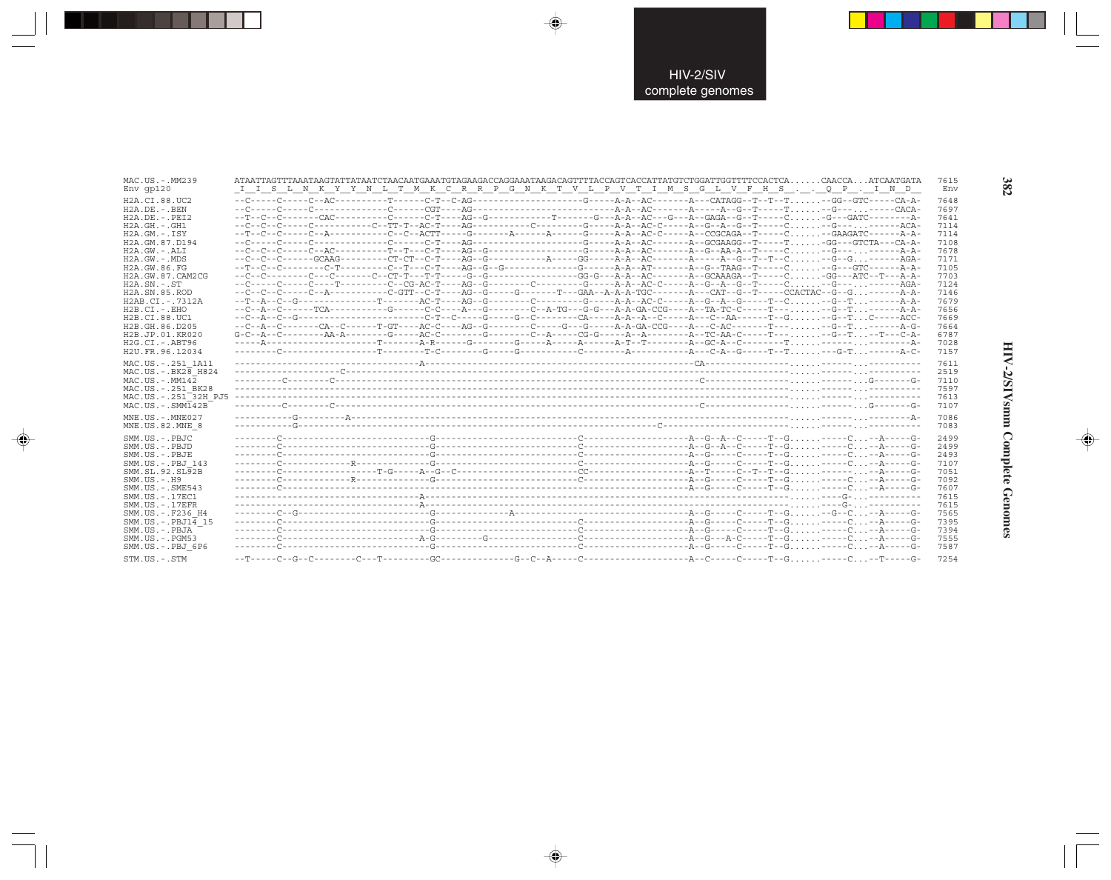| MAC.US.-.MM239                   | ATAATTAGTTTAAATAAGTATTATAATCTAACAATGAAATGTAGAAGACCAGGAAATAAGACAGTTTTACCAGTCACCATTATGTCTGGATTGGTTTTCCACTCACAACCAATCAATGATA  | 7615 |
|----------------------------------|----------------------------------------------------------------------------------------------------------------------------|------|
| $Env$ qp $120$                   | I I S L N K Y Y N L T M K C R P G N K T V L P V T I M S G L V F H S Q P . I N D                                            | Env  |
| H2A.CI.88.UC2                    |                                                                                                                            | 7648 |
| $H2A.DE. - .BEN$                 |                                                                                                                            | 7697 |
| $H2A.DE. - .PEI2$                |                                                                                                                            | 7641 |
| $H2A.GH. - .GH1$                 |                                                                                                                            | 7114 |
| $H2A.GM.-.ISY$                   | --T--C--C-----C--A-----------C--C--ACTT-----G--------A------G------A-A--AC-C-----A--CCGCAGA--T-----C--GAAGATC------A-A-    | 7114 |
| H2A.GM.87.D194                   |                                                                                                                            | 7108 |
| H2A.GW.-.ALI                     |                                                                                                                            | 7678 |
| $H2A.GW. - .MDS$                 |                                                                                                                            | 7171 |
| H2A.GW.86.FG                     |                                                                                                                            | 7105 |
| H2A.GW.87.CAM2CG                 |                                                                                                                            | 7703 |
| $H2A.SN.-.ST$                    |                                                                                                                            | 7124 |
| H2A.SN.85.ROD                    | --C--C--C----C--A---------C-GTT--C-T----AG--G-----G-----T---GAA--A-A-TGC-------A---CAT--G--T-----CCACTAC--G--G-------A-A-  | 7146 |
| H2AB.CI.-.7312A                  | --T--A--C--G---------------T-------AC-T----AG--G---------C--------G-----A--AC-C-----A--G--A--G------T--C--G--T--------A-A- | 7679 |
| $H2B.CI.-.EHO$                   | --C--A--C------TCA----------G------C-C----A--G--------C--A-TG---G-G---A-A-GA-CCG----A--TA-TC-C-----T-----G--T------A-A-    | 7656 |
| H2B.CI.88.UC1                    |                                                                                                                            | 7669 |
| H2B.GH.86.D205                   |                                                                                                                            | 7664 |
| H2B.JP.01.KR020                  |                                                                                                                            | 6787 |
| $H2G.CI.-.ABT96$                 |                                                                                                                            | 7028 |
| H2U.FR.96.12034                  |                                                                                                                            | 7157 |
| MAC.US. - . 251 1A11             |                                                                                                                            | 7611 |
| MAC.US. - . BK28 H824            |                                                                                                                            | 2519 |
| $MAC. US. - . MM142$             |                                                                                                                            | 7110 |
| MAC.US. - . 251 BK28             |                                                                                                                            | 7597 |
| MAC.US.-.251 <sup>-32H</sup> PJ5 |                                                                                                                            | 7613 |
| $MAC. US. - . SIMI42B$           |                                                                                                                            | 7107 |
| $MNE. US. - . MNE027$            |                                                                                                                            | 7086 |
| MNE.US.82.MNE 8                  |                                                                                                                            | 7083 |
| SMM.US.-.PBJC                    |                                                                                                                            | 2499 |
| SMM.US.-.PBJD                    |                                                                                                                            | 2499 |
| SMM.US.-.PBJE                    |                                                                                                                            | 2493 |
| SMM.US.-.PBJ 143                 |                                                                                                                            | 7107 |
| SMM.SL.92.SL92B                  |                                                                                                                            | 7051 |
| $SMM. US. - . H9$                |                                                                                                                            | 7092 |
| $SMM.US. - .SME543$              |                                                                                                                            | 7607 |
| SMM. US. - . 17EC1               |                                                                                                                            | 7615 |
| $SMM. US. - .17EFR$              |                                                                                                                            | 7615 |
| SMM.US. - .F236 H4               |                                                                                                                            | 7565 |
| $SMM.US.-.PBJ14$ 15              |                                                                                                                            | 7395 |
| SMM.US.-.PBJA                    |                                                                                                                            | 7394 |
| $SMM.US. - . PGM53$              |                                                                                                                            | 7555 |
| SMM.US.-.PBJ 6P6                 |                                                                                                                            | 7587 |
| STM.US.-.STM                     |                                                                                                                            | 7254 |

 $\Rightarrow$ 

 $\Rightarrow$ 

 $\color{red} \bigoplus$ 

HIV-2/SIVsmm Complete Genomes

 $\Rightarrow$ 

382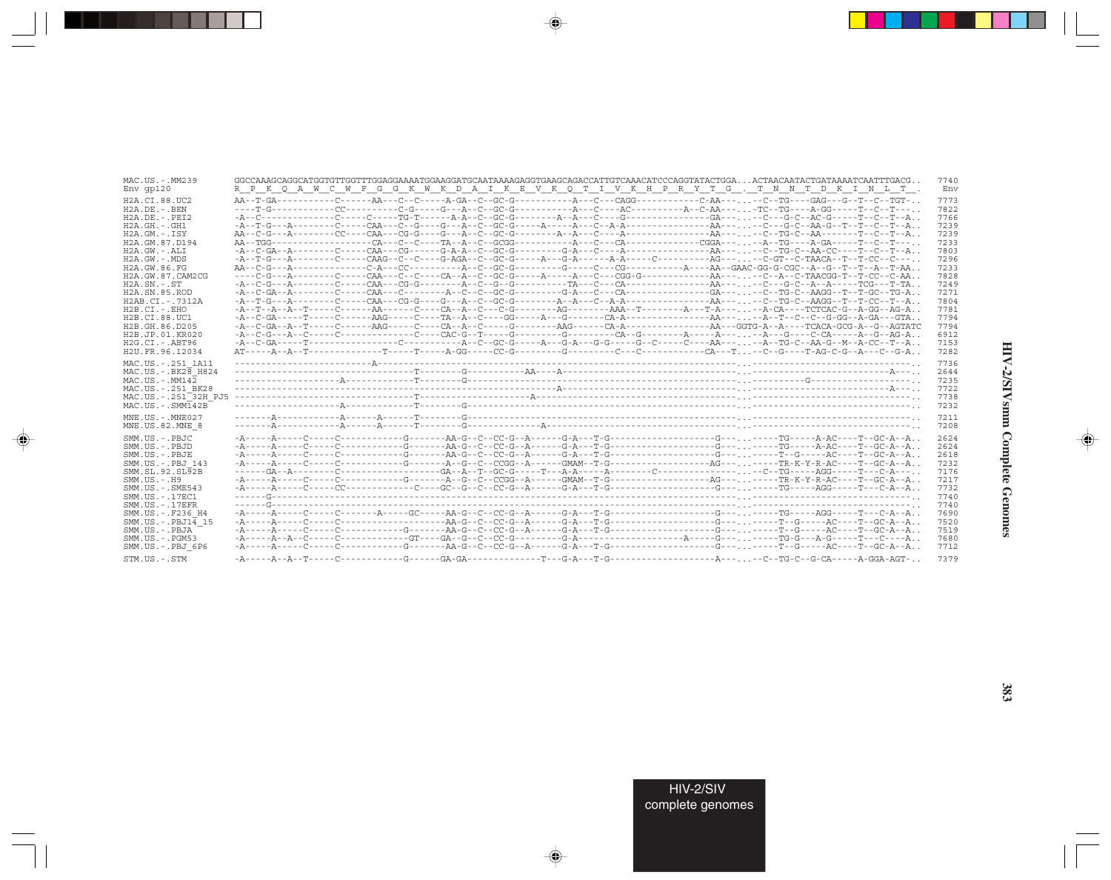| MAC.US.-.MM239                      | . . GGCCAAAGCAGGCATGGTGTTTGGAGGAAAATGGAAGGATGCAATAAAAGAGGTGAAGCAGACCATTGTCAAACATCCCAGGTATACTGGA. ACTAACAATACTGATAAAATCAATTTGACG                                                                                                                                                                                                                                                                                                             | 7740 |
|-------------------------------------|---------------------------------------------------------------------------------------------------------------------------------------------------------------------------------------------------------------------------------------------------------------------------------------------------------------------------------------------------------------------------------------------------------------------------------------------|------|
| $Env$ qp $120$                      | R P K Q A W C W F G G K W K D A I K E V K Q T I V K H P R Y T G . T N N T D K I N L T .                                                                                                                                                                                                                                                                                                                                                     | Env  |
| H2A.CI.88.UC2                       |                                                                                                                                                                                                                                                                                                                                                                                                                                             | 7773 |
| $H2A.DE. -.BEN$                     |                                                                                                                                                                                                                                                                                                                                                                                                                                             | 7822 |
| $H2A.DE. - .PEI2$                   |                                                                                                                                                                                                                                                                                                                                                                                                                                             | 7766 |
| $H2A.GH.-.GH1$                      |                                                                                                                                                                                                                                                                                                                                                                                                                                             | 7239 |
| $H2A.GM. - TSY$                     |                                                                                                                                                                                                                                                                                                                                                                                                                                             | 7239 |
| H2A.GM.87.D194                      |                                                                                                                                                                                                                                                                                                                                                                                                                                             | 7233 |
| $H2A.GW.-.ALI$                      |                                                                                                                                                                                                                                                                                                                                                                                                                                             | 7803 |
| $H2A.GW. - .MDS$                    |                                                                                                                                                                                                                                                                                                                                                                                                                                             | 7296 |
| H2A.GW.86.FG                        |                                                                                                                                                                                                                                                                                                                                                                                                                                             | 7233 |
| H2A.GW.87.CAM2CG                    |                                                                                                                                                                                                                                                                                                                                                                                                                                             | 7828 |
| $H2A$ . $SN. - . ST$                |                                                                                                                                                                                                                                                                                                                                                                                                                                             | 7249 |
| H2A.SN.85.ROD                       |                                                                                                                                                                                                                                                                                                                                                                                                                                             | 7271 |
| H2AB.CI.-.7312A                     |                                                                                                                                                                                                                                                                                                                                                                                                                                             | 7804 |
| $H2B.CI.-.EHO$                      |                                                                                                                                                                                                                                                                                                                                                                                                                                             | 7781 |
| H2B.CI.88.UC1                       |                                                                                                                                                                                                                                                                                                                                                                                                                                             | 7794 |
| H2B.GH.86.D205                      |                                                                                                                                                                                                                                                                                                                                                                                                                                             | 7794 |
| H2B.JP.01.KR020                     |                                                                                                                                                                                                                                                                                                                                                                                                                                             | 6912 |
| $H2G.CI.-.ABT96$                    |                                                                                                                                                                                                                                                                                                                                                                                                                                             | 7153 |
| H2U.FR.96.12034                     |                                                                                                                                                                                                                                                                                                                                                                                                                                             | 7282 |
| MAC.US. - . 251 1A11                |                                                                                                                                                                                                                                                                                                                                                                                                                                             | 7736 |
| MAC.US. - . BK28 H824               |                                                                                                                                                                                                                                                                                                                                                                                                                                             | 2644 |
| $MAC. US. - . MM142$                |                                                                                                                                                                                                                                                                                                                                                                                                                                             | 7235 |
| MAC.US. - . 251 BK28                |                                                                                                                                                                                                                                                                                                                                                                                                                                             | 7722 |
| MAC.US. - . 251 <sup>-32H</sup> PJ5 |                                                                                                                                                                                                                                                                                                                                                                                                                                             | 7738 |
| $MAC . US . - . SIMI 42B$           |                                                                                                                                                                                                                                                                                                                                                                                                                                             | 7232 |
| $MNE. US.-. MNE027$                 |                                                                                                                                                                                                                                                                                                                                                                                                                                             | 7211 |
| MNE.US.82.MNE 8                     |                                                                                                                                                                                                                                                                                                                                                                                                                                             | 7208 |
| SMM.US.-.PBJC                       |                                                                                                                                                                                                                                                                                                                                                                                                                                             | 2624 |
| SMM.US.-.PBJD                       |                                                                                                                                                                                                                                                                                                                                                                                                                                             | 2624 |
| SMM.US.-.PBJE                       |                                                                                                                                                                                                                                                                                                                                                                                                                                             | 2618 |
| SMM.US.-.PBJ 143                    |                                                                                                                                                                                                                                                                                                                                                                                                                                             | 7232 |
| SMM. SL. 92. SL92B                  |                                                                                                                                                                                                                                                                                                                                                                                                                                             | 7176 |
| $SMM. US. - . H9$                   | -A-----A-----C-----C----------G-------A--G--C--CCGG--A------GMAM--T-G-------------------AG---------TR-K-Y-R-AC----T--GC-A--A                                                                                                                                                                                                                                                                                                                | 7217 |
| $SMM.US. - .SME543$                 | $-{\tt A}\hbox{-}\cdots\hbox{-}{\tt A}\hbox{-}\cdots\hbox{-}{\tt C}\hbox{-}\cdots\hbox{-}{\tt C}\hbox{-}\cdots\hbox{-}\cdots\hbox{-}{\tt C}\hbox{-}\cdots\hbox{-}{\tt G}\hbox{-}{\tt C}\hbox{-}{\tt G}\hbox{-}{\tt C}\hbox{-}{\tt C}\hbox{-}{\tt C}\hbox{-}{\tt A}\hbox{-}\cdots\hbox{-}{\tt G}\hbox{-}{\tt A}\hbox{-}\cdots\hbox{-}{\tt C}\hbox{-}\cdots\hbox{-}\cdots\hbox{-}\cdots\hbox{-}\cdots\hbox{-}\cdots\hbox{-}\cdots\hbox{-}\cd$ | 7732 |
| SMM. US. - 17EC1                    |                                                                                                                                                                                                                                                                                                                                                                                                                                             | 7740 |
| $SMM. US. - .17EFR$                 |                                                                                                                                                                                                                                                                                                                                                                                                                                             | 7740 |
| SMM.US. - . F236 H4                 |                                                                                                                                                                                                                                                                                                                                                                                                                                             | 7690 |
| $SMM.US.-.PBJ14$ 15                 |                                                                                                                                                                                                                                                                                                                                                                                                                                             | 7520 |
| SMM.US.-.PBJA                       |                                                                                                                                                                                                                                                                                                                                                                                                                                             | 7519 |
| $SMM. US. - . PGM53$                |                                                                                                                                                                                                                                                                                                                                                                                                                                             | 7680 |
| SMM.US.-.PBJ 6P6                    |                                                                                                                                                                                                                                                                                                                                                                                                                                             | 7712 |
| STM.US.-.STM                        |                                                                                                                                                                                                                                                                                                                                                                                                                                             | 7379 |

 $\begin{picture}(20,5) \put(0,0){\vector(0,1){10}} \put(15,0){\vector(0,1){10}} \put(15,0){\vector(0,1){10}} \put(15,0){\vector(0,1){10}} \put(15,0){\vector(0,1){10}} \put(15,0){\vector(0,1){10}} \put(15,0){\vector(0,1){10}} \put(15,0){\vector(0,1){10}} \put(15,0){\vector(0,1){10}} \put(15,0){\vector(0,1){10}} \put(15,0){\vector(0,1){10}} \put(15,0){\vector(0,$ 

a shekara 1960

 $\overrightarrow{\phantom{a}}$ 

 $\frac{\partial \mathcal{L}}{\partial \mathbf{r}} = \frac{\partial \mathcal{L}}{\partial \mathbf{r}}$ 

HIV-2/SIVsmm Complete Genomes

 $\begin{picture}(20,5) \put(0,0){\line(1,0){10}} \put(15,0){\line(1,0){10}} \put(15,0){\line(1,0){10}} \put(15,0){\line(1,0){10}} \put(15,0){\line(1,0){10}} \put(15,0){\line(1,0){10}} \put(15,0){\line(1,0){10}} \put(15,0){\line(1,0){10}} \put(15,0){\line(1,0){10}} \put(15,0){\line(1,0){10}} \put(15,0){\line(1,0){10}} \put(15,0){\line(1,$ 

 $\equiv$ 

 $\Box$ 

. . .

٠

383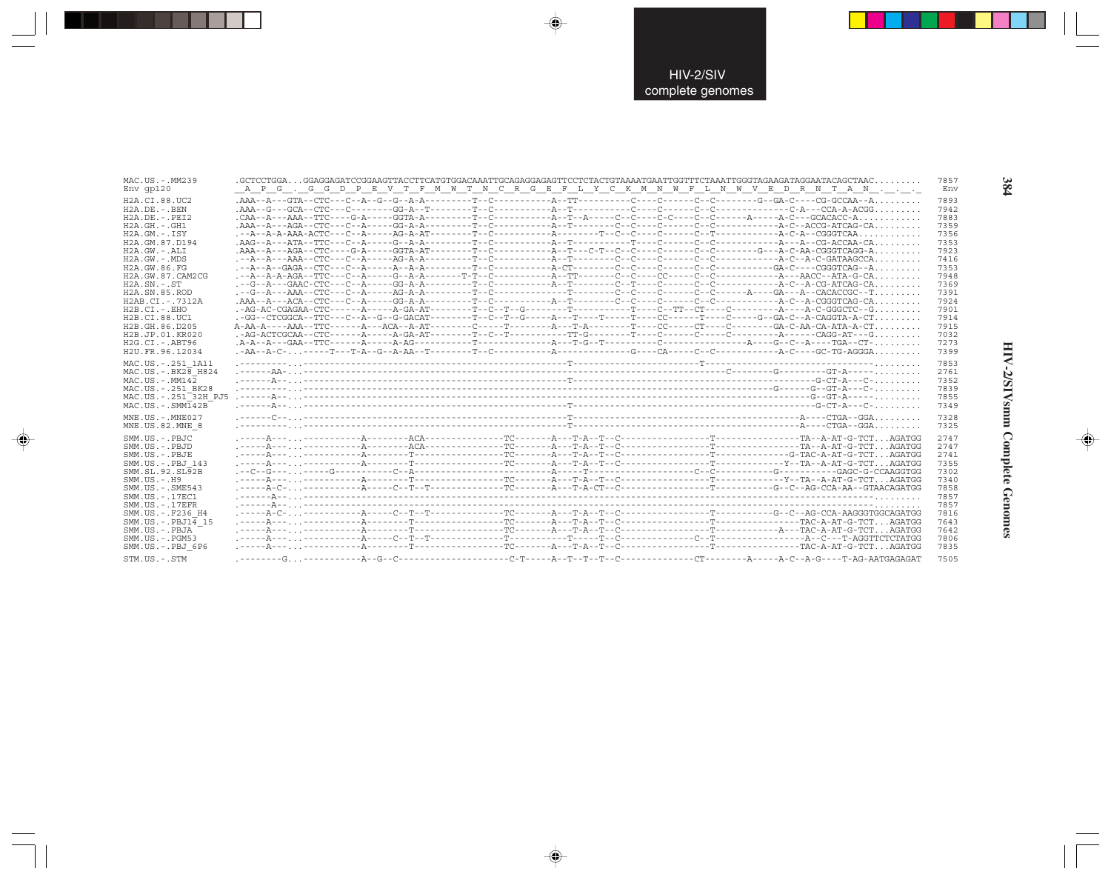| MAC.US.-.MM239<br>$Env$ qp $120$    |  |  |  | A P G . G G D P E V T F M W T N C R G E F L Y C K M N W F L N W V E D R N T A N | 7857<br>Env |
|-------------------------------------|--|--|--|---------------------------------------------------------------------------------|-------------|
| H2A.CI.88.UC2                       |  |  |  |                                                                                 | 7893        |
| $H2A$ . DE. $-$ . BEN               |  |  |  |                                                                                 | 7942        |
| $H2A.DE. - .PEI2$                   |  |  |  |                                                                                 | 7883        |
| $H2A.GH. - . GH1$                   |  |  |  |                                                                                 | 7359        |
| H2A.GM.-.ISY                        |  |  |  |                                                                                 | 7356        |
| H2A.GM.87.D194                      |  |  |  |                                                                                 | 7353        |
| $H2A.GW. - .ALI$                    |  |  |  |                                                                                 | 7923        |
| $H2A.GW. - .MDS$                    |  |  |  |                                                                                 |             |
|                                     |  |  |  |                                                                                 | 7416        |
| H2A.GW.86.FG                        |  |  |  |                                                                                 | 7353        |
| H2A.GW.87.CAM2CG                    |  |  |  |                                                                                 | 7948        |
| $H2A$ . $SN - ST$                   |  |  |  |                                                                                 | 7369        |
| H <sub>2</sub> A.SN.85.ROD          |  |  |  |                                                                                 | 7391        |
| H2AB.CI.-.7312A                     |  |  |  |                                                                                 | 7924        |
| $H2B.CI.-.EHO$                      |  |  |  |                                                                                 | 7901        |
| H2B.CI.88.UC1                       |  |  |  |                                                                                 | 7914        |
| H2B.GH.86.D205                      |  |  |  |                                                                                 | 7915        |
| H2B.JP.01.KR020                     |  |  |  |                                                                                 | 7032        |
| $H2G.CI.-.ABT96$                    |  |  |  |                                                                                 | 7273        |
| H2U.FR.96.12034                     |  |  |  |                                                                                 | 7399        |
| MAC.US. - . 251 1A11                |  |  |  |                                                                                 | 7853        |
| $MAC.US.-.BK2\overline{8}$ H824     |  |  |  |                                                                                 |             |
|                                     |  |  |  |                                                                                 | 2761        |
| MAC.US.-.MM142                      |  |  |  |                                                                                 | 7352        |
| MAC.US. - . 251 BK28                |  |  |  |                                                                                 | 7839        |
| MAC.US. - . 251 <sup>-32H</sup> PJ5 |  |  |  |                                                                                 | 7855        |
| $MAC . US . - . SIM142B$            |  |  |  |                                                                                 | 7349        |
| $MNE. US.-. MNE027$                 |  |  |  |                                                                                 | 7328        |
| MNE.US.82.MNE 8                     |  |  |  |                                                                                 | 7325        |
|                                     |  |  |  |                                                                                 |             |
| SMM.US.-.PBJC                       |  |  |  |                                                                                 | 2747        |
| SMM.US.-.PBJD                       |  |  |  |                                                                                 | 2747        |
| SMM.US.-.PBJE                       |  |  |  |                                                                                 | 2741        |
| SMM.US.-.PBJ 143                    |  |  |  |                                                                                 | 7355        |
| SMM.SL.92.SL92B                     |  |  |  |                                                                                 | 7302        |
| $SMM.US. - .H9$                     |  |  |  |                                                                                 | 7340        |
| $SMM.US. - .SME543$                 |  |  |  |                                                                                 | 7858        |
| SMM. US. - . 17EC1                  |  |  |  |                                                                                 | 7857        |
| $SMM. US. - .17EFR$                 |  |  |  |                                                                                 | 7857        |
| SMM.US. - .F236 H4                  |  |  |  |                                                                                 | 7816        |
| SMM. US. - . PBJ14 15               |  |  |  |                                                                                 | 7643        |
| SMM.US.-.PBJA                       |  |  |  |                                                                                 | 7642        |
| $SMM. US. - . PGM53$                |  |  |  |                                                                                 | 7806        |
|                                     |  |  |  |                                                                                 | 7835        |
| SMM.US.-.PBJ 6P6                    |  |  |  |                                                                                 |             |
| STM IIS - STM                       |  |  |  |                                                                                 | 7505        |

 $\begin{picture}(20,5) \put(0,0){\vector(0,1){10}} \put(15,0){\vector(0,1){10}} \put(15,0){\vector(0,1){10}} \put(15,0){\vector(0,1){10}} \put(15,0){\vector(0,1){10}} \put(15,0){\vector(0,1){10}} \put(15,0){\vector(0,1){10}} \put(15,0){\vector(0,1){10}} \put(15,0){\vector(0,1){10}} \put(15,0){\vector(0,1){10}} \put(15,0){\vector(0,1){10}} \put(15,0){\vector(0,$ 

 $\begin{picture}(20,5) \put(0,0){\vector(0,1){10}} \put(15,0){\vector(0,1){10}} \put(15,0){\vector(0,1){10}} \put(15,0){\vector(0,1){10}} \put(15,0){\vector(0,1){10}} \put(15,0){\vector(0,1){10}} \put(15,0){\vector(0,1){10}} \put(15,0){\vector(0,1){10}} \put(15,0){\vector(0,1){10}} \put(15,0){\vector(0,1){10}} \put(15,0){\vector(0,1){10}} \put(15,0){\vector(0,$ 

---

 $\begin{picture}(20,5) \put(0,0){\line(1,0){10}} \put(15,0){\line(1,0){10}} \put(15,0){\line(1,0){10}} \put(15,0){\line(1,0){10}} \put(15,0){\line(1,0){10}} \put(15,0){\line(1,0){10}} \put(15,0){\line(1,0){10}} \put(15,0){\line(1,0){10}} \put(15,0){\line(1,0){10}} \put(15,0){\line(1,0){10}} \put(15,0){\line(1,0){10}} \put(15,0){\line(1,$ 

 $\frac{1}{\sqrt{2}}$ 

384

w

o,

HIV-2/SIVsmm Complete Genomes

 $\begin{picture}(20,5) \put(0,0){\line(1,0){10}} \put(15,0){\line(1,0){10}} \put(15,0){\line(1,0){10}} \put(15,0){\line(1,0){10}} \put(15,0){\line(1,0){10}} \put(15,0){\line(1,0){10}} \put(15,0){\line(1,0){10}} \put(15,0){\line(1,0){10}} \put(15,0){\line(1,0){10}} \put(15,0){\line(1,0){10}} \put(15,0){\line(1,0){10}} \put(15,0){\line(1,$ 

 $\overline{\phantom{0}}$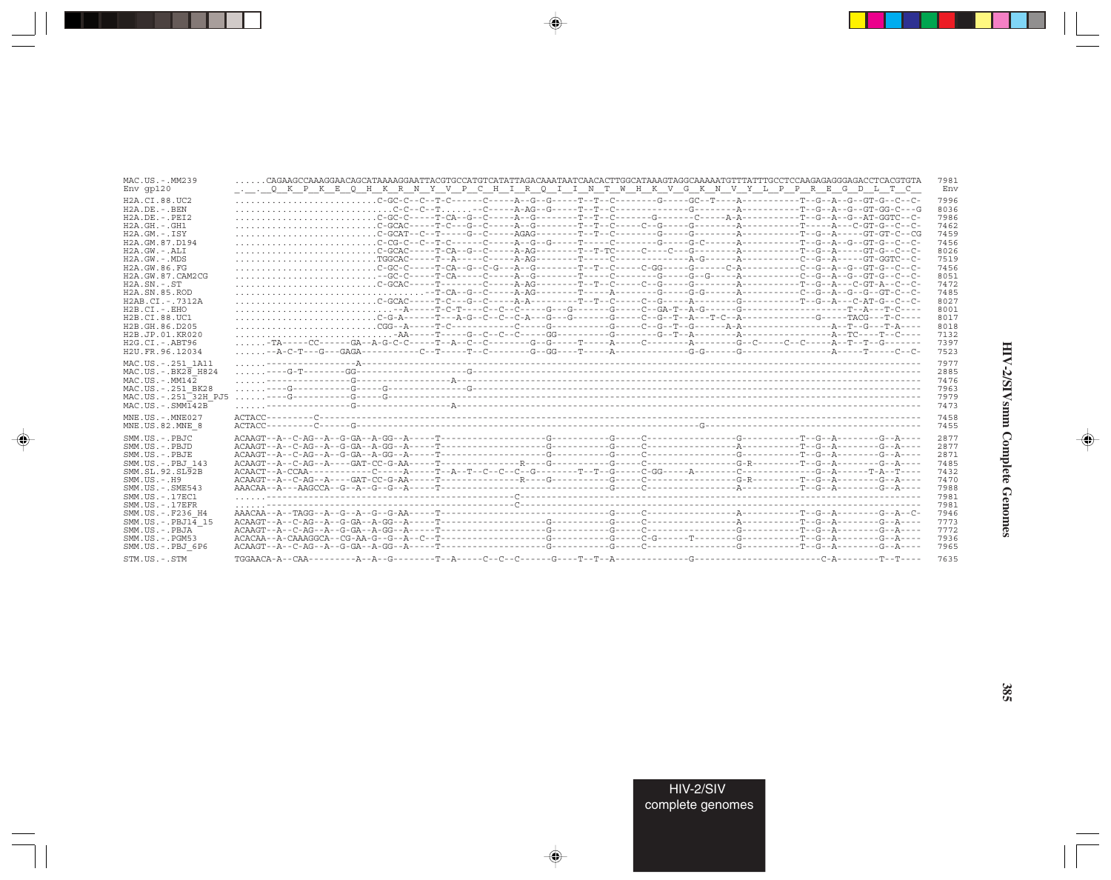| MAC.US.-.MM239                      | $\ldots \ldots$ CAGAAGCCAAAGGAACAGCATAAAAGGAATTACGTGCCATGTCATATTAGACAAATAATCAACACTTGGCATAAAGTAGGCAAAAATGTTTATTTGCCTCCAAGAGAGGGGAGACCTCACGTGTA.                 | 7981 |
|-------------------------------------|----------------------------------------------------------------------------------------------------------------------------------------------------------------|------|
| $Env$ qp $120$                      | <u>Q K P K E Q H K R N Y V P C H I R Q I I N T W H K V G K N V Y L P P R E G D L T C</u>                                                                       | Env  |
| H2A.CI.88.UC2                       |                                                                                                                                                                | 7996 |
| $H2A.DE. - .BEN$                    |                                                                                                                                                                | 8036 |
| $H2A.DE. - .PEI2$                   |                                                                                                                                                                | 7986 |
| $H2A.GH.-.GH1$                      |                                                                                                                                                                | 7462 |
| $H2A.GM.-.ISY$                      | $\ldots\ldots\ldots\ldots\ldots\ldots\ldots\ldots\ldots$ C-GCAT--C--T-----G--C-----AGAG--------T--T--C--------G-----G--------A---------T--G--A-----GT-GT-C--CG | 7459 |
| H2A.GM.87.D194                      |                                                                                                                                                                | 7456 |
| H2A.GW.-.ALI                        |                                                                                                                                                                | 8026 |
| H2A.GW.-.MDS                        |                                                                                                                                                                | 7519 |
| H2A.GW.86.FG                        |                                                                                                                                                                | 7456 |
| H2A.GW.87.CAM2CG                    |                                                                                                                                                                | 8051 |
| $H2A$ . $SN. - . ST$                |                                                                                                                                                                | 7472 |
| H <sub>2</sub> A.SN.85.ROD          |                                                                                                                                                                | 7485 |
| H2AB.CT. - . 7312A                  |                                                                                                                                                                | 8027 |
| $H2B.CI.-.EHO$                      |                                                                                                                                                                | 8001 |
| H2B.CI.88.UC1                       |                                                                                                                                                                | 8017 |
| H2B.GH.86.D205                      |                                                                                                                                                                | 8018 |
| H <sub>2</sub> B.JP.01.KR020        |                                                                                                                                                                | 7132 |
| $H2G.CI.-.ABT96$                    | -TA-----CC------GA--A-G-C-C-----T--A--C--C--------G--G-----T-----A-----C---------G--C-----C--C-----A--T--T--G--------                                          | 7397 |
| H2U.FR.96.12034                     |                                                                                                                                                                | 7523 |
| MAC.US. - . 251 1A11                |                                                                                                                                                                | 7977 |
| $MAC.US.-.BK2\overline{8}$ H824     |                                                                                                                                                                | 2885 |
| $MAC. US. - . MM142$                |                                                                                                                                                                | 7476 |
| MAC.US.-.251 BK28                   |                                                                                                                                                                | 7963 |
| MAC.US. - . 251 <sup>-32H</sup> PJ5 |                                                                                                                                                                | 7979 |
| $MAC . US . - . SIM142B$            |                                                                                                                                                                | 7473 |
| $MNE. US.-. MNE027$                 |                                                                                                                                                                | 7458 |
| MNE.US.82.MNE 8                     |                                                                                                                                                                | 7455 |
| SMM.US.-.PBJC                       |                                                                                                                                                                | 2877 |
| SMM.US.-.PBJD                       |                                                                                                                                                                | 2877 |
| SMM.US.-.PBJE                       |                                                                                                                                                                | 2871 |
| SMM.US.-.PBJ 143                    |                                                                                                                                                                | 7485 |
| SMM.SL.92.SL92B                     |                                                                                                                                                                | 7432 |
| $SMM. US. - . H9$                   |                                                                                                                                                                | 7470 |
| SMM.US. - . SME543                  |                                                                                                                                                                | 7988 |
| SMM. US. - . 17EC1                  |                                                                                                                                                                | 7981 |
| $SMM. US. - .17EFR$                 |                                                                                                                                                                | 7981 |
| SMM.US. - .F236 H4                  |                                                                                                                                                                | 7946 |
| SMM.US. - PBJ1 $\overline{4}$ 15    |                                                                                                                                                                | 7773 |
| SMM.US.-.PBJA                       |                                                                                                                                                                | 7772 |
| SMM.US.-.PGM53                      |                                                                                                                                                                | 7936 |
| SMM.US.-.PBJ 6P6                    |                                                                                                                                                                | 7965 |
| STM.US.-.STM                        |                                                                                                                                                                | 7635 |

 $\begin{picture}(20,5) \put(0,0){\vector(0,1){10}} \put(15,0){\vector(0,1){10}} \put(15,0){\vector(0,1){10}} \put(15,0){\vector(0,1){10}} \put(15,0){\vector(0,1){10}} \put(15,0){\vector(0,1){10}} \put(15,0){\vector(0,1){10}} \put(15,0){\vector(0,1){10}} \put(15,0){\vector(0,1){10}} \put(15,0){\vector(0,1){10}} \put(15,0){\vector(0,1){10}} \put(15,0){\vector(0,$ 

a shekara 1960

 $\overrightarrow{\phantom{a}}$ 

 $\frac{\overline{\mathcal{L}}}{\mathcal{L}}$ 

HIV-2/SIVsmm Complete Genomes

 $\begin{picture}(20,5) \put(0,0){\line(1,0){10}} \put(15,0){\line(1,0){10}} \put(15,0){\line(1,0){10}} \put(15,0){\line(1,0){10}} \put(15,0){\line(1,0){10}} \put(15,0){\line(1,0){10}} \put(15,0){\line(1,0){10}} \put(15,0){\line(1,0){10}} \put(15,0){\line(1,0){10}} \put(15,0){\line(1,0){10}} \put(15,0){\line(1,0){10}} \put(15,0){\line(1,$ 

 $\frac{1}{\sqrt{2\pi}}\int_{0}^{\pi}d\mathbf{x}^{2}d\mathbf{x}^{2}d\mathbf{x}^{2}d\mathbf{x}^{2}d\mathbf{x}^{2}d\mathbf{x}^{2}d\mathbf{x}^{2}d\mathbf{x}^{2}d\mathbf{x}^{2}d\mathbf{x}^{2}d\mathbf{x}^{2}d\mathbf{x}^{2}d\mathbf{x}^{2}d\mathbf{x}^{2}d\mathbf{x}^{2}d\mathbf{x}^{2}d\mathbf{x}^{2}d\mathbf{x}^{2}d\mathbf{x}^{2}d\mathbf{x}^{2}d\mathbf{x}^{2}d\mathbf{x}^{2}d$ 

 $\Box$ 

. . .

٠

385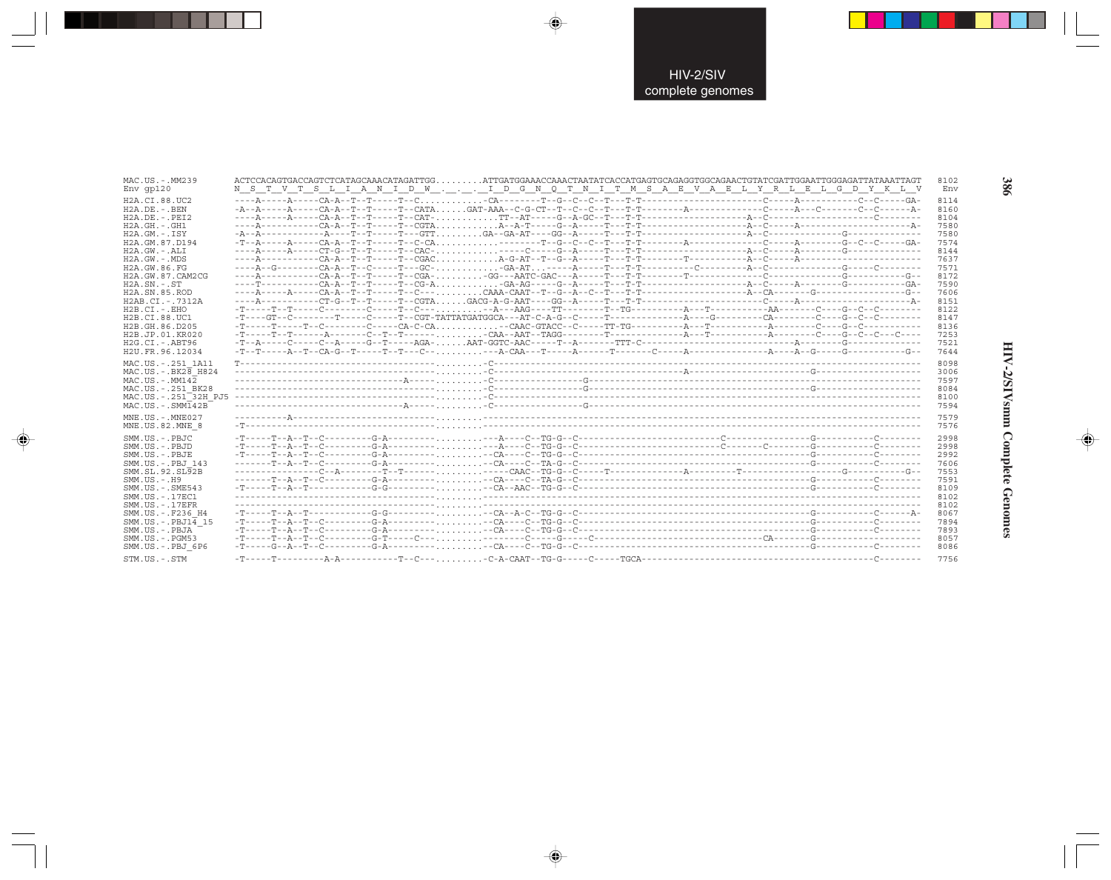| MAC.US.-.MM239                             | ACTCCACAGTGACCAGTCTCATAGCAAACATAGATTGGATTGATGGAAACCAAACTAATATCACCATGAGTGCAGAGGTGGCAGAACTGTATCGATTGGAATTGGAGATTATAAATTAGT |  | 8102<br>Env  |
|--------------------------------------------|--------------------------------------------------------------------------------------------------------------------------|--|--------------|
| $Env$ qp $120$                             | N S T V T S L I A N I D W I D G N Q T N I T M S A E V A E L Y R L E L G D Y K L V                                        |  |              |
| H <sub>2</sub> A.CI.88.UC <sub>2</sub>     |                                                                                                                          |  | 8114         |
| $H2A.DE. - .BEN$                           |                                                                                                                          |  | 8160         |
| $H2A.DE. - .PEI2$<br>$H2A.GH.-.GH1$        |                                                                                                                          |  | 8104<br>7580 |
| $H2A.GM.-.ISY$                             |                                                                                                                          |  | 7580         |
| H2A.GM.87.D194                             |                                                                                                                          |  | 7574         |
| H2A.GW.-.ALI                               |                                                                                                                          |  | 8144         |
| $H2A.GW. - MDS$                            |                                                                                                                          |  | 7637         |
| H2A.GW.86.FG                               |                                                                                                                          |  | 7571         |
| H2A.GW.87.CAM2CG                           |                                                                                                                          |  | 8172         |
| $H2A$ . $SN. - . ST$                       |                                                                                                                          |  | 7590         |
| H2A.SN.85.ROD                              |                                                                                                                          |  | 7606         |
| H2AB.CI.-.7312A                            |                                                                                                                          |  | 8151         |
| $H2B.CI.-EHO$                              |                                                                                                                          |  | 8122         |
| H2B.CI.88.UC1<br>H2B.GH.86.D205            |                                                                                                                          |  | 8147<br>8136 |
| H2B.JP.01.KR020                            |                                                                                                                          |  | 7253         |
| $H2G.CI.-.ABT96$                           |                                                                                                                          |  | 7521         |
| H2U.FR.96.12034                            |                                                                                                                          |  | 7644         |
|                                            |                                                                                                                          |  |              |
| MAC.US.-.251 1A11<br>MAC.US. - . BK28 H824 |                                                                                                                          |  | 8098<br>3006 |
| $MAC. US. - . MM142$                       |                                                                                                                          |  | 7597         |
| MAC.US.-.251 BK28                          |                                                                                                                          |  | 8084         |
| MAC.US.-.251 <sup>-32H</sup> PJ5           |                                                                                                                          |  | 8100         |
| $MAC . US . - . SIM142B$                   |                                                                                                                          |  | 7594         |
| MNE.US.-.MNE027                            |                                                                                                                          |  | 7579         |
| MNE.US.82.MNE 8                            |                                                                                                                          |  | 7576         |
|                                            |                                                                                                                          |  |              |
| SMM.US.-.PBJC<br>SMM.US.-.PBJD             |                                                                                                                          |  | 2998         |
| SMM.US.-.PBJE                              |                                                                                                                          |  | 2998<br>2992 |
| SMM.US.-.PBJ 143                           |                                                                                                                          |  | 7606         |
| SMM.SL.92.SL92B                            |                                                                                                                          |  | 7553         |
| $SMM. US. - . H9$                          |                                                                                                                          |  | 7591         |
| $SMM.US. - .SME543$                        |                                                                                                                          |  | 8109         |
| SMM. US. - . 17EC1                         |                                                                                                                          |  | 8102         |
| $SMM$ . US. $-$ . 17EFR                    |                                                                                                                          |  | 8102         |
| SMM.US. -. F236 H4                         |                                                                                                                          |  | 8067         |
| $SMM.US.-.PBJ14$ 15                        |                                                                                                                          |  | 7894         |
| SMM.US.-.PBJA                              |                                                                                                                          |  | 7893         |
| $SMM.US. - . PGM53$                        |                                                                                                                          |  | 8057         |
| SMM.US.-.PBJ 6P6                           |                                                                                                                          |  | 8086         |
| STM.US.-.STM                               |                                                                                                                          |  | 7756         |

 $\color{red} \blacklozenge$ 

 $\bigoplus$ 

 $\overline{\bigoplus}$ 

HIV-2/SIVsmm Complete Genomes

 $\Rightarrow$ 

386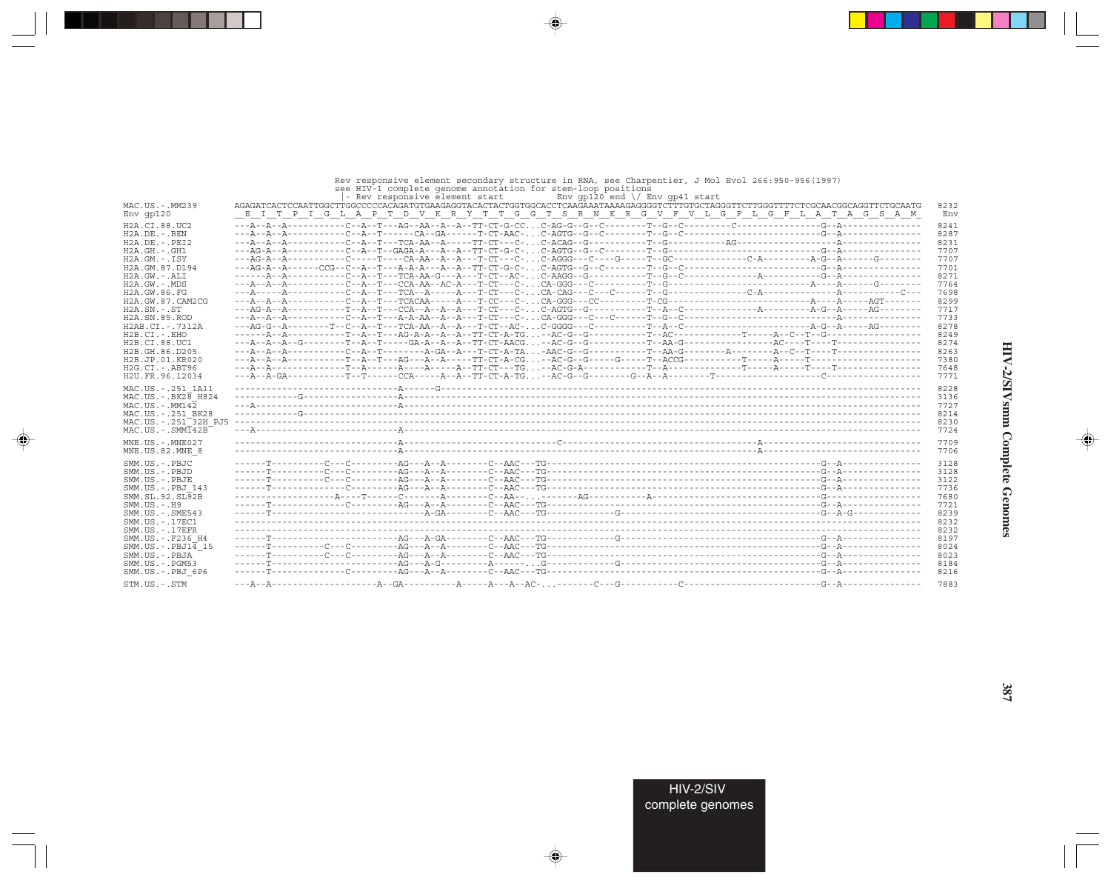### Rev responsive element secondary structure in RNA, see Charpentier, J Mol Evol 266:950-956(1997)<br>see HIV-1 complete genome annotation for stem-loop positions

 $\Rightarrow$ 

. . .

 $\bigoplus$ 

|                                  | Env $qp120$ end $\setminus$ Env $qp41$ start<br>- Rev responsive element start                                                     |      |
|----------------------------------|------------------------------------------------------------------------------------------------------------------------------------|------|
| MAC.US.-.MM239                   | AGAGATCACTCCAATTGGCTTGGCCCCCACAGATGTGAAGAGGTACACTACTGGTGGCACCTCAAGAAATAAAAGAGGGGTCTTTGTGCTAGGGTTCTTGGGTTTTCTCGCAACGGCAGGTTCTGCAATG | 8232 |
| $Env$ qp $120$                   | E I T P I G L A P T D V K R Y T T G G T S R N K R G V F V L G F L G F L A T A G S A M                                              | Env  |
| H2A.CI.88.UC2                    |                                                                                                                                    | 8241 |
| $H2A.DE. - .BEN$                 |                                                                                                                                    | 8287 |
| $H2A.DE. - .PEI2$                |                                                                                                                                    | 8231 |
| $H2A.GH. - .GH1$                 |                                                                                                                                    | 7707 |
| $H2A.GM.-.ISY$                   |                                                                                                                                    | 7707 |
| H2A.GM.87.D194                   |                                                                                                                                    | 7701 |
| H2A.GW.-.ALI                     |                                                                                                                                    | 8271 |
| H2A.GW.-.MDS                     |                                                                                                                                    | 7764 |
| H2A. GW. 86. FG                  |                                                                                                                                    | 7698 |
| H2A.GW.87.CAM2CG                 |                                                                                                                                    | 8299 |
| $H2A$ . $SN. - . ST$             |                                                                                                                                    | 7717 |
| H <sub>2</sub> A.SN.85.ROD       |                                                                                                                                    | 7733 |
| H2AB.CI.-.7312A                  |                                                                                                                                    | 8278 |
| $H2B.CI.-EHO$                    |                                                                                                                                    | 8249 |
| H2B.CI.88.UC1                    |                                                                                                                                    | 8274 |
| H2B.GH.86.D205                   |                                                                                                                                    | 8263 |
| H <sub>2</sub> B.JP.01.KR020     |                                                                                                                                    | 7380 |
| $H2G.CI.-.ABT96$                 |                                                                                                                                    | 7648 |
| H2U.FR.96.12034                  |                                                                                                                                    | 7771 |
| MAC.US. - . 251 1A11             |                                                                                                                                    | 8228 |
| $MAC$ . US. $-$ BK28 H824        |                                                                                                                                    | 3136 |
| $MAC. US.-. MM142$               |                                                                                                                                    | 7727 |
| MAC.US. - . 251 BK28             |                                                                                                                                    | 8214 |
| MAC.US.-.251 <sup>-32H</sup> PJ5 |                                                                                                                                    | 8230 |
| $MAC . US . - . SIMT42B$         |                                                                                                                                    | 7724 |
| MNE.US.-.MNE027                  |                                                                                                                                    | 7709 |
| MNE.US.82.MNE 8                  |                                                                                                                                    | 7706 |
| SMM.US.-.PBJC                    |                                                                                                                                    | 3128 |
| SMM.US.-.PBJD                    |                                                                                                                                    | 3128 |
| SMM.US.-.PBJE                    |                                                                                                                                    | 3122 |
| SMM.US.-.PBJ 143                 |                                                                                                                                    | 7736 |
| SMM. SL. 92. SL92B               |                                                                                                                                    | 7680 |
| $SMM. US. - . H9$                |                                                                                                                                    | 7721 |
| $SMM.US. - .SME543$              |                                                                                                                                    | 8239 |
| SMM.US.-.17EC1                   |                                                                                                                                    | 8232 |
| $SMM$ . US. $-$ . 17EFR          |                                                                                                                                    | 8232 |
| SMM.US.-.F236 H4                 |                                                                                                                                    | 8197 |
| $SMM.US.-.PBJ14$ 15              |                                                                                                                                    | 8024 |
| SMM.US.-.PBJA                    |                                                                                                                                    | 8023 |
| $SMM. US. - . PGM53$             |                                                                                                                                    | 8184 |
| SMM.US.-.PBJ 6P6                 |                                                                                                                                    | 8216 |
| STM.US.-.STM                     |                                                                                                                                    | 7883 |

 $\Rightarrow$ 

 $\Rightarrow$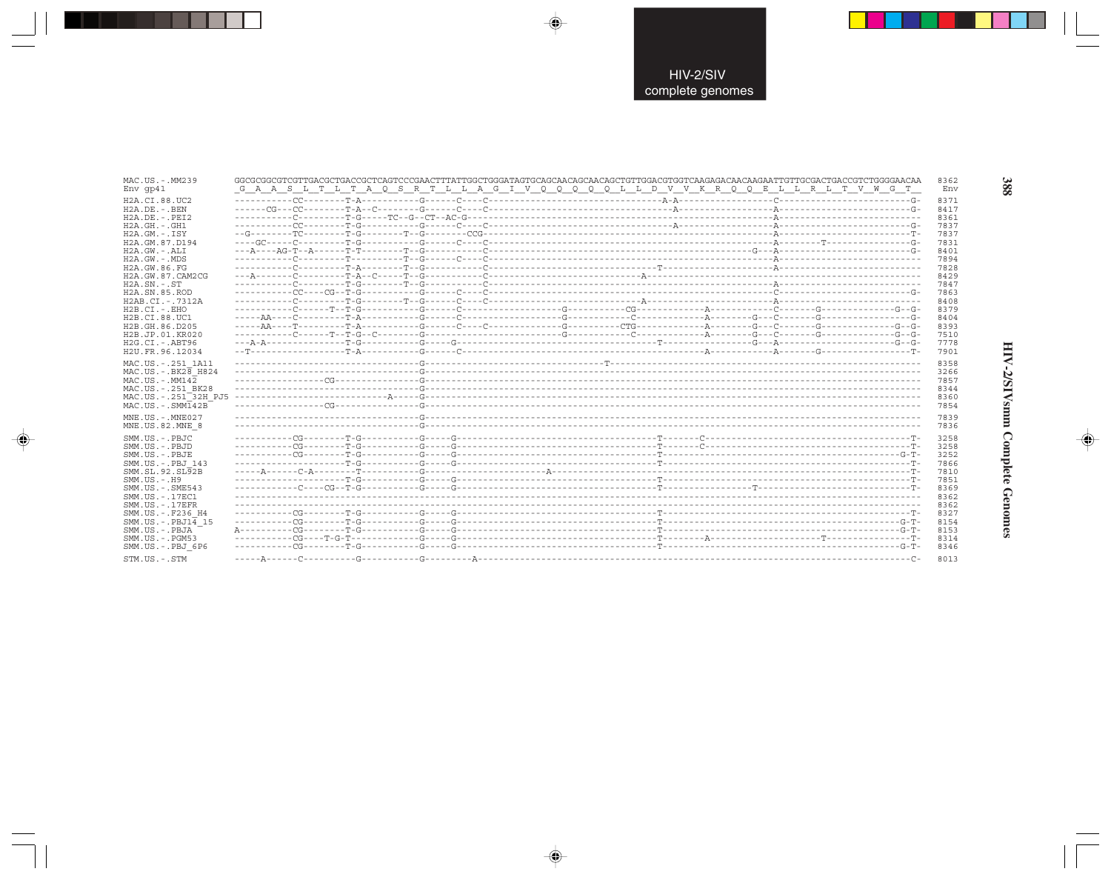| MAC.US.-.MM239<br>Env qp41                               |  | GGCGCGGCGTCGTTGACGCTCACCGCTCAGTCCCGAACTTTATTGGCTGGGATAGTGCAGCAACAGCAACAGCTGTTGGACGTGGTCAAGAACAACAAGAATTGTTGCGACTGACCGTCTGGGGAACAA<br>G A A S L T L T A Q S R T L L A G I V Q Q Q Q Q L L D V V K R Q Q E L L R L T V W G T | 8362<br>Env  |
|----------------------------------------------------------|--|----------------------------------------------------------------------------------------------------------------------------------------------------------------------------------------------------------------------------|--------------|
| H2A.CI.88.UC2<br>H2A.DE. - .BEN                          |  |                                                                                                                                                                                                                            | 8371<br>8417 |
| $H2A.DE. - .PEI2$                                        |  |                                                                                                                                                                                                                            | 8361         |
| $H2A.GH.-.GH1$<br>$H2A.GM.-.ISY$                         |  |                                                                                                                                                                                                                            | 7837<br>7837 |
| H2A.GM.87.D194                                           |  |                                                                                                                                                                                                                            | 7831         |
| H2A.GW.-.ALI<br>$H2A.GW. - .MDS$                         |  |                                                                                                                                                                                                                            | 8401<br>7894 |
| H2A.GW.86.FG                                             |  |                                                                                                                                                                                                                            | 7828         |
| H2A.GW.87.CAM2CG<br>$H2A.SN.-.ST$                        |  |                                                                                                                                                                                                                            | 8429<br>7847 |
| H2A.SN.85.ROD                                            |  |                                                                                                                                                                                                                            | 7863         |
| H2AB.CI.-.7312A<br>$H2B.CI.-EHO$                         |  |                                                                                                                                                                                                                            | 8408         |
| H2B.CI.88.UC1                                            |  |                                                                                                                                                                                                                            | 8379<br>8404 |
| H2B.GH.86.D205                                           |  |                                                                                                                                                                                                                            | 8393         |
| H2B.JP.01.KR020<br>$H2G.CI.-ABT96$                       |  |                                                                                                                                                                                                                            | 7510<br>7778 |
| H2U.FR.96.12034                                          |  |                                                                                                                                                                                                                            | 7901         |
| MAC.US.-.251 1A11<br>$MAC.US.-.BK2\overline{8}$ H824     |  |                                                                                                                                                                                                                            | 8358         |
| $MAC. US. - . MM142$                                     |  |                                                                                                                                                                                                                            | 3266<br>7857 |
| MAC.US. - . 251 BK28<br>MAC.US.-.251 <sup>-32H</sup> PJ5 |  |                                                                                                                                                                                                                            | 8344         |
| MAC.US.-.SMMT42B                                         |  |                                                                                                                                                                                                                            | 8360<br>7854 |
| $MNE. US.-. MNE027$                                      |  |                                                                                                                                                                                                                            | 7839         |
| MNE.US.82.MNE 8                                          |  |                                                                                                                                                                                                                            | 7836         |
| SMM.US.-.PBJC<br>SMM.US.-.PBJD                           |  |                                                                                                                                                                                                                            | 3258<br>3258 |
| SMM.US.-.PBJE                                            |  |                                                                                                                                                                                                                            | 3252         |
| SMM.US.-.PBJ 143<br>SMM.SL.92.SL92B                      |  |                                                                                                                                                                                                                            | 7866<br>7810 |
| $SMM.US.-.H9$                                            |  |                                                                                                                                                                                                                            | 7851         |
| $SMM.US. - .SME543$<br>SMM.US.-.17EC1                    |  |                                                                                                                                                                                                                            | 8369<br>8362 |
| $SMM. US. - .17EFR$                                      |  |                                                                                                                                                                                                                            | 8362         |
| SMM.US. -. F236 H4<br>SMM.US.-.PBJ14 15                  |  |                                                                                                                                                                                                                            | 8327<br>8154 |
| SMM.US.-.PBJA                                            |  |                                                                                                                                                                                                                            | 8153         |
| SMM.US.-.PGM53<br>SMM.US.-.PBJ 6P6                       |  |                                                                                                                                                                                                                            | 8314<br>8346 |
| STM.US.-.STM                                             |  |                                                                                                                                                                                                                            | 8013         |

 $\overline{\blacklozenge}$ 

 $\overrightarrow{\bigcirc}$ 

. . .

 $\Rightarrow$ 

388

HIV-2/SIVsmm Complete Genomes

 $\Rightarrow$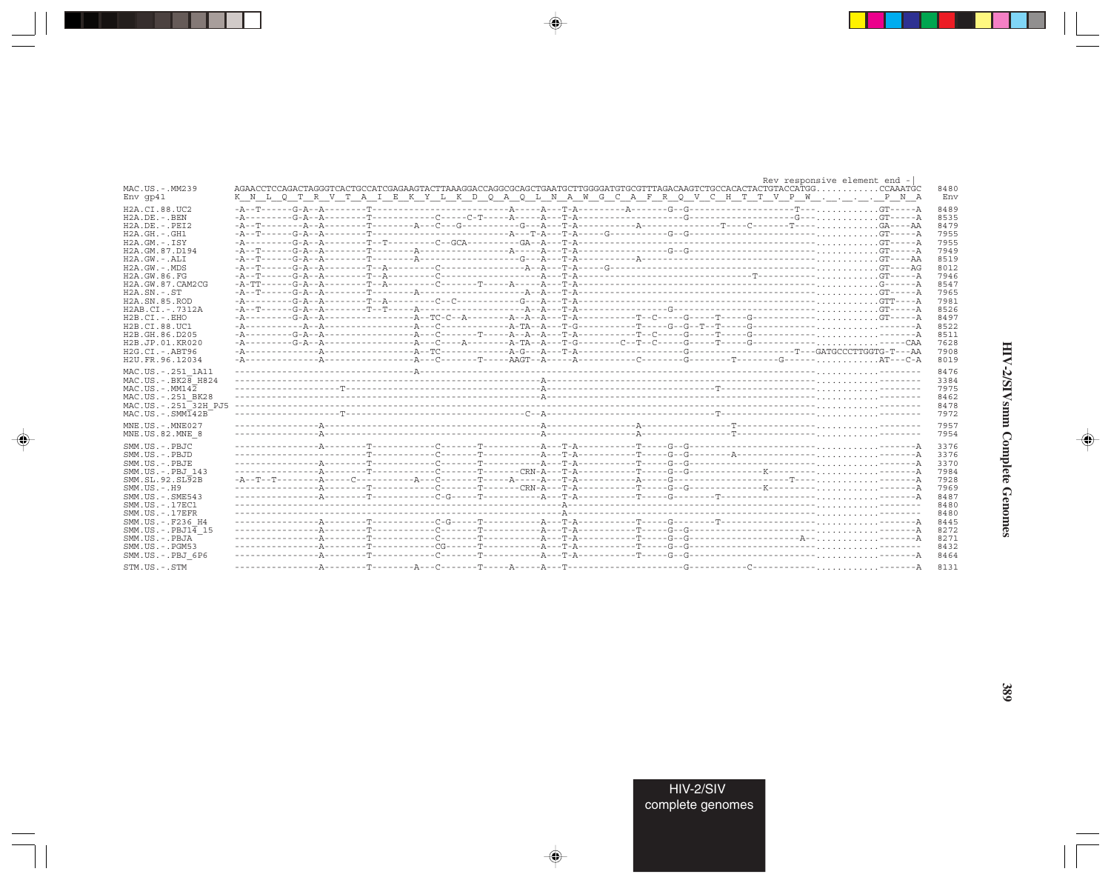|                                                                                                                                   |                                                                                 |  |  |  |  |  |  |  |  |  |  |  |  |  | Rev responsive element end - |  |
|-----------------------------------------------------------------------------------------------------------------------------------|---------------------------------------------------------------------------------|--|--|--|--|--|--|--|--|--|--|--|--|--|------------------------------|--|
| MAC.US.-.MM239<br>Env qp41                                                                                                        | K N L Q T R V T A I E K Y L K D Q A Q L N A W G C A F R Q V C H T T V P W P N A |  |  |  |  |  |  |  |  |  |  |  |  |  |                              |  |
| H2A.CI.88.UC2                                                                                                                     |                                                                                 |  |  |  |  |  |  |  |  |  |  |  |  |  |                              |  |
| $H2A.DE. - .BEN$                                                                                                                  |                                                                                 |  |  |  |  |  |  |  |  |  |  |  |  |  |                              |  |
| $H2A.DE. - .PEI2$                                                                                                                 |                                                                                 |  |  |  |  |  |  |  |  |  |  |  |  |  |                              |  |
| $H2A.GH.-.GH1$                                                                                                                    |                                                                                 |  |  |  |  |  |  |  |  |  |  |  |  |  |                              |  |
|                                                                                                                                   |                                                                                 |  |  |  |  |  |  |  |  |  |  |  |  |  |                              |  |
| $H2A.GM.-.ISY$                                                                                                                    |                                                                                 |  |  |  |  |  |  |  |  |  |  |  |  |  |                              |  |
| H2A.GM.87.D194                                                                                                                    |                                                                                 |  |  |  |  |  |  |  |  |  |  |  |  |  |                              |  |
| $H2A.GW.-.ALI$                                                                                                                    |                                                                                 |  |  |  |  |  |  |  |  |  |  |  |  |  |                              |  |
| $H2A.GW. - .MDS$                                                                                                                  |                                                                                 |  |  |  |  |  |  |  |  |  |  |  |  |  |                              |  |
| H2A.GW.86.FG                                                                                                                      |                                                                                 |  |  |  |  |  |  |  |  |  |  |  |  |  |                              |  |
| H2A.GW.87.CAM2CG                                                                                                                  |                                                                                 |  |  |  |  |  |  |  |  |  |  |  |  |  |                              |  |
| $H2A.SN.-.ST$                                                                                                                     |                                                                                 |  |  |  |  |  |  |  |  |  |  |  |  |  |                              |  |
| H2A.SN.85.ROD                                                                                                                     |                                                                                 |  |  |  |  |  |  |  |  |  |  |  |  |  |                              |  |
| H2AB.CI.-.7312A                                                                                                                   |                                                                                 |  |  |  |  |  |  |  |  |  |  |  |  |  |                              |  |
| $H2B.CI. - . EHO$                                                                                                                 |                                                                                 |  |  |  |  |  |  |  |  |  |  |  |  |  |                              |  |
| H2B.CI.88.UC1                                                                                                                     |                                                                                 |  |  |  |  |  |  |  |  |  |  |  |  |  |                              |  |
| H2B.GH.86.D205                                                                                                                    |                                                                                 |  |  |  |  |  |  |  |  |  |  |  |  |  |                              |  |
| H <sub>2</sub> B.JP.01.KR020                                                                                                      |                                                                                 |  |  |  |  |  |  |  |  |  |  |  |  |  |                              |  |
|                                                                                                                                   |                                                                                 |  |  |  |  |  |  |  |  |  |  |  |  |  |                              |  |
| H2G.CI.-.ABT96<br>H2U.FR.96.12034                                                                                                 |                                                                                 |  |  |  |  |  |  |  |  |  |  |  |  |  |                              |  |
| MAC.US. - . 251 1A11<br>$MAC. US. - . BK26$ H824<br>$MAC. US. - . MM142$<br>MAC.US.-.251 BK28<br>MAC.US.-.251 <sup>-32H</sup> PJ5 |                                                                                 |  |  |  |  |  |  |  |  |  |  |  |  |  |                              |  |
| $MAC. US. - . SIM142B$                                                                                                            |                                                                                 |  |  |  |  |  |  |  |  |  |  |  |  |  |                              |  |
| MNE.US.-.MNE027                                                                                                                   |                                                                                 |  |  |  |  |  |  |  |  |  |  |  |  |  |                              |  |
| MNE.US.82.MNE 8                                                                                                                   |                                                                                 |  |  |  |  |  |  |  |  |  |  |  |  |  |                              |  |
| SMM.US.-.PBJC                                                                                                                     |                                                                                 |  |  |  |  |  |  |  |  |  |  |  |  |  |                              |  |
| SMM.US.-.PBJD                                                                                                                     |                                                                                 |  |  |  |  |  |  |  |  |  |  |  |  |  |                              |  |
| SMM.US.-.PBJE                                                                                                                     |                                                                                 |  |  |  |  |  |  |  |  |  |  |  |  |  |                              |  |
|                                                                                                                                   |                                                                                 |  |  |  |  |  |  |  |  |  |  |  |  |  |                              |  |
| SMM.US. - PBJ 143                                                                                                                 |                                                                                 |  |  |  |  |  |  |  |  |  |  |  |  |  |                              |  |
| SMM.SL.92.SL92B                                                                                                                   |                                                                                 |  |  |  |  |  |  |  |  |  |  |  |  |  |                              |  |
| $SMM. US. - . H9$                                                                                                                 |                                                                                 |  |  |  |  |  |  |  |  |  |  |  |  |  |                              |  |
| $SMM.US. - .SME543$                                                                                                               |                                                                                 |  |  |  |  |  |  |  |  |  |  |  |  |  |                              |  |
| SMM. US. - . 17EC1                                                                                                                |                                                                                 |  |  |  |  |  |  |  |  |  |  |  |  |  |                              |  |
| $SMM. US. - .17EFR$                                                                                                               |                                                                                 |  |  |  |  |  |  |  |  |  |  |  |  |  |                              |  |
| SMM.US.-.F236 H4                                                                                                                  |                                                                                 |  |  |  |  |  |  |  |  |  |  |  |  |  |                              |  |
| $SMM.US.-.PBJ1\overline{4}15$                                                                                                     |                                                                                 |  |  |  |  |  |  |  |  |  |  |  |  |  |                              |  |
| SMM.US.-.PBJA                                                                                                                     |                                                                                 |  |  |  |  |  |  |  |  |  |  |  |  |  |                              |  |
| $SMM. US. - . PGM53$                                                                                                              |                                                                                 |  |  |  |  |  |  |  |  |  |  |  |  |  |                              |  |
| SMM.US.-.PBJ 6P6                                                                                                                  |                                                                                 |  |  |  |  |  |  |  |  |  |  |  |  |  |                              |  |
|                                                                                                                                   |                                                                                 |  |  |  |  |  |  |  |  |  |  |  |  |  |                              |  |
| STM.US.-.STM                                                                                                                      |                                                                                 |  |  |  |  |  |  |  |  |  |  |  |  |  |                              |  |

 $\begin{picture}(20,5) \put(0,0){\vector(0,1){10}} \put(15,0){\vector(0,1){10}} \put(15,0){\vector(0,1){10}} \put(15,0){\vector(0,1){10}} \put(15,0){\vector(0,1){10}} \put(15,0){\vector(0,1){10}} \put(15,0){\vector(0,1){10}} \put(15,0){\vector(0,1){10}} \put(15,0){\vector(0,1){10}} \put(15,0){\vector(0,1){10}} \put(15,0){\vector(0,1){10}} \put(15,0){\vector(0,$ 

a shekara 1960

 $\overrightarrow{\phantom{a}}$ 

 $\equiv$ 

HIV-2/SIVsmm Complete Genomes

 $\begin{picture}(20,5) \put(0,0){\line(1,0){10}} \put(15,0){\line(1,0){10}} \put(15,0){\line(1,0){10}} \put(15,0){\line(1,0){10}} \put(15,0){\line(1,0){10}} \put(15,0){\line(1,0){10}} \put(15,0){\line(1,0){10}} \put(15,0){\line(1,0){10}} \put(15,0){\line(1,0){10}} \put(15,0){\line(1,0){10}} \put(15,0){\line(1,0){10}} \put(15,0){\line(1,$ 

 $\equiv$ 

 $\Box$ 

. . .

-1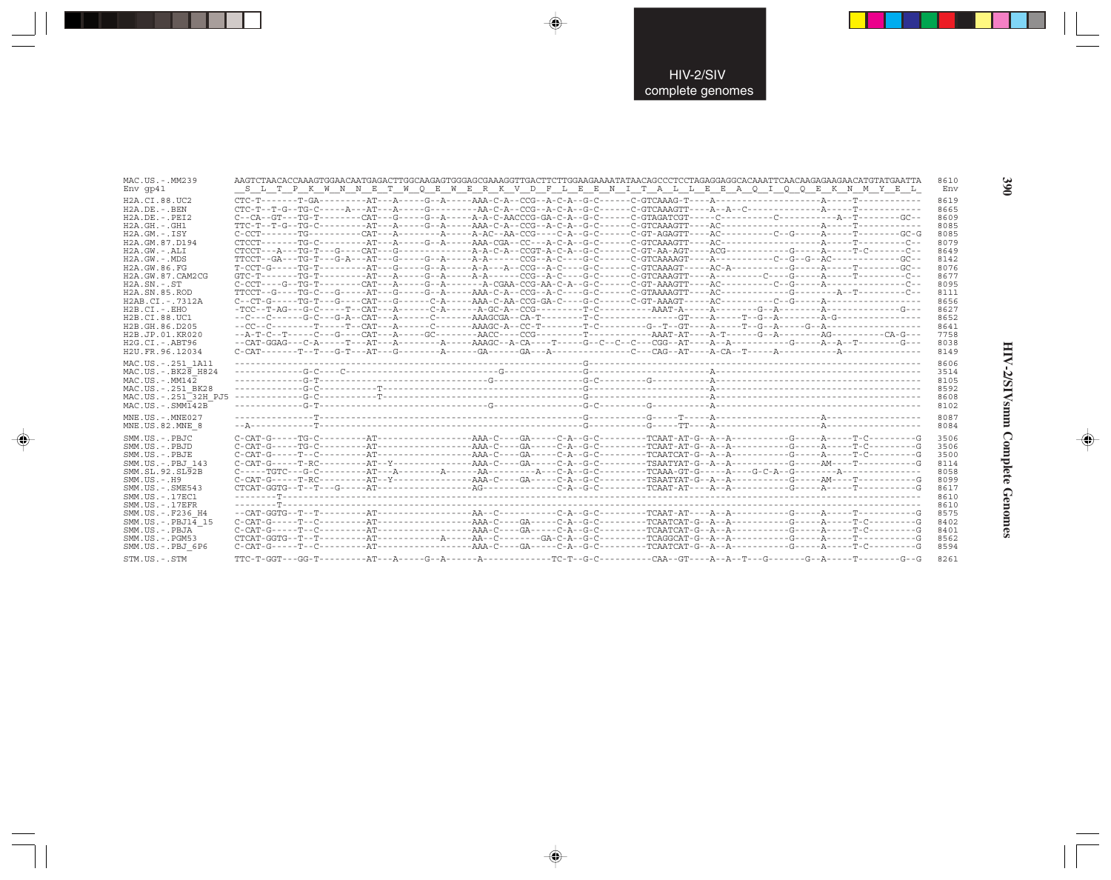| MAC.US.-.MM239<br>Env qp41                                                                                                                                                                                                                                                                                           |                     |  | AAGTCTAACACCAAAGTGGAACAATGAGACTTGGCAAGAGTGGGAGCGAAAGGTTGACTTCTTGGAAGAAAATATAACAGCCCTCCTAGAGGAGGCACAAATTCAACAAGAAGAACATGTATGAATTA<br>8610<br>S L T P K W N N E T W O E W E R K V D F L E E N I T A L L E E A O I O O E K N M Y E L                                                                               |
|----------------------------------------------------------------------------------------------------------------------------------------------------------------------------------------------------------------------------------------------------------------------------------------------------------------------|---------------------|--|-----------------------------------------------------------------------------------------------------------------------------------------------------------------------------------------------------------------------------------------------------------------------------------------------------------------|
| H2A.CI.88.UC2<br>$H2A.DE. -.BEN$<br>$H2A.DE. - .PEI2$<br>$H2A.GH. - .GH1$<br>$H2A.GM.-.ISY$<br>H2A.GM.87.D194<br>$H2A.GW. - .ALI$<br>$H2A.GW. - .MDS$<br>H2A.GW.86.FG<br>H2A.GW.87.CAM2CG<br>$H2A.SN.-.ST$<br>H <sub>2</sub> A.SN.85.ROD<br>$H2AB.CI. - .7312A$<br>$H2B.CI.-.EHO$<br>H2B.CI.88.UC1<br>H2B.GH.86.D205 |                     |  | 8619<br>8665<br>8609<br>8085<br>$C$ - $C$ CT--------TG----------CAT---A---------A------A-AC--AA-CCG----C-A--G-C-------C-GT-AGAGTT----AC---------C--G-----A-----T--------GC-G<br>8085<br>8079<br>8649<br>8142<br>8076<br>8677<br>8095<br>8111<br>8656<br>8627<br>8652<br>8641                                    |
| H2B.JP.01.KR020<br>$H2G.CI.-.ABT96$<br>H2U.FR.96.12034                                                                                                                                                                                                                                                               |                     |  | 7758<br>8038<br>8149                                                                                                                                                                                                                                                                                            |
| MAC.US. - . 251 1A11<br>$MAC.US.-.BK2\overline{8}$ H824<br>$MAC. US. - . MM142$<br>MAC.US. - . 251 BK28<br>MAC.US. - . 251 <sup>-32H</sup> PJ5<br>$MAC. US. - . SIMT42B$                                                                                                                                             |                     |  | 8606<br>3514<br>8105<br>8592<br>8608<br>8102                                                                                                                                                                                                                                                                    |
| MNE.US.-.MNE027<br>MNE.US.82.MNE 8                                                                                                                                                                                                                                                                                   |                     |  | 8087<br>8084                                                                                                                                                                                                                                                                                                    |
| SMM.US.-.PBJC<br>SMM.US.- PBJD<br>SMM.US.-.PBJE<br>SMM.US.-.PBJ 143<br>SMM.SL.92.SL92B<br>$SMM. US. - . H9$<br>$SMM. US. - . SME543$<br>SMM. US. - . 17EC1                                                                                                                                                           |                     |  | 3506<br>$C-CAT-G----TG-C-------AT--------------AAA-C----GA---C-A--G-C-------TCAAT-AT-G--A---A---A---G---C---A---C-A---A---C-A---A---C.$<br>3506<br>3500<br>8114<br>8058<br>$C-CAT-G---T-RC---2-AT-Y---2---2-2---AAA-C---GA---C-A--G-C---2---T SAATYAT-G--A---A---C--C---2---AM---C---A$<br>8099<br>8617<br>8610 |
| $SMM. US. - .17EFR$<br>SMM.US.-.F236 H4<br>SMM.US. - . PBJ14 15<br>SMM.US.-.PBJA<br>$SMM. US. - . PGM53$<br>SMM.US.-.PBJ 6P6<br>STM.US.-.STM                                                                                                                                                                         | $TTC-T-GGT---GG-T-$ |  | 8610<br>8575<br>8402<br>8401<br>8562<br>$C-CAT-G---T-C---2-2+AT---2-2---C-2-2-2-2-3-3-1-1-4-4-1-4-1-4-1-4-1-4-1-4-1-1-1-4-1-4-1-4-1-4-1-4-1-4-1-4-1-4-1-4-1-4-1-4-1-4-1-4-1-4-1-4-1-4-1-4-1-4-1-4-1-4-1-4-1-4-1-4-1-4-1-4-1-4-1-4-1-4-1-4-1-4-1-4-1-4-1-4-1-4-1-4-1-4-1-4-1-4-1-4-$<br>8594<br>8261             |

 $\begin{picture}(20,5) \put(0,0){\vector(0,1){10}} \put(15,0){\vector(0,1){10}} \put(15,0){\vector(0,1){10}} \put(15,0){\vector(0,1){10}} \put(15,0){\vector(0,1){10}} \put(15,0){\vector(0,1){10}} \put(15,0){\vector(0,1){10}} \put(15,0){\vector(0,1){10}} \put(15,0){\vector(0,1){10}} \put(15,0){\vector(0,1){10}} \put(15,0){\vector(0,1){10}} \put(15,0){\vector(0,$ 

 $\Rightarrow$ 

. . .

 $\Rightarrow$ 

390

**HIV-2/SIVsmm Complete Genomes 390** HIV-2/SIVsmm Complete Genomes

 $\Rightarrow$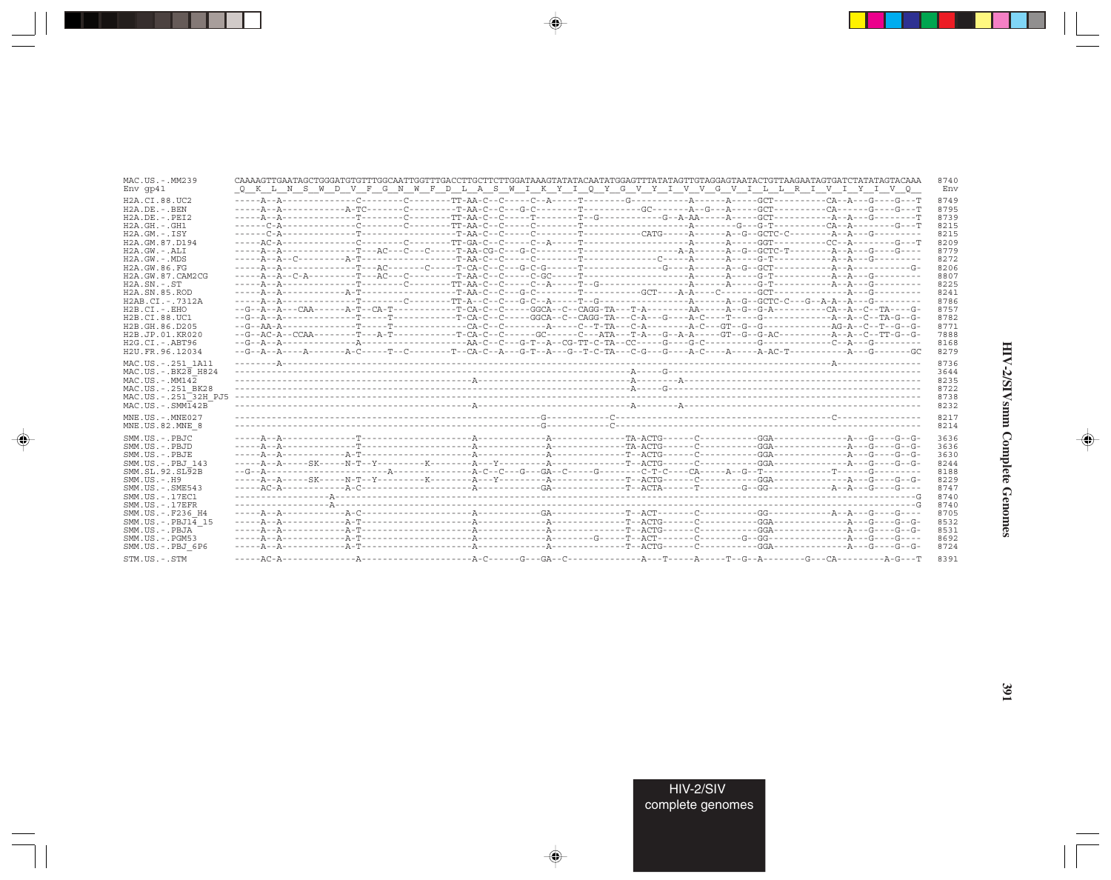| MAC.US.-.MM239<br>Env qp41           |  |  |  | CAAAAGTTGAATAGCTGGGATGTGTTTGGCAATTGGTTTGACCTTGCTTCTTGGATAAAGTATATACAATATGGAGTTTATATAGTTGTAGGAGTAATACTGTTAAGAATAGTGATCTATATAGTACAAA<br>Q K L N S W D V F G N W F D L A S W I K Y I Q Y G V Y I V V G V I L L R I V I Y I V Q | 8740<br>Env |
|--------------------------------------|--|--|--|-----------------------------------------------------------------------------------------------------------------------------------------------------------------------------------------------------------------------------|-------------|
| H2A.CI.88.UC2                        |  |  |  |                                                                                                                                                                                                                             | 8749        |
| $H2A$ . DE. $-$ . BEN                |  |  |  |                                                                                                                                                                                                                             | 8795        |
| $H2A.DE. - .PEI2$                    |  |  |  |                                                                                                                                                                                                                             | 8739        |
| $H2A.GH. - .GH1$                     |  |  |  |                                                                                                                                                                                                                             | 8215        |
| $H2A.GM.-.ISY$                       |  |  |  |                                                                                                                                                                                                                             | 8215        |
| H2A.GM.87.D194                       |  |  |  |                                                                                                                                                                                                                             | 8209        |
| $H2A.GW. - .ALI$                     |  |  |  |                                                                                                                                                                                                                             | 8779        |
| H2A.GW.-.MDS                         |  |  |  |                                                                                                                                                                                                                             | 8272        |
| H2A.GW.86.FG                         |  |  |  |                                                                                                                                                                                                                             | 8206        |
| H2A.GW.87.CAM2CG                     |  |  |  |                                                                                                                                                                                                                             | 8807        |
| $H2A$ . $SN. - . ST$                 |  |  |  |                                                                                                                                                                                                                             | 8225        |
| H2A.SN.85.ROD                        |  |  |  |                                                                                                                                                                                                                             | 8241        |
| H2AB.CI.-.7312A                      |  |  |  |                                                                                                                                                                                                                             | 8786        |
|                                      |  |  |  |                                                                                                                                                                                                                             |             |
| $H2B.CI.-EHO$                        |  |  |  |                                                                                                                                                                                                                             | 8757        |
| H2B.CI.88.UC1                        |  |  |  |                                                                                                                                                                                                                             | 8782        |
| H2B.GH.86.D205                       |  |  |  |                                                                                                                                                                                                                             | 8771        |
| H2B.JP.01.KR020                      |  |  |  |                                                                                                                                                                                                                             | 7888        |
| $H2G.CI.-ABT96$                      |  |  |  |                                                                                                                                                                                                                             | 8168        |
| H2U.FR.96.12034                      |  |  |  |                                                                                                                                                                                                                             | 8279        |
| MAC.US.-.251 1A11                    |  |  |  |                                                                                                                                                                                                                             | 8736        |
| MAC.US. - . BK28 H824                |  |  |  |                                                                                                                                                                                                                             | 3644        |
| $MAC. US. - . MM142$                 |  |  |  |                                                                                                                                                                                                                             | 8235        |
| MAC.US. - . 251 BK28                 |  |  |  |                                                                                                                                                                                                                             | 8722        |
| MAC.US.-.251 <sup>-32H</sup> PJ5     |  |  |  |                                                                                                                                                                                                                             | 8738        |
| $MAC . US . - . SIMT42B$             |  |  |  |                                                                                                                                                                                                                             | 8232        |
|                                      |  |  |  |                                                                                                                                                                                                                             |             |
| $MNE. US.-. MNE027$                  |  |  |  |                                                                                                                                                                                                                             | 8217        |
| MNE.US.82.MNE 8                      |  |  |  |                                                                                                                                                                                                                             | 8214        |
| SMM.US.-.PBJC                        |  |  |  |                                                                                                                                                                                                                             | 3636        |
| SMM.US.-.PBJD                        |  |  |  |                                                                                                                                                                                                                             | 3636        |
| SMM.US.-.PBJE                        |  |  |  |                                                                                                                                                                                                                             | 3630        |
| SMM.US.-.PBJ 143                     |  |  |  |                                                                                                                                                                                                                             | 8244        |
| SMM. SL. 92. SL92B                   |  |  |  |                                                                                                                                                                                                                             | 8188        |
| $SMM. US. - . H9$                    |  |  |  |                                                                                                                                                                                                                             | 8229        |
| $SMM.US. - .SME543$                  |  |  |  |                                                                                                                                                                                                                             | 8747        |
| SMM.US.-.17EC1                       |  |  |  |                                                                                                                                                                                                                             | 8740        |
|                                      |  |  |  |                                                                                                                                                                                                                             | 8740        |
| SMM.US.-.17EFR<br>SMM.US. -. F236 H4 |  |  |  |                                                                                                                                                                                                                             | 8705        |
|                                      |  |  |  |                                                                                                                                                                                                                             |             |
| $SMM.US.-.PBJ14$ 15                  |  |  |  |                                                                                                                                                                                                                             | 8532        |
| SMM.US.-.PBJA                        |  |  |  |                                                                                                                                                                                                                             | 8531        |
| $SMM.US. - . PGM53$                  |  |  |  |                                                                                                                                                                                                                             | 8692        |
| SMM.US.-.PBJ 6P6                     |  |  |  |                                                                                                                                                                                                                             |             |
|                                      |  |  |  |                                                                                                                                                                                                                             | 8724        |

 $\begin{picture}(20,5) \put(0,0){\vector(0,1){10}} \put(15,0){\vector(0,1){10}} \put(15,0){\vector(0,1){10}} \put(15,0){\vector(0,1){10}} \put(15,0){\vector(0,1){10}} \put(15,0){\vector(0,1){10}} \put(15,0){\vector(0,1){10}} \put(15,0){\vector(0,1){10}} \put(15,0){\vector(0,1){10}} \put(15,0){\vector(0,1){10}} \put(15,0){\vector(0,1){10}} \put(15,0){\vector(0,$ 

a shekara 1960

 $\overline{\blacklozenge}$ 

 $\frac{\partial \mathcal{L}}{\partial \mathbf{r}} = \frac{\partial \mathcal{L}}{\partial \mathbf{r}}$ 

HIV-2/SIVsmm Complete Genomes

 $\begin{picture}(20,5) \put(0,0){\line(1,0){10}} \put(15,0){\line(1,0){10}} \put(15,0){\line(1,0){10}} \put(15,0){\line(1,0){10}} \put(15,0){\line(1,0){10}} \put(15,0){\line(1,0){10}} \put(15,0){\line(1,0){10}} \put(15,0){\line(1,0){10}} \put(15,0){\line(1,0){10}} \put(15,0){\line(1,0){10}} \put(15,0){\line(1,0){10}} \put(15,0){\line(1,$ 

 $\equiv$ 

 $\Box$ 

. . .

٠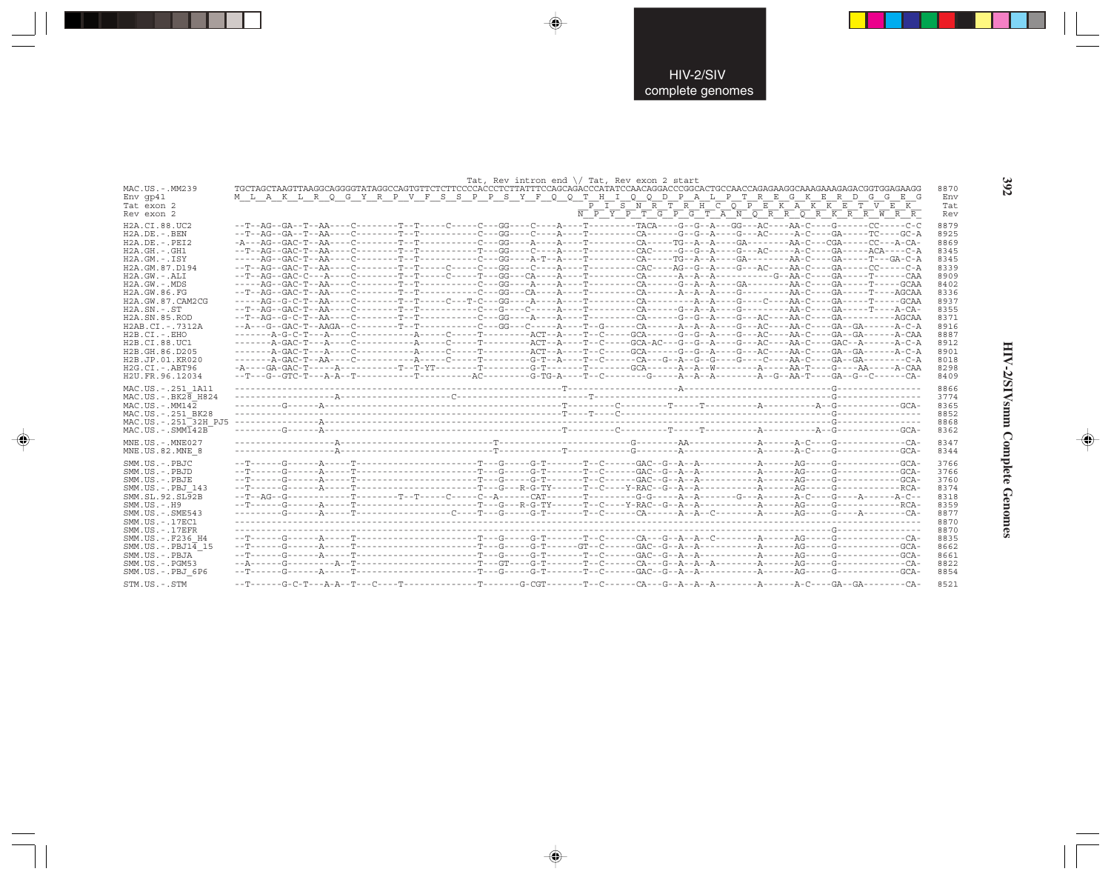|                                 |  |  | Tat, Rev intron end $\setminus$ Tat, Rev exon 2 start |                                                                                                                                                                                                                                                                                                                            |      |
|---------------------------------|--|--|-------------------------------------------------------|----------------------------------------------------------------------------------------------------------------------------------------------------------------------------------------------------------------------------------------------------------------------------------------------------------------------------|------|
| MAC.US.-.MM239                  |  |  |                                                       |                                                                                                                                                                                                                                                                                                                            | 8870 |
| $Env$ qp41                      |  |  |                                                       | M L A K L R Q G Y R P V F S S P P S Y F Q Q T H I Q Q D P A L P T R E G K E R D G G E<br>- G                                                                                                                                                                                                                               | Env  |
| Tat exon 2                      |  |  |                                                       | $\overline{P}$ $\overline{I}$ $\overline{S}$ $\overline{N}$ $\overline{R}$ $\overline{T}$ $\overline{R}$ $\overline{H}$ $\overline{C}$ $\overline{Q}$ $\overline{P}$ $\overline{E}$ $\overline{K}$ $\overline{A}$ $\overline{K}$ $\overline{K}$ $\overline{E}$ $\overline{T}$ $\overline{V}$ $\overline{E}$ $\overline{K}$ | Tat  |
| Rev exon 2                      |  |  |                                                       | N P Y P T G P G T A N O R R O R K R R W R R                                                                                                                                                                                                                                                                                | Rev  |
|                                 |  |  |                                                       |                                                                                                                                                                                                                                                                                                                            |      |
| H2A.CI.88.UC2                   |  |  |                                                       | --T--AG--GA--T--AA----C--------T--T-----C----GG----C---A----T--------TACA----G--G--A---GG---AC----AA-C----G------CC-----C-C                                                                                                                                                                                                | 8879 |
| $H2A.DE. -.BEN$                 |  |  |                                                       | --T--AG--GA--T--AA----C--------T--T---------C---GG----C---A----T--------CA-----G--G--A----G--AC----A-C----GA-----TC----GC-A                                                                                                                                                                                                | 8925 |
| $H2A.DE. - .PEI2$               |  |  |                                                       |                                                                                                                                                                                                                                                                                                                            | 8869 |
| $H2A.GH.-.GH1$                  |  |  |                                                       |                                                                                                                                                                                                                                                                                                                            | 8345 |
| $H2A.GM.-.ISY$                  |  |  |                                                       | -----AG--GAC-T--AA----C--------T--T---------C---GG----A-T--A----T-------CA-----TG--A--A---GA-------AA-C----GA-----T---GA-C-A                                                                                                                                                                                               | 8345 |
| H2A.GM.87.D194                  |  |  |                                                       |                                                                                                                                                                                                                                                                                                                            | 8339 |
| $H2A.GW. - .ALI$                |  |  |                                                       |                                                                                                                                                                                                                                                                                                                            | 8909 |
| $H2A.GW. - .MDS$                |  |  |                                                       |                                                                                                                                                                                                                                                                                                                            | 8402 |
| H2A.GW.86.FG                    |  |  |                                                       |                                                                                                                                                                                                                                                                                                                            | 8336 |
| H2A.GW.87.CAM2CG                |  |  |                                                       |                                                                                                                                                                                                                                                                                                                            | 8937 |
| $H2A$ . $SN - S$ T              |  |  |                                                       |                                                                                                                                                                                                                                                                                                                            | 8355 |
| H <sub>2</sub> A.SN.85.ROD      |  |  |                                                       |                                                                                                                                                                                                                                                                                                                            | 8371 |
| H2AB.CI.-.7312A                 |  |  |                                                       |                                                                                                                                                                                                                                                                                                                            | 8916 |
| $H2B.CI.-.EHO$                  |  |  |                                                       |                                                                                                                                                                                                                                                                                                                            | 8887 |
| H2B.CI.88.UC1                   |  |  |                                                       |                                                                                                                                                                                                                                                                                                                            | 8912 |
| H2B.GH.86.D205                  |  |  |                                                       |                                                                                                                                                                                                                                                                                                                            | 8901 |
| H <sub>2</sub> B.JP.01.KR020    |  |  |                                                       |                                                                                                                                                                                                                                                                                                                            | 8018 |
| $H2G.CI.-.ABT96$                |  |  |                                                       |                                                                                                                                                                                                                                                                                                                            | 8298 |
| H2U.FR.96.12034                 |  |  |                                                       |                                                                                                                                                                                                                                                                                                                            | 8409 |
|                                 |  |  |                                                       |                                                                                                                                                                                                                                                                                                                            |      |
|                                 |  |  |                                                       |                                                                                                                                                                                                                                                                                                                            |      |
| MAC.US. - . 251 1A11            |  |  |                                                       |                                                                                                                                                                                                                                                                                                                            | 8866 |
| MAC.US. - . BK28 H824           |  |  |                                                       |                                                                                                                                                                                                                                                                                                                            | 3774 |
| $MAC. US. - . MM142$            |  |  |                                                       |                                                                                                                                                                                                                                                                                                                            | 8365 |
| MAC.US. - . 251 BK28            |  |  |                                                       |                                                                                                                                                                                                                                                                                                                            | 8852 |
| MAC.US.-.251 <sup>32H</sup> PJ5 |  |  |                                                       |                                                                                                                                                                                                                                                                                                                            | 8868 |
| $MAC . US . - . SIM142B$        |  |  |                                                       |                                                                                                                                                                                                                                                                                                                            | 8362 |
| MNE.US.-.MNE027                 |  |  |                                                       |                                                                                                                                                                                                                                                                                                                            | 8347 |
| MNE.US.82.MNE 8                 |  |  |                                                       |                                                                                                                                                                                                                                                                                                                            | 8344 |
|                                 |  |  |                                                       |                                                                                                                                                                                                                                                                                                                            |      |
| SMM.US.-.PBJC                   |  |  |                                                       |                                                                                                                                                                                                                                                                                                                            | 3766 |
| SMM.US.-.PBJD                   |  |  |                                                       |                                                                                                                                                                                                                                                                                                                            | 3766 |
| SMM.US.-.PBJE                   |  |  |                                                       |                                                                                                                                                                                                                                                                                                                            | 3760 |
| SMM.US.-.PBJ 143                |  |  |                                                       |                                                                                                                                                                                                                                                                                                                            | 8374 |
| SMM.SL.92.SL92B                 |  |  |                                                       |                                                                                                                                                                                                                                                                                                                            | 8318 |
| $SMM. US. - . H9$               |  |  |                                                       |                                                                                                                                                                                                                                                                                                                            | 8359 |
| SMM. US. - . SME543             |  |  |                                                       |                                                                                                                                                                                                                                                                                                                            | 8877 |
| SMM. US. - . 17EC1              |  |  |                                                       |                                                                                                                                                                                                                                                                                                                            | 8870 |
| $SMM$ . US. $-$ . 17EFR         |  |  |                                                       |                                                                                                                                                                                                                                                                                                                            | 8870 |
| SMM.US. - .F236 H4              |  |  |                                                       |                                                                                                                                                                                                                                                                                                                            | 8835 |
| SMM.US. - . PBJ14 15            |  |  |                                                       |                                                                                                                                                                                                                                                                                                                            | 8662 |
| SMM.US.-.PBJA                   |  |  |                                                       |                                                                                                                                                                                                                                                                                                                            | 8661 |
| $SMM. US. - . PGM53$            |  |  |                                                       |                                                                                                                                                                                                                                                                                                                            | 8822 |
| SMM.US.-.PBJ 6P6                |  |  |                                                       |                                                                                                                                                                                                                                                                                                                            | 8854 |

 $\Rightarrow$ 

 $\Rightarrow$ 

 $\Rightarrow$ 

392

HIV-2/SIVsmm Complete Genomes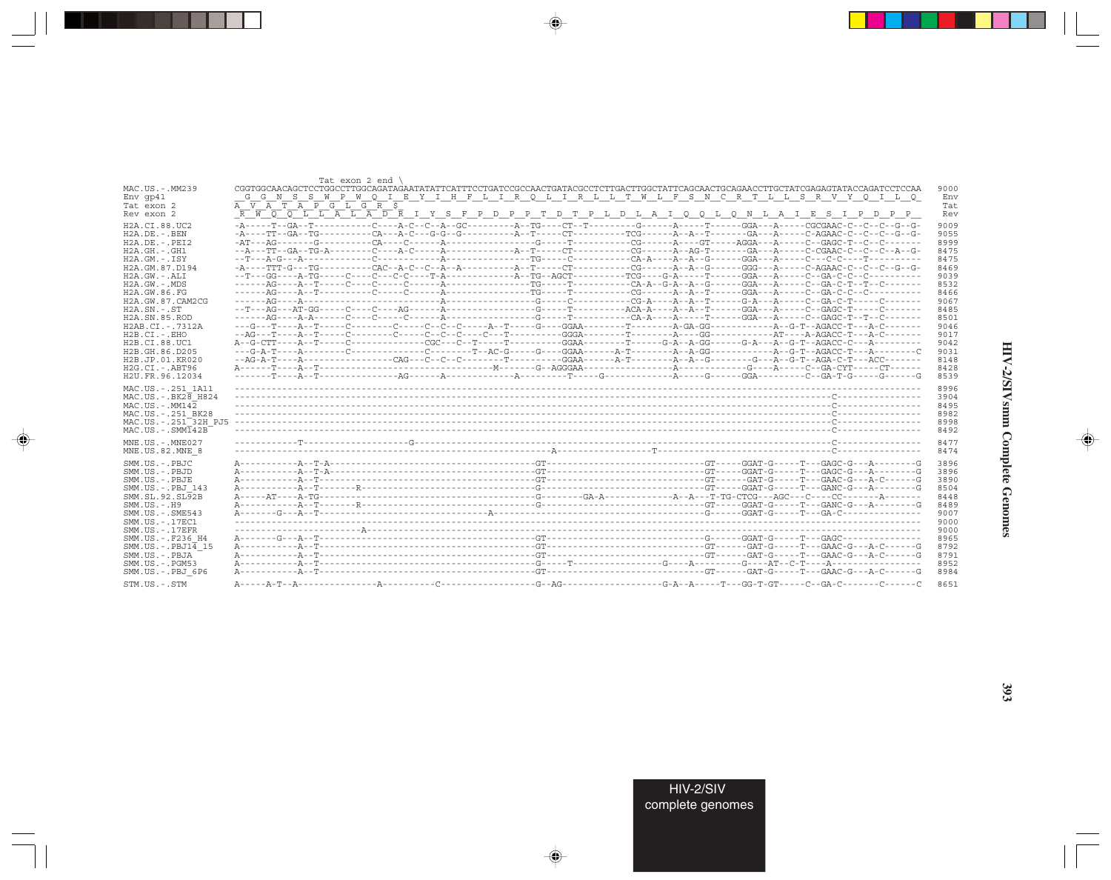|                                  | Tat exon 2 end                                                                                                                     |      |
|----------------------------------|------------------------------------------------------------------------------------------------------------------------------------|------|
| MAC.US.-.MM239                   | CGGTGGCAACAGCTCCTGGCCTTGGCAGATAGAATATATTCATTTCCTGATCCGCCAACTGATACGCCTCTTGACTTGGCTATTCAGCAACTGCAGAACCTTGCTATCGAGAGTATACCAGATCCTCCAA | 9000 |
| $Env$ qp41                       | N S S W P W O I E Y I H F L I R O L I R L L T W L F S N C R T L L S R V Y O I L O<br>G G                                           | Env  |
| Tat exon 2                       | A V A T A P G L G R S                                                                                                              | Tat  |
| Rev exon 2                       | <del>R W O O L L A L A D R</del> I Y S F P D P P T D T P L D L A I O O L O N L A I E S I P D P P                                   | Rev  |
| H2A.CI.88.UC2                    |                                                                                                                                    | 9009 |
| H2A.DE. - .BEN                   | -A----TT--GA--TG----------CA---A-C---G-G--G---------A-T--------TT------TCG-------A--A--T-----GA---A---C-AGAAC-C--C--C--G--G-       | 9055 |
| $H2A.DE. - .PEI2$                |                                                                                                                                    | 8999 |
| $H2A.GH. - .GH1$                 |                                                                                                                                    | 8475 |
| $H2A.GM.-.ISY$                   |                                                                                                                                    | 8475 |
| H2A.GM.87.D194                   |                                                                                                                                    | 8469 |
| $H2A.GW.-.ALI$                   |                                                                                                                                    | 9039 |
|                                  |                                                                                                                                    |      |
| $H2A.GW. - .MDS$                 |                                                                                                                                    | 8532 |
| H2A.GW.86.FG                     |                                                                                                                                    | 8466 |
| H2A.GW.87.CAM2CG                 |                                                                                                                                    | 9067 |
| $H2A$ . $SN. - . ST$             |                                                                                                                                    | 8485 |
| H <sub>2</sub> A.SN.85.ROD       |                                                                                                                                    | 8501 |
| H2AB.CI.-.7312A                  |                                                                                                                                    | 9046 |
| $H2B.CI. - . EHO$                |                                                                                                                                    | 9017 |
| H2B.CI.88.UC1                    |                                                                                                                                    | 9042 |
| H2B.GH.86.D205                   |                                                                                                                                    | 9031 |
| H2B.JP.01.KR020                  | --AG-A-T----A---------------CAG---C--C--C-------T-------GGAA------A-T--------A--G-------G---A--G-T--AGA-C-T---ACC------            | 8148 |
| $H2G.CI.-.ABT96$                 |                                                                                                                                    | 8428 |
| H2U.FR.96.12034                  |                                                                                                                                    | 8539 |
|                                  |                                                                                                                                    |      |
| MAC.US. - . 251 1A11             |                                                                                                                                    | 8996 |
| MAC.US. - . BK28 H824            |                                                                                                                                    | 3904 |
| $MAC. US. - . MM142$             |                                                                                                                                    | 8495 |
| MAC.US. - . 251 BK28             |                                                                                                                                    | 8982 |
| MAC.US.-.251 <sup>-32H</sup> PJ5 |                                                                                                                                    | 8998 |
| $MAC . IJS . - . SIMT42B$        |                                                                                                                                    | 8492 |
| MNE.US.-.MNE027                  |                                                                                                                                    | 8477 |
| MNE.US.82.MNE 8                  |                                                                                                                                    | 8474 |
| SMM.US.-.PBJC                    |                                                                                                                                    | 3896 |
|                                  |                                                                                                                                    |      |
| SMM.US. - PBJD                   |                                                                                                                                    | 3896 |
| SMM.US.-.PBJE                    |                                                                                                                                    | 3890 |
| SMM.US.-.PBJ 143                 |                                                                                                                                    | 8504 |
| SMM.SL.92.SL92B                  |                                                                                                                                    | 8448 |
| $SMM. US. - . H9$                |                                                                                                                                    | 8489 |
| $SMM.US. - .SME543$              |                                                                                                                                    | 9007 |
| SMM. US. - . 17EC1               |                                                                                                                                    | 9000 |
| $SMM$ . US. $-$ . 17EFR          |                                                                                                                                    | 9000 |
| SMM.US. - . F236 H4              |                                                                                                                                    | 8965 |
| $SMM.US.-.PBJ14$ 15              |                                                                                                                                    | 8792 |
| SMM.US.-.PBJA                    |                                                                                                                                    | 8791 |
| $SMM. US. - . PGM53$             |                                                                                                                                    | 8952 |
| SMM.US.-.PBJ 6P6                 |                                                                                                                                    | 8984 |
| STM.US.-.STM                     |                                                                                                                                    | 8651 |
|                                  |                                                                                                                                    |      |

 $\begin{picture}(20,5) \put(0,0){\vector(0,1){10}} \put(15,0){\vector(0,1){10}} \put(15,0){\vector(0,1){10}} \put(15,0){\vector(0,1){10}} \put(15,0){\vector(0,1){10}} \put(15,0){\vector(0,1){10}} \put(15,0){\vector(0,1){10}} \put(15,0){\vector(0,1){10}} \put(15,0){\vector(0,1){10}} \put(15,0){\vector(0,1){10}} \put(15,0){\vector(0,1){10}} \put(15,0){\vector(0,$ 

a shekara 1960

 $\overline{\blacklozenge}$ 

 $\frac{\partial \mathcal{L}}{\partial \mathbf{r}} = \frac{\partial \mathcal{L}}{\partial \mathbf{r}}$ 

HIV-2/SIVsmm Complete Genomes

 $\begin{picture}(20,5) \put(0,0){\line(1,0){10}} \put(15,0){\line(1,0){10}} \put(15,0){\line(1,0){10}} \put(15,0){\line(1,0){10}} \put(15,0){\line(1,0){10}} \put(15,0){\line(1,0){10}} \put(15,0){\line(1,0){10}} \put(15,0){\line(1,0){10}} \put(15,0){\line(1,0){10}} \put(15,0){\line(1,0){10}} \put(15,0){\line(1,0){10}} \put(15,0){\line(1,$ 

 $\equiv$ 

 $\Box$ 

. . .

٠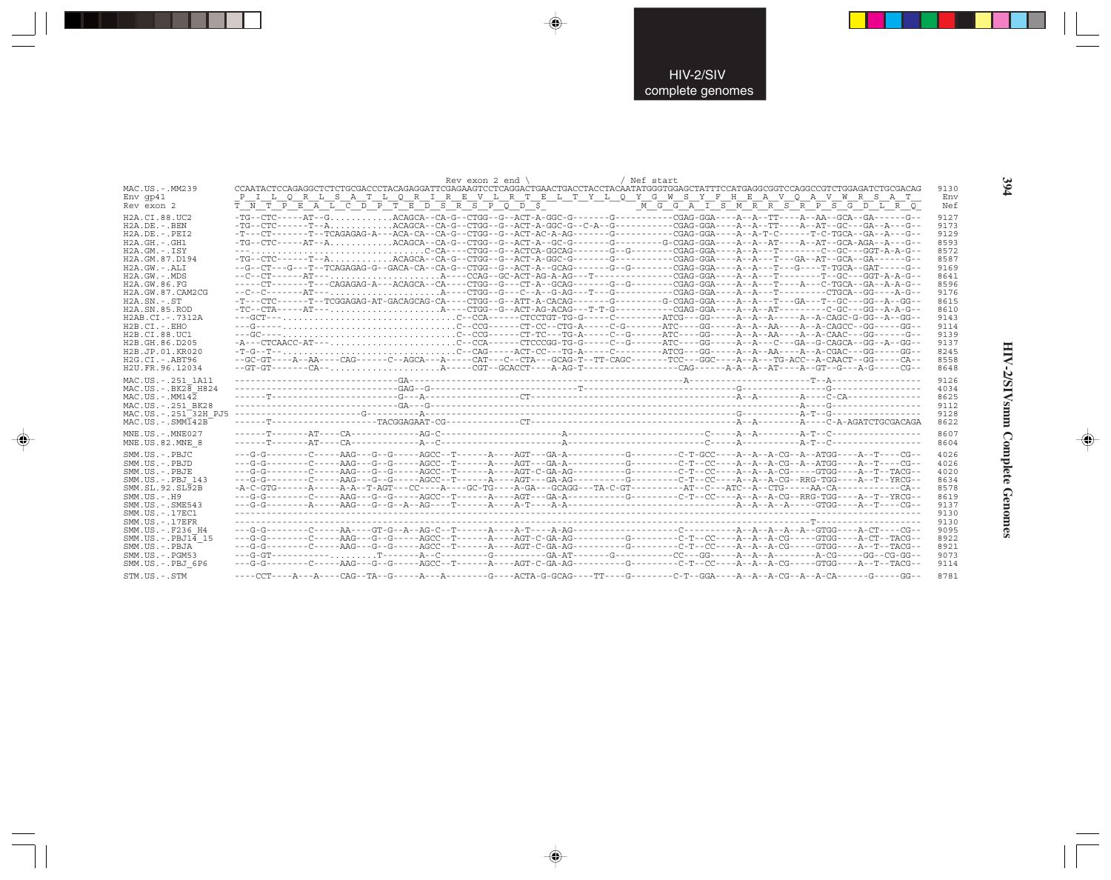|                                                                              | / Nef start<br>Rev exon 2 end $\sqrt{ }$                                                                                          |                      |
|------------------------------------------------------------------------------|-----------------------------------------------------------------------------------------------------------------------------------|----------------------|
| MAC.US.-.MM239                                                               |                                                                                                                                   | 9130                 |
| $Env$ qp41                                                                   | <u>PILQRLSATLQRIREVLRTELTYLQYGWSYFHEAVQAVWRSAT</u>                                                                                | Env                  |
| Rev exon 2                                                                   |                                                                                                                                   | Nef                  |
| H2A.CI.88.UC2                                                                | -TG--CTC-----AT--GACAGCA--CA-G--CTGG--G--ACT-A-GGC-G-------G-------CGAG-GGA----A--TT----A--AA--GCA--GA------G-                    | 9127                 |
| $H2A.DE. - .BEN$                                                             |                                                                                                                                   | 9173                 |
| $H2A.DE. - .PEI2$                                                            | -T---CT-------T--TCAGAGAG-A---ACA-CA--CA-G--CTGG--G--ACT-AC-A-AG-------G--------CGAG-GGA----A-T-C------T-C-TGCA--GA--A---G--      | 9129                 |
| $H2A.GH. - .GH1$                                                             | -TG--CTC-----AT--AACAGCA--CA-G--CTGG--G--ACT-A--GC-G-------G-------G-CGAG-GGA----A--AT---A--AT---GCA-AGA--A---G-                  | 8593                 |
| $H2A.GM.-.ISY$                                                               | ---C-CA----CTGG--G--ACTCA-GGCAG-------G--G-------CGAG-GGA----A--A--T-------C--GC---GGT-A-A-G--                                    | 8572                 |
| H2A.GM.87.D194                                                               | -TG--CTC------T--A ACAGCA--CA-G--CTGG--G--ACT-A-GGC-G-------G-------CGAG-GGA----A--A---T---GA--AT--GCA--GA------G-                | 8587                 |
| $H2A.GW.-.ALI$                                                               | --G--CT---G---T--TCAGAGAG-G--GACA-CA--CA-G--CTGG--G--ACT-A--GCAG-------G--G------CGAG-GGA----A--A---T---G----T-TGCA--GAT-----G--- | 9169                 |
| $H2A.GW. - .MDS$                                                             |                                                                                                                                   | 8641                 |
| H2A.GW.86.FG                                                                 | -----CT-------T---CAGAGAG-A---ACAGCA--CA----CTGG--G---CT-A--GCAG-------G--G-------CGAG-GGA----A--A---T----A---C-TGCA--GA--A-A-C-- | 8596                 |
| H2A.GW.87.CAM2CG                                                             |                                                                                                                                   | 9176                 |
| $H2A.SN.-.ST$                                                                | -T---CTC-----T-TCGGAGAG-AT-GACAGCAG-CA----CTGG--G--ATT-A-CACAG-------G-------G-CGAG-GGA----A--A--T---GA---T--GC---GG--A--GG--     | 8615                 |
| H <sub>2</sub> A.SN.85.ROD                                                   |                                                                                                                                   | 8610                 |
| H2AB.CI.-.7312A                                                              |                                                                                                                                   | 9143                 |
| $H2B.CI.-EHO$                                                                |                                                                                                                                   | 9114                 |
| H2B.CI.88.UC1                                                                |                                                                                                                                   | 9139                 |
| H <sub>2</sub> B. GH. 86. D <sub>205</sub>                                   |                                                                                                                                   | 9137                 |
| H2B.JP.01.KR020                                                              |                                                                                                                                   | 8245                 |
| H2G.CI. - . ABT96                                                            |                                                                                                                                   | 8558                 |
| H2U.FR.96.12034                                                              |                                                                                                                                   | 8648                 |
| MAC.US. - . 251 1A11                                                         |                                                                                                                                   | 9126                 |
| MAC.US. - . BK28 H824                                                        |                                                                                                                                   | 4034                 |
| $MAC. US. - . MM142$                                                         |                                                                                                                                   | 8625                 |
| MAC.US. - . 251 BK28<br>MAC.US. - . 251 32H PJ5<br>$MAC . IJS . - . SIMT42B$ |                                                                                                                                   | 9112<br>9128         |
| MNE.US.-.MNE027                                                              |                                                                                                                                   | 8622<br>8607<br>8604 |
| MNE.US.82.MNE 8<br>SMM.US.-.PBJC                                             |                                                                                                                                   | 4026                 |
| SMM.US.-.PBJD                                                                |                                                                                                                                   | 4026                 |
| SMM.US.-.PBJE                                                                | --G-G-------C-C----AAG---G--G-----AGCC--T-----A---AGT-C-GA-AG---------G-------C-T--CC----A--A-CG----GTGG----A--T--TACG--          | 4020                 |
| SMM.US.-.PBJ 143                                                             |                                                                                                                                   | 8634                 |
| SMM.SL.92.SL92B                                                              |                                                                                                                                   | 8578                 |
| $SMM.US.-.H9$                                                                | --G-G-------C----AAG---G-----AGCC--T-----A---AGT---GA-A-------G-------C-T--CC---A--A-A-CG--RRG-TGG----A--T--YRCG--                | 8619                 |
| $SMM. US. - . SME543$                                                        |                                                                                                                                   | 9137                 |
| SMM. US. - . 17EC1                                                           |                                                                                                                                   | 9130                 |
| $SMM. US. - .17EFR$                                                          |                                                                                                                                   | 9130                 |
| SMM.US. - . F236 H4                                                          |                                                                                                                                   | 9095                 |
| $SMM.US.-.PBJ1\overline{4}15$                                                |                                                                                                                                   | 8922                 |
| SMM.US.-.PBJA<br>$SMM.US. - . PGM53$                                         | --G-G-------C-C----AAG---G--G-----AGCC--T-----A---AGT-C-GA-AG---------G-------C-T--CC----A--A-CG----GTGG----A--T--TACG--          | 8921<br>9073<br>9114 |
| SMM.US.-.PBJ 6P6<br>STM.US.-.STM                                             | ---A---A----CAG--TA--G-----A---A-------G----ACTA-G-GCAG----TT----G---------C-T--GGA----A--A--A-CG--A--A-CA------G-----GG--        | 8781                 |

 $\Rightarrow$ 

 $\bigoplus$ 

 $\color{red} \bigoplus$ 

394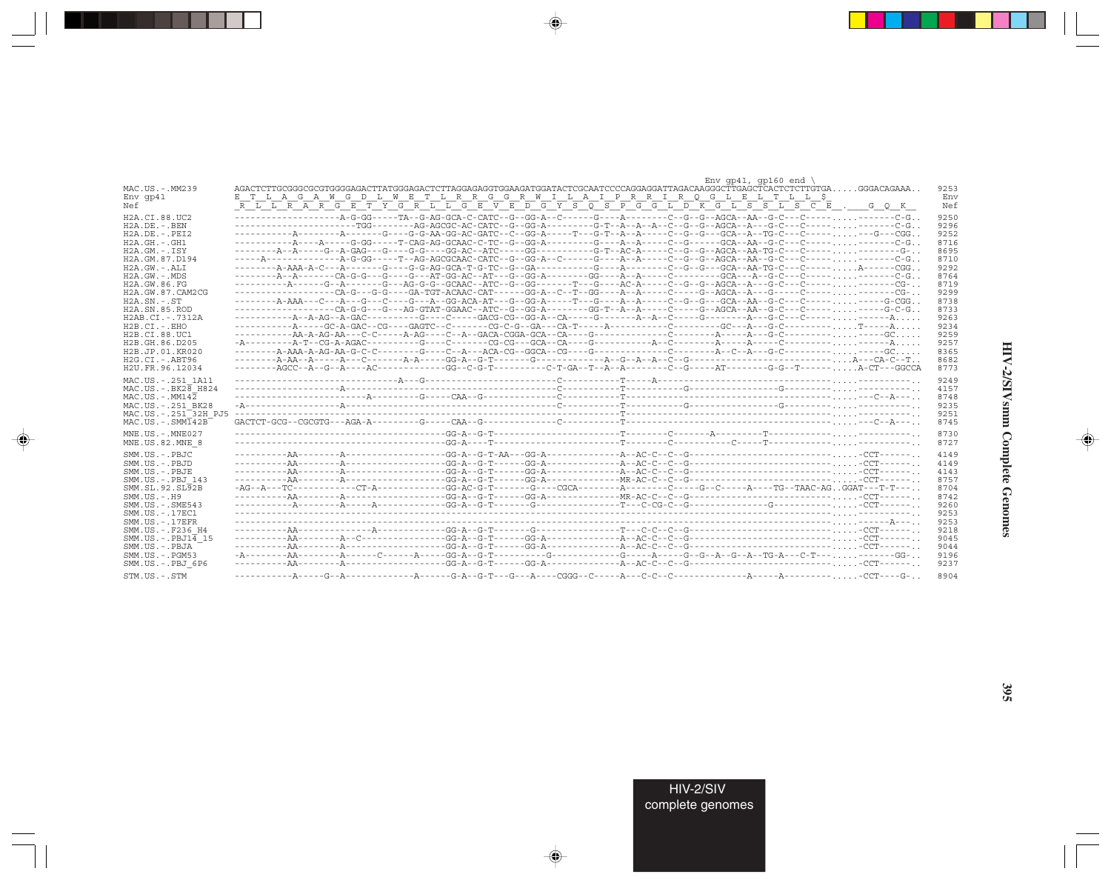|                                                     | Env $qp41$ , $qp160$ end                                                                                                                                                                                                    |
|-----------------------------------------------------|-----------------------------------------------------------------------------------------------------------------------------------------------------------------------------------------------------------------------------|
| MAC.US.-.MM239                                      | AGACTCTTGCGGGCGCGTGGGGAGACTTATGGGAGACTCTTAGGAGAGGGTGGAAGATGGATACTCGCAATCCCCAGGAGGATTAGACAAGGGCTTGAGCTCACTCTTGTGAGGACACAAAA<br>9253                                                                                          |
| $Env$ qp41                                          | E T L A G A W G D L W E T L R R G G R W I L A I P R R I R O G L E L T L L S<br>Env                                                                                                                                          |
| Nef                                                 | $\overline{R\ \ L\ \ L\ \ R\ \ A\ \ R\ \ G\ \ E\ \ T\ \ Y\ \ G\ \ R\ \ L\ \ L\ \ G\ \ E\ \ V\ \ E\ \ D\ \ G\ \ Y\ \ S\ \ O\ \ S\ \ P\ \ G\ \ G\ \ L\ \ D\ \ K\ \ G\ \ L\ \ S\ \ S\ \ L\ \ S\ \ C\ \ E\ \ .$<br>Nef<br>G O K |
| H2A.CI.88.UC2                                       | 9250                                                                                                                                                                                                                        |
| $H2A.DE. - .BEN$                                    | 9296                                                                                                                                                                                                                        |
| $H2A.DE. - .PEI2$                                   | ----------A-------A------G----GG-AA-GG-AC-GATC--C--GG-A-----T---G-T--A--A--A----C--G---GCA--A--TG-C---C----- ---G---CGG<br>9252                                                                                             |
| $H2A.GH. - .GH1$                                    | ----------A----A-----G-GG-----T-CAG-AG-GCAAC-C-TC--G--GG-A---------G---A--A----C--G------GCA--AA--G-C----C-------------C-G<br>8716                                                                                          |
| $H2A.GM.-.ISY$                                      | ---------A-----G--A-GAG---G----G-G----GG-AC--ATC-----GG---------G-T--AC-A-----C--G--G--AGCA--AA-TG-C---C---------------G-<br>8695                                                                                           |
| H2A.GM.87.D194                                      | 8710                                                                                                                                                                                                                        |
| $H2A.GW.-.ALI$                                      | 9292                                                                                                                                                                                                                        |
| H2A.GW.-.MDS                                        | 8764                                                                                                                                                                                                                        |
| H2A.GW.86.FG                                        | 8719                                                                                                                                                                                                                        |
| H2A.GW.87.CAM2CG                                    | ----------------CA-G---G-G---GA-TGT-ACAAC-CAT------GG-A--C--T--GG----A--A-----C----G--AGCA--A---G-----C-------------CG-<br>9299                                                                                             |
| $H2A.SN.-.ST$                                       | 8738                                                                                                                                                                                                                        |
| H2A.SN.85.ROD                                       | 8733                                                                                                                                                                                                                        |
| H2AB.CI.-.7312A                                     | 9263                                                                                                                                                                                                                        |
| $H2B.CI.-.EHO$                                      | 9234                                                                                                                                                                                                                        |
| H2B.CI.88.UC1                                       | 9259                                                                                                                                                                                                                        |
| H2B.GH.86.D205                                      | 9257                                                                                                                                                                                                                        |
| H2B.JP.01.KR020                                     | 8365                                                                                                                                                                                                                        |
| H2G.CI.-.ABT96<br>H2U.FR.96.12034                   | 8682<br>-------AGCC--A--G--A----AC-----------GG--C-G-T---------C-T-GA--T--A--A--------C--G-------AT--------G-G--T------A-CT---GGCCA<br>8773                                                                                 |
|                                                     |                                                                                                                                                                                                                             |
| MAC.US. - . 251 1A11                                | 9249                                                                                                                                                                                                                        |
| $MAC.US.-.BK2B$ H824                                | 4157                                                                                                                                                                                                                        |
| $MAC. US. - . MM142$                                | 8748                                                                                                                                                                                                                        |
| MAC.US.-.251 BK28                                   | 9235                                                                                                                                                                                                                        |
| MAC.US. - . 251 32H PJ5                             | 9251                                                                                                                                                                                                                        |
| $MAC. US. - . SIMI42B$                              | 8745                                                                                                                                                                                                                        |
| MNE.US. - . MNE027                                  | 8730                                                                                                                                                                                                                        |
| MNE.US.82.MNE 8                                     | 8727                                                                                                                                                                                                                        |
| SMM.US.-.PBJC                                       | 4149                                                                                                                                                                                                                        |
| SMM.US.-.PBJD                                       | 4149                                                                                                                                                                                                                        |
| SMM.US.-.PBJE                                       | 4143                                                                                                                                                                                                                        |
| SMM.US.-.PBJ 143                                    | 8757                                                                                                                                                                                                                        |
| SMM.SL.92.SL92B                                     | 8704                                                                                                                                                                                                                        |
| $SMM. US. - . H9$                                   | 8742                                                                                                                                                                                                                        |
| $SMM.US. - .SME543$                                 | 9260                                                                                                                                                                                                                        |
| SMM.US. - 17EC1                                     | 9253                                                                                                                                                                                                                        |
| $SMM. US. - .17EFR$                                 | 9253                                                                                                                                                                                                                        |
| SMM.US. - .F236 H4<br>$SMM.US.-.PBJ1\overline{4}15$ | 9218                                                                                                                                                                                                                        |
| SMM.US.-.PBJA                                       | 9045                                                                                                                                                                                                                        |
| $SMM. US. - . PGM53$                                | 9044<br>9196                                                                                                                                                                                                                |
| SMM.US.-.PBJ 6P6                                    | 9237                                                                                                                                                                                                                        |
|                                                     |                                                                                                                                                                                                                             |
| STM.US.-.STM                                        | 8904                                                                                                                                                                                                                        |

 $\begin{picture}(20,5) \put(0,0){\vector(0,1){10}} \put(15,0){\vector(0,1){10}} \put(15,0){\vector(0,1){10}} \put(15,0){\vector(0,1){10}} \put(15,0){\vector(0,1){10}} \put(15,0){\vector(0,1){10}} \put(15,0){\vector(0,1){10}} \put(15,0){\vector(0,1){10}} \put(15,0){\vector(0,1){10}} \put(15,0){\vector(0,1){10}} \put(15,0){\vector(0,1){10}} \put(15,0){\vector(0,$ 

a shekara 1960

 $\overline{\blacklozenge}$ 

 $\equiv$ 

 $\begin{picture}(20,5) \put(0,0){\line(1,0){10}} \put(15,0){\line(1,0){10}} \put(15,0){\line(1,0){10}} \put(15,0){\line(1,0){10}} \put(15,0){\line(1,0){10}} \put(15,0){\line(1,0){10}} \put(15,0){\line(1,0){10}} \put(15,0){\line(1,0){10}} \put(15,0){\line(1,0){10}} \put(15,0){\line(1,0){10}} \put(15,0){\line(1,0){10}} \put(15,0){\line(1,$ 

 $\equiv$ 

 $\Box$ 

. . .

٠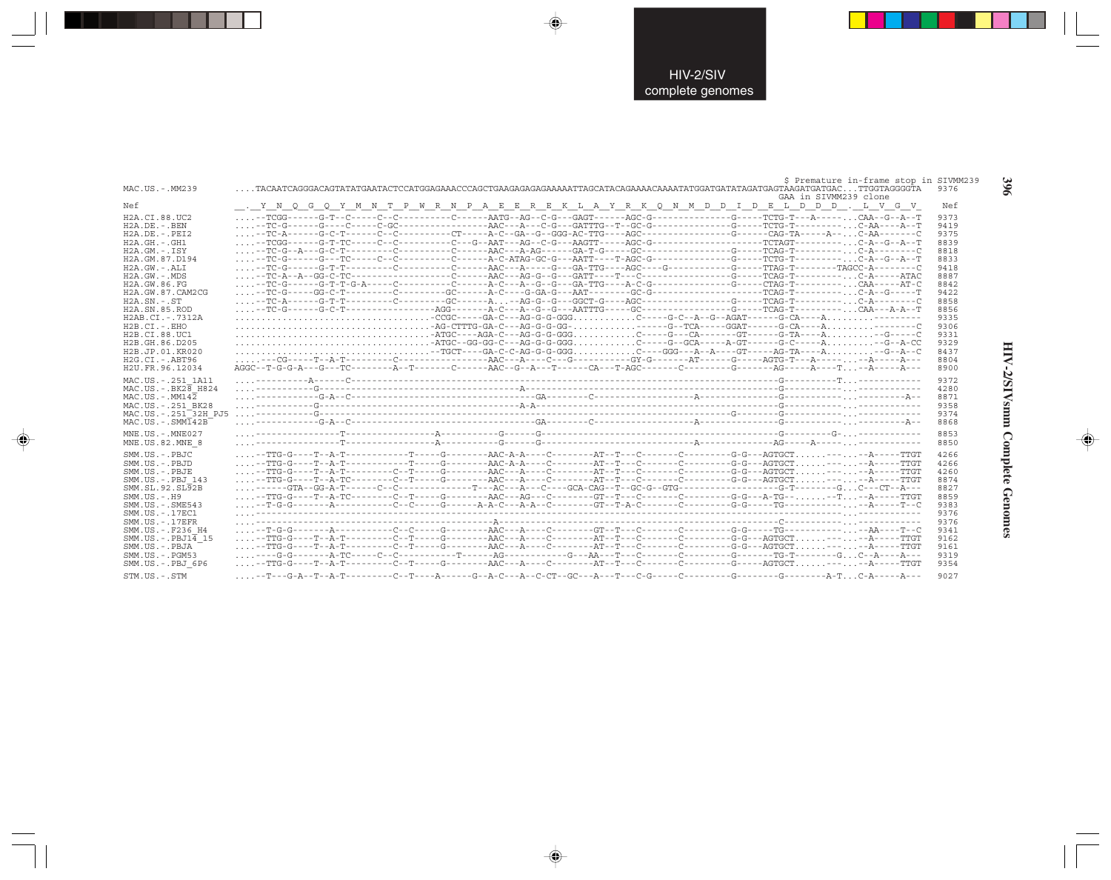| MAC.US.-.MM239                                                                                                                                                                                                                                                                                                                                                                                    | \$ Premature in-frame stop in SIVMM239<br>GAA in SIVMM239 clone                                                                                                                                                                                                                                                                                                                                                                 | 9376                                                                                                                                                 |
|---------------------------------------------------------------------------------------------------------------------------------------------------------------------------------------------------------------------------------------------------------------------------------------------------------------------------------------------------------------------------------------------------|---------------------------------------------------------------------------------------------------------------------------------------------------------------------------------------------------------------------------------------------------------------------------------------------------------------------------------------------------------------------------------------------------------------------------------|------------------------------------------------------------------------------------------------------------------------------------------------------|
| Nef                                                                                                                                                                                                                                                                                                                                                                                               | . Y N Q G Q Y M N T P W R N P A E E R E K L A Y R K Q N M D D I D E L D D D . L V G V                                                                                                                                                                                                                                                                                                                                           | Nef                                                                                                                                                  |
| H2A.CI.88.UC2<br>$H2A.DE. - .BEN$<br>$H2A.DE. - .PEI2$<br>$H2A.GH. - GH1$<br>$H2A.GM.-.ISY$<br>H2A.GM.87.D194<br>$H2A.GW.-.ALI$<br>$H2A.GW. - .MDS$<br>H2A. GW. 86. FG<br>H2A.GW.87.CAM2CG<br>$H2A$ . $SN. - . ST$<br>H <sub>2</sub> A.SN.85.ROD<br>H2AB.CI.-.7312A<br>$H2B.CI.-.EHO$<br>H2B.CI.88.UC1<br>H2B.GH.86.D205<br>H2B.JP.01.KR020<br>$H2G.CI.-.ABT96$<br>H <sub>2U</sub> . FR. 96.12034 | --TC-A------G-T-T---------C--------GC------A-AG-G--G---GGCT-G----AGC------------G-----G----TCAG-T---------C-A-------C<br>-TGCT---GA-C-C-AG-G-GGGC---GGG---A--A---GT----AG-TA----A--G--A-C<br>AGGC - -T-G-G-A---G---TC--------A--T------C------AAC--G--A---T------CA---T-AGC-------C--------G--------AG-----A----A----T.                                                                                                         | 9373<br>9419<br>9375<br>8839<br>8818<br>8833<br>9418<br>8887<br>8842<br>9422<br>8858<br>8856<br>9335<br>9306<br>9331<br>9329<br>8437<br>8804<br>8900 |
| MAC.US. - . 251 1A11<br>$MAC. US. - . BK28$ H824<br>$MAC. US.-. MM142$<br>MAC.US. - . 251 BK28<br>MAC.US. - . 251 32H PJ5<br>$MAC. US. - . SIMT42B$<br>MNE.US.-.MNE027                                                                                                                                                                                                                            | $\begin{minipage}{0.99\textwidth} \begin{itemize} \texttt{G-A--1} & \texttt{G-A--2} & \texttt{G-A--2} & \texttt{G-A--2} \\ \texttt{G-A--2} & \texttt{G-A--2} & \texttt{G-A--2} & \texttt{G-A--2} & \texttt{G-A--2} & \texttt{G-A--2} & \texttt{G-A--2} & \texttt{G-A--2} \\ \texttt{G-A--2} & \texttt{G-A--2} & \texttt{G-A--2} & \texttt{G-A--2} & \texttt{G-A--2} & \texttt{G-A--2} & \texttt{G-A--2} & \texttt{G-A--2}$      | 9372<br>4280<br>8871<br>9358<br>9374<br>8868<br>8853                                                                                                 |
| MNE.US.82.MNE 8<br>SMM.US.-.PBJC<br>SMM.US.-.PBJD<br>SMM.US.-.PBJE<br>SMM.US. - PBJ 143<br>SMM.SL.92.SL92B<br>$SMM. US. - . H9$<br>$SMM$ . US. $-$ . $SME543$<br>SMM.US.-.17EC1<br>$SMM$ . US. $-$ . 17EFR<br>SMM.US. - . F236 H4<br>$SMM.US.-.PBJ1\overline{4}15$<br>SMM.US.-.PBJA<br>SMM.US.-.PGM53<br>SMM.US.-.PBJ 6P6<br>$STM. US. - . STM$                                                   | --TTG-G----T--A-TC--------C--T-----G-------AAC---AG---C-------GT--T---C-------C--------G-G---A-TG----T--A-----TTGT<br>$\mathcal{L}_{\mathcal{L}}$ , the contract contract contract contract contract contract contract contract contract $\mathcal{L}_{\mathcal{L}}$ , and $\mathcal{L}_{\mathcal{L}}$<br>.--T---G-A--T--A-T---------C--T----A------G--A-C---A-C-CT--GC---A---T---C-G-------C---------G--------A-T. C-A-----A-- | 8850<br>4266<br>4266<br>4260<br>8874<br>8827<br>8859<br>9383<br>9376<br>9376<br>9341<br>9162<br>9161<br>9319<br>9354<br>9027                         |

 $\Rightarrow$ 

 $\color{red} \bigoplus$ 

. . .

 $\overline{\bullet}$ 

396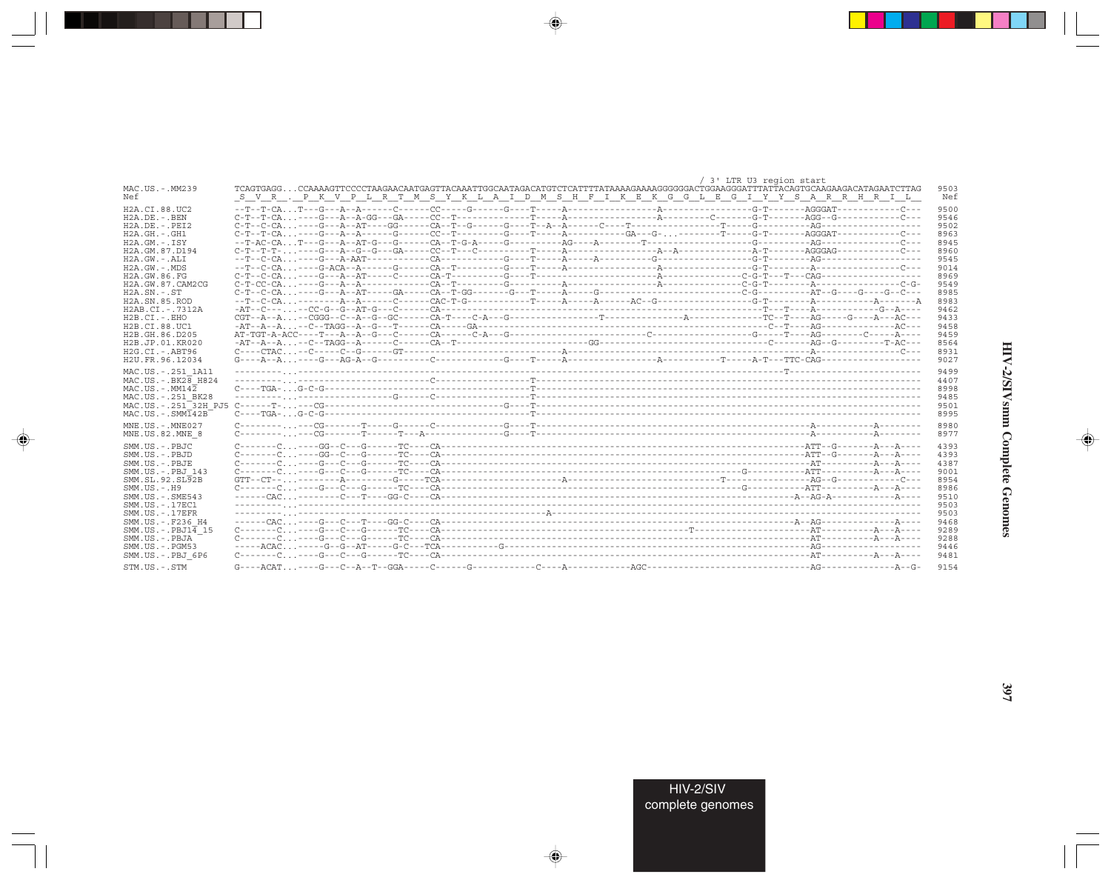|                               | / 3' LTR U3 region start                                                                                                                                                                                                |
|-------------------------------|-------------------------------------------------------------------------------------------------------------------------------------------------------------------------------------------------------------------------|
| MAC.US.-.MM239<br>Nef         | TCAGTGAGGCCAAAAGTTCCCCTAAGAACAATGAGTTACAAATTGGCAATAGACATGTCTCATTTTATAAAAGAAAAGGGGGACTGGAAGGGATTTATTACAGTGCAAGAAGACATAGAATCTTAG<br>S V R . P K V P L R T M S Y K L A I D M S H F I K E K G G L E G I Y Y S A R R H R I L |
| H2A.CI.88.UC2                 |                                                                                                                                                                                                                         |
| $H2A.DE. - .BEN$              |                                                                                                                                                                                                                         |
| $H2A.DE. - .PEI2$             |                                                                                                                                                                                                                         |
| $H2A.GH.-.GH1$                |                                                                                                                                                                                                                         |
| $H2A.GM.-.ISY$                |                                                                                                                                                                                                                         |
| H2A.GM.87.D194                |                                                                                                                                                                                                                         |
| $H2A.GW. - .ALI$              |                                                                                                                                                                                                                         |
| $H2A.GW. - MDS$               |                                                                                                                                                                                                                         |
| H2A.GW.86.FG                  |                                                                                                                                                                                                                         |
| H2A. GW. 87. CAM2CG           |                                                                                                                                                                                                                         |
| $H2A.SN.-.ST$                 |                                                                                                                                                                                                                         |
| H <sub>2</sub> A.SN.85.ROD    |                                                                                                                                                                                                                         |
| H2AB.CI.-.7312A               |                                                                                                                                                                                                                         |
| $H2B.CI.-.EHO$                |                                                                                                                                                                                                                         |
| H2B.CI.88.UC1                 |                                                                                                                                                                                                                         |
| H2B.GH.86.D205                |                                                                                                                                                                                                                         |
| H2B.JP.01.KR020               |                                                                                                                                                                                                                         |
| $H2G.CI.-ABT96$               |                                                                                                                                                                                                                         |
| H2U.FR.96.12034               |                                                                                                                                                                                                                         |
| MAC.US. - . 251 1A11          |                                                                                                                                                                                                                         |
| $MAC. US. - . BK2B$ H824      |                                                                                                                                                                                                                         |
| $MAC$ . U.S. - $MM142$        |                                                                                                                                                                                                                         |
| MAC.US.-.251 BK28             |                                                                                                                                                                                                                         |
|                               |                                                                                                                                                                                                                         |
| $MAC. US. - . SIM142B$        |                                                                                                                                                                                                                         |
| $MNE. US.-. MNE027$           | $C \rightarrow \cdots \rightarrow C$                                                                                                                                                                                    |
| MNE.US.82.MNE 8               |                                                                                                                                                                                                                         |
| SMM.US.-.PBJC                 |                                                                                                                                                                                                                         |
| $SMM$ . U.S. $-$ . PBJD       |                                                                                                                                                                                                                         |
| SMM.US.-.PBJE                 |                                                                                                                                                                                                                         |
| SMM.US. - PBJ 143             |                                                                                                                                                                                                                         |
| SMM.SL.92.SL92B               |                                                                                                                                                                                                                         |
| $SMM. US. - . H9$             |                                                                                                                                                                                                                         |
| $SMM$ . U.S. $-$ . $SME543$   |                                                                                                                                                                                                                         |
| SMM. US. - . 17EC1            |                                                                                                                                                                                                                         |
| $SMM$ . US. $-$ . 17EFR       |                                                                                                                                                                                                                         |
| SMM.US. - . F236 H4           |                                                                                                                                                                                                                         |
| $SMM.US.-.PBJ1\overline{4}15$ |                                                                                                                                                                                                                         |
| SMM.US.-.PBJA                 |                                                                                                                                                                                                                         |
| $SMM$ . US. $-$ . PGM53       |                                                                                                                                                                                                                         |
| SMM.US.-.PBJ 6P6              |                                                                                                                                                                                                                         |
|                               |                                                                                                                                                                                                                         |
| STM.US.-.STM                  |                                                                                                                                                                                                                         |

 $\begin{picture}(20,5) \put(0,0){\vector(0,1){10}} \put(15,0){\vector(0,1){10}} \put(15,0){\vector(0,1){10}} \put(15,0){\vector(0,1){10}} \put(15,0){\vector(0,1){10}} \put(15,0){\vector(0,1){10}} \put(15,0){\vector(0,1){10}} \put(15,0){\vector(0,1){10}} \put(15,0){\vector(0,1){10}} \put(15,0){\vector(0,1){10}} \put(15,0){\vector(0,1){10}} \put(15,0){\vector(0,$ 

a shekara 1960

 $\overline{\blacklozenge}$ 

 $\frac{\partial \mathcal{L}}{\partial \mathbf{r}} = \frac{\partial \mathcal{L}}{\partial \mathbf{r}}$ 

HIV-2/SIVsmm Complete Genomes

 $\begin{picture}(20,5) \put(0,0){\line(1,0){10}} \put(15,0){\line(1,0){10}} \put(15,0){\line(1,0){10}} \put(15,0){\line(1,0){10}} \put(15,0){\line(1,0){10}} \put(15,0){\line(1,0){10}} \put(15,0){\line(1,0){10}} \put(15,0){\line(1,0){10}} \put(15,0){\line(1,0){10}} \put(15,0){\line(1,0){10}} \put(15,0){\line(1,0){10}} \put(15,0){\line(1,$ 

 $\equiv$ 

 $\Box$ 

. . .

٠

HIV-2/SIV<br>complete genomes

397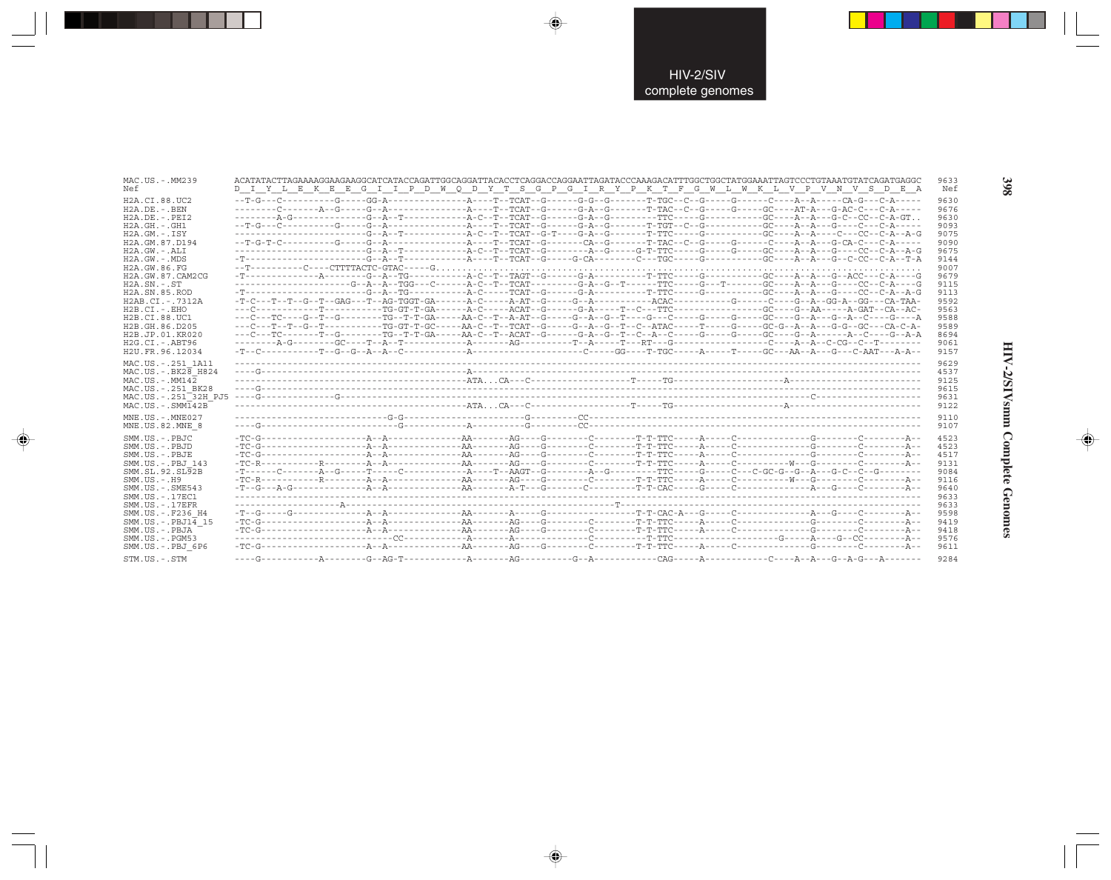| MAC.US.-.MM239<br>Nef                                                                                                                                                              |  |  |  | D I Y L E K E E G I I P D W Q D Y T S G P G I R Y P K T F G W L W K L V P V N V S D E A                                                                                                                                                                                                                                                                                                                                                                                                                                               | 9633<br>Nef                                                                  |
|------------------------------------------------------------------------------------------------------------------------------------------------------------------------------------|--|--|--|---------------------------------------------------------------------------------------------------------------------------------------------------------------------------------------------------------------------------------------------------------------------------------------------------------------------------------------------------------------------------------------------------------------------------------------------------------------------------------------------------------------------------------------|------------------------------------------------------------------------------|
| H2A.CI.88.UC2<br>$H2A.DE. - .BEN$<br>$H2A.DE. - .PEI2$<br>$H2A.GH.-.GH1$<br>$H2A.GM.-.ISY$<br>H2A.GM.87.D194<br>H2A.GW.-.ALI<br>$H2A.GW.-.MDS$<br>H2A.GW.86.FG<br>H2A.GW.87.CAM2CG |  |  |  |                                                                                                                                                                                                                                                                                                                                                                                                                                                                                                                                       | 9630<br>9676<br>9630<br>9093<br>9075<br>9090<br>9675<br>9144<br>9007<br>9679 |
| $H2A.SN.-.ST$<br>H2A.SN.85.ROD<br>H2AB.CI.-.7312A<br>H2B.CI.-.EHO<br>H2B.CI.88.UC1<br>H2B.GH.86.D205<br>H2B.JP.01.KR020<br>$H2G.CI.-.ABT96$<br>H2U.FR.96.12034                     |  |  |  | -------------------G--A--A--TGG---C------A-C--T--TCAT---------G-A--G--T------TTC----G---T-------GC----A--A--G----CC--C-A----G<br>-T-C---T--T--G--T--GAG---T--AG-TGGT-GA------A-C-----A-AT--G-----G--A---------ACAC---------G------C----G--A--GG-A--GG---CA-TAA-<br>---C---T--T--G--T-----------TG-GT-T-GC-----AA-C--T--TCAT--G-----G--A--G--T--C--ATAC-----T-----G-----GC-G--A--A---G-G--GC---CA-C-A-<br>---C---TC-------T--G-------TG--T-T-GA-----AA-C--T--ACAT--G------G-A--G--T--C--A--C-----G-----GC----G--A-------A--C----G--A-A | 9115<br>9113<br>9592<br>9563<br>9588<br>9589<br>8694<br>9061<br>9157         |
| MAC.US.-.251 1A11<br>$MAC. US. - . BK28$ H824<br>$MAC. US. - . MM142$<br>MAC.US.-.251 BK28<br>MAC.US.-.251 <sup>-32H</sup> PJ5<br>$MAC . US . - . SIM142B$                         |  |  |  |                                                                                                                                                                                                                                                                                                                                                                                                                                                                                                                                       | 9629<br>4537<br>9125<br>9615<br>9631<br>9122                                 |
| MNE.US.-.MNE027<br>MNE.US.82.MNE 8                                                                                                                                                 |  |  |  |                                                                                                                                                                                                                                                                                                                                                                                                                                                                                                                                       | 9110<br>9107                                                                 |
| SMM.US.-.PBJC<br>SMM.US.-.PBJD<br>SMM.US.-.PBJE<br>SMM.US.-.PBJ 143<br>SMM.SL.92.SL92B<br>$SMM.US.-.H9$<br>$SMM.US. - .SME543$<br>SMM.US.-.17EC1                                   |  |  |  |                                                                                                                                                                                                                                                                                                                                                                                                                                                                                                                                       | 4523<br>4523<br>4517<br>9131<br>9084<br>9116<br>9640<br>9633                 |
| $SMM. US. - .17EFR$<br>SMM.US.-.F236 H4<br>SMM.US.-.PBJ14 15<br>SMM.US.-.PBJA                                                                                                      |  |  |  |                                                                                                                                                                                                                                                                                                                                                                                                                                                                                                                                       | 9633<br>9598<br>9419                                                         |

 $\begin{picture}(20,5) \put(0,0){\vector(0,1){10}} \put(15,0){\vector(0,1){10}} \put(15,0){\vector(0,1){10}} \put(15,0){\vector(0,1){10}} \put(15,0){\vector(0,1){10}} \put(15,0){\vector(0,1){10}} \put(15,0){\vector(0,1){10}} \put(15,0){\vector(0,1){10}} \put(15,0){\vector(0,1){10}} \put(15,0){\vector(0,1){10}} \put(15,0){\vector(0,1){10}} \put(15,0){\vector(0,$ 

 $\spadesuit$ 

 $\Rightarrow$ 

398

HIV-2/SIVsmm Complete Genomes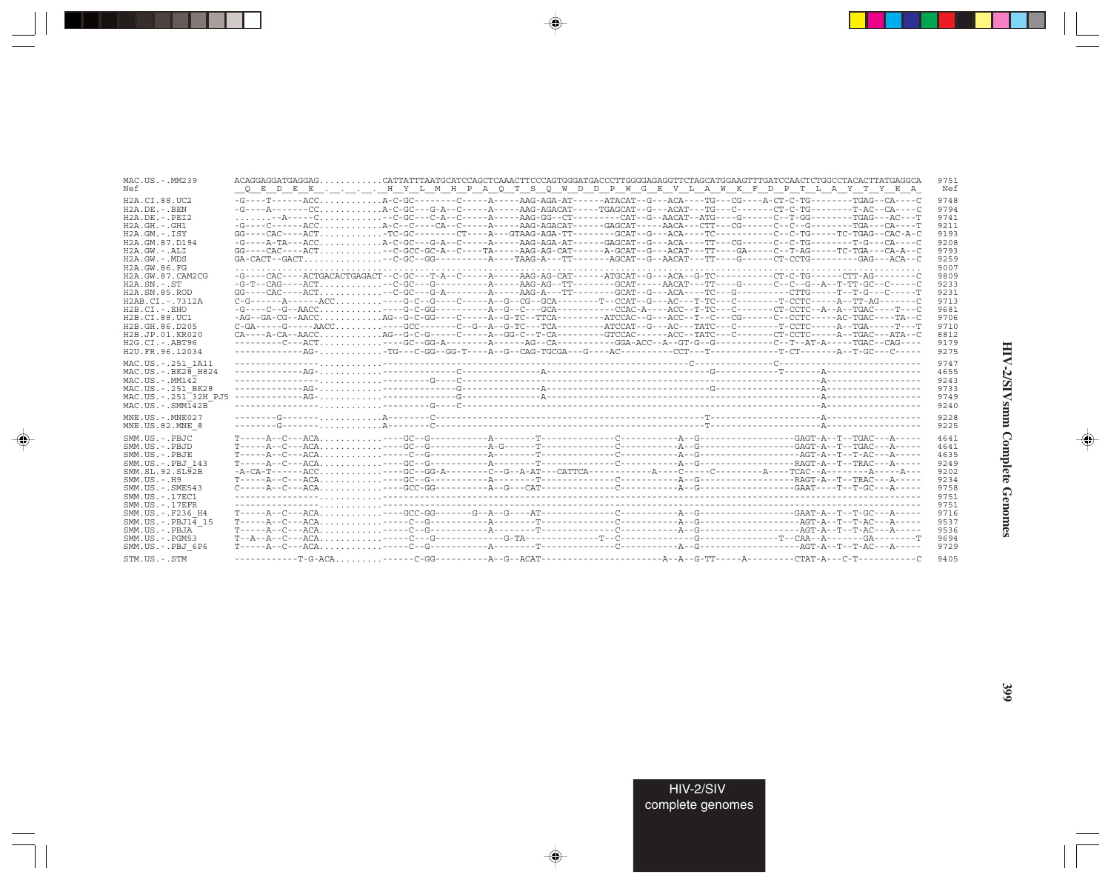| MAC.US.-.MM239<br>Nef                                                                                                                                             |  |  | ACAGGAGGATGAGGAG CATTATTTAATGCATCCAGCTCAAACTTCCCAGTGGATGACCCTTGGGGAGAGGTTCTAGCATGGAAGTTTGATCCAACTCTGGCCTACACTTATGAGGCA<br>Q E D E E H Y L M H P A Q T S Q W D D P W G E V L A W K F D P T L A Y T Y E A                                                                                                                                                                           | 9751<br>Nef                                  |
|-------------------------------------------------------------------------------------------------------------------------------------------------------------------|--|--|-----------------------------------------------------------------------------------------------------------------------------------------------------------------------------------------------------------------------------------------------------------------------------------------------------------------------------------------------------------------------------------|----------------------------------------------|
| H2A.CI.88.UC2                                                                                                                                                     |  |  |                                                                                                                                                                                                                                                                                                                                                                                   | 9748                                         |
| $H2A$ . DE. $-$ . BEN                                                                                                                                             |  |  | -G----A------CCA-C-GC---G-A--C-----A-----AAG-AGACAT-----TGAGCAT--G---ACAT---TG---CT-----CT-C-TG-------T-AC--CA----C                                                                                                                                                                                                                                                               | 9794                                         |
| $H2A.DE. - .PEI2$                                                                                                                                                 |  |  | $\ldots \ldots \ldots -A----C \ldots \ldots \ldots \ldots -C-GC--C-A--C--A----A---AAG-GG--CT-------CAT--G--AT-G-ATG---CT-G---C--T-GG--------TGG--------TGAG---AC--T-CTG----C--T-GG------C--T-GG------C--T-GG------C--T-GG----C--T-GG----C--T-GG----C--T-GG----C--T-GG----C--T-GG----C--T-GG----C--T-GG----C--T-GG----C--T-GG----C--T-GG----C--T-GG----C--T-GG----C--T-GG----C--T$ | 9741                                         |
| $H2A.GH. - .GH1$                                                                                                                                                  |  |  | -G----C-----ACCA-C--C----CA--C-----A----AAG-AGACAT-----GAGCAT-----AACA---CTT---CG------C--C--G-------TGA---CA----T                                                                                                                                                                                                                                                                | 9211                                         |
| H2A.GM.-.ISY                                                                                                                                                      |  |  | GG----CAC----ACTTC-GC-------CT----A---GTAAG-AGA-TT--------GCAT--G---ACA----TC--------C--C-TG-----TC-TGAG--CAC-A-C                                                                                                                                                                                                                                                                 | 9193                                         |
| H2A.GM.87.D194                                                                                                                                                    |  |  | -G----A-TA---ACCA-C-GC---G-A--C------A-----AAG-AGA-AT------GAGCAT--G---ACA----TT---CG------C--C-TG--------T-G---CA----C                                                                                                                                                                                                                                                           | 9208                                         |
| H2A.GW.-.ALI                                                                                                                                                      |  |  | GG----CAC----ACT--C-GCC-GC-A--C----TA-----AAG-AG-CAT------A-GCAT--G---ACAT---TT---GA----C--T-AG-----TC-TGA---CA-A--C                                                                                                                                                                                                                                                              | 9793                                         |
| $H2A.GW. - .MDS$                                                                                                                                                  |  |  |                                                                                                                                                                                                                                                                                                                                                                                   |                                              |
|                                                                                                                                                                   |  |  |                                                                                                                                                                                                                                                                                                                                                                                   | 9259                                         |
| H2A.GW.86.FG                                                                                                                                                      |  |  |                                                                                                                                                                                                                                                                                                                                                                                   | 9007                                         |
| H2A.GW.87.CAM2CG                                                                                                                                                  |  |  | -G----CAC----ACTGACACTGAGACT--C-GC---T-A--C-----A-----AAG-AG-CAT------ATGCAT--G---ACA--G-TC---------CT-C-TG------CTT-AG-------C                                                                                                                                                                                                                                                   | 9809                                         |
| $H2A.SN.-.ST$                                                                                                                                                     |  |  |                                                                                                                                                                                                                                                                                                                                                                                   | 9233                                         |
| H <sub>2</sub> A.SN.85.ROD                                                                                                                                        |  |  | GG----CAC----ACT -C-GC---G-A--------A-----AAG-A---TT-------GCAT--G---ACA----TC---G------CTC-----TC----T-G---T-G---CT                                                                                                                                                                                                                                                              | 9231                                         |
| H2AB.CI.-.7312A                                                                                                                                                   |  |  |                                                                                                                                                                                                                                                                                                                                                                                   | 9713                                         |
| $H2B.CI.-EHO$                                                                                                                                                     |  |  |                                                                                                                                                                                                                                                                                                                                                                                   | 9681                                         |
| H2B.CI.88.UC1                                                                                                                                                     |  |  | -AG--GA-CG--AACCAG--G-C-GG----C-----A--G-TC--TTCA--------ATCCAC--G---ACC--T--C---CG------C--CCTC-----AC-TGAC----TA--C                                                                                                                                                                                                                                                             | 9706                                         |
| H2B.GH.86.D205                                                                                                                                                    |  |  | $C-GA---G---AACC.$ ---GCC------C--G--A--G-TC---TCA--------ATCCAT--G--AC---TATC---C-------T-CCTC-----A--TGA-----T---T                                                                                                                                                                                                                                                              | 9710                                         |
| H2B.JP.01.KR020                                                                                                                                                   |  |  | CA----A-CA--AACCAG--G-C-G-----C-----A--GG-C--T-CA--------GTCCAC------ACC--TATC---C-------CT-CCTC-----A--TGAC---ATA--C                                                                                                                                                                                                                                                             | 8812                                         |
| $H2G.CI.-.ABT96$                                                                                                                                                  |  |  |                                                                                                                                                                                                                                                                                                                                                                                   | 9179                                         |
| H2U.FR.96.12034                                                                                                                                                   |  |  |                                                                                                                                                                                                                                                                                                                                                                                   | 9275                                         |
| MAC.US. - . 251 1A11<br>$MAC. US. - . BK2B$ H824<br>$MAC. US.-. MM142$<br>MAC.US. - . 251 BK28<br>MAC.US. - . 251 <sup>-32H</sup> PJ5<br>$MAC . US . - . SIM142B$ |  |  |                                                                                                                                                                                                                                                                                                                                                                                   | 9747<br>4655<br>9243<br>9733<br>9749<br>9240 |
| $MNE. US. - . MNE027$                                                                                                                                             |  |  |                                                                                                                                                                                                                                                                                                                                                                                   | 9228                                         |
| MNE.US.82.MNE 8                                                                                                                                                   |  |  |                                                                                                                                                                                                                                                                                                                                                                                   | 9225                                         |
|                                                                                                                                                                   |  |  |                                                                                                                                                                                                                                                                                                                                                                                   |                                              |
| SMM.US.-.PBJC                                                                                                                                                     |  |  |                                                                                                                                                                                                                                                                                                                                                                                   | 4641                                         |
| SMM.US.-.PBJD                                                                                                                                                     |  |  | $T---A- C---ACA, \ldots, \ldots, \ldots, ---GC--G---C---C-1$                                                                                                                                                                                                                                                                                                                      | 4641                                         |
| SMM.US.-.PBJE                                                                                                                                                     |  |  |                                                                                                                                                                                                                                                                                                                                                                                   | 4635                                         |
| SMM.US.-.PBJ 143                                                                                                                                                  |  |  |                                                                                                                                                                                                                                                                                                                                                                                   | 9249                                         |
| SMM.SL.92.SL92B                                                                                                                                                   |  |  |                                                                                                                                                                                                                                                                                                                                                                                   | 9202                                         |
| $SMM. US. - . H9$                                                                                                                                                 |  |  |                                                                                                                                                                                                                                                                                                                                                                                   | 9234                                         |
| $SMM.US. - .SME543$                                                                                                                                               |  |  |                                                                                                                                                                                                                                                                                                                                                                                   | 9758                                         |
| $SMM. US. - .17EC1$                                                                                                                                               |  |  |                                                                                                                                                                                                                                                                                                                                                                                   | 9751                                         |
| $SMM. US. - .17EFR$                                                                                                                                               |  |  |                                                                                                                                                                                                                                                                                                                                                                                   | 9751                                         |
| SMM.US. - .F236 H4                                                                                                                                                |  |  |                                                                                                                                                                                                                                                                                                                                                                                   | 9716                                         |
| $SMM.US.-.PBJ14$ 15                                                                                                                                               |  |  |                                                                                                                                                                                                                                                                                                                                                                                   |                                              |
|                                                                                                                                                                   |  |  | $T = -2A - C - 2CA$                                                                                                                                                                                                                                                                                                                                                               | 9537                                         |
| SMM.US.-.PBJA                                                                                                                                                     |  |  |                                                                                                                                                                                                                                                                                                                                                                                   | 9536                                         |
| $SMM. US. - . PGM53$                                                                                                                                              |  |  |                                                                                                                                                                                                                                                                                                                                                                                   | 9694                                         |
| SMM.US.-.PBJ 6P6                                                                                                                                                  |  |  |                                                                                                                                                                                                                                                                                                                                                                                   | 9729                                         |
| STM.US.-.STM                                                                                                                                                      |  |  |                                                                                                                                                                                                                                                                                                                                                                                   | 9405                                         |

 $\begin{picture}(20,5) \put(0,0){\vector(0,1){10}} \put(15,0){\vector(0,1){10}} \put(15,0){\vector(0,1){10}} \put(15,0){\vector(0,1){10}} \put(15,0){\vector(0,1){10}} \put(15,0){\vector(0,1){10}} \put(15,0){\vector(0,1){10}} \put(15,0){\vector(0,1){10}} \put(15,0){\vector(0,1){10}} \put(15,0){\vector(0,1){10}} \put(15,0){\vector(0,1){10}} \put(15,0){\vector(0,$ 

a shekara 1960

 $\overline{\blacklozenge}$ 

 $\equiv$ 

 $\begin{picture}(20,5) \put(0,0){\line(1,0){10}} \put(15,0){\line(1,0){10}} \put(15,0){\line(1,0){10}} \put(15,0){\line(1,0){10}} \put(15,0){\line(1,0){10}} \put(15,0){\line(1,0){10}} \put(15,0){\line(1,0){10}} \put(15,0){\line(1,0){10}} \put(15,0){\line(1,0){10}} \put(15,0){\line(1,0){10}} \put(15,0){\line(1,0){10}} \put(15,0){\line(1,$ 

 $\equiv$ 

 $\Box$ 

. . .

-1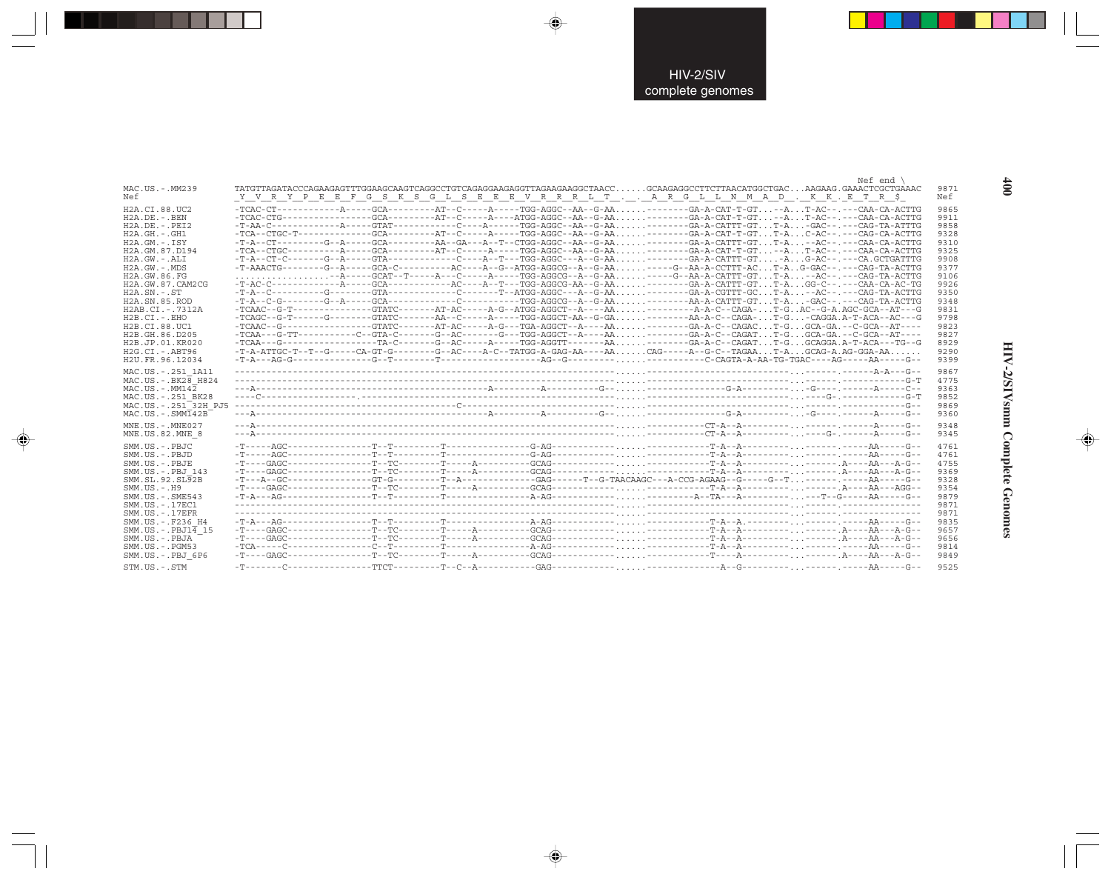|                                     | Nef end                                                                                                                                                                                                                                                                                                                                                                                                                     |  |
|-------------------------------------|-----------------------------------------------------------------------------------------------------------------------------------------------------------------------------------------------------------------------------------------------------------------------------------------------------------------------------------------------------------------------------------------------------------------------------|--|
| MAC.US.-.MM239                      | 9871                                                                                                                                                                                                                                                                                                                                                                                                                        |  |
| Nef                                 | Y V R Y P E E F G S K S G L S E E E V R R R L T A R G L L N M A D . K K . E T R \$<br>Nef                                                                                                                                                                                                                                                                                                                                   |  |
| H2A.CI.88.UC2                       | -TCAC-CT-----------A-----GCA--------AT--C-----A-----TGG-AGGC--AA--G-AA -------GA-A-CAT-T-GT. --A T-AC--. ---CAA-CA-ACTTG<br>9865                                                                                                                                                                                                                                                                                            |  |
| $H2A.DE. -.BEN$                     | $-TCAC-CTG-----------GCA---GCA------A T---A---A---A TGG--ACGC--AA---G-AA---GA-A-CAT-T-GT--AT-AC---CA-ACTTG$<br>9911                                                                                                                                                                                                                                                                                                         |  |
| $H2A.DE. - .PEI2$                   | 9858                                                                                                                                                                                                                                                                                                                                                                                                                        |  |
| $H2A.GH. - .GH1$                    | 9328                                                                                                                                                                                                                                                                                                                                                                                                                        |  |
|                                     |                                                                                                                                                                                                                                                                                                                                                                                                                             |  |
| $H2A.GM.-.ISY$                      | 9310                                                                                                                                                                                                                                                                                                                                                                                                                        |  |
| H2A.GM.87.D194                      | $-TCA-CTGC------A----GCA------AT--CT---A----G-A---TGG-AGGC-AA---G-AA.$ ------GA-A-CAT-T-GT--AT-AC--.---CAA-CA-ACTTG<br>9325                                                                                                                                                                                                                                                                                                 |  |
| $H2A.GW.-.ALI$                      | $-T-A--CT-C---G--A---G+A---GTA-----C---A--T---A--TGG-AGGC---A--G-AA.$ $---G-A-CATT-GTA. G-AC---A. G-AC---A. GCTGATTG$<br>9908                                                                                                                                                                                                                                                                                               |  |
| $H2A.GW. - .MDS$                    | $-T-AAACTG------G--A---GCA-C------AC---A--G--ATGG-AGGC--A--G-AA. ----G--AA--CCTT-AC T-A. . G-GAC-----CAG-TA-ACTTG-$<br>9377                                                                                                                                                                                                                                                                                                 |  |
| H2A.GW.86.FG                        | 9106                                                                                                                                                                                                                                                                                                                                                                                                                        |  |
| H2A. GW. 87. CAM2CG                 | -T-AC-C------------A-----GCA-----------AC----A--T---TGG-AGGCG-AA--G-AA-------GA-A-CATTT-GTT-AGG-C--.---CAA-CA-AC-TG<br>9926                                                                                                                                                                                                                                                                                                 |  |
| $H2A.SN.-.ST$                       | $-T-A--C------G---G---GTA------C-----C---T--ATGG-AGGC---A--G-AA. -----G-A-CGTTT-GC. T-A. -AC---C-G-A-CGTTT-GC.$<br>9350                                                                                                                                                                                                                                                                                                     |  |
| H <sub>2</sub> A.SN.85.ROD          | $-T-A-c-G------G-A----GCA-------C-------C-------TGG-AGGCG--A-G-AA. -------AA-A-CATTT-GT. T-A. -GAC------CAG-TA-ACTTG-$<br>9348                                                                                                                                                                                                                                                                                              |  |
| H2AB.CI.-.7312A                     | -TCAAC--G-T-------------GTATC-------AT-AC-----A-G--ATGG-AGGCT--A----AA-----------A-A-C--CAGA-T-GAC--G-A.AGC-GCA--AT---G<br>9831                                                                                                                                                                                                                                                                                             |  |
| $H2B.CI.-.EHO$                      | -TCAGC--G-T------G-------GTATC-------AA--C-----A----TGG-AGGCT-AA--G-GA-------AA-A-C--CAGA-T-G-CAGGA.A-T-ACA--AC---G<br>9798                                                                                                                                                                                                                                                                                                 |  |
| H2B.CI.88.UC1                       | -TCAAC--G--------------GTATC-------AT-AC-----A-G---TGA-AGGCT--A----AA-------GA-A-C--CAGACT-GGCA-GA.--C-GCA--AT----<br>9823                                                                                                                                                                                                                                                                                                  |  |
| H2B.GH.86.D205                      | $-TCAA---G-TT------C--GTA-C------G--AC-----G---G-G--TGG-AGGCT--A----AA. , , , , ------GAA-A-C--CAGAT. , .T-G. , .GCA-GA.---C-GCA--AT---C--GAA--C--GCA-A-C--GCA-A-B-C--GCA-A-B-C--GCA-A-B-C--GCA-A-B-C--GCA-A-B-C--GCA-A-B-C--GCA-A-B-C--GCA-A-B-C--GCA-A-B-C--GCA-A-B-C--GCA-A-B-C--GCA-A-B-C--GCA-A-B-C--GCA-A-B-C--GCA-A-B-C--GCA-A-B-C--GCA-A-B-C--GCA-A-B-C--GCA-A-B-C--GCA-A-B-C--GCA-A-B-C--GCA-A-B-C--GCA-A$<br>9827 |  |
| H <sub>2</sub> B.JP.01.KR020        | $-TCAA--G------------TA-C-----G--AC---A---TGG-AGTT----AA---GA-A-C--CAGATT-GGCGGA.A-T-ACA---G-A-C--CAGAT$<br>8929                                                                                                                                                                                                                                                                                                            |  |
| $H2G.CI.-ABT96$                     | $-T-A-ATTGC-T--T--G---CA-GT-G---A--G--C--AC---A-C--TATGG-A-GAG-AA---AA. CAG---A-G-C--TAGAA. T-A. GCAG-A. AG-GGA-AA.$<br>9290                                                                                                                                                                                                                                                                                                |  |
|                                     |                                                                                                                                                                                                                                                                                                                                                                                                                             |  |
| H2U.FR.96.12034                     | 9399                                                                                                                                                                                                                                                                                                                                                                                                                        |  |
| MAC.US. - . 251 1A11                | 9867                                                                                                                                                                                                                                                                                                                                                                                                                        |  |
| MAC.US. - . BK28 H824               | 4775                                                                                                                                                                                                                                                                                                                                                                                                                        |  |
| $MAC . US . - . MM142$              | 9363                                                                                                                                                                                                                                                                                                                                                                                                                        |  |
| MAC.US. - . 251 BK28                | 9852                                                                                                                                                                                                                                                                                                                                                                                                                        |  |
| MAC.US. - . 251 <sup>-32H</sup> PJ5 | 9869                                                                                                                                                                                                                                                                                                                                                                                                                        |  |
| $MAC . U.S. - . SIM142B$            | 9360                                                                                                                                                                                                                                                                                                                                                                                                                        |  |
|                                     |                                                                                                                                                                                                                                                                                                                                                                                                                             |  |
| MNE.US. - . MNE027                  | 9348                                                                                                                                                                                                                                                                                                                                                                                                                        |  |
| MNE.US.82.MNE 8                     | 9345                                                                                                                                                                                                                                                                                                                                                                                                                        |  |
|                                     |                                                                                                                                                                                                                                                                                                                                                                                                                             |  |
| SMM.US.-.PBJC                       | 4761                                                                                                                                                                                                                                                                                                                                                                                                                        |  |
| SMM.US.-.PBJD                       | 4761                                                                                                                                                                                                                                                                                                                                                                                                                        |  |
| SMM.US.-.PBJE                       | 4755                                                                                                                                                                                                                                                                                                                                                                                                                        |  |
| SMM.US.-.PBJ 143                    | 9369                                                                                                                                                                                                                                                                                                                                                                                                                        |  |
| SMM.SL.92.SL92B                     | $-T--A-GC---------G T-G------T-A------GAG-----G-GG---T-G-TACAAGC---A-CCG-AGAAG--G---G--T------.A---A--A--G--T-$<br>9328                                                                                                                                                                                                                                                                                                     |  |
| $SMM. US. - . H9$                   | 9354                                                                                                                                                                                                                                                                                                                                                                                                                        |  |
| $SMM.US. - .SME543$                 | 9879                                                                                                                                                                                                                                                                                                                                                                                                                        |  |
| SMM. US. - . 17EC1                  | 9871                                                                                                                                                                                                                                                                                                                                                                                                                        |  |
| $SMM. US. - .17EFR$                 | 9871                                                                                                                                                                                                                                                                                                                                                                                                                        |  |
| SMM.US. - . F236 H4                 | $-T-A--AG---------T-T------T------T------A-AG------T$<br>9835                                                                                                                                                                                                                                                                                                                                                               |  |
| $SMM.US.-.PBJ1\overline{4}15$       | 9657                                                                                                                                                                                                                                                                                                                                                                                                                        |  |
| SMM.US.-.PBJA                       | 9656                                                                                                                                                                                                                                                                                                                                                                                                                        |  |
| $SMM. US. - . PGM53$                | 9814                                                                                                                                                                                                                                                                                                                                                                                                                        |  |
|                                     | 9849                                                                                                                                                                                                                                                                                                                                                                                                                        |  |
| SMM.US.-.PBJ 6P6                    |                                                                                                                                                                                                                                                                                                                                                                                                                             |  |
| $STM. US. - . STM$                  | 9525                                                                                                                                                                                                                                                                                                                                                                                                                        |  |

 $\begin{picture}(20,5) \put(0,0){\vector(0,1){10}} \put(15,0){\vector(0,1){10}} \put(15,0){\vector(0,1){10}} \put(15,0){\vector(0,1){10}} \put(15,0){\vector(0,1){10}} \put(15,0){\vector(0,1){10}} \put(15,0){\vector(0,1){10}} \put(15,0){\vector(0,1){10}} \put(15,0){\vector(0,1){10}} \put(15,0){\vector(0,1){10}} \put(15,0){\vector(0,1){10}} \put(15,0){\vector(0,$ 

 $\begin{picture}(20,5) \put(0,0){\vector(0,1){10}} \put(15,0){\vector(0,1){10}} \put(15,0){\vector(0,1){10}} \put(15,0){\vector(0,1){10}} \put(15,0){\vector(0,1){10}} \put(15,0){\vector(0,1){10}} \put(15,0){\vector(0,1){10}} \put(15,0){\vector(0,1){10}} \put(15,0){\vector(0,1){10}} \put(15,0){\vector(0,1){10}} \put(15,0){\vector(0,1){10}} \put(15,0){\vector(0,$ 

. . .

 $\Rightarrow$ 

 $\begin{array}{c}\n\bullet \\
\bullet \\
\bullet\n\end{array}$ 

**HIV-2/SIVsmm Complete Genomes 400** HIV-2/SIVsmm Complete Genomes

 $\begin{picture}(120,140)(-6.5,14.0) \put(0,0){\vector(0,1){10}} \put(15,0){\vector(0,1){10}} \put(15,0){\vector(0,1){10}} \put(15,0){\vector(0,1){10}} \put(15,0){\vector(0,1){10}} \put(15,0){\vector(0,1){10}} \put(15,0){\vector(0,1){10}} \put(15,0){\vector(0,1){10}} \put(15,0){\vector(0,1){10}} \put(15,0){\vector(0,1){10}} \put(15,0){\vector(0,1){10}}$ 

 $\equiv$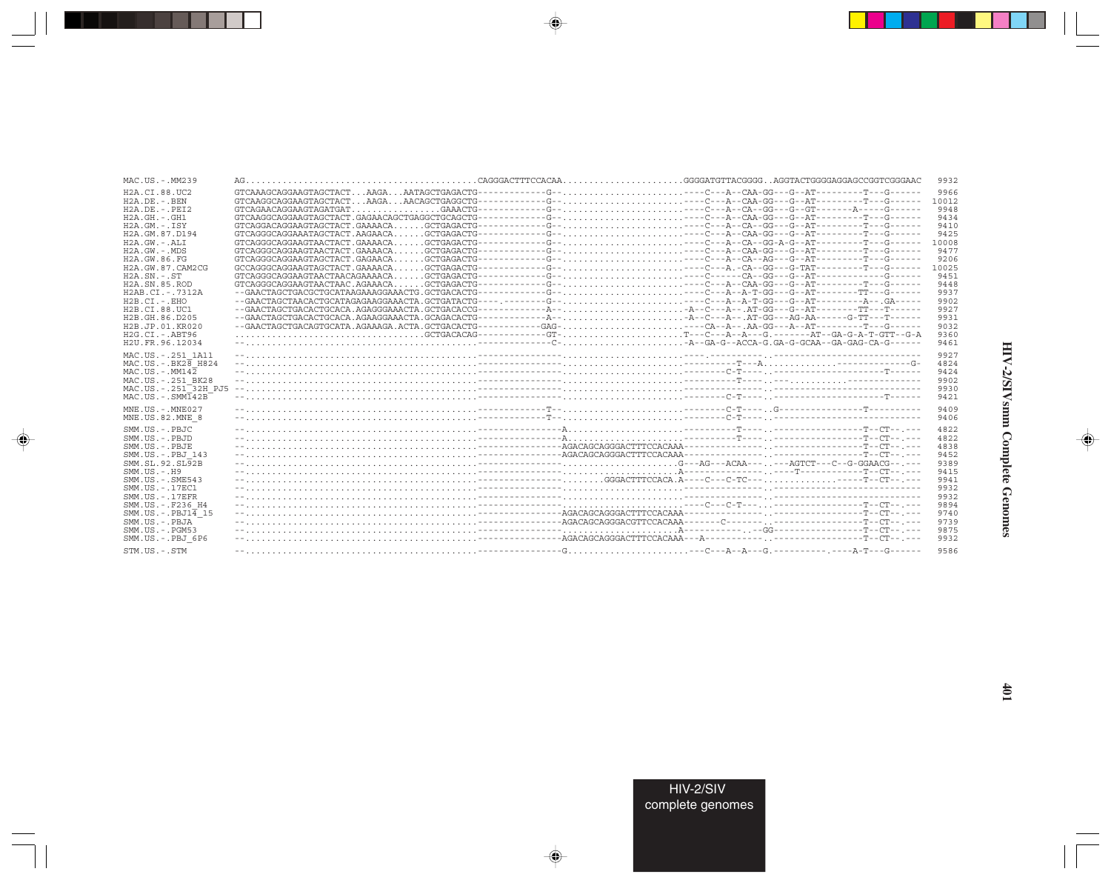| MAC.US.-.MM239                         |  |                                                                                                            | 9932         |
|----------------------------------------|--|------------------------------------------------------------------------------------------------------------|--------------|
| H <sub>2</sub> A.CT.88.UC <sub>2</sub> |  |                                                                                                            | 9966         |
| $H2A.DE. - .BEN$                       |  |                                                                                                            | 10012        |
| $H2A$ . DE. - . PET2                   |  | GTCAGAACAGGAAGTAGATGATGAAACTG-----------G--,-C--A--CA--GG---G--GT-------A-----G-----                       | 9948         |
| $H2A.GH.-.GH1$                         |  |                                                                                                            | 9434         |
| $H2A.GM.-.ISY$                         |  | GTCAGGACAGGAAGTAGCTACT.GAAAACAGCTGAGACTG-----------G-----C---A--CA--GG---G--AT--------T---G-----           | 9410         |
| H2A.GM.87.D194                         |  |                                                                                                            | 9425         |
| $H2A.GW.-.ALI$                         |  |                                                                                                            | 10008        |
| H2A.GW.-.MDS                           |  |                                                                                                            | 9477         |
| H2A.GW.86.FG                           |  |                                                                                                            | 9206         |
| H2A.GW.87.CAM2CG                       |  | $GCCAGGGCAGGAAGTRGCTACT. GAAAACA. GCTGAGACTG----------G-- ---C---A. -CA--GG---G-TAT------T---G---A.$       | 10025        |
| H2A.SN.-.ST                            |  | $GTCAGGCGAGGAGTAACTAACAGAAAAACA. GCTGAGACTG----------G-- ---C------CA--GG---G--AT----------G------G---$    | 9451         |
| H <sub>2</sub> A.SN.85.ROD             |  |                                                                                                            | 9448         |
| H2AB.CI.-.7312A                        |  |                                                                                                            | 9937         |
| H2B.CI.-.EHO                           |  |                                                                                                            | 9902         |
| H2B.CI.88.UC1                          |  |                                                                                                            | 9927         |
| H2B.GH.86.D205                         |  | --GAACTAGCTGACACTGCACA.AGAAGGAAACTA.GCAGACACTG------------A---A--C---A--.AT-GG---AG-AA------G-TT---T------ | 9931         |
| H2B.JP.01.KR020                        |  | --GAACTAGCTGACAGTGCATA.AGAAAGA.ACTA.GCTGACACTG----------GAG----CA--A--.AA-GG---A--AT--------T---G-----     | 9032         |
| $H2G.CI.-ABT96$                        |  | GCTGACACAG-----------GT-T--C---A--A--G.------AT--GA-G-A-T-GTT--G-A                                         | 9360         |
| H <sub>2U</sub> . FR. 96. 12034        |  |                                                                                                            | 9461         |
|                                        |  |                                                                                                            | 9927         |
| MAC.US. - . 251 1A11                   |  |                                                                                                            |              |
| $MAC.US.-.BK2B$ H824                   |  |                                                                                                            | 4824         |
| $MAC. US.-. MM142$                     |  |                                                                                                            | 9424         |
| MAC.US.-.251 BK28                      |  |                                                                                                            | 9902         |
| MAC.US.-.251 32H PJ5                   |  |                                                                                                            | 9930         |
| $MAC. US. - . SIMT42B$                 |  |                                                                                                            | 9421         |
| $MNE$ . US. $-$ . $MNE$ 027            |  |                                                                                                            | 9409         |
| MNE.US.82.MNE 8                        |  |                                                                                                            | 9406         |
|                                        |  |                                                                                                            |              |
| $SMM. IJS. - PBJC$                     |  |                                                                                                            | 4822<br>4822 |
| SMM.US.-.PBJD                          |  |                                                                                                            |              |
| SMM.US.-.PBJE                          |  |                                                                                                            | 4838         |
| SMM.US. - PBJ 143                      |  |                                                                                                            | 9452         |
| SMM.SL.92.SL92B                        |  |                                                                                                            | 9389         |
| $SMM.US.-.H9$                          |  |                                                                                                            | 9415         |
| SMM. US. - . SME543                    |  |                                                                                                            | 9941         |
| $SMM. US. - .17EC1$                    |  |                                                                                                            | 9932         |
| $SMM. US. - .17EFR$                    |  |                                                                                                            | 9932         |
| SMM.US.-.F236 H4                       |  |                                                                                                            | 9894         |
| $SMM.US.-.PBJ1\overline{4}15$          |  |                                                                                                            | 9740         |
| SMM.US.-.PBJA                          |  |                                                                                                            | 9739         |
| $SMM. US. - . PGM53$                   |  |                                                                                                            | 9875         |
| SMM.US.-.PBJ 6P6                       |  |                                                                                                            | 9932         |
| STM.US.-.STM                           |  |                                                                                                            | 9586         |

 $\begin{picture}(20,5) \put(0,0){\vector(0,1){10}} \put(15,0){\vector(0,1){10}} \put(15,0){\vector(0,1){10}} \put(15,0){\vector(0,1){10}} \put(15,0){\vector(0,1){10}} \put(15,0){\vector(0,1){10}} \put(15,0){\vector(0,1){10}} \put(15,0){\vector(0,1){10}} \put(15,0){\vector(0,1){10}} \put(15,0){\vector(0,1){10}} \put(15,0){\vector(0,1){10}} \put(15,0){\vector(0,$ 

a shekara 1960

 $\overline{\blacklozenge}$ 

 $\frac{1}{\sqrt{2}}$ 

 $\begin{picture}(120,140)(-6.5,14.0) \put(0,0){\vector(0,1){10}} \put(15,0){\vector(0,1){10}} \put(15,0){\vector(0,1){10}} \put(15,0){\vector(0,1){10}} \put(15,0){\vector(0,1){10}} \put(15,0){\vector(0,1){10}} \put(15,0){\vector(0,1){10}} \put(15,0){\vector(0,1){10}} \put(15,0){\vector(0,1){10}} \put(15,0){\vector(0,1){10}} \put(15,0){\vector(0,1){10}}$ 

 $\equiv$ 

 $\Box$ 

. . .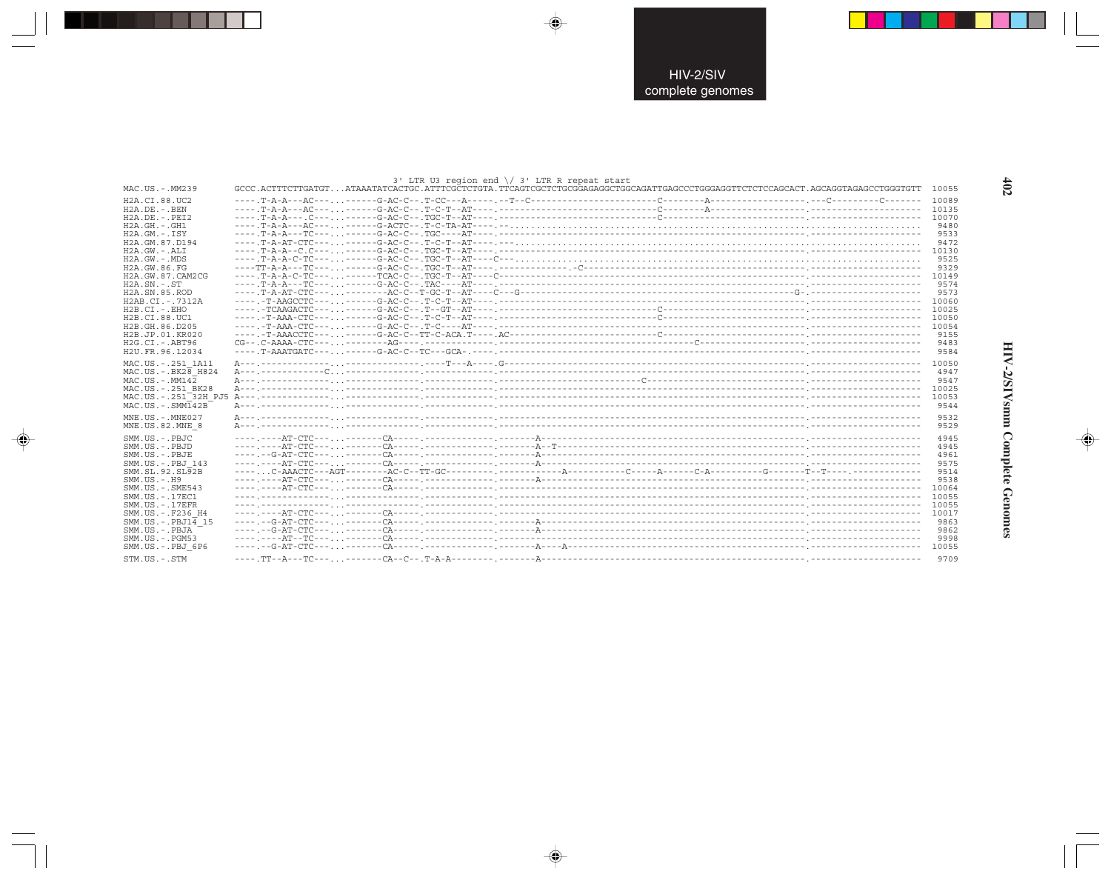|                     | $3'$ LTR U3 region end $\setminus$ 3' LTR R repeat start |                                                                                                                                 |              |
|---------------------|----------------------------------------------------------|---------------------------------------------------------------------------------------------------------------------------------|--------------|
| MAC.US.-.MM239      |                                                          | GCCC.ACTTTCTTGATGTATAAATATCACTGC.ATTTCGCTCTGTA.TTCAGTCGCTCTGCGGAGAGGCTGGCAGATTGAGCCCTGGGAGGTTCTCTCCAGCACT.AGCAGGTAGAGCCTGGGTGTT | 10055        |
| H2A.CI.88.UC2       |                                                          |                                                                                                                                 | 10089        |
| H2A.DE.-.BEN        |                                                          |                                                                                                                                 | 10135        |
| $H2A.DE. - .PEI2$   |                                                          |                                                                                                                                 | 10070        |
| $H2A.GH. - .GH1$    |                                                          |                                                                                                                                 | 9480         |
| $H2A.GM.-.ISY$      |                                                          |                                                                                                                                 | 9533         |
| H2A.GM.87.D194      |                                                          |                                                                                                                                 | 9472         |
| H2A.GW.-.ALI        |                                                          |                                                                                                                                 | 10130        |
| H2A.GW.-.MDS        |                                                          |                                                                                                                                 | 9525         |
| H2A.GW.86.FG        |                                                          |                                                                                                                                 | 9329         |
| H2A.GW.87.CAM2CG    |                                                          |                                                                                                                                 | 10149        |
| $H2A.SN.-.ST$       |                                                          |                                                                                                                                 | 9574         |
| H2A.SN.85.ROD       |                                                          |                                                                                                                                 | 9573         |
| H2AB.CI.-.7312A     |                                                          |                                                                                                                                 | 10060        |
| $H2B.CI.-.EHO$      |                                                          |                                                                                                                                 | 10025        |
| H2B.CI.88.UC1       |                                                          |                                                                                                                                 | 10050        |
| H2B.GH.86.D205      |                                                          |                                                                                                                                 | 10054        |
| H2B.JP.01.KR020     |                                                          |                                                                                                                                 | 9155         |
| H2G.CI.-.ABT96      |                                                          |                                                                                                                                 | 9483         |
| H2U.FR.96.12034     |                                                          |                                                                                                                                 | 9584         |
|                     |                                                          |                                                                                                                                 |              |
| MAC.US.-.251 1A11   |                                                          |                                                                                                                                 | 10050        |
| MAC.US.-.BK28 H824  |                                                          |                                                                                                                                 | 4947         |
| MAC.US.-.MM142      |                                                          |                                                                                                                                 | 9547         |
| MAC.US.-.251 BK28   |                                                          |                                                                                                                                 | 10025        |
|                     |                                                          |                                                                                                                                 | 10053        |
| MAC.US.-.SMM142B    |                                                          |                                                                                                                                 | 9544         |
| MNE.US. - . MNE027  |                                                          |                                                                                                                                 | 9532         |
| MNE.US.82.MNE 8     |                                                          |                                                                                                                                 | 9529         |
| SMM.US.-.PBJC       |                                                          |                                                                                                                                 | 4945         |
|                     |                                                          |                                                                                                                                 |              |
| SMM.US.-.PBJD       |                                                          |                                                                                                                                 | 4945         |
| SMM.US.-.PBJE       |                                                          |                                                                                                                                 | 4961<br>9575 |
| SMM.US.-.PBJ 143    |                                                          |                                                                                                                                 |              |
| SMM.SL.92.SL92B     |                                                          |                                                                                                                                 | 9514         |
| $SMM.US. - .H9$     |                                                          |                                                                                                                                 | 9538         |
| SMM. US. - . SME543 |                                                          |                                                                                                                                 | 10064        |
| SMM.US. - . 17EC1   |                                                          |                                                                                                                                 | 10055        |
| $SMM. US. - .17EFR$ |                                                          |                                                                                                                                 | 10055        |
| SMM.US. - . F236 H4 |                                                          |                                                                                                                                 | 10017        |
| SMM.US.-.PBJ14 15   |                                                          |                                                                                                                                 | 9863         |
| SMM.US.-.PBJA       |                                                          |                                                                                                                                 | 9862         |
| $SMM.US. - . PGM53$ |                                                          |                                                                                                                                 | 9998         |
| SMM.US.-.PBJ 6P6    |                                                          |                                                                                                                                 | 10055        |
| STM IIS - STM       | -- CA-- C-- T-A-A-----                                   |                                                                                                                                 | 9709         |

 $\begin{picture}(20,5) \put(0,0){\vector(0,1){10}} \put(15,0){\vector(0,1){10}} \put(15,0){\vector(0,1){10}} \put(15,0){\vector(0,1){10}} \put(15,0){\vector(0,1){10}} \put(15,0){\vector(0,1){10}} \put(15,0){\vector(0,1){10}} \put(15,0){\vector(0,1){10}} \put(15,0){\vector(0,1){10}} \put(15,0){\vector(0,1){10}} \put(15,0){\vector(0,1){10}} \put(15,0){\vector(0,$ 

 $\begin{picture}(20,5) \put(0,0){\vector(0,1){10}} \put(15,0){\vector(0,1){10}} \put(15,0){\vector(0,1){10}} \put(15,0){\vector(0,1){10}} \put(15,0){\vector(0,1){10}} \put(15,0){\vector(0,1){10}} \put(15,0){\vector(0,1){10}} \put(15,0){\vector(0,1){10}} \put(15,0){\vector(0,1){10}} \put(15,0){\vector(0,1){10}} \put(15,0){\vector(0,1){10}} \put(15,0){\vector(0,$ 

---

 $\begin{picture}(20,5) \put(0,0){\line(1,0){10}} \put(15,0){\line(1,0){10}} \put(15,0){\line(1,0){10}} \put(15,0){\line(1,0){10}} \put(15,0){\line(1,0){10}} \put(15,0){\line(1,0){10}} \put(15,0){\line(1,0){10}} \put(15,0){\line(1,0){10}} \put(15,0){\line(1,0){10}} \put(15,0){\line(1,0){10}} \put(15,0){\line(1,0){10}} \put(15,0){\line(1,$ 

 $\frac{1}{\sqrt{2}}$ 

 $\frac{402}{2}$ 

.

J

HIV-2/SIVsmm Complete Genomes

 $\begin{picture}(20,5) \put(0,0){\line(1,0){10}} \put(15,0){\line(1,0){10}} \put(15,0){\line(1,0){10}} \put(15,0){\line(1,0){10}} \put(15,0){\line(1,0){10}} \put(15,0){\line(1,0){10}} \put(15,0){\line(1,0){10}} \put(15,0){\line(1,0){10}} \put(15,0){\line(1,0){10}} \put(15,0){\line(1,0){10}} \put(15,0){\line(1,0){10}} \put(15,0){\line(1,$ 

 $\overline{\phantom{0}}$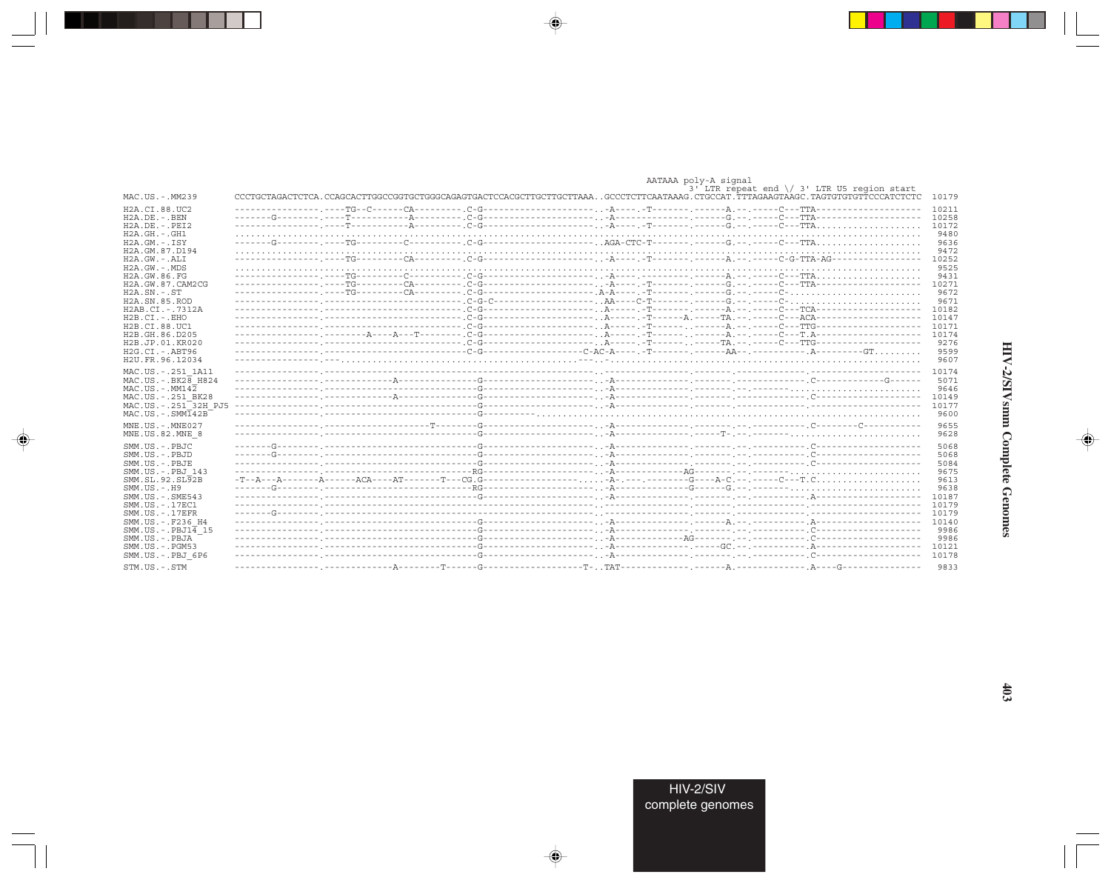|                                                                                                                                                                                                                                                                                                                                          |  |  | AATAAA poly-A signal |                                                        |                |
|------------------------------------------------------------------------------------------------------------------------------------------------------------------------------------------------------------------------------------------------------------------------------------------------------------------------------------------|--|--|----------------------|--------------------------------------------------------|----------------|
|                                                                                                                                                                                                                                                                                                                                          |  |  |                      | $3'$ LTR repeat end $\setminus$ 3' LTR U5 region start |                |
| MAC.US.-.MM239                                                                                                                                                                                                                                                                                                                           |  |  |                      |                                                        | 10179          |
| H <sub>2</sub> A.CI.88.UC <sub>2</sub><br>$H2A.DE. - . BEN$<br>$H2A.DE. - .PEI2$<br>$H2A.GH. - . GH1$<br>$H2A.GM.-.ISY$<br>H2A.GM.87.D194<br>$H2A.GW. - .ALI$<br>H2A.GW.-.MDS<br>H2A.GW.86.FG<br>H2A.GW.87.CAM2CG<br>$H2A.SN.-.ST$<br>H <sub>2</sub> A.SN.85.ROD<br>H2AB.CI.-.7312A<br>$H2B.CI.-.EHO$<br>H2B.CI.88.UC1<br>H2B.GH.86.D205 |  |  |                      |                                                        | 10211          |
|                                                                                                                                                                                                                                                                                                                                          |  |  |                      |                                                        | 10258          |
|                                                                                                                                                                                                                                                                                                                                          |  |  |                      |                                                        | 10172          |
|                                                                                                                                                                                                                                                                                                                                          |  |  |                      |                                                        | 9480           |
|                                                                                                                                                                                                                                                                                                                                          |  |  |                      |                                                        | 9636           |
|                                                                                                                                                                                                                                                                                                                                          |  |  |                      |                                                        | 9472           |
|                                                                                                                                                                                                                                                                                                                                          |  |  |                      |                                                        | 10252          |
|                                                                                                                                                                                                                                                                                                                                          |  |  |                      |                                                        | 9525           |
|                                                                                                                                                                                                                                                                                                                                          |  |  |                      |                                                        | 9431           |
|                                                                                                                                                                                                                                                                                                                                          |  |  |                      |                                                        | 10271          |
|                                                                                                                                                                                                                                                                                                                                          |  |  |                      |                                                        | 9672           |
|                                                                                                                                                                                                                                                                                                                                          |  |  |                      |                                                        | 9671           |
|                                                                                                                                                                                                                                                                                                                                          |  |  |                      |                                                        | 10182          |
|                                                                                                                                                                                                                                                                                                                                          |  |  |                      |                                                        | 10147          |
|                                                                                                                                                                                                                                                                                                                                          |  |  |                      |                                                        | 10171          |
|                                                                                                                                                                                                                                                                                                                                          |  |  |                      |                                                        | 10174          |
| H <sub>2</sub> B.JP.01.KR020                                                                                                                                                                                                                                                                                                             |  |  |                      |                                                        | 9276           |
| $H2G.CI.-.ABT96$                                                                                                                                                                                                                                                                                                                         |  |  |                      |                                                        | 9599           |
| H2U.FR.96.12034                                                                                                                                                                                                                                                                                                                          |  |  |                      |                                                        | 9607           |
| MAC.US. - . 251 1A11                                                                                                                                                                                                                                                                                                                     |  |  |                      |                                                        | 10174          |
| $MAC.US.-.BK2\overline{8}$ H824                                                                                                                                                                                                                                                                                                          |  |  |                      |                                                        | 5071           |
| $MAC. US. - . MM142$                                                                                                                                                                                                                                                                                                                     |  |  |                      |                                                        | 9646           |
| MAC.US.-.251 BK28                                                                                                                                                                                                                                                                                                                        |  |  |                      |                                                        |                |
| MAC.US.-.251 32H PJ5                                                                                                                                                                                                                                                                                                                     |  |  |                      |                                                        | 10149<br>10177 |
| $MAC. US. - . SIM142B$                                                                                                                                                                                                                                                                                                                   |  |  |                      |                                                        | 9600           |
|                                                                                                                                                                                                                                                                                                                                          |  |  |                      |                                                        |                |
| MNE.US.-.MNE027                                                                                                                                                                                                                                                                                                                          |  |  |                      |                                                        | 9655           |
| MNE.US.82.MNE 8                                                                                                                                                                                                                                                                                                                          |  |  |                      |                                                        | 9628           |
| SMM.US.-.PBJC<br>SMM.US.-.PBJD<br>SMM.US.-.PBJE                                                                                                                                                                                                                                                                                          |  |  |                      |                                                        | 5068           |
|                                                                                                                                                                                                                                                                                                                                          |  |  |                      |                                                        | 5068           |
|                                                                                                                                                                                                                                                                                                                                          |  |  |                      |                                                        | 5084           |
| SMM.US.-.PBJ 143                                                                                                                                                                                                                                                                                                                         |  |  |                      |                                                        | 9675           |
| SMM.SL.92.SL92B                                                                                                                                                                                                                                                                                                                          |  |  |                      |                                                        | 9613           |
| $SMM. US. - . H9$                                                                                                                                                                                                                                                                                                                        |  |  |                      |                                                        | 9638           |
| $SMM.US. - .SME543$                                                                                                                                                                                                                                                                                                                      |  |  |                      |                                                        | 10187          |
| SMM.US.-.17EC1                                                                                                                                                                                                                                                                                                                           |  |  |                      |                                                        | 10179          |
| SMM.US.-.17EFR<br>SMM.US. - .F236 H4<br>SMM.US. -. $PBJ1\overline{4}$ 15                                                                                                                                                                                                                                                                 |  |  |                      |                                                        | 10179          |
|                                                                                                                                                                                                                                                                                                                                          |  |  |                      |                                                        | 10140          |
|                                                                                                                                                                                                                                                                                                                                          |  |  |                      |                                                        | 9986           |
| SMM.US.-.PBJA                                                                                                                                                                                                                                                                                                                            |  |  |                      |                                                        | 9986           |
| $SMM. US. - . PGM53$                                                                                                                                                                                                                                                                                                                     |  |  |                      |                                                        | 10121          |
| SMM.US.-.PBJ 6P6                                                                                                                                                                                                                                                                                                                         |  |  |                      |                                                        | 10178          |
| STM.US.-.STM                                                                                                                                                                                                                                                                                                                             |  |  |                      |                                                        | 9833           |
|                                                                                                                                                                                                                                                                                                                                          |  |  |                      |                                                        |                |

 $\begin{picture}(20,5) \put(0,0){\vector(0,1){10}} \put(15,0){\vector(0,1){10}} \put(15,0){\vector(0,1){10}} \put(15,0){\vector(0,1){10}} \put(15,0){\vector(0,1){10}} \put(15,0){\vector(0,1){10}} \put(15,0){\vector(0,1){10}} \put(15,0){\vector(0,1){10}} \put(15,0){\vector(0,1){10}} \put(15,0){\vector(0,1){10}} \put(15,0){\vector(0,1){10}} \put(15,0){\vector(0,$ 

a shekara 1960

 $\overline{\blacklozenge}$ 

 $\frac{1}{\sqrt{2}}$ 

 $\begin{picture}(120,140)(-6.5,14.0) \put(0,0){\vector(0,1){10}} \put(15,0){\vector(0,1){10}} \put(15,0){\vector(0,1){10}} \put(15,0){\vector(0,1){10}} \put(15,0){\vector(0,1){10}} \put(15,0){\vector(0,1){10}} \put(15,0){\vector(0,1){10}} \put(15,0){\vector(0,1){10}} \put(15,0){\vector(0,1){10}} \put(15,0){\vector(0,1){10}} \put(15,0){\vector(0,1){10}}$ 

 $\equiv$ 

 $\Box$ 

. . .